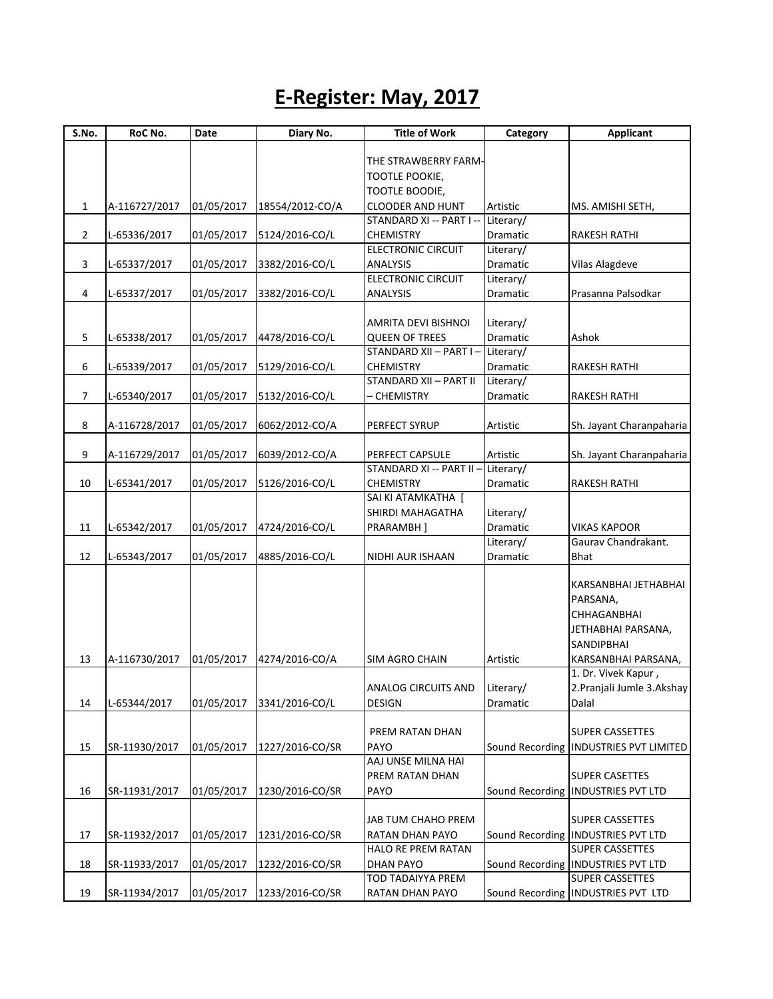## **E-Register: May, 2017**

| S.No.          | RoC No.       | Date       | Diary No.       | <b>Title of Work</b>                          | Category              | <b>Applicant</b>                         |
|----------------|---------------|------------|-----------------|-----------------------------------------------|-----------------------|------------------------------------------|
|                |               |            |                 |                                               |                       |                                          |
|                |               |            |                 | THE STRAWBERRY FARM-                          |                       |                                          |
|                |               |            |                 | TOOTLE POOKIE,                                |                       |                                          |
|                |               |            |                 | <b>TOOTLE BOODIE,</b>                         |                       |                                          |
| $\mathbf{1}$   | A-116727/2017 | 01/05/2017 | 18554/2012-CO/A | <b>CLOODER AND HUNT</b>                       | Artistic              | MS. AMISHI SETH,                         |
|                |               |            |                 | STANDARD XI -- PART I --                      | Literary/             |                                          |
| $\overline{2}$ | L-65336/2017  | 01/05/2017 | 5124/2016-CO/L  | <b>CHEMISTRY</b><br><b>ELECTRONIC CIRCUIT</b> | Dramatic<br>Literary/ | <b>RAKESH RATHI</b>                      |
| 3              |               | 01/05/2017 | 3382/2016-CO/L  | <b>ANALYSIS</b>                               | Dramatic              | <b>Vilas Alagdeve</b>                    |
|                | L-65337/2017  |            |                 | <b>ELECTRONIC CIRCUIT</b>                     | Literary/             |                                          |
| 4              | L-65337/2017  | 01/05/2017 | 3382/2016-CO/L  | <b>ANALYSIS</b>                               | Dramatic              | Prasanna Palsodkar                       |
|                |               |            |                 |                                               |                       |                                          |
|                |               |            |                 | AMRITA DEVI BISHNOI                           | Literary/             |                                          |
| 5              | L-65338/2017  | 01/05/2017 | 4478/2016-CO/L  | <b>QUEEN OF TREES</b>                         | <b>Dramatic</b>       | Ashok                                    |
|                |               |            |                 | STANDARD XII - PART I -                       | Literary/             |                                          |
| 6              | L-65339/2017  | 01/05/2017 | 5129/2016-CO/L  | <b>CHEMISTRY</b>                              | Dramatic              | RAKESH RATHI                             |
|                |               |            |                 | STANDARD XII - PART II                        | Literary/             |                                          |
| 7              | L-65340/2017  | 01/05/2017 | 5132/2016-CO/L  | <b>CHEMISTRY</b>                              | Dramatic              | <b>RAKESH RATHI</b>                      |
|                |               |            |                 |                                               |                       |                                          |
| 8              | A-116728/2017 | 01/05/2017 | 6062/2012-CO/A  | PERFECT SYRUP                                 | Artistic              | Sh. Jayant Charanpaharia                 |
|                |               |            |                 |                                               |                       |                                          |
| 9              | A-116729/2017 | 01/05/2017 | 6039/2012-CO/A  | PERFECT CAPSULE                               | Artistic              | Sh. Jayant Charanpaharia                 |
|                |               |            |                 | STANDARD XI -- PART II -                      | Literary/             |                                          |
| 10             | L-65341/2017  | 01/05/2017 | 5126/2016-CO/L  | <b>CHEMISTRY</b>                              | <b>Dramatic</b>       | <b>RAKESH RATHI</b>                      |
|                |               |            |                 | SAI KI ATAMKATHA [                            |                       |                                          |
|                |               |            |                 | SHIRDI MAHAGATHA                              | Literary/             |                                          |
| 11             | L-65342/2017  | 01/05/2017 | 4724/2016-CO/L  | PRARAMBH]                                     | Dramatic              | <b>VIKAS KAPOOR</b>                      |
|                |               |            |                 |                                               | Literary/             | Gaurav Chandrakant.                      |
| 12             | L-65343/2017  | 01/05/2017 | 4885/2016-CO/L  | NIDHI AUR ISHAAN                              | Dramatic              | Bhat                                     |
|                |               |            |                 |                                               |                       | KARSANBHAI JETHABHAI                     |
|                |               |            |                 |                                               |                       | PARSANA,                                 |
|                |               |            |                 |                                               |                       | CHHAGANBHAI                              |
|                |               |            |                 |                                               |                       | JETHABHAI PARSANA,                       |
|                |               |            |                 |                                               |                       | <b>SANDIPBHAI</b>                        |
| 13             | A-116730/2017 | 01/05/2017 | 4274/2016-CO/A  | <b>SIM AGRO CHAIN</b>                         | Artistic              | KARSANBHAI PARSANA,                      |
|                |               |            |                 |                                               |                       | 1. Dr. Vivek Kapur,                      |
|                |               |            |                 | ANALOG CIRCUITS AND Literary/                 |                       | 2. Pranjali Jumle 3. Akshay              |
| 14             | L-65344/2017  | 01/05/2017 | 3341/2016-CO/L  | <b>DESIGN</b>                                 | Dramatic              | Dalal                                    |
|                |               |            |                 |                                               |                       |                                          |
|                |               |            |                 | PREM RATAN DHAN                               |                       | <b>SUPER CASSETTES</b>                   |
| 15             | SR-11930/2017 | 01/05/2017 | 1227/2016-CO/SR | PAYO                                          |                       | Sound Recording   INDUSTRIES PVT LIMITED |
|                |               |            |                 | AAJ UNSE MILNA HAI                            |                       |                                          |
|                |               |            |                 | PREM RATAN DHAN                               |                       | <b>SUPER CASETTES</b>                    |
| 16             | SR-11931/2017 | 01/05/2017 | 1230/2016-CO/SR | PAYO                                          |                       | Sound Recording   INDUSTRIES PVT LTD     |
|                |               |            |                 |                                               |                       |                                          |
|                |               |            |                 | JAB TUM CHAHO PREM                            |                       | <b>SUPER CASSETTES</b>                   |
| 17             | SR-11932/2017 | 01/05/2017 | 1231/2016-CO/SR | RATAN DHAN PAYO                               |                       | Sound Recording   INDUSTRIES PVT LTD     |
|                |               |            |                 | HALO RE PREM RATAN                            |                       | <b>SUPER CASSETTES</b>                   |
| 18             | SR-11933/2017 | 01/05/2017 | 1232/2016-CO/SR | <b>DHAN PAYO</b>                              |                       | Sound Recording   INDUSTRIES PVT LTD     |
|                |               |            |                 | <b>TOD TADAIYYA PREM</b>                      |                       | <b>SUPER CASSETTES</b>                   |
| 19             | SR-11934/2017 | 01/05/2017 | 1233/2016-CO/SR | RATAN DHAN PAYO                               |                       | Sound Recording   INDUSTRIES PVT LTD     |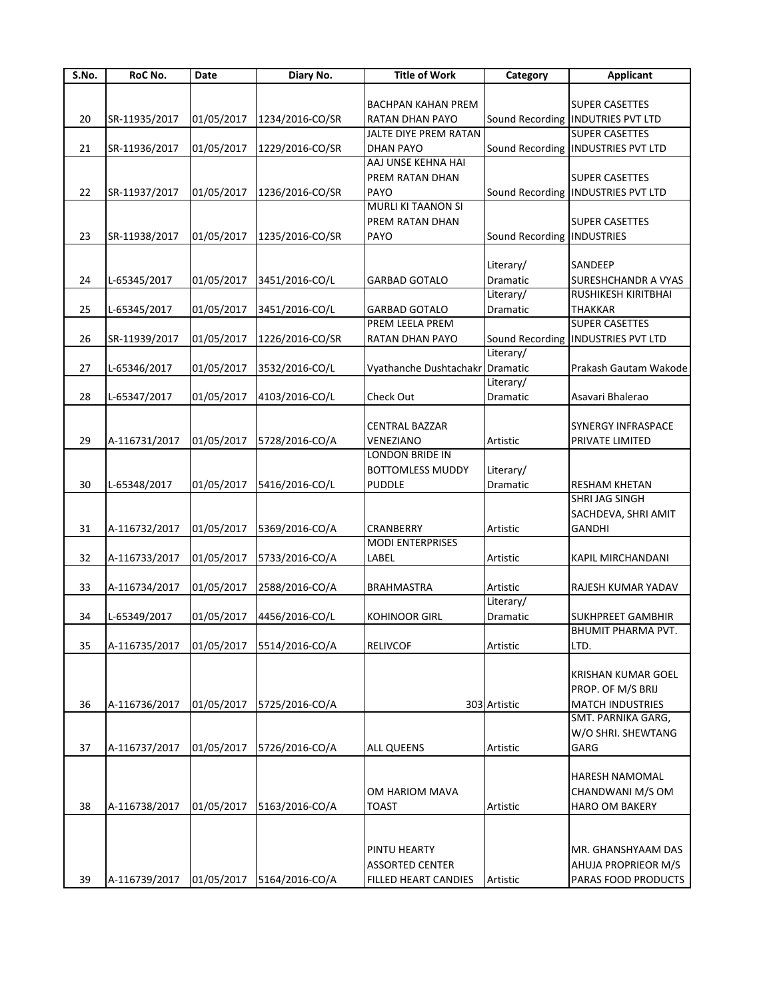| S.No. | RoC No.       | Date       | Diary No.       | <b>Title of Work</b>      | Category                   | <b>Applicant</b>                     |
|-------|---------------|------------|-----------------|---------------------------|----------------------------|--------------------------------------|
|       |               |            |                 |                           |                            |                                      |
|       |               |            |                 | <b>BACHPAN KAHAN PREM</b> |                            | <b>SUPER CASETTES</b>                |
| 20    | SR-11935/2017 | 01/05/2017 | 1234/2016-CO/SR | RATAN DHAN PAYO           |                            | Sound Recording   INDUTRIES PVT LTD  |
|       |               |            |                 | JALTE DIYE PREM RATAN     |                            | <b>SUPER CASETTES</b>                |
| 21    | SR-11936/2017 | 01/05/2017 | 1229/2016-CO/SR | <b>DHAN PAYO</b>          |                            | Sound Recording   INDUSTRIES PVT LTD |
|       |               |            |                 | AAJ UNSE KEHNA HAI        |                            |                                      |
|       |               |            |                 | PREM RATAN DHAN           |                            | <b>SUPER CASETTES</b>                |
| 22    | SR-11937/2017 | 01/05/2017 | 1236/2016-CO/SR | PAYO                      |                            | Sound Recording   INDUSTRIES PVT LTD |
|       |               |            |                 | <b>MURLI KI TAANON SI</b> |                            |                                      |
|       |               |            |                 | PREM RATAN DHAN           |                            | <b>SUPER CASETTES</b>                |
| 23    | SR-11938/2017 | 01/05/2017 | 1235/2016-CO/SR | PAYO                      | Sound Recording INDUSTRIES |                                      |
|       |               |            |                 |                           |                            |                                      |
|       |               |            |                 |                           | Literary/                  | SANDEEP                              |
| 24    | L-65345/2017  | 01/05/2017 | 3451/2016-CO/L  | <b>GARBAD GOTALO</b>      | Dramatic                   | SURESHCHANDR A VYAS                  |
|       |               |            |                 |                           | Literary/                  | RUSHIKESH KIRITBHAI                  |
| 25    | L-65345/2017  | 01/05/2017 | 3451/2016-CO/L  | <b>GARBAD GOTALO</b>      | Dramatic                   | <b>THAKKAR</b>                       |
|       |               |            |                 | PREM LEELA PREM           |                            | <b>SUPER CASETTES</b>                |
| 26    | SR-11939/2017 | 01/05/2017 | 1226/2016-CO/SR | RATAN DHAN PAYO           |                            | Sound Recording   INDUSTRIES PVT LTD |
|       |               |            |                 |                           | Literary/                  |                                      |
| 27    | L-65346/2017  | 01/05/2017 | 3532/2016-CO/L  | Vyathanche Dushtachakr    | Dramatic                   | Prakash Gautam Wakode                |
|       |               |            |                 |                           | Literary/                  |                                      |
| 28    | L-65347/2017  | 01/05/2017 | 4103/2016-CO/L  | Check Out                 | Dramatic                   | Asavari Bhalerao                     |
|       |               |            |                 |                           |                            |                                      |
|       |               |            |                 |                           |                            |                                      |
|       |               |            |                 | <b>CENTRAL BAZZAR</b>     |                            | SYNERGY INFRASPACE                   |
| 29    | A-116731/2017 | 01/05/2017 | 5728/2016-CO/A  | VENEZIANO                 | Artistic                   | PRIVATE LIMITED                      |
|       |               |            |                 | LONDON BRIDE IN           |                            |                                      |
|       |               |            |                 | <b>BOTTOMLESS MUDDY</b>   | Literary/                  |                                      |
| 30    | L-65348/2017  | 01/05/2017 | 5416/2016-CO/L  | <b>PUDDLE</b>             | Dramatic                   | <b>RESHAM KHETAN</b>                 |
|       |               |            |                 |                           |                            | SHRI JAG SINGH                       |
|       |               |            |                 |                           |                            | SACHDEVA, SHRI AMIT                  |
| 31    | A-116732/2017 | 01/05/2017 | 5369/2016-CO/A  | CRANBERRY                 | Artistic                   | <b>GANDHI</b>                        |
|       |               |            |                 | <b>MODI ENTERPRISES</b>   |                            |                                      |
| 32    | A-116733/2017 | 01/05/2017 | 5733/2016-CO/A  | LABEL                     | Artistic                   | KAPIL MIRCHANDANI                    |
|       |               |            |                 |                           |                            |                                      |
| 33    | A-116734/2017 | 01/05/2017 | 2588/2016-CO/A  | <b>BRAHMASTRA</b>         | Artistic                   | RAJESH KUMAR YADAV                   |
|       |               |            |                 |                           | Literary/                  |                                      |
| 34    | L-65349/2017  | 01/05/2017 | 4456/2016-CO/L  | <b>KOHINOOR GIRL</b>      | Dramatic                   | <b>SUKHPREET GAMBHIR</b>             |
|       |               |            |                 |                           |                            | <b>BHUMIT PHARMA PVT.</b>            |
| 35    | A-116735/2017 | 01/05/2017 | 5514/2016-CO/A  | <b>RELIVCOF</b>           | Artistic                   | LTD.                                 |
|       |               |            |                 |                           |                            |                                      |
|       |               |            |                 |                           |                            | <b>KRISHAN KUMAR GOEL</b>            |
|       |               |            |                 |                           |                            | PROP. OF M/S BRIJ                    |
| 36    | A-116736/2017 | 01/05/2017 | 5725/2016-CO/A  |                           | 303 Artistic               | <b>MATCH INDUSTRIES</b>              |
|       |               |            |                 |                           |                            | SMT. PARNIKA GARG,                   |
|       |               |            |                 |                           |                            | W/O SHRI. SHEWTANG                   |
| 37    | A-116737/2017 | 01/05/2017 | 5726/2016-CO/A  | <b>ALL QUEENS</b>         | Artistic                   | GARG                                 |
|       |               |            |                 |                           |                            |                                      |
|       |               |            |                 |                           |                            |                                      |
|       |               |            |                 |                           |                            | HARESH NAMOMAL                       |
|       |               |            |                 | OM HARIOM MAVA            |                            | CHANDWANI M/S OM                     |
| 38    | A-116738/2017 | 01/05/2017 | 5163/2016-CO/A  | TOAST                     | Artistic                   | <b>HARO OM BAKERY</b>                |
|       |               |            |                 |                           |                            |                                      |
|       |               |            |                 |                           |                            |                                      |
|       |               |            |                 | PINTU HEARTY              |                            | MR. GHANSHYAAM DAS                   |
|       |               |            |                 | <b>ASSORTED CENTER</b>    |                            | AHUJA PROPRIEOR M/S                  |
| 39    | A-116739/2017 | 01/05/2017 | 5164/2016-CO/A  | FILLED HEART CANDIES      | Artistic                   | PARAS FOOD PRODUCTS                  |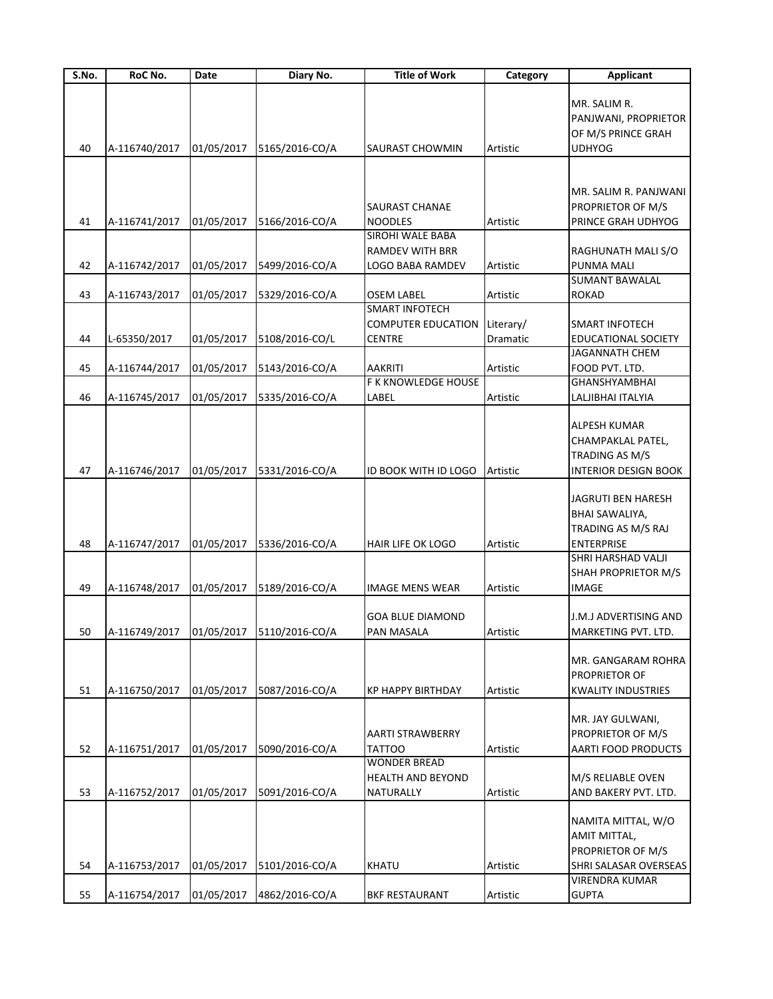| S.No. | RoC No.          | Date       | Diary No.                 | <b>Title of Work</b>      | Category        | <b>Applicant</b>            |
|-------|------------------|------------|---------------------------|---------------------------|-----------------|-----------------------------|
|       |                  |            |                           |                           |                 |                             |
|       |                  |            |                           |                           |                 | MR. SALIM R.                |
|       |                  |            |                           |                           |                 | PANJWANI, PROPRIETOR        |
|       |                  |            |                           |                           |                 | OF M/S PRINCE GRAH          |
| 40    | A-116740/2017    | 01/05/2017 | 5165/2016-CO/A            | SAURAST CHOWMIN           | Artistic        | <b>UDHYOG</b>               |
|       |                  |            |                           |                           |                 |                             |
|       |                  |            |                           |                           |                 | MR. SALIM R. PANJWANI       |
|       |                  |            |                           | SAURAST CHANAE            |                 | PROPRIETOR OF M/S           |
| 41    | A-116741/2017    | 01/05/2017 | 5166/2016-CO/A            | <b>NOODLES</b>            | Artistic        | PRINCE GRAH UDHYOG          |
|       |                  |            |                           | SIROHI WALE BABA          |                 |                             |
|       |                  |            |                           | <b>RAMDEV WITH BRR</b>    |                 | RAGHUNATH MALI S/O          |
| 42    | A-116742/2017    | 01/05/2017 | 5499/2016-CO/A            | LOGO BABA RAMDEV          | Artistic        | PUNMA MALI                  |
|       |                  |            |                           |                           |                 | <b>SUMANT BAWALAL</b>       |
| 43    | A-116743/2017    | 01/05/2017 | 5329/2016-CO/A            | OSEM LABEL                | Artistic        | <b>ROKAD</b>                |
|       |                  |            |                           | <b>SMART INFOTECH</b>     |                 |                             |
|       |                  |            |                           | <b>COMPUTER EDUCATION</b> | Literary/       | SMART INFOTECH              |
| 44    | L-65350/2017     | 01/05/2017 | 5108/2016-CO/L            | <b>CENTRE</b>             | <b>Dramatic</b> | <b>EDUCATIONAL SOCIETY</b>  |
|       |                  |            |                           |                           |                 | <b>JAGANNATH CHEM</b>       |
| 45    | A-116744/2017    | 01/05/2017 | 5143/2016-CO/A            | <b>AAKRITI</b>            | Artistic        | FOOD PVT. LTD.              |
|       |                  |            |                           | F K KNOWLEDGE HOUSE       |                 | GHANSHYAMBHAI               |
| 46    | A-116745/2017    | 01/05/2017 | 5335/2016-CO/A            | LABEL                     | Artistic        | LALJIBHAI ITALYIA           |
|       |                  |            |                           |                           |                 |                             |
|       |                  |            |                           |                           |                 | <b>ALPESH KUMAR</b>         |
|       |                  |            |                           |                           |                 | CHAMPAKLAL PATEL,           |
|       |                  |            |                           |                           |                 | TRADING AS M/S              |
| 47    | A-116746/2017    | 01/05/2017 | 5331/2016-CO/A            | ID BOOK WITH ID LOGO      | Artistic        | <b>INTERIOR DESIGN BOOK</b> |
|       |                  |            |                           |                           |                 |                             |
|       |                  |            |                           |                           |                 | JAGRUTI BEN HARESH          |
|       |                  |            |                           |                           |                 |                             |
|       |                  |            |                           |                           |                 | BHAI SAWALIYA,              |
|       |                  |            |                           |                           |                 | TRADING AS M/S RAJ          |
| 48    | A-116747/2017    | 01/05/2017 | 5336/2016-CO/A            | HAIR LIFE OK LOGO         | Artistic        | <b>ENTERPRISE</b>           |
|       |                  |            |                           |                           |                 | SHRI HARSHAD VALJI          |
|       |                  |            |                           |                           |                 | SHAH PROPRIETOR M/S         |
| 49    | A-116748/2017    | 01/05/2017 | 5189/2016-CO/A            | <b>IMAGE MENS WEAR</b>    | Artistic        | <b>IMAGE</b>                |
|       |                  |            |                           |                           |                 |                             |
|       |                  |            |                           | <b>GOA BLUE DIAMOND</b>   |                 | J.M.J ADVERTISING AND       |
|       | 50 A-116749/2017 |            | 01/05/2017 5110/2016-CO/A | <b>PAN MASALA</b>         | Artistic        | MARKETING PVT. LTD.         |
|       |                  |            |                           |                           |                 |                             |
|       |                  |            |                           |                           |                 | MR. GANGARAM ROHRA          |
|       |                  |            |                           |                           |                 | <b>PROPRIETOR OF</b>        |
| 51    | A-116750/2017    | 01/05/2017 | 5087/2016-CO/A            | KP HAPPY BIRTHDAY         | Artistic        | <b>KWALITY INDUSTRIES</b>   |
|       |                  |            |                           |                           |                 |                             |
|       |                  |            |                           |                           |                 | MR. JAY GULWANI,            |
|       |                  |            |                           | <b>AARTI STRAWBERRY</b>   |                 | PROPRIETOR OF M/S           |
| 52    | A-116751/2017    | 01/05/2017 | 5090/2016-CO/A            | <b>TATTOO</b>             | Artistic        | AARTI FOOD PRODUCTS         |
|       |                  |            |                           | <b>WONDER BREAD</b>       |                 |                             |
|       |                  |            |                           | <b>HEALTH AND BEYOND</b>  |                 | M/S RELIABLE OVEN           |
| 53    | A-116752/2017    | 01/05/2017 | 5091/2016-CO/A            | NATURALLY                 | Artistic        | AND BAKERY PVT. LTD.        |
|       |                  |            |                           |                           |                 |                             |
|       |                  |            |                           |                           |                 | NAMITA MITTAL, W/O          |
|       |                  |            |                           |                           |                 | AMIT MITTAL,                |
|       |                  |            |                           |                           |                 | PROPRIETOR OF M/S           |
| 54    | A-116753/2017    | 01/05/2017 | 5101/2016-CO/A            | <b>KHATU</b>              | Artistic        | SHRI SALASAR OVERSEAS       |
|       |                  |            |                           |                           |                 | VIRENDRA KUMAR              |
| 55    | A-116754/2017    | 01/05/2017 | 4862/2016-CO/A            | <b>BKF RESTAURANT</b>     | Artistic        | <b>GUPTA</b>                |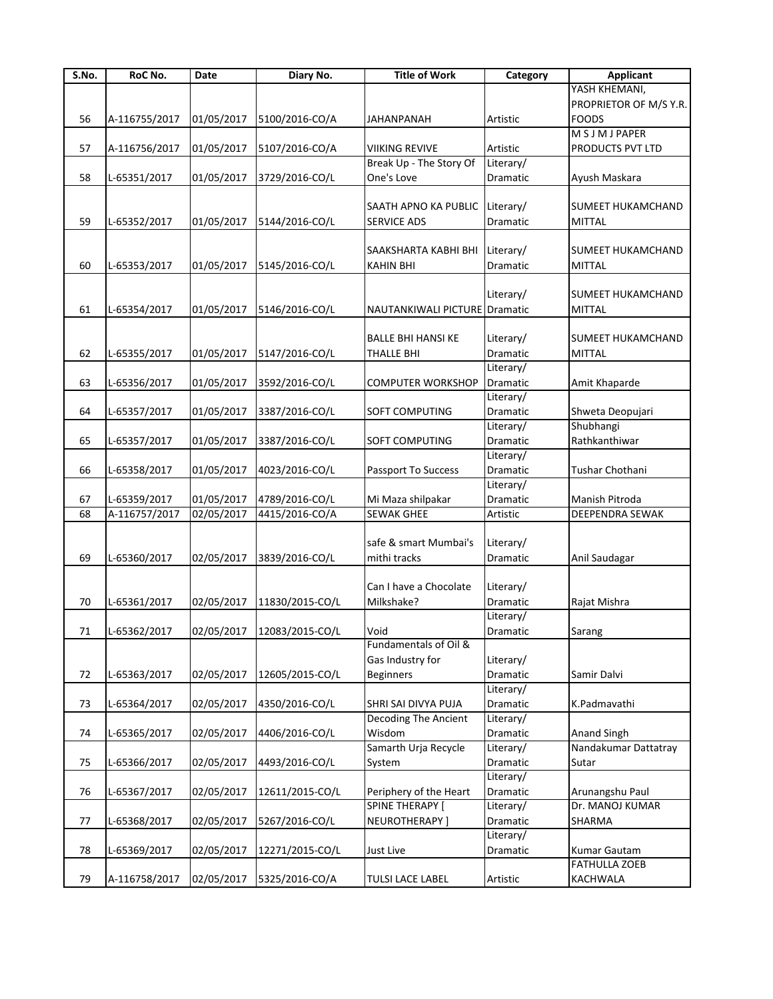| S.No. | RoC No.       | Date       | Diary No.                  | <b>Title of Work</b>          | Category  | <b>Applicant</b>         |
|-------|---------------|------------|----------------------------|-------------------------------|-----------|--------------------------|
|       |               |            |                            |                               |           | YASH KHEMANI,            |
|       |               |            |                            |                               |           | PROPRIETOR OF M/S Y.R.   |
| 56    | A-116755/2017 | 01/05/2017 | 5100/2016-CO/A             | <b>JAHANPANAH</b>             | Artistic  | <b>FOODS</b>             |
|       |               |            |                            |                               |           | <b>MSJMJPAPER</b>        |
| 57    | A-116756/2017 | 01/05/2017 | 5107/2016-CO/A             | <b>VIIKING REVIVE</b>         | Artistic  | PRODUCTS PVT LTD         |
|       |               |            |                            | Break Up - The Story Of       | Literary/ |                          |
| 58    | L-65351/2017  | 01/05/2017 | 3729/2016-CO/L             | One's Love                    | Dramatic  | Ayush Maskara            |
|       |               |            |                            |                               |           |                          |
|       |               |            |                            | SAATH APNO KA PUBLIC          | Literary/ | SUMEET HUKAMCHAND        |
| 59    | L-65352/2017  | 01/05/2017 | 5144/2016-CO/L             | <b>SERVICE ADS</b>            | Dramatic  | <b>MITTAL</b>            |
|       |               |            |                            |                               |           |                          |
|       |               |            |                            | SAAKSHARTA KABHI BHI          | Literary/ | <b>SUMEET HUKAMCHAND</b> |
| 60    | L-65353/2017  | 01/05/2017 | 5145/2016-CO/L             | KAHIN BHI                     | Dramatic  | MITTAL                   |
|       |               |            |                            |                               |           |                          |
|       |               |            |                            |                               | Literary/ | SUMEET HUKAMCHAND        |
| 61    | L-65354/2017  | 01/05/2017 | 5146/2016-CO/L             | NAUTANKIWALI PICTURE Dramatic |           | <b>MITTAL</b>            |
|       |               |            |                            |                               |           |                          |
|       |               |            |                            | <b>BALLE BHI HANSI KE</b>     | Literary/ | SUMEET HUKAMCHAND        |
| 62    | L-65355/2017  | 01/05/2017 | 5147/2016-CO/L             | <b>THALLE BHI</b>             | Dramatic  | <b>MITTAL</b>            |
|       |               |            |                            |                               | Literary/ |                          |
| 63    | L-65356/2017  | 01/05/2017 | 3592/2016-CO/L             | <b>COMPUTER WORKSHOP</b>      | Dramatic  | Amit Khaparde            |
|       |               |            |                            |                               | Literary/ |                          |
| 64    | L-65357/2017  | 01/05/2017 | 3387/2016-CO/L             | <b>SOFT COMPUTING</b>         | Dramatic  | Shweta Deopujari         |
|       |               |            |                            |                               | Literary/ | Shubhangi                |
| 65    |               |            |                            | SOFT COMPUTING                | Dramatic  | Rathkanthiwar            |
|       | L-65357/2017  | 01/05/2017 | 3387/2016-CO/L             |                               | Literary/ |                          |
|       |               |            |                            |                               |           |                          |
| 66    | L-65358/2017  | 01/05/2017 | 4023/2016-CO/L             | Passport To Success           | Dramatic  | Tushar Chothani          |
|       |               |            |                            |                               | Literary/ |                          |
| 67    | L-65359/2017  | 01/05/2017 | 4789/2016-CO/L             | Mi Maza shilpakar             | Dramatic  | Manish Pitroda           |
| 68    | A-116757/2017 | 02/05/2017 | 4415/2016-CO/A             | <b>SEWAK GHEE</b>             | Artistic  | DEEPENDRA SEWAK          |
|       |               |            |                            |                               |           |                          |
|       |               |            |                            | safe & smart Mumbai's         | Literary/ |                          |
| 69    | L-65360/2017  | 02/05/2017 | 3839/2016-CO/L             | mithi tracks                  | Dramatic  | Anil Saudagar            |
|       |               |            |                            |                               |           |                          |
|       |               |            |                            | Can I have a Chocolate        | Literary/ |                          |
| 70    | L-65361/2017  | 02/05/2017 | 11830/2015-CO/L            | Milkshake?                    | Dramatic  | Rajat Mishra             |
|       |               |            |                            |                               | Literary/ |                          |
| 71    | L-65362/2017  |            | 02/05/2017 12083/2015-CO/L | Void                          | Dramatic  | Sarang                   |
|       |               |            |                            | Fundamentals of Oil &         |           |                          |
|       |               |            |                            | Gas Industry for              | Literary/ |                          |
| 72    | L-65363/2017  | 02/05/2017 | 12605/2015-CO/L            | <b>Beginners</b>              | Dramatic  | Samir Dalvi              |
|       |               |            |                            |                               | Literary/ |                          |
| 73    | L-65364/2017  | 02/05/2017 | 4350/2016-CO/L             | SHRI SAI DIVYA PUJA           | Dramatic  | K.Padmavathi             |
|       |               |            |                            | Decoding The Ancient          | Literary/ |                          |
| 74    | L-65365/2017  | 02/05/2017 | 4406/2016-CO/L             | Wisdom                        | Dramatic  | <b>Anand Singh</b>       |
|       |               |            |                            | Samarth Urja Recycle          | Literary/ | Nandakumar Dattatray     |
| 75    | L-65366/2017  | 02/05/2017 | 4493/2016-CO/L             | System                        | Dramatic  | Sutar                    |
|       |               |            |                            |                               | Literary/ |                          |
| 76    | L-65367/2017  | 02/05/2017 | 12611/2015-CO/L            | Periphery of the Heart        | Dramatic  | Arunangshu Paul          |
|       |               |            |                            | <b>SPINE THERAPY [</b>        | Literary/ | Dr. MANOJ KUMAR          |
| 77    | L-65368/2017  | 02/05/2017 | 5267/2016-CO/L             | NEUROTHERAPY ]                | Dramatic  | SHARMA                   |
|       |               |            |                            |                               | Literary/ |                          |
| 78    | L-65369/2017  | 02/05/2017 | 12271/2015-CO/L            | Just Live                     | Dramatic  | Kumar Gautam             |
|       |               |            |                            |                               |           | <b>FATHULLA ZOEB</b>     |
| 79    | A-116758/2017 | 02/05/2017 | 5325/2016-CO/A             | <b>TULSI LACE LABEL</b>       | Artistic  | KACHWALA                 |
|       |               |            |                            |                               |           |                          |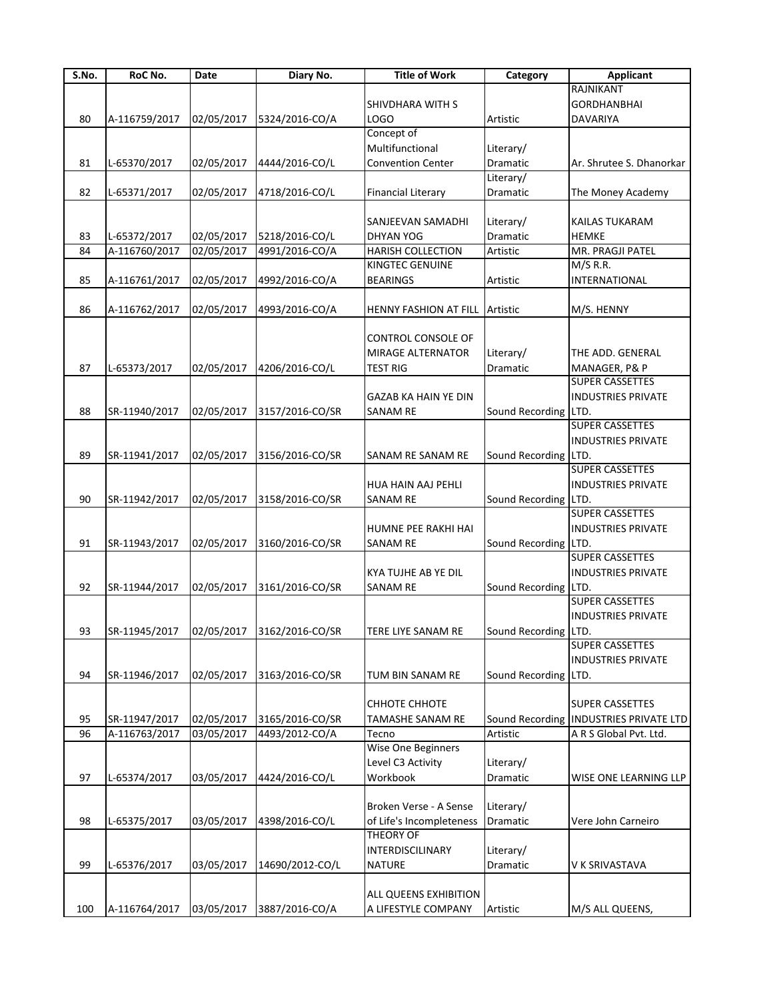| S.No. | RoC No.       | Date       | Diary No.                                | <b>Title of Work</b>        | Category             | <b>Applicant</b>              |
|-------|---------------|------------|------------------------------------------|-----------------------------|----------------------|-------------------------------|
|       |               |            |                                          |                             |                      | RAJNIKANT                     |
|       |               |            |                                          | SHIVDHARA WITH S            |                      | <b>GORDHANBHAI</b>            |
| 80    | A-116759/2017 | 02/05/2017 | 5324/2016-CO/A                           | LOGO                        | Artistic             | DAVARIYA                      |
|       |               |            |                                          | Concept of                  |                      |                               |
|       |               |            |                                          | Multifunctional             | Literary/            |                               |
| 81    | L-65370/2017  | 02/05/2017 | 4444/2016-CO/L                           | <b>Convention Center</b>    | Dramatic             | Ar. Shrutee S. Dhanorkar      |
|       |               |            |                                          |                             | Literary/            |                               |
| 82    | L-65371/2017  | 02/05/2017 | 4718/2016-CO/L                           | <b>Financial Literary</b>   | Dramatic             | The Money Academy             |
|       |               |            |                                          |                             |                      |                               |
|       |               |            |                                          | SANJEEVAN SAMADHI           | Literary/            | KAILAS TUKARAM                |
| 83    | L-65372/2017  | 02/05/2017 | 5218/2016-CO/L                           | <b>DHYAN YOG</b>            | Dramatic             | <b>HEMKE</b>                  |
| 84    | A-116760/2017 | 02/05/2017 | 4991/2016-CO/A                           | HARISH COLLECTION           | Artistic             | MR. PRAGJI PATEL              |
|       |               |            |                                          | KINGTEC GENUINE             |                      | M/S R.R.                      |
| 85    | A-116761/2017 | 02/05/2017 | 4992/2016-CO/A                           | <b>BEARINGS</b>             | Artistic             | <b>INTERNATIONAL</b>          |
|       |               |            |                                          |                             |                      |                               |
| 86    | A-116762/2017 | 02/05/2017 | 4993/2016-CO/A                           | HENNY FASHION AT FILL       | Artistic             | M/S. HENNY                    |
|       |               |            |                                          |                             |                      |                               |
|       |               |            |                                          | CONTROL CONSOLE OF          |                      |                               |
|       |               |            |                                          | <b>MIRAGE ALTERNATOR</b>    | Literary/            | THE ADD. GENERAL              |
| 87    | L-65373/2017  | 02/05/2017 | 4206/2016-CO/L                           | <b>TEST RIG</b>             | Dramatic             | MANAGER, P& P                 |
|       |               |            |                                          |                             |                      | <b>SUPER CASSETTES</b>        |
|       |               |            |                                          | <b>GAZAB KA HAIN YE DIN</b> |                      | <b>INDUSTRIES PRIVATE</b>     |
| 88    | SR-11940/2017 | 02/05/2017 | 3157/2016-CO/SR                          | <b>SANAM RE</b>             | Sound Recording LTD. |                               |
|       |               |            |                                          |                             |                      | <b>SUPER CASSETTES</b>        |
|       |               |            |                                          |                             |                      | <b>INDUSTRIES PRIVATE</b>     |
| 89    | SR-11941/2017 | 02/05/2017 | 3156/2016-CO/SR                          |                             | Sound Recording LTD. |                               |
|       |               |            |                                          | SANAM RE SANAM RE           |                      | <b>SUPER CASSETTES</b>        |
|       |               |            |                                          |                             |                      |                               |
|       |               |            |                                          | HUA HAIN AAJ PEHLI          |                      | <b>INDUSTRIES PRIVATE</b>     |
| 90    | SR-11942/2017 | 02/05/2017 | 3158/2016-CO/SR                          | <b>SANAM RE</b>             | Sound Recording LTD. |                               |
|       |               |            |                                          |                             |                      | <b>SUPER CASSETTES</b>        |
|       |               |            |                                          | HUMNE PEE RAKHI HAI         |                      | <b>INDUSTRIES PRIVATE</b>     |
| 91    | SR-11943/2017 | 02/05/2017 | 3160/2016-CO/SR                          | <b>SANAM RE</b>             | Sound Recording LTD. |                               |
|       |               |            |                                          |                             |                      | <b>SUPER CASSETTES</b>        |
|       |               |            |                                          | <b>KYA TUJHE AB YE DIL</b>  |                      | <b>INDUSTRIES PRIVATE</b>     |
| 92    | SR-11944/2017 | 02/05/2017 | 3161/2016-CO/SR                          | <b>SANAM RE</b>             | Sound Recording      | LTD.                          |
|       |               |            |                                          |                             |                      | <b>SUPER CASSETTES</b>        |
|       |               |            |                                          |                             |                      | <b>INDUSTRIES PRIVATE</b>     |
| 93    |               |            | SR-11945/2017 02/05/2017 3162/2016-CO/SR | TERE LIYE SANAM RE          | Sound Recording LTD. |                               |
|       |               |            |                                          |                             |                      | SUPER CASSETTES               |
|       |               |            |                                          |                             |                      | <b>INDUSTRIES PRIVATE</b>     |
| 94    | SR-11946/2017 | 02/05/2017 | 3163/2016-CO/SR                          | TUM BIN SANAM RE            | Sound Recording LTD. |                               |
|       |               |            |                                          |                             |                      |                               |
|       |               |            |                                          | <b>CHHOTE CHHOTE</b>        |                      | <b>SUPER CASSETTES</b>        |
| 95    | SR-11947/2017 | 02/05/2017 | 3165/2016-CO/SR                          | TAMASHE SANAM RE            | Sound Recording      | <b>INDUSTRIES PRIVATE LTD</b> |
| 96    | A-116763/2017 | 03/05/2017 | 4493/2012-CO/A                           | Tecno                       | Artistic             | A R S Global Pvt. Ltd.        |
|       |               |            |                                          | Wise One Beginners          |                      |                               |
|       |               |            |                                          | Level C3 Activity           | Literary/            |                               |
| 97    | L-65374/2017  | 03/05/2017 | 4424/2016-CO/L                           | Workbook                    | Dramatic             | WISE ONE LEARNING LLP         |
|       |               |            |                                          |                             |                      |                               |
|       |               |            |                                          | Broken Verse - A Sense      | Literary/            |                               |
| 98    | L-65375/2017  | 03/05/2017 | 4398/2016-CO/L                           | of Life's Incompleteness    | Dramatic             | Vere John Carneiro            |
|       |               |            |                                          | <b>THEORY OF</b>            |                      |                               |
|       |               |            |                                          | INTERDISCILINARY            | Literary/            |                               |
| 99    | L-65376/2017  |            | 14690/2012-CO/L                          | <b>NATURE</b>               | Dramatic             | V K SRIVASTAVA                |
|       |               | 03/05/2017 |                                          |                             |                      |                               |
|       |               |            |                                          |                             |                      |                               |
|       |               |            |                                          | ALL QUEENS EXHIBITION       |                      |                               |
| 100   | A-116764/2017 | 03/05/2017 | 3887/2016-CO/A                           | A LIFESTYLE COMPANY         | Artistic             | M/S ALL QUEENS,               |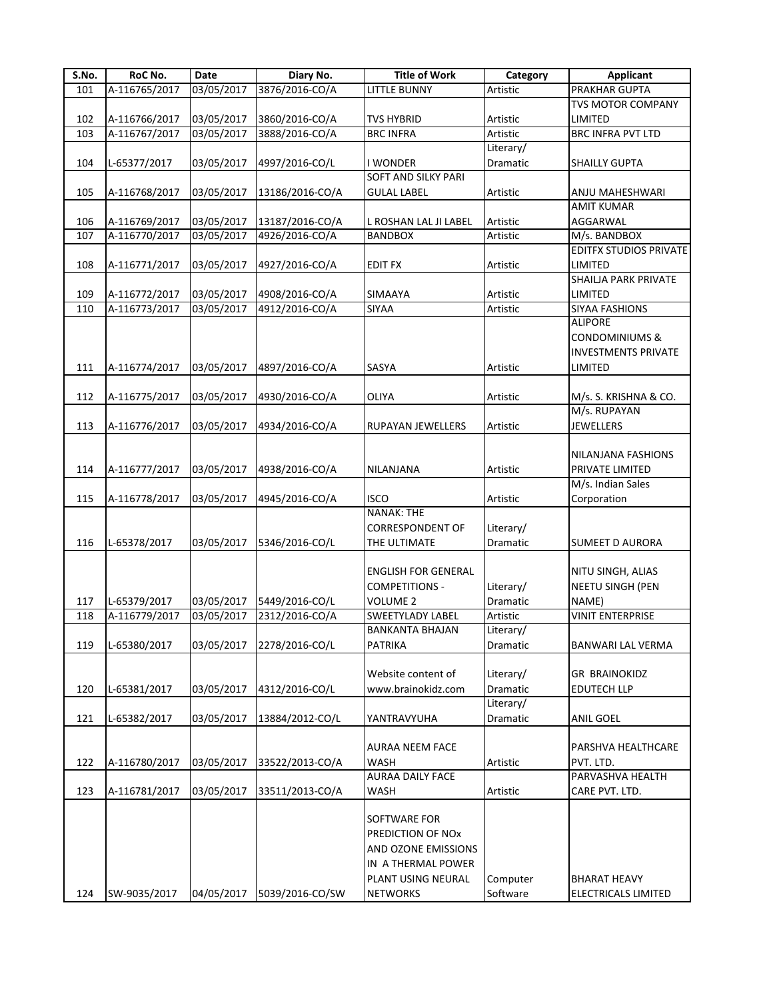| S.No. | RoC No.       | Date       | Diary No.       | <b>Title of Work</b>       | Category  | <b>Applicant</b>              |
|-------|---------------|------------|-----------------|----------------------------|-----------|-------------------------------|
| 101   | A-116765/2017 | 03/05/2017 | 3876/2016-CO/A  | LITTLE BUNNY               | Artistic  | <b>PRAKHAR GUPTA</b>          |
|       |               |            |                 |                            |           | <b>TVS MOTOR COMPANY</b>      |
| 102   | A-116766/2017 | 03/05/2017 | 3860/2016-CO/A  | <b>TVS HYBRID</b>          | Artistic  | LIMITED                       |
| 103   | A-116767/2017 | 03/05/2017 | 3888/2016-CO/A  | <b>BRC INFRA</b>           | Artistic  | <b>BRC INFRA PVT LTD</b>      |
|       |               |            |                 |                            | Literary/ |                               |
| 104   | L-65377/2017  | 03/05/2017 | 4997/2016-CO/L  | <b>WONDER</b>              | Dramatic  | <b>SHAILLY GUPTA</b>          |
|       |               |            |                 | <b>SOFT AND SILKY PARI</b> |           |                               |
| 105   | A-116768/2017 | 03/05/2017 | 13186/2016-CO/A | <b>GULAL LABEL</b>         | Artistic  | ANJU MAHESHWARI               |
|       |               |            |                 |                            |           | <b>AMIT KUMAR</b>             |
| 106   | A-116769/2017 | 03/05/2017 | 13187/2016-CO/A | L ROSHAN LAL JI LABEL      | Artistic  | AGGARWAL                      |
| 107   | A-116770/2017 | 03/05/2017 | 4926/2016-CO/A  | <b>BANDBOX</b>             | Artistic  | M/s. BANDBOX                  |
|       |               |            |                 |                            |           | <b>EDITFX STUDIOS PRIVATE</b> |
| 108   | A-116771/2017 | 03/05/2017 | 4927/2016-CO/A  | <b>EDIT FX</b>             | Artistic  | LIMITED                       |
|       |               |            |                 |                            |           | SHAILJA PARK PRIVATE          |
| 109   | A-116772/2017 | 03/05/2017 | 4908/2016-CO/A  | SIMAAYA                    | Artistic  | LIMITED                       |
| 110   | A-116773/2017 | 03/05/2017 | 4912/2016-CO/A  | <b>SIYAA</b>               | Artistic  | SIYAA FASHIONS                |
|       |               |            |                 |                            |           | <b>ALIPORE</b>                |
|       |               |            |                 |                            |           | <b>CONDOMINIUMS &amp;</b>     |
|       |               |            |                 |                            |           | <b>INVESTMENTS PRIVATE</b>    |
| 111   | A-116774/2017 | 03/05/2017 | 4897/2016-CO/A  | SASYA                      | Artistic  | LIMITED                       |
|       |               |            |                 |                            |           |                               |
| 112   | A-116775/2017 | 03/05/2017 | 4930/2016-CO/A  | OLIYA                      | Artistic  | M/s. S. KRISHNA & CO.         |
|       |               |            |                 |                            |           | M/s. RUPAYAN                  |
| 113   | A-116776/2017 | 03/05/2017 | 4934/2016-CO/A  | <b>RUPAYAN JEWELLERS</b>   | Artistic  | <b>JEWELLERS</b>              |
|       |               |            |                 |                            |           |                               |
|       |               |            |                 |                            |           | NILANJANA FASHIONS            |
| 114   | A-116777/2017 | 03/05/2017 | 4938/2016-CO/A  | NILANJANA                  | Artistic  | PRIVATE LIMITED               |
|       |               |            |                 |                            |           | M/s. Indian Sales             |
| 115   | A-116778/2017 | 03/05/2017 | 4945/2016-CO/A  | <b>ISCO</b>                | Artistic  | Corporation                   |
|       |               |            |                 | <b>NANAK: THE</b>          |           |                               |
|       |               |            |                 | <b>CORRESPONDENT OF</b>    | Literary/ |                               |
| 116   | L-65378/2017  | 03/05/2017 | 5346/2016-CO/L  | THE ULTIMATE               | Dramatic  | <b>SUMEET D AURORA</b>        |
|       |               |            |                 |                            |           |                               |
|       |               |            |                 | <b>ENGLISH FOR GENERAL</b> |           | NITU SINGH, ALIAS             |
|       |               |            |                 | <b>COMPETITIONS -</b>      | Literary/ | <b>NEETU SINGH (PEN</b>       |
| 117   | L-65379/2017  | 03/05/2017 | 5449/2016-CO/L  | <b>VOLUME 2</b>            | Dramatic  | NAME)                         |
| 118   | A-116779/2017 | 03/05/2017 | 2312/2016-CO/A  | <b>SWEETYLADY LABEL</b>    | Artistic  | <b>VINIT ENTERPRISE</b>       |
|       |               |            |                 | <b>BANKANTA BHAJAN</b>     | Literary/ |                               |
| 119   | L-65380/2017  | 03/05/2017 | 2278/2016-CO/L  | <b>PATRIKA</b>             | Dramatic  | <b>BANWARI LAL VERMA</b>      |
|       |               |            |                 |                            |           |                               |
|       |               |            |                 | Website content of         | Literary/ | <b>GR BRAINOKIDZ</b>          |
| 120   | L-65381/2017  | 03/05/2017 | 4312/2016-CO/L  | www.brainokidz.com         | Dramatic  | <b>EDUTECH LLP</b>            |
|       |               |            |                 |                            | Literary/ |                               |
| 121   | L-65382/2017  |            | 13884/2012-CO/L |                            |           | <b>ANIL GOEL</b>              |
|       |               | 03/05/2017 |                 | YANTRAVYUHA                | Dramatic  |                               |
|       |               |            |                 |                            |           |                               |
|       |               |            |                 | <b>AURAA NEEM FACE</b>     |           | PARSHVA HEALTHCARE            |
| 122   | A-116780/2017 | 03/05/2017 | 33522/2013-CO/A | <b>WASH</b>                | Artistic  | PVT. LTD.                     |
|       |               |            |                 | <b>AURAA DAILY FACE</b>    |           | PARVASHVA HEALTH              |
| 123   | A-116781/2017 | 03/05/2017 | 33511/2013-CO/A | <b>WASH</b>                | Artistic  | CARE PVT. LTD.                |
|       |               |            |                 |                            |           |                               |
|       |               |            |                 | <b>SOFTWARE FOR</b>        |           |                               |
|       |               |            |                 | PREDICTION OF NOx          |           |                               |
|       |               |            |                 | AND OZONE EMISSIONS        |           |                               |
|       |               |            |                 | IN A THERMAL POWER         |           |                               |
|       |               |            |                 | PLANT USING NEURAL         | Computer  | <b>BHARAT HEAVY</b>           |
| 124   | SW-9035/2017  | 04/05/2017 | 5039/2016-CO/SW | <b>NETWORKS</b>            | Software  | ELECTRICALS LIMITED           |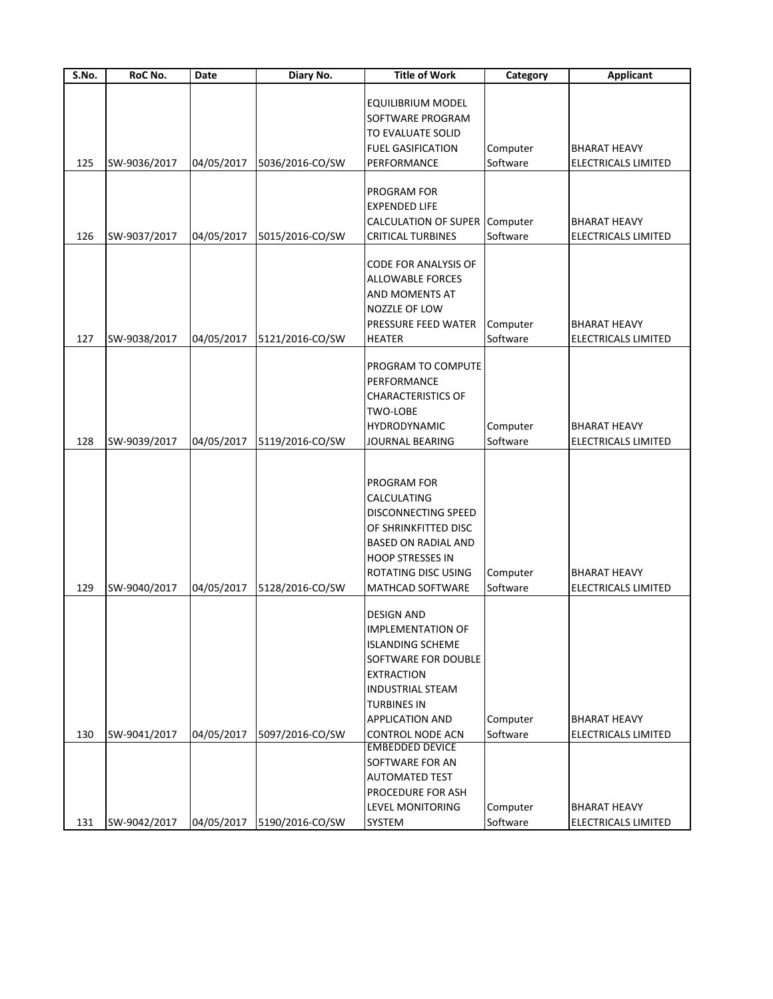| $\overline{\mathsf{S}}$ . No. | RoC No.      | Date       | Diary No.       | <b>Title of Work</b>                                                                                                                                                                                                       | Category             | <b>Applicant</b>                                  |
|-------------------------------|--------------|------------|-----------------|----------------------------------------------------------------------------------------------------------------------------------------------------------------------------------------------------------------------------|----------------------|---------------------------------------------------|
| 125                           | SW-9036/2017 | 04/05/2017 | 5036/2016-CO/SW | <b>EQUILIBRIUM MODEL</b><br>SOFTWARE PROGRAM<br>TO EVALUATE SOLID<br><b>FUEL GASIFICATION</b><br>PERFORMANCE                                                                                                               | Computer<br>Software | <b>BHARAT HEAVY</b><br>ELECTRICALS LIMITED        |
| 126                           | SW-9037/2017 | 04/05/2017 | 5015/2016-CO/SW | PROGRAM FOR<br><b>EXPENDED LIFE</b><br>CALCULATION OF SUPER Computer<br><b>CRITICAL TURBINES</b>                                                                                                                           | Software             | <b>BHARAT HEAVY</b><br><b>ELECTRICALS LIMITED</b> |
| 127                           | SW-9038/2017 | 04/05/2017 | 5121/2016-CO/SW | CODE FOR ANALYSIS OF<br><b>ALLOWABLE FORCES</b><br>AND MOMENTS AT<br>NOZZLE OF LOW<br><b>PRESSURE FEED WATER</b><br><b>HEATER</b>                                                                                          | Computer<br>Software | <b>BHARAT HEAVY</b><br>ELECTRICALS LIMITED        |
| 128                           | SW-9039/2017 | 04/05/2017 | 5119/2016-CO/SW | PROGRAM TO COMPUTE<br>PERFORMANCE<br><b>CHARACTERISTICS OF</b><br>TWO-LOBE<br><b>HYDRODYNAMIC</b><br>JOURNAL BEARING                                                                                                       | Computer<br>Software | <b>BHARAT HEAVY</b><br>ELECTRICALS LIMITED        |
| 129                           | SW-9040/2017 | 04/05/2017 | 5128/2016-CO/SW | PROGRAM FOR<br>CALCULATING<br><b>DISCONNECTING SPEED</b><br>OF SHRINKFITTED DISC<br><b>BASED ON RADIAL AND</b><br><b>HOOP STRESSES IN</b><br>ROTATING DISC USING<br><b>MATHCAD SOFTWARE</b>                                | Computer<br>Software | <b>BHARAT HEAVY</b><br><b>ELECTRICALS LIMITED</b> |
| 130                           | SW-9041/2017 | 04/05/2017 | 5097/2016-CO/SW | <b>DESIGN AND</b><br><b>IMPLEMENTATION OF</b><br><b>ISLANDING SCHEME</b><br>SOFTWARE FOR DOUBLE<br><b>EXTRACTION</b><br><b>INDUSTRIAL STEAM</b><br><b>TURBINES IN</b><br><b>APPLICATION AND</b><br><b>CONTROL NODE ACN</b> | Computer<br>Software | <b>BHARAT HEAVY</b><br>ELECTRICALS LIMITED        |
| 131                           | SW-9042/2017 | 04/05/2017 | 5190/2016-CO/SW | <b>EMBEDDED DEVICE</b><br>SOFTWARE FOR AN<br><b>AUTOMATED TEST</b><br>PROCEDURE FOR ASH<br><b>LEVEL MONITORING</b><br>SYSTEM                                                                                               | Computer<br>Software | <b>BHARAT HEAVY</b><br>ELECTRICALS LIMITED        |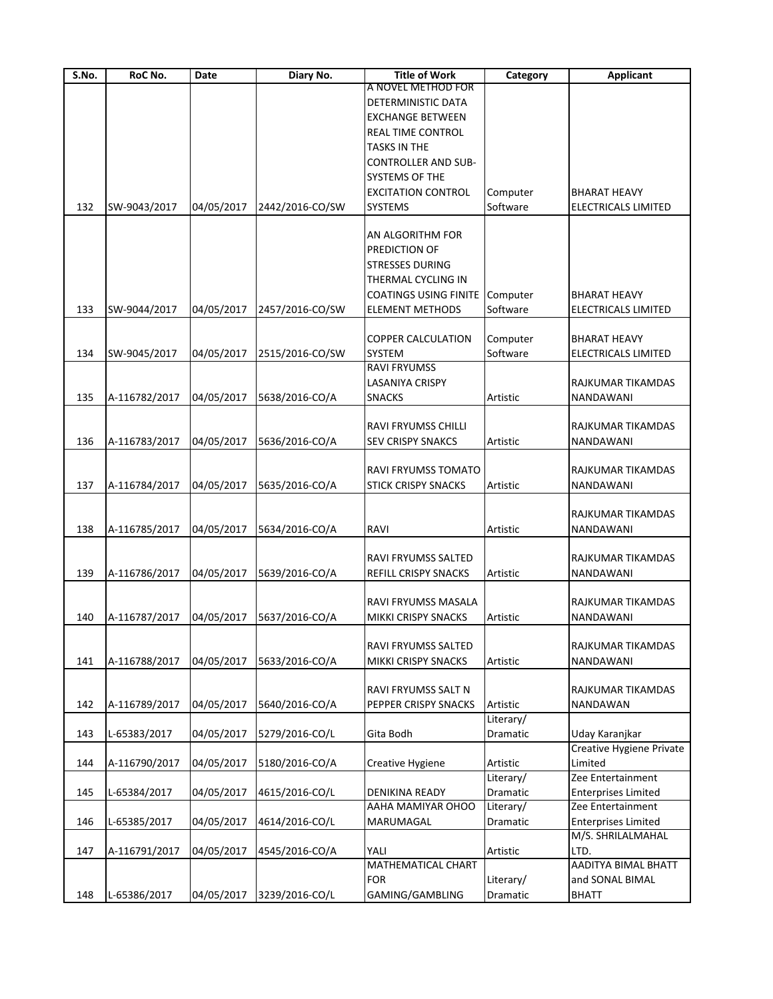| S.No. | RoC No.       | Date       | Diary No.       | <b>Title of Work</b>         | Category  | <b>Applicant</b>           |
|-------|---------------|------------|-----------------|------------------------------|-----------|----------------------------|
|       |               |            |                 | A NOVEL METHOD FOR           |           |                            |
|       |               |            |                 | DETERMINISTIC DATA           |           |                            |
|       |               |            |                 | <b>EXCHANGE BETWEEN</b>      |           |                            |
|       |               |            |                 | <b>REAL TIME CONTROL</b>     |           |                            |
|       |               |            |                 | <b>TASKS IN THE</b>          |           |                            |
|       |               |            |                 | <b>CONTROLLER AND SUB-</b>   |           |                            |
|       |               |            |                 | <b>SYSTEMS OF THE</b>        |           |                            |
|       |               |            |                 | <b>EXCITATION CONTROL</b>    | Computer  | <b>BHARAT HEAVY</b>        |
| 132   | SW-9043/2017  | 04/05/2017 | 2442/2016-CO/SW | <b>SYSTEMS</b>               | Software  | <b>ELECTRICALS LIMITED</b> |
|       |               |            |                 |                              |           |                            |
|       |               |            |                 | <b>AN ALGORITHM FOR</b>      |           |                            |
|       |               |            |                 | PREDICTION OF                |           |                            |
|       |               |            |                 | <b>STRESSES DURING</b>       |           |                            |
|       |               |            |                 | THERMAL CYCLING IN           |           |                            |
|       |               |            |                 | <b>COATINGS USING FINITE</b> | Computer  | BHARAT HEAVY               |
| 133   | SW-9044/2017  | 04/05/2017 | 2457/2016-CO/SW | <b>ELEMENT METHODS</b>       | Software  | ELECTRICALS LIMITED        |
|       |               |            |                 |                              |           |                            |
|       |               |            |                 | <b>COPPER CALCULATION</b>    | Computer  | <b>BHARAT HEAVY</b>        |
| 134   | SW-9045/2017  | 04/05/2017 | 2515/2016-CO/SW | <b>SYSTEM</b>                | Software  | ELECTRICALS LIMITED        |
|       |               |            |                 | <b>RAVI FRYUMSS</b>          |           |                            |
|       |               |            |                 | LASANIYA CRISPY              |           | RAJKUMAR TIKAMDAS          |
| 135   | A-116782/2017 | 04/05/2017 | 5638/2016-CO/A  | <b>SNACKS</b>                | Artistic  | NANDAWANI                  |
|       |               |            |                 |                              |           |                            |
|       |               |            |                 | <b>RAVI FRYUMSS CHILLI</b>   |           | RAJKUMAR TIKAMDAS          |
| 136   | A-116783/2017 | 04/05/2017 | 5636/2016-CO/A  | <b>SEV CRISPY SNAKCS</b>     | Artistic  | NANDAWANI                  |
|       |               |            |                 |                              |           |                            |
|       |               |            |                 | <b>RAVI FRYUMSS TOMATO</b>   |           | RAJKUMAR TIKAMDAS          |
| 137   | A-116784/2017 | 04/05/2017 | 5635/2016-CO/A  | <b>STICK CRISPY SNACKS</b>   | Artistic  | NANDAWANI                  |
|       |               |            |                 |                              |           |                            |
|       |               |            |                 |                              |           | RAJKUMAR TIKAMDAS          |
| 138   | A-116785/2017 | 04/05/2017 | 5634/2016-CO/A  | <b>RAVI</b>                  | Artistic  | NANDAWANI                  |
|       |               |            |                 | <b>RAVI FRYUMSS SALTED</b>   |           | RAJKUMAR TIKAMDAS          |
| 139   | A-116786/2017 | 04/05/2017 | 5639/2016-CO/A  | REFILL CRISPY SNACKS         | Artistic  | NANDAWANI                  |
|       |               |            |                 |                              |           |                            |
|       |               |            |                 | RAVI FRYUMSS MASALA          |           | RAJKUMAR TIKAMDAS          |
| 140   | A-116787/2017 | 04/05/2017 | 5637/2016-CO/A  | MIKKI CRISPY SNACKS          | Artistic  | NANDAWANI                  |
|       |               |            |                 |                              |           |                            |
|       |               |            |                 | <b>RAVI FRYUMSS SALTED</b>   |           | RAJKUMAR TIKAMDAS          |
| 141   | A-116788/2017 | 04/05/2017 | 5633/2016-CO/A  | MIKKI CRISPY SNACKS          | Artistic  | NANDAWANI                  |
|       |               |            |                 |                              |           |                            |
|       |               |            |                 | RAVI FRYUMSS SALT N          |           | RAJKUMAR TIKAMDAS          |
| 142   | A-116789/2017 | 04/05/2017 | 5640/2016-CO/A  | PEPPER CRISPY SNACKS         | Artistic  | NANDAWAN                   |
|       |               |            |                 |                              | Literary/ |                            |
| 143   | L-65383/2017  | 04/05/2017 | 5279/2016-CO/L  | Gita Bodh                    | Dramatic  | Uday Karanjkar             |
|       |               |            |                 |                              |           | Creative Hygiene Private   |
| 144   | A-116790/2017 | 04/05/2017 | 5180/2016-CO/A  | Creative Hygiene             | Artistic  | Limited                    |
|       |               |            |                 |                              | Literary/ | Zee Entertainment          |
| 145   | L-65384/2017  | 04/05/2017 | 4615/2016-CO/L  | <b>DENIKINA READY</b>        | Dramatic  | <b>Enterprises Limited</b> |
|       |               |            |                 | AAHA MAMIYAR OHOO            | Literary/ | Zee Entertainment          |
| 146   | L-65385/2017  | 04/05/2017 | 4614/2016-CO/L  | MARUMAGAL                    | Dramatic  | <b>Enterprises Limited</b> |
|       |               |            |                 |                              |           | M/S. SHRILALMAHAL          |
| 147   | A-116791/2017 | 04/05/2017 | 4545/2016-CO/A  | YALI                         | Artistic  | LTD.                       |
|       |               |            |                 | MATHEMATICAL CHART           |           | <b>AADITYA BIMAL BHATT</b> |
|       |               |            |                 | <b>FOR</b>                   | Literary/ | and SONAL BIMAL            |
| 148   | L-65386/2017  | 04/05/2017 | 3239/2016-CO/L  | GAMING/GAMBLING              | Dramatic  | <b>BHATT</b>               |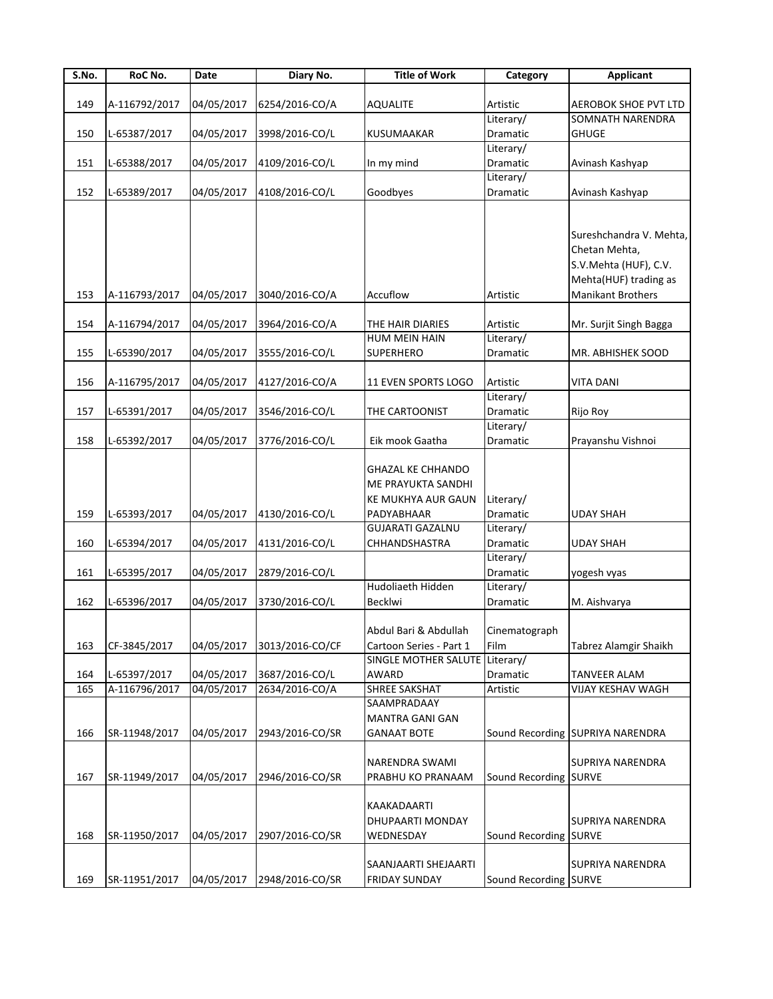| S.No. | RoC No.       | Date       | Diary No.       | <b>Title of Work</b>           | Category              | <b>Applicant</b>                 |
|-------|---------------|------------|-----------------|--------------------------------|-----------------------|----------------------------------|
|       |               |            |                 |                                |                       |                                  |
| 149   | A-116792/2017 | 04/05/2017 | 6254/2016-CO/A  | <b>AQUALITE</b>                | Artistic              | <b>AEROBOK SHOE PVT LTD</b>      |
|       |               |            |                 |                                | Literary/             | SOMNATH NARENDRA                 |
| 150   | L-65387/2017  | 04/05/2017 | 3998/2016-CO/L  | <b>KUSUMAAKAR</b>              | Dramatic              | <b>GHUGE</b>                     |
|       |               |            |                 |                                | Literary/             |                                  |
| 151   | L-65388/2017  | 04/05/2017 | 4109/2016-CO/L  | In my mind                     | Dramatic              | Avinash Kashyap                  |
|       |               |            |                 |                                | Literary/             |                                  |
| 152   | L-65389/2017  | 04/05/2017 | 4108/2016-CO/L  | Goodbyes                       | Dramatic              | Avinash Kashyap                  |
|       |               |            |                 |                                |                       |                                  |
|       |               |            |                 |                                |                       |                                  |
|       |               |            |                 |                                |                       | Sureshchandra V. Mehta,          |
|       |               |            |                 |                                |                       | Chetan Mehta,                    |
|       |               |            |                 |                                |                       | S.V.Mehta (HUF), C.V.            |
|       |               |            |                 |                                |                       | Mehta(HUF) trading as            |
| 153   | A-116793/2017 | 04/05/2017 | 3040/2016-CO/A  | Accuflow                       | Artistic              | Manikant Brothers                |
|       |               |            |                 |                                |                       |                                  |
| 154   | A-116794/2017 | 04/05/2017 | 3964/2016-CO/A  | THE HAIR DIARIES               | Artistic              | Mr. Surjit Singh Bagga           |
|       |               |            |                 | <b>HUM MEIN HAIN</b>           | Literary/             |                                  |
| 155   | L-65390/2017  | 04/05/2017 | 3555/2016-CO/L  | <b>SUPERHERO</b>               | Dramatic              | MR. ABHISHEK SOOD                |
|       |               |            |                 |                                |                       |                                  |
| 156   | A-116795/2017 | 04/05/2017 | 4127/2016-CO/A  | 11 EVEN SPORTS LOGO            | Artistic              | <b>VITA DANI</b>                 |
|       |               |            |                 |                                | Literary/             |                                  |
| 157   | L-65391/2017  | 04/05/2017 | 3546/2016-CO/L  | THE CARTOONIST                 | <b>Dramatic</b>       | Rijo Roy                         |
|       |               |            |                 |                                | Literary/             |                                  |
| 158   | L-65392/2017  | 04/05/2017 | 3776/2016-CO/L  | Eik mook Gaatha                | Dramatic              | Prayanshu Vishnoi                |
|       |               |            |                 |                                |                       |                                  |
|       |               |            |                 | <b>GHAZAL KE CHHANDO</b>       |                       |                                  |
|       |               |            |                 | ME PRAYUKTA SANDHI             |                       |                                  |
|       |               |            |                 | KE MUKHYA AUR GAUN             | Literary/             |                                  |
| 159   | L-65393/2017  | 04/05/2017 | 4130/2016-CO/L  | PADYABHAAR                     | Dramatic              | <b>UDAY SHAH</b>                 |
|       |               |            |                 | <b>GUJARATI GAZALNU</b>        | Literary/             |                                  |
| 160   | L-65394/2017  | 04/05/2017 | 4131/2016-CO/L  | CHHANDSHASTRA                  | Dramatic              | <b>UDAY SHAH</b>                 |
|       |               |            |                 |                                | Literary/             |                                  |
| 161   | L-65395/2017  | 04/05/2017 | 2879/2016-CO/L  |                                | Dramatic              | yogesh vyas                      |
|       |               |            |                 | Hudoliaeth Hidden              | Literary/             |                                  |
| 162   | L-65396/2017  | 04/05/2017 | 3730/2016-CO/L  | Becklwi                        | Dramatic              | M. Aishvarya                     |
|       |               |            |                 |                                |                       |                                  |
|       |               |            |                 | Abdul Bari & Abdullah          | Cinematograph         |                                  |
| 163   | CF-3845/2017  | 04/05/2017 | 3013/2016-CO/CF | Cartoon Series - Part 1        | Film                  | Tabrez Alamgir Shaikh            |
|       |               |            |                 | SINGLE MOTHER SALUTE Literary/ |                       |                                  |
| 164   | L-65397/2017  | 04/05/2017 | 3687/2016-CO/L  | <b>AWARD</b>                   | Dramatic              | <b>TANVEER ALAM</b>              |
| 165   | A-116796/2017 | 04/05/2017 | 2634/2016-CO/A  | SHREE SAKSHAT                  | Artistic              | VIJAY KESHAV WAGH                |
|       |               |            |                 | SAAMPRADAAY                    |                       |                                  |
|       |               |            |                 | <b>MANTRA GANI GAN</b>         |                       |                                  |
| 166   | SR-11948/2017 | 04/05/2017 | 2943/2016-CO/SR | <b>GANAAT BOTE</b>             |                       | Sound Recording SUPRIYA NARENDRA |
|       |               |            |                 |                                |                       |                                  |
|       |               |            |                 | <b>NARENDRA SWAMI</b>          |                       | <b>SUPRIYA NARENDRA</b>          |
| 167   | SR-11949/2017 | 04/05/2017 | 2946/2016-CO/SR | PRABHU KO PRANAAM              | Sound Recording SURVE |                                  |
|       |               |            |                 |                                |                       |                                  |
|       |               |            |                 | KAAKADAARTI                    |                       |                                  |
|       |               |            |                 | DHUPAARTI MONDAY               |                       | <b>SUPRIYA NARENDRA</b>          |
| 168   | SR-11950/2017 | 04/05/2017 | 2907/2016-CO/SR | WEDNESDAY                      | Sound Recording SURVE |                                  |
|       |               |            |                 |                                |                       |                                  |
|       |               |            |                 | SAANJAARTI SHEJAARTI           |                       | SUPRIYA NARENDRA                 |
| 169   | SR-11951/2017 | 04/05/2017 | 2948/2016-CO/SR | <b>FRIDAY SUNDAY</b>           | Sound Recording SURVE |                                  |
|       |               |            |                 |                                |                       |                                  |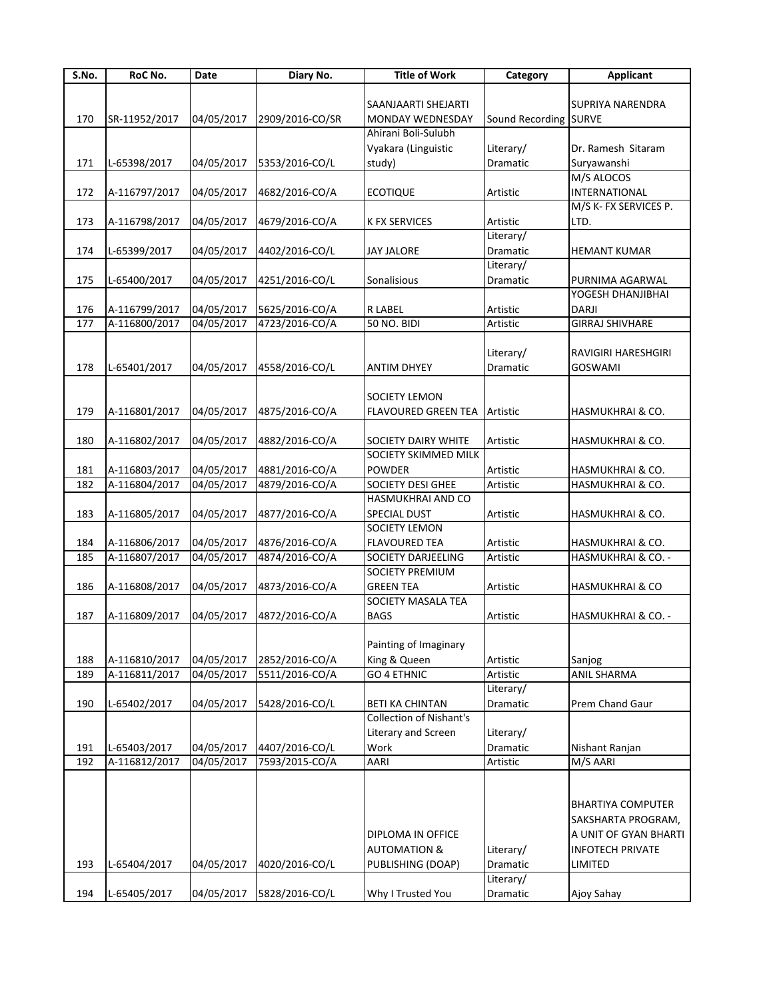| S.No. | RoC No.       | Date       | Diary No.       | <b>Title of Work</b>           | Category              | <b>Applicant</b>           |
|-------|---------------|------------|-----------------|--------------------------------|-----------------------|----------------------------|
|       |               |            |                 |                                |                       |                            |
|       |               |            |                 | SAANJAARTI SHEJARTI            |                       | <b>SUPRIYA NARENDRA</b>    |
| 170   | SR-11952/2017 | 04/05/2017 | 2909/2016-CO/SR | MONDAY WEDNESDAY               | Sound Recording SURVE |                            |
|       |               |            |                 | Ahirani Boli-Sulubh            |                       |                            |
|       |               |            |                 | Vyakara (Linguistic            | Literary/             | Dr. Ramesh Sitaram         |
| 171   | L-65398/2017  | 04/05/2017 | 5353/2016-CO/L  | study)                         | Dramatic              | Suryawanshi                |
|       |               |            |                 |                                |                       | M/S ALOCOS                 |
| 172   | A-116797/2017 | 04/05/2017 | 4682/2016-CO/A  | <b>ECOTIQUE</b>                | Artistic              | <b>INTERNATIONAL</b>       |
|       |               |            |                 |                                |                       | M/S K- FX SERVICES P.      |
| 173   | A-116798/2017 | 04/05/2017 | 4679/2016-CO/A  | <b>K FX SERVICES</b>           | Artistic              | LTD.                       |
|       |               |            |                 |                                | Literary/             |                            |
| 174   | L-65399/2017  | 04/05/2017 | 4402/2016-CO/L  | <b>JAY JALORE</b>              | Dramatic              | <b>HEMANT KUMAR</b>        |
|       |               |            |                 |                                | Literary/             |                            |
| 175   | L-65400/2017  | 04/05/2017 | 4251/2016-CO/L  | Sonalisious                    | Dramatic              | PURNIMA AGARWAL            |
|       |               |            |                 |                                |                       | YOGESH DHANJIBHAI          |
| 176   | A-116799/2017 | 04/05/2017 | 5625/2016-CO/A  | R LABEL                        | Artistic              | <b>DARJI</b>               |
| 177   | A-116800/2017 | 04/05/2017 | 4723/2016-CO/A  | <b>50 NO. BIDI</b>             | Artistic              | <b>GIRRAJ SHIVHARE</b>     |
|       |               |            |                 |                                |                       |                            |
|       |               |            |                 |                                | Literary/             | RAVIGIRI HARESHGIRI        |
| 178   | L-65401/2017  | 04/05/2017 | 4558/2016-CO/L  | <b>ANTIM DHYEY</b>             | Dramatic              | <b>GOSWAMI</b>             |
|       |               |            |                 |                                |                       |                            |
|       |               |            |                 |                                |                       |                            |
|       |               |            |                 | SOCIETY LEMON                  |                       |                            |
| 179   | A-116801/2017 | 04/05/2017 | 4875/2016-CO/A  | <b>FLAVOURED GREEN TEA</b>     | Artistic              | HASMUKHRAI & CO.           |
|       |               |            |                 |                                |                       |                            |
| 180   | A-116802/2017 | 04/05/2017 | 4882/2016-CO/A  | <b>SOCIETY DAIRY WHITE</b>     | Artistic              | HASMUKHRAI & CO.           |
|       |               |            |                 | SOCIETY SKIMMED MILK           |                       |                            |
| 181   | A-116803/2017 | 04/05/2017 | 4881/2016-CO/A  | POWDER                         | Artistic              | HASMUKHRAI & CO.           |
| 182   | A-116804/2017 | 04/05/2017 | 4879/2016-CO/A  | SOCIETY DESI GHEE              | Artistic              | HASMUKHRAI & CO.           |
|       |               |            |                 | HASMUKHRAI AND CO              |                       |                            |
| 183   | A-116805/2017 | 04/05/2017 | 4877/2016-CO/A  | SPECIAL DUST                   | Artistic              | HASMUKHRAI & CO.           |
|       |               |            |                 | <b>SOCIETY LEMON</b>           |                       |                            |
| 184   | A-116806/2017 | 04/05/2017 | 4876/2016-CO/A  | <b>FLAVOURED TEA</b>           | Artistic              | HASMUKHRAI & CO.           |
| 185   | A-116807/2017 | 04/05/2017 | 4874/2016-CO/A  | <b>SOCIETY DARJEELING</b>      | Artistic              | HASMUKHRAI & CO. -         |
|       |               |            |                 | SOCIETY PREMIUM                |                       |                            |
| 186   | A-116808/2017 | 04/05/2017 | 4873/2016-CO/A  | <b>GREEN TEA</b>               | Artistic              | <b>HASMUKHRAI &amp; CO</b> |
|       |               |            |                 | SOCIETY MASALA TEA             |                       |                            |
| 187   | A-116809/2017 | 04/05/2017 | 4872/2016-CO/A  | <b>BAGS</b>                    | Artistic              | HASMUKHRAI & CO. -         |
|       |               |            |                 |                                |                       |                            |
|       |               |            |                 | Painting of Imaginary          |                       |                            |
| 188   | A-116810/2017 | 04/05/2017 | 2852/2016-CO/A  | King & Queen                   | Artistic              | Sanjog                     |
| 189   | A-116811/2017 | 04/05/2017 | 5511/2016-CO/A  | <b>GO 4 ETHNIC</b>             | Artistic              | <b>ANIL SHARMA</b>         |
|       |               |            |                 |                                | Literary/             |                            |
| 190   | L-65402/2017  | 04/05/2017 | 5428/2016-CO/L  | <b>BETI KA CHINTAN</b>         | Dramatic              | Prem Chand Gaur            |
|       |               |            |                 | <b>Collection of Nishant's</b> |                       |                            |
|       |               |            |                 | Literary and Screen            | Literary/             |                            |
| 191   | L-65403/2017  | 04/05/2017 | 4407/2016-CO/L  | Work                           | Dramatic              | Nishant Ranjan             |
| 192   | A-116812/2017 | 04/05/2017 | 7593/2015-CO/A  | <b>AARI</b>                    | Artistic              | M/S AARI                   |
|       |               |            |                 |                                |                       |                            |
|       |               |            |                 |                                |                       |                            |
|       |               |            |                 |                                |                       | <b>BHARTIYA COMPUTER</b>   |
|       |               |            |                 |                                |                       | SAKSHARTA PROGRAM,         |
|       |               |            |                 | DIPLOMA IN OFFICE              |                       | A UNIT OF GYAN BHARTI      |
|       |               |            |                 | <b>AUTOMATION &amp;</b>        | Literary/             | <b>INFOTECH PRIVATE</b>    |
| 193   | L-65404/2017  | 04/05/2017 | 4020/2016-CO/L  | PUBLISHING (DOAP)              | Dramatic              | LIMITED                    |
|       |               |            |                 |                                | Literary/             |                            |
| 194   | L-65405/2017  | 04/05/2017 | 5828/2016-CO/L  | Why I Trusted You              | Dramatic              | Ajoy Sahay                 |
|       |               |            |                 |                                |                       |                            |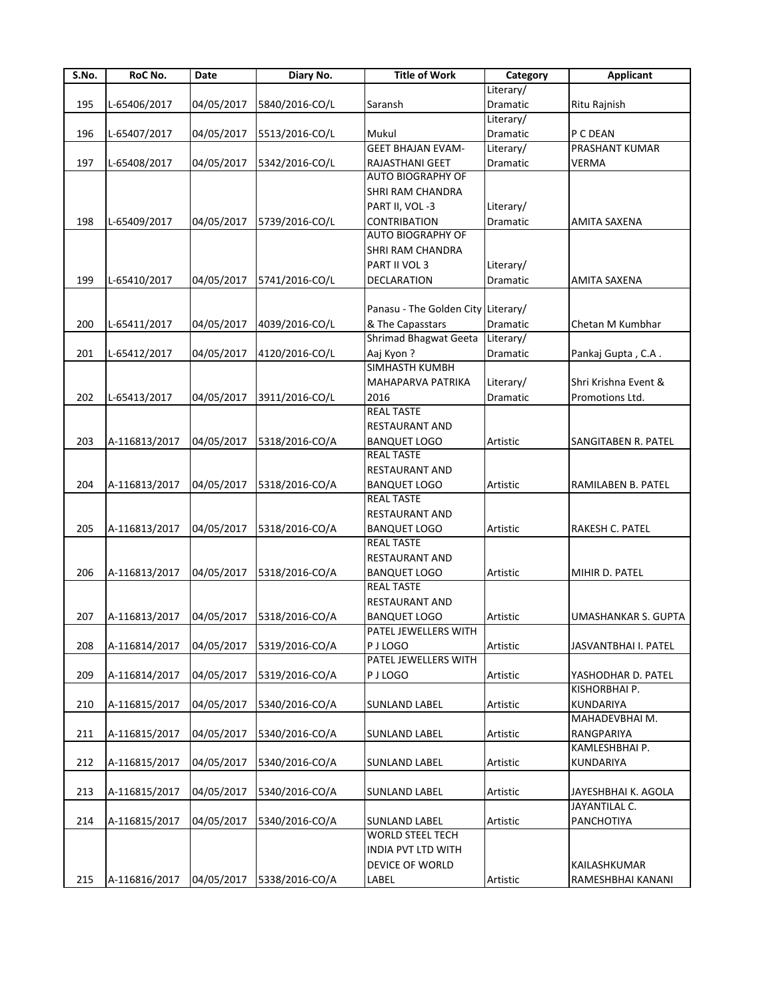| S.No. | RoC No.       | Date       | Diary No.      | <b>Title of Work</b>                            | Category  | <b>Applicant</b>     |
|-------|---------------|------------|----------------|-------------------------------------------------|-----------|----------------------|
|       |               |            |                |                                                 | Literary/ |                      |
| 195   | L-65406/2017  | 04/05/2017 | 5840/2016-CO/L | Saransh                                         | Dramatic  | Ritu Rajnish         |
|       |               |            |                |                                                 | Literary/ |                      |
| 196   | L-65407/2017  | 04/05/2017 | 5513/2016-CO/L | Mukul                                           | Dramatic  | P C DEAN             |
|       |               |            |                | <b>GEET BHAJAN EVAM-</b>                        | Literary/ | PRASHANT KUMAR       |
| 197   | L-65408/2017  | 04/05/2017 | 5342/2016-CO/L | <b>RAJASTHANI GEET</b>                          | Dramatic  | <b>VERMA</b>         |
|       |               |            |                | <b>AUTO BIOGRAPHY OF</b>                        |           |                      |
|       |               |            |                | <b>SHRI RAM CHANDRA</b>                         |           |                      |
|       |               |            |                | PART II, VOL-3                                  | Literary/ |                      |
| 198   | L-65409/2017  | 04/05/2017 | 5739/2016-CO/L | <b>CONTRIBATION</b>                             | Dramatic  | AMITA SAXENA         |
|       |               |            |                | <b>AUTO BIOGRAPHY OF</b>                        |           |                      |
|       |               |            |                | SHRI RAM CHANDRA                                |           |                      |
|       |               |            |                | PART II VOL 3                                   | Literary/ |                      |
| 199   | L-65410/2017  | 04/05/2017 | 5741/2016-CO/L | DECLARATION                                     | Dramatic  | AMITA SAXENA         |
|       |               |            |                |                                                 |           |                      |
|       |               |            |                | Panasu - The Golden City Literary/              |           |                      |
| 200   | L-65411/2017  | 04/05/2017 | 4039/2016-CO/L | & The Capasstars                                | Dramatic  | Chetan M Kumbhar     |
|       |               |            |                | Shrimad Bhagwat Geeta Literary/                 |           |                      |
| 201   | L-65412/2017  | 04/05/2017 | 4120/2016-CO/L | Aaj Kyon?                                       | Dramatic  | Pankaj Gupta, C.A.   |
|       |               |            |                | SIMHASTH KUMBH                                  |           |                      |
|       |               |            |                | MAHAPARVA PATRIKA                               | Literary/ | Shri Krishna Event & |
| 202   | L-65413/2017  | 04/05/2017 | 3911/2016-CO/L | 2016                                            | Dramatic  | Promotions Ltd.      |
|       |               |            |                | <b>REAL TASTE</b>                               |           |                      |
|       |               |            |                | RESTAURANT AND                                  |           |                      |
| 203   | A-116813/2017 | 04/05/2017 | 5318/2016-CO/A | <b>BANQUET LOGO</b>                             | Artistic  | SANGITABEN R. PATEL  |
|       |               |            |                | <b>REAL TASTE</b>                               |           |                      |
|       |               |            |                | <b>RESTAURANT AND</b>                           |           |                      |
| 204   | A-116813/2017 | 04/05/2017 | 5318/2016-CO/A | <b>BANQUET LOGO</b>                             | Artistic  | RAMILABEN B. PATEL   |
|       |               |            |                | <b>REAL TASTE</b>                               |           |                      |
|       |               |            |                | <b>RESTAURANT AND</b>                           |           |                      |
| 205   | A-116813/2017 | 04/05/2017 | 5318/2016-CO/A | <b>BANQUET LOGO</b>                             | Artistic  | RAKESH C. PATEL      |
|       |               |            |                | <b>REAL TASTE</b>                               |           |                      |
|       |               |            |                | <b>RESTAURANT AND</b>                           |           |                      |
| 206   | A-116813/2017 | 04/05/2017 | 5318/2016-CO/A | <b>BANQUET LOGO</b>                             | Artistic  | MIHIR D. PATEL       |
|       |               |            |                | <b>REAL TASTE</b>                               |           |                      |
|       |               |            |                | <b>RESTAURANT AND</b>                           |           |                      |
| 207   | A-116813/2017 | 04/05/2017 | 5318/2016-CO/A | <b>BANQUET LOGO</b>                             | Artistic  | UMASHANKAR S. GUPTA  |
|       |               |            |                | PATFI JFWFITFRS WITH                            |           |                      |
| 208   | A-116814/2017 | 04/05/2017 | 5319/2016-CO/A | P J LOGO                                        | Artistic  | JASVANTBHAI I. PATEL |
|       |               |            |                | PATEL JEWELLERS WITH                            |           |                      |
| 209   | A-116814/2017 | 04/05/2017 | 5319/2016-CO/A | P J LOGO                                        | Artistic  | YASHODHAR D. PATEL   |
|       |               |            |                |                                                 |           | KISHORBHAI P.        |
| 210   | A-116815/2017 | 04/05/2017 | 5340/2016-CO/A | <b>SUNLAND LABEL</b>                            | Artistic  | KUNDARIYA            |
|       |               |            |                |                                                 |           | MAHADEVBHAI M.       |
| 211   | A-116815/2017 | 04/05/2017 | 5340/2016-CO/A | <b>SUNLAND LABEL</b>                            | Artistic  | RANGPARIYA           |
|       |               |            |                |                                                 |           | KAMLESHBHAI P.       |
| 212   | A-116815/2017 | 04/05/2017 | 5340/2016-CO/A | <b>SUNLAND LABEL</b>                            | Artistic  |                      |
|       |               |            |                |                                                 |           | KUNDARIYA            |
| 213   | A-116815/2017 | 04/05/2017 | 5340/2016-CO/A | <b>SUNLAND LABEL</b>                            | Artistic  | JAYESHBHAI K. AGOLA  |
|       |               |            |                |                                                 |           | JAYANTILAL C.        |
|       |               |            |                |                                                 |           |                      |
| 214   | A-116815/2017 | 04/05/2017 | 5340/2016-CO/A | <b>SUNLAND LABEL</b><br><b>WORLD STEEL TECH</b> | Artistic  | PANCHOTIYA           |
|       |               |            |                |                                                 |           |                      |
|       |               |            |                | INDIA PVT LTD WITH                              |           |                      |
|       |               |            |                | DEVICE OF WORLD                                 |           | KAILASHKUMAR         |
| 215   | A-116816/2017 | 04/05/2017 | 5338/2016-CO/A | LABEL                                           | Artistic  | RAMESHBHAI KANANI    |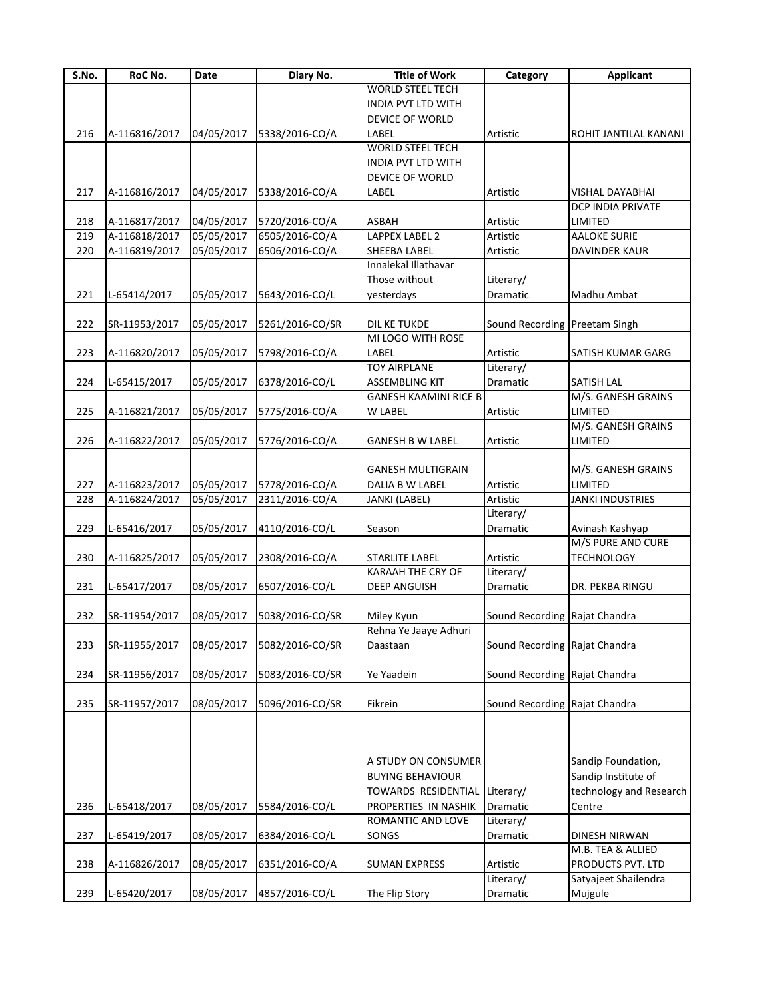| S.No. | RoC No.       | Date       | Diary No.       | <b>Title of Work</b>         | Category                      | <b>Applicant</b>        |
|-------|---------------|------------|-----------------|------------------------------|-------------------------------|-------------------------|
|       |               |            |                 | <b>WORLD STEEL TECH</b>      |                               |                         |
|       |               |            |                 | <b>INDIA PVT LTD WITH</b>    |                               |                         |
|       |               |            |                 | DEVICE OF WORLD              |                               |                         |
| 216   | A-116816/2017 | 04/05/2017 | 5338/2016-CO/A  | LABEL                        | Artistic                      | ROHIT JANTILAL KANANI   |
|       |               |            |                 | <b>WORLD STEEL TECH</b>      |                               |                         |
|       |               |            |                 | <b>INDIA PVT LTD WITH</b>    |                               |                         |
|       |               |            |                 | DEVICE OF WORLD              |                               |                         |
| 217   | A-116816/2017 | 04/05/2017 | 5338/2016-CO/A  | LABEL                        | Artistic                      | VISHAL DAYABHAI         |
|       |               |            |                 |                              |                               | DCP INDIA PRIVATE       |
| 218   | A-116817/2017 | 04/05/2017 | 5720/2016-CO/A  | <b>ASBAH</b>                 | Artistic                      | LIMITED                 |
| 219   | A-116818/2017 | 05/05/2017 | 6505/2016-CO/A  | LAPPEX LABEL 2               | Artistic                      | <b>AALOKE SURIE</b>     |
| 220   | A-116819/2017 | 05/05/2017 | 6506/2016-CO/A  | SHEEBA LABEL                 | Artistic                      | DAVINDER KAUR           |
|       |               |            |                 | Innalekal Illathavar         |                               |                         |
|       |               |            |                 | Those without                |                               |                         |
|       |               |            |                 |                              | Literary/                     |                         |
| 221   | L-65414/2017  | 05/05/2017 | 5643/2016-CO/L  | yesterdays                   | Dramatic                      | Madhu Ambat             |
|       |               |            |                 |                              |                               |                         |
| 222   | SR-11953/2017 | 05/05/2017 | 5261/2016-CO/SR | DIL KE TUKDE                 | Sound Recording Preetam Singh |                         |
|       |               |            |                 | MI LOGO WITH ROSE            |                               |                         |
| 223   | A-116820/2017 | 05/05/2017 | 5798/2016-CO/A  | LABEL                        | Artistic                      | SATISH KUMAR GARG       |
|       |               |            |                 | <b>TOY AIRPLANE</b>          | Literary/                     |                         |
| 224   | L-65415/2017  | 05/05/2017 | 6378/2016-CO/L  | <b>ASSEMBLING KIT</b>        | <b>Dramatic</b>               | SATISH LAL              |
|       |               |            |                 | <b>GANESH KAAMINI RICE B</b> |                               | M/S. GANESH GRAINS      |
| 225   | A-116821/2017 | 05/05/2017 | 5775/2016-CO/A  | W LABEL                      | Artistic                      | <b>LIMITED</b>          |
|       |               |            |                 |                              |                               | M/S. GANESH GRAINS      |
| 226   | A-116822/2017 | 05/05/2017 | 5776/2016-CO/A  | GANESH B W LABEL             | Artistic                      | LIMITED                 |
|       |               |            |                 |                              |                               |                         |
|       |               |            |                 | <b>GANESH MULTIGRAIN</b>     |                               | M/S. GANESH GRAINS      |
| 227   | A-116823/2017 | 05/05/2017 | 5778/2016-CO/A  | DALIA B W LABEL              | Artistic                      | LIMITED                 |
| 228   | A-116824/2017 | 05/05/2017 | 2311/2016-CO/A  | JANKI (LABEL)                | Artistic                      | <b>JANKI INDUSTRIES</b> |
|       |               |            |                 |                              | Literary/                     |                         |
| 229   | L-65416/2017  | 05/05/2017 | 4110/2016-CO/L  | Season                       | Dramatic                      | Avinash Kashyap         |
|       |               |            |                 |                              |                               | M/S PURE AND CURE       |
| 230   |               | 05/05/2017 | 2308/2016-CO/A  | STARLITE LABEL               | Artistic                      | <b>TECHNOLOGY</b>       |
|       | A-116825/2017 |            |                 | <b>KARAAH THE CRY OF</b>     | Literary/                     |                         |
|       |               |            |                 |                              |                               |                         |
| 231   | L-65417/2017  | 08/05/2017 | 6507/2016-CO/L  | <b>DEEP ANGUISH</b>          | Dramatic                      | DR. PEKBA RINGU         |
|       |               |            |                 |                              |                               |                         |
| 232   | SR-11954/2017 | 08/05/2017 | 5038/2016-CO/SR | Miley Kyun                   | Sound Recording Rajat Chandra |                         |
|       |               |            |                 | Rehna Ye Jaaye Adhuri        |                               |                         |
| 233   | SR-11955/2017 | 08/05/2017 | 5082/2016-CO/SR | Daastaan                     | Sound Recording Rajat Chandra |                         |
|       |               |            |                 |                              |                               |                         |
| 234   | SR-11956/2017 | 08/05/2017 | 5083/2016-CO/SR | Ye Yaadein                   | Sound Recording Rajat Chandra |                         |
|       |               |            |                 |                              |                               |                         |
| 235   | SR-11957/2017 | 08/05/2017 | 5096/2016-CO/SR | Fikrein                      | Sound Recording Rajat Chandra |                         |
|       |               |            |                 |                              |                               |                         |
|       |               |            |                 | A STUDY ON CONSUMER          |                               | Sandip Foundation,      |
|       |               |            |                 | <b>BUYING BEHAVIOUR</b>      |                               | Sandip Institute of     |
|       |               |            |                 | TOWARDS RESIDENTIAL          | Literary/                     | technology and Research |
| 236   | L-65418/2017  | 08/05/2017 | 5584/2016-CO/L  | PROPERTIES IN NASHIK         | Dramatic                      | Centre                  |
|       |               |            |                 | ROMANTIC AND LOVE            | Literary/                     |                         |
| 237   | L-65419/2017  | 08/05/2017 | 6384/2016-CO/L  | SONGS                        | Dramatic                      | <b>DINESH NIRWAN</b>    |
|       |               |            |                 |                              |                               | M.B. TEA & ALLIED       |
|       |               |            |                 |                              |                               |                         |
| 238   | A-116826/2017 | 08/05/2017 | 6351/2016-CO/A  | <b>SUMAN EXPRESS</b>         | Artistic                      | PRODUCTS PVT. LTD       |
|       |               |            |                 |                              | Literary/                     | Satyajeet Shailendra    |
| 239   | L-65420/2017  | 08/05/2017 | 4857/2016-CO/L  | The Flip Story               | Dramatic                      | Mujgule                 |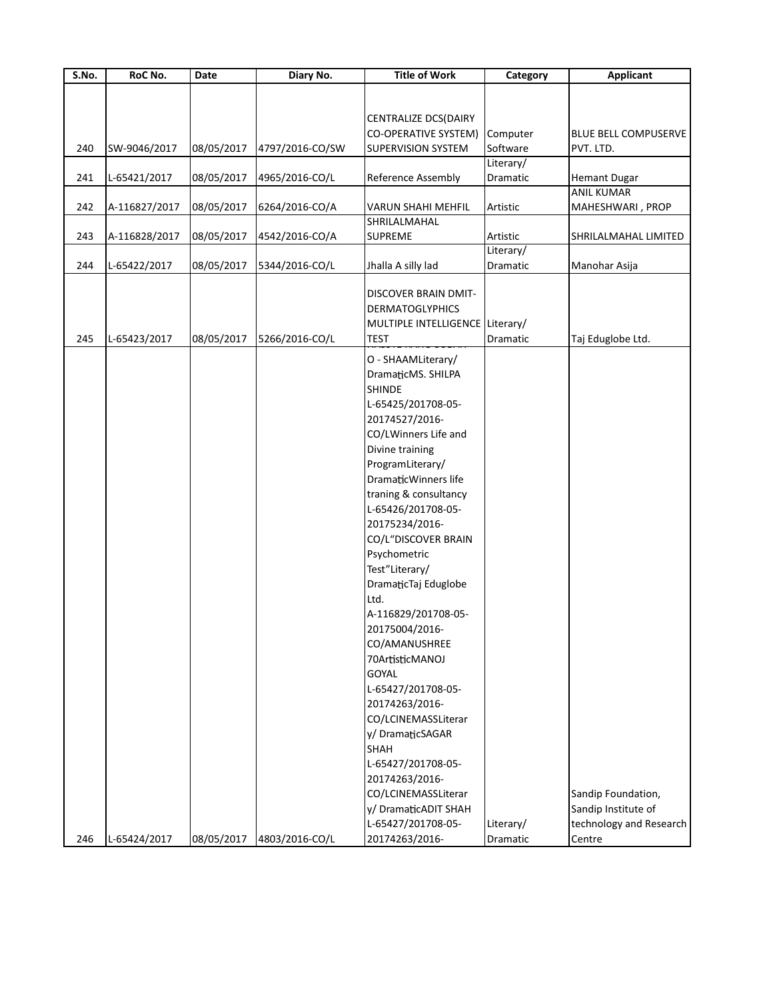| S.No. | RoC No.       | Date       | Diary No.       | <b>Title of Work</b>            | Category  | <b>Applicant</b>            |
|-------|---------------|------------|-----------------|---------------------------------|-----------|-----------------------------|
|       |               |            |                 |                                 |           |                             |
|       |               |            |                 |                                 |           |                             |
|       |               |            |                 | CENTRALIZE DCS(DAIRY            |           |                             |
|       |               |            |                 | <b>CO-OPERATIVE SYSTEM)</b>     | Computer  | <b>BLUE BELL COMPUSERVE</b> |
| 240   | SW-9046/2017  | 08/05/2017 | 4797/2016-CO/SW | <b>SUPERVISION SYSTEM</b>       | Software  | PVT. LTD.                   |
|       |               |            |                 |                                 | Literary/ |                             |
| 241   | L-65421/2017  | 08/05/2017 | 4965/2016-CO/L  | Reference Assembly              | Dramatic  | <b>Hemant Dugar</b>         |
|       |               |            |                 |                                 |           | <b>ANIL KUMAR</b>           |
| 242   | A-116827/2017 | 08/05/2017 | 6264/2016-CO/A  | <b>VARUN SHAHI MEHFIL</b>       | Artistic  | MAHESHWARI, PROP            |
|       |               |            |                 | SHRILALMAHAL                    |           |                             |
| 243   | A-116828/2017 | 08/05/2017 | 4542/2016-CO/A  | SUPREME                         | Artistic  | SHRILALMAHAL LIMITED        |
|       |               |            |                 |                                 | Literary/ |                             |
| 244   | L-65422/2017  | 08/05/2017 | 5344/2016-CO/L  | Jhalla A silly lad              | Dramatic  | Manohar Asija               |
|       |               |            |                 |                                 |           |                             |
|       |               |            |                 | DISCOVER BRAIN DMIT-            |           |                             |
|       |               |            |                 | <b>DERMATOGLYPHICS</b>          |           |                             |
|       |               |            |                 | MULTIPLE INTELLIGENCE Literary/ |           |                             |
| 245   | L-65423/2017  | 08/05/2017 | 5266/2016-CO/L  | <b>TEST</b>                     | Dramatic  | Taj Eduglobe Ltd.           |
|       |               |            |                 | O - SHAAMLiterary/              |           |                             |
|       |               |            |                 |                                 |           |                             |
|       |               |            |                 | DramaticMS. SHILPA              |           |                             |
|       |               |            |                 | <b>SHINDE</b>                   |           |                             |
|       |               |            |                 | L-65425/201708-05-              |           |                             |
|       |               |            |                 | 20174527/2016-                  |           |                             |
|       |               |            |                 | CO/LWinners Life and            |           |                             |
|       |               |            |                 | Divine training                 |           |                             |
|       |               |            |                 | ProgramLiterary/                |           |                             |
|       |               |            |                 | DramaticWinners life            |           |                             |
|       |               |            |                 | traning & consultancy           |           |                             |
|       |               |            |                 | L-65426/201708-05-              |           |                             |
|       |               |            |                 | 20175234/2016-                  |           |                             |
|       |               |            |                 | CO/L"DISCOVER BRAIN             |           |                             |
|       |               |            |                 | Psychometric                    |           |                             |
|       |               |            |                 |                                 |           |                             |
|       |               |            |                 | Test"Literary/                  |           |                             |
|       |               |            |                 | DramaticTaj Eduglobe            |           |                             |
|       |               |            |                 | Ltd.                            |           |                             |
|       |               |            |                 | A-116829/201708-05-             |           |                             |
|       |               |            |                 | 20175004/2016-                  |           |                             |
|       |               |            |                 | CO/AMANUSHREE                   |           |                             |
|       |               |            |                 | 70ArtisticMANOJ                 |           |                             |
|       |               |            |                 | <b>GOYAL</b>                    |           |                             |
|       |               |            |                 | L-65427/201708-05-              |           |                             |
|       |               |            |                 | 20174263/2016-                  |           |                             |
|       |               |            |                 | CO/LCINEMASSLiterar             |           |                             |
|       |               |            |                 | y/DramaticSAGAR                 |           |                             |
|       |               |            |                 | SHAH                            |           |                             |
|       |               |            |                 |                                 |           |                             |
|       |               |            |                 | L-65427/201708-05-              |           |                             |
|       |               |            |                 | 20174263/2016-                  |           |                             |
|       |               |            |                 | CO/LCINEMASSLiterar             |           | Sandip Foundation,          |
|       |               |            |                 | y/ DramaticADIT SHAH            |           | Sandip Institute of         |
|       |               |            |                 | L-65427/201708-05-              | Literary/ | technology and Research     |
| 246   | L-65424/2017  | 08/05/2017 | 4803/2016-CO/L  | 20174263/2016-                  | Dramatic  | Centre                      |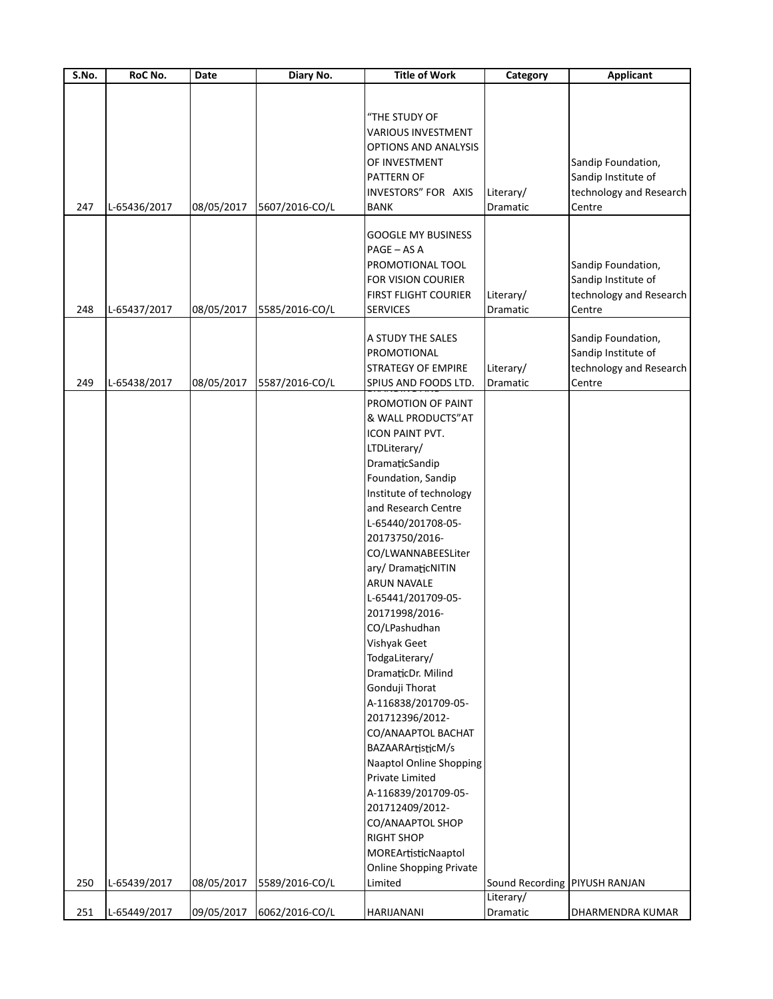| S.No. | RoC No.      | Date       | Diary No.      | <b>Title of Work</b>               | Category                      | <b>Applicant</b>        |
|-------|--------------|------------|----------------|------------------------------------|-------------------------------|-------------------------|
|       |              |            |                |                                    |                               |                         |
|       |              |            |                | "THE STUDY OF                      |                               |                         |
|       |              |            |                | <b>VARIOUS INVESTMENT</b>          |                               |                         |
|       |              |            |                |                                    |                               |                         |
|       |              |            |                | OPTIONS AND ANALYSIS               |                               |                         |
|       |              |            |                | OF INVESTMENT                      |                               | Sandip Foundation,      |
|       |              |            |                | PATTERN OF                         |                               | Sandip Institute of     |
| 247   |              |            |                | INVESTORS" FOR AXIS<br><b>BANK</b> | Literary/                     | technology and Research |
|       | L-65436/2017 | 08/05/2017 | 5607/2016-CO/L |                                    | Dramatic                      | Centre                  |
|       |              |            |                | <b>GOOGLE MY BUSINESS</b>          |                               |                         |
|       |              |            |                | PAGE - AS A                        |                               |                         |
|       |              |            |                | PROMOTIONAL TOOL                   |                               | Sandip Foundation,      |
|       |              |            |                | FOR VISION COURIER                 |                               | Sandip Institute of     |
|       |              |            |                | <b>FIRST FLIGHT COURIER</b>        | Literary/                     | technology and Research |
| 248   | L-65437/2017 | 08/05/2017 | 5585/2016-CO/L | <b>SERVICES</b>                    | Dramatic                      | Centre                  |
|       |              |            |                |                                    |                               |                         |
|       |              |            |                | A STUDY THE SALES                  |                               | Sandip Foundation,      |
|       |              |            |                | PROMOTIONAL                        |                               | Sandip Institute of     |
|       |              |            |                | <b>STRATEGY OF EMPIRE</b>          | Literary/                     | technology and Research |
| 249   | L-65438/2017 | 08/05/2017 | 5587/2016-CO/L | SPIUS AND FOODS LTD.               | Dramatic                      | Centre                  |
|       |              |            |                | PROMOTION OF PAINT                 |                               |                         |
|       |              |            |                | & WALL PRODUCTS"AT                 |                               |                         |
|       |              |            |                | ICON PAINT PVT.                    |                               |                         |
|       |              |            |                | LTDLiterary/                       |                               |                         |
|       |              |            |                | DramaticSandip                     |                               |                         |
|       |              |            |                | Foundation, Sandip                 |                               |                         |
|       |              |            |                | Institute of technology            |                               |                         |
|       |              |            |                | and Research Centre                |                               |                         |
|       |              |            |                | L-65440/201708-05-                 |                               |                         |
|       |              |            |                | 20173750/2016-                     |                               |                         |
|       |              |            |                | CO/LWANNABEESLiter                 |                               |                         |
|       |              |            |                | ary/DramaticNITIN                  |                               |                         |
|       |              |            |                | ARUN NAVALE                        |                               |                         |
|       |              |            |                | L-65441/201709-05-                 |                               |                         |
|       |              |            |                | 20171998/2016-                     |                               |                         |
|       |              |            |                | CO/LPashudhan                      |                               |                         |
|       |              |            |                | Vishyak Geet                       |                               |                         |
|       |              |            |                | TodgaLiterary/                     |                               |                         |
|       |              |            |                | DramaticDr. Milind                 |                               |                         |
|       |              |            |                | Gonduji Thorat                     |                               |                         |
|       |              |            |                | A-116838/201709-05-                |                               |                         |
|       |              |            |                | 201712396/2012-                    |                               |                         |
|       |              |            |                | CO/ANAAPTOL BACHAT                 |                               |                         |
|       |              |            |                | BAZAARArtisticM/s                  |                               |                         |
|       |              |            |                | Naaptol Online Shopping            |                               |                         |
|       |              |            |                | Private Limited                    |                               |                         |
|       |              |            |                | A-116839/201709-05-                |                               |                         |
|       |              |            |                | 201712409/2012-                    |                               |                         |
|       |              |            |                | CO/ANAAPTOL SHOP                   |                               |                         |
|       |              |            |                | <b>RIGHT SHOP</b>                  |                               |                         |
|       |              |            |                | MOREArtisticNaaptol                |                               |                         |
|       |              |            |                | <b>Online Shopping Private</b>     |                               |                         |
| 250   | L-65439/2017 | 08/05/2017 | 5589/2016-CO/L | Limited                            | Sound Recording PIYUSH RANJAN |                         |
|       |              |            |                |                                    | Literary/                     |                         |
| 251   | L-65449/2017 | 09/05/2017 | 6062/2016-CO/L | <b>HARIJANANI</b>                  | Dramatic                      | DHARMENDRA KUMAR        |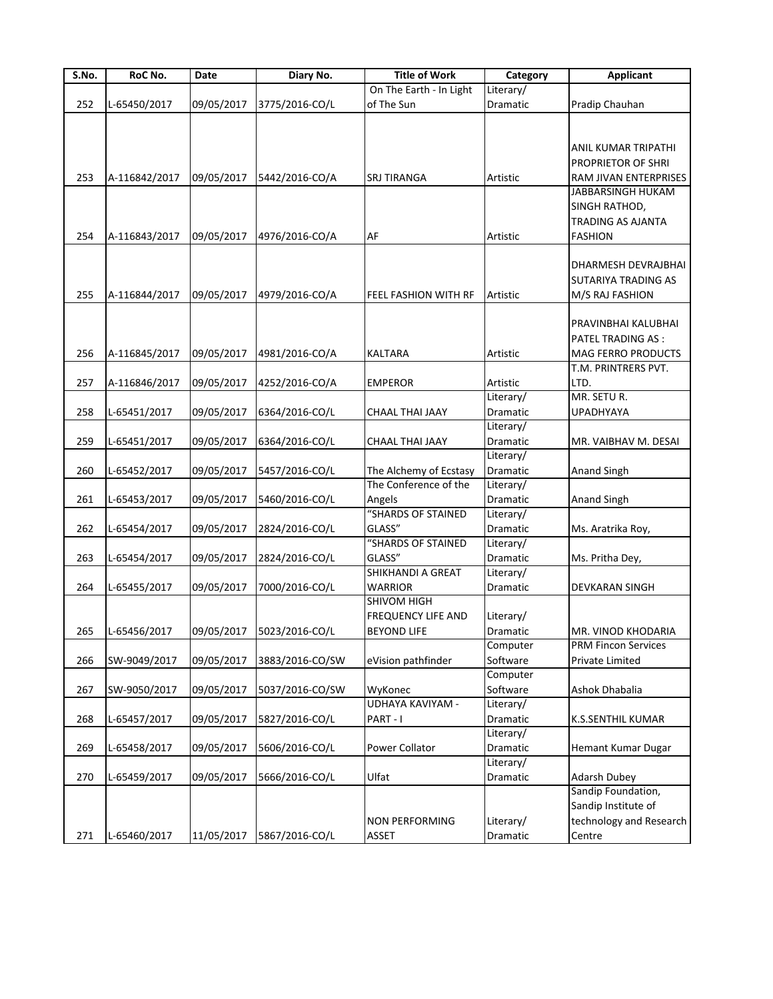| On The Earth - In Light<br>Literary/<br>252<br>09/05/2017<br>3775/2016-CO/L<br>of The Sun<br>Dramatic<br>Pradip Chauhan<br>L-65450/2017<br>ANIL KUMAR TRIPATHI<br>PROPRIETOR OF SHRI<br>253<br>A-116842/2017<br>09/05/2017<br>5442/2016-CO/A<br>Artistic<br><b>SRJ TIRANGA</b><br>RAM JIVAN ENTERPRISES<br>JABBARSINGH HUKAM<br>SINGH RATHOD,<br><b>TRADING AS AJANTA</b><br>254<br><b>FASHION</b><br>A-116843/2017<br>09/05/2017<br>4976/2016-CO/A<br>AF<br>Artistic<br>DHARMESH DEVRAJBHAI<br>SUTARIYA TRADING AS<br>09/05/2017<br>255<br>A-116844/2017<br>4979/2016-CO/A<br>FEEL FASHION WITH RF<br>Artistic<br>M/S RAJ FASHION<br>PRAVINBHAI KALUBHAI<br>PATEL TRADING AS :<br>MAG FERRO PRODUCTS<br>256<br>A-116845/2017<br>09/05/2017<br>4981/2016-CO/A<br><b>KALTARA</b><br>Artistic<br>T.M. PRINTRERS PVT.<br>09/05/2017<br>257<br>A-116846/2017<br>4252/2016-CO/A<br><b>EMPEROR</b><br>Artistic<br>LTD.<br>MR. SETU R.<br>Literary/<br>258<br>09/05/2017<br>Dramatic<br><b>UPADHYAYA</b><br>L-65451/2017<br>6364/2016-CO/L<br>CHAAL THAI JAAY<br>Literary/<br>259<br>Dramatic<br>L-65451/2017<br>09/05/2017<br>6364/2016-CO/L<br>CHAAL THAI JAAY<br>MR. VAIBHAV M. DESAI<br>Literary/<br>260<br>09/05/2017<br>The Alchemy of Ecstasy<br>Dramatic<br>L-65452/2017<br>5457/2016-CO/L<br>Anand Singh<br>The Conference of the<br>Literary/<br>09/05/2017<br>261<br>L-65453/2017<br>5460/2016-CO/L<br>Angels<br>Dramatic<br><b>Anand Singh</b><br>"SHARDS OF STAINED<br>Literary/<br>262<br>09/05/2017<br>GLASS"<br>L-65454/2017<br>2824/2016-CO/L<br>Dramatic<br>Ms. Aratrika Roy,<br>"SHARDS OF STAINED<br>Literary/<br>GLASS"<br>263<br>09/05/2017<br>Dramatic<br>L-65454/2017<br>2824/2016-CO/L<br>Ms. Pritha Dey,<br>SHIKHANDI A GREAT<br>Literary/<br>264<br>L-65455/2017<br>09/05/2017<br>7000/2016-CO/L<br><b>WARRIOR</b><br>Dramatic<br><b>DEVKARAN SINGH</b><br><b>SHIVOM HIGH</b><br><b>FREQUENCY LIFE AND</b><br>Literary/<br>09/05/2017 5023/2016-CO/L<br>265 L-65456/2017<br><b>BEYOND LIFE</b><br>MR. VINOD KHODARIA<br>Dramatic<br>Computer<br><b>PRM Fincon Services</b><br>Software<br>266<br>09/05/2017<br>eVision pathfinder<br>SW-9049/2017<br>3883/2016-CO/SW<br>Private Limited<br>Computer<br>267<br>SW-9050/2017<br>09/05/2017<br>WyKonec<br>Software<br>Ashok Dhabalia<br>5037/2016-CO/SW<br><b>UDHAYA KAVIYAM -</b><br>Literary/<br>268<br>09/05/2017<br>Dramatic<br>L-65457/2017<br>5827/2016-CO/L<br>PART-I<br>K.S.SENTHIL KUMAR<br>Literary/<br>269<br>L-65458/2017<br>09/05/2017<br>5606/2016-CO/L<br>Power Collator<br>Dramatic<br>Hemant Kumar Dugar<br>Literary/<br>Ulfat<br>270<br>L-65459/2017<br>09/05/2017<br>5666/2016-CO/L<br><b>Adarsh Dubey</b><br>Dramatic<br>Sandip Foundation,<br>Sandip Institute of<br><b>NON PERFORMING</b><br>Literary/<br>technology and Research<br>L-65460/2017<br>11/05/2017<br>5867/2016-CO/L<br>ASSET<br>Dramatic<br>271<br>Centre | S.No. | RoC No. | Date | Diary No. | <b>Title of Work</b> | Category | <b>Applicant</b> |
|----------------------------------------------------------------------------------------------------------------------------------------------------------------------------------------------------------------------------------------------------------------------------------------------------------------------------------------------------------------------------------------------------------------------------------------------------------------------------------------------------------------------------------------------------------------------------------------------------------------------------------------------------------------------------------------------------------------------------------------------------------------------------------------------------------------------------------------------------------------------------------------------------------------------------------------------------------------------------------------------------------------------------------------------------------------------------------------------------------------------------------------------------------------------------------------------------------------------------------------------------------------------------------------------------------------------------------------------------------------------------------------------------------------------------------------------------------------------------------------------------------------------------------------------------------------------------------------------------------------------------------------------------------------------------------------------------------------------------------------------------------------------------------------------------------------------------------------------------------------------------------------------------------------------------------------------------------------------------------------------------------------------------------------------------------------------------------------------------------------------------------------------------------------------------------------------------------------------------------------------------------------------------------------------------------------------------------------------------------------------------------------------------------------------------------------------------------------------------------------------------------------------------------------------------------------------------------------------------------------------------------------------------------------------------------------------------------------------------------------------------------------------------------------------------------------------------------------------------------------------------------------------------------------|-------|---------|------|-----------|----------------------|----------|------------------|
|                                                                                                                                                                                                                                                                                                                                                                                                                                                                                                                                                                                                                                                                                                                                                                                                                                                                                                                                                                                                                                                                                                                                                                                                                                                                                                                                                                                                                                                                                                                                                                                                                                                                                                                                                                                                                                                                                                                                                                                                                                                                                                                                                                                                                                                                                                                                                                                                                                                                                                                                                                                                                                                                                                                                                                                                                                                                                                                |       |         |      |           |                      |          |                  |
|                                                                                                                                                                                                                                                                                                                                                                                                                                                                                                                                                                                                                                                                                                                                                                                                                                                                                                                                                                                                                                                                                                                                                                                                                                                                                                                                                                                                                                                                                                                                                                                                                                                                                                                                                                                                                                                                                                                                                                                                                                                                                                                                                                                                                                                                                                                                                                                                                                                                                                                                                                                                                                                                                                                                                                                                                                                                                                                |       |         |      |           |                      |          |                  |
|                                                                                                                                                                                                                                                                                                                                                                                                                                                                                                                                                                                                                                                                                                                                                                                                                                                                                                                                                                                                                                                                                                                                                                                                                                                                                                                                                                                                                                                                                                                                                                                                                                                                                                                                                                                                                                                                                                                                                                                                                                                                                                                                                                                                                                                                                                                                                                                                                                                                                                                                                                                                                                                                                                                                                                                                                                                                                                                |       |         |      |           |                      |          |                  |
|                                                                                                                                                                                                                                                                                                                                                                                                                                                                                                                                                                                                                                                                                                                                                                                                                                                                                                                                                                                                                                                                                                                                                                                                                                                                                                                                                                                                                                                                                                                                                                                                                                                                                                                                                                                                                                                                                                                                                                                                                                                                                                                                                                                                                                                                                                                                                                                                                                                                                                                                                                                                                                                                                                                                                                                                                                                                                                                |       |         |      |           |                      |          |                  |
|                                                                                                                                                                                                                                                                                                                                                                                                                                                                                                                                                                                                                                                                                                                                                                                                                                                                                                                                                                                                                                                                                                                                                                                                                                                                                                                                                                                                                                                                                                                                                                                                                                                                                                                                                                                                                                                                                                                                                                                                                                                                                                                                                                                                                                                                                                                                                                                                                                                                                                                                                                                                                                                                                                                                                                                                                                                                                                                |       |         |      |           |                      |          |                  |
|                                                                                                                                                                                                                                                                                                                                                                                                                                                                                                                                                                                                                                                                                                                                                                                                                                                                                                                                                                                                                                                                                                                                                                                                                                                                                                                                                                                                                                                                                                                                                                                                                                                                                                                                                                                                                                                                                                                                                                                                                                                                                                                                                                                                                                                                                                                                                                                                                                                                                                                                                                                                                                                                                                                                                                                                                                                                                                                |       |         |      |           |                      |          |                  |
|                                                                                                                                                                                                                                                                                                                                                                                                                                                                                                                                                                                                                                                                                                                                                                                                                                                                                                                                                                                                                                                                                                                                                                                                                                                                                                                                                                                                                                                                                                                                                                                                                                                                                                                                                                                                                                                                                                                                                                                                                                                                                                                                                                                                                                                                                                                                                                                                                                                                                                                                                                                                                                                                                                                                                                                                                                                                                                                |       |         |      |           |                      |          |                  |
|                                                                                                                                                                                                                                                                                                                                                                                                                                                                                                                                                                                                                                                                                                                                                                                                                                                                                                                                                                                                                                                                                                                                                                                                                                                                                                                                                                                                                                                                                                                                                                                                                                                                                                                                                                                                                                                                                                                                                                                                                                                                                                                                                                                                                                                                                                                                                                                                                                                                                                                                                                                                                                                                                                                                                                                                                                                                                                                |       |         |      |           |                      |          |                  |
|                                                                                                                                                                                                                                                                                                                                                                                                                                                                                                                                                                                                                                                                                                                                                                                                                                                                                                                                                                                                                                                                                                                                                                                                                                                                                                                                                                                                                                                                                                                                                                                                                                                                                                                                                                                                                                                                                                                                                                                                                                                                                                                                                                                                                                                                                                                                                                                                                                                                                                                                                                                                                                                                                                                                                                                                                                                                                                                |       |         |      |           |                      |          |                  |
|                                                                                                                                                                                                                                                                                                                                                                                                                                                                                                                                                                                                                                                                                                                                                                                                                                                                                                                                                                                                                                                                                                                                                                                                                                                                                                                                                                                                                                                                                                                                                                                                                                                                                                                                                                                                                                                                                                                                                                                                                                                                                                                                                                                                                                                                                                                                                                                                                                                                                                                                                                                                                                                                                                                                                                                                                                                                                                                |       |         |      |           |                      |          |                  |
|                                                                                                                                                                                                                                                                                                                                                                                                                                                                                                                                                                                                                                                                                                                                                                                                                                                                                                                                                                                                                                                                                                                                                                                                                                                                                                                                                                                                                                                                                                                                                                                                                                                                                                                                                                                                                                                                                                                                                                                                                                                                                                                                                                                                                                                                                                                                                                                                                                                                                                                                                                                                                                                                                                                                                                                                                                                                                                                |       |         |      |           |                      |          |                  |
|                                                                                                                                                                                                                                                                                                                                                                                                                                                                                                                                                                                                                                                                                                                                                                                                                                                                                                                                                                                                                                                                                                                                                                                                                                                                                                                                                                                                                                                                                                                                                                                                                                                                                                                                                                                                                                                                                                                                                                                                                                                                                                                                                                                                                                                                                                                                                                                                                                                                                                                                                                                                                                                                                                                                                                                                                                                                                                                |       |         |      |           |                      |          |                  |
|                                                                                                                                                                                                                                                                                                                                                                                                                                                                                                                                                                                                                                                                                                                                                                                                                                                                                                                                                                                                                                                                                                                                                                                                                                                                                                                                                                                                                                                                                                                                                                                                                                                                                                                                                                                                                                                                                                                                                                                                                                                                                                                                                                                                                                                                                                                                                                                                                                                                                                                                                                                                                                                                                                                                                                                                                                                                                                                |       |         |      |           |                      |          |                  |
|                                                                                                                                                                                                                                                                                                                                                                                                                                                                                                                                                                                                                                                                                                                                                                                                                                                                                                                                                                                                                                                                                                                                                                                                                                                                                                                                                                                                                                                                                                                                                                                                                                                                                                                                                                                                                                                                                                                                                                                                                                                                                                                                                                                                                                                                                                                                                                                                                                                                                                                                                                                                                                                                                                                                                                                                                                                                                                                |       |         |      |           |                      |          |                  |
|                                                                                                                                                                                                                                                                                                                                                                                                                                                                                                                                                                                                                                                                                                                                                                                                                                                                                                                                                                                                                                                                                                                                                                                                                                                                                                                                                                                                                                                                                                                                                                                                                                                                                                                                                                                                                                                                                                                                                                                                                                                                                                                                                                                                                                                                                                                                                                                                                                                                                                                                                                                                                                                                                                                                                                                                                                                                                                                |       |         |      |           |                      |          |                  |
|                                                                                                                                                                                                                                                                                                                                                                                                                                                                                                                                                                                                                                                                                                                                                                                                                                                                                                                                                                                                                                                                                                                                                                                                                                                                                                                                                                                                                                                                                                                                                                                                                                                                                                                                                                                                                                                                                                                                                                                                                                                                                                                                                                                                                                                                                                                                                                                                                                                                                                                                                                                                                                                                                                                                                                                                                                                                                                                |       |         |      |           |                      |          |                  |
|                                                                                                                                                                                                                                                                                                                                                                                                                                                                                                                                                                                                                                                                                                                                                                                                                                                                                                                                                                                                                                                                                                                                                                                                                                                                                                                                                                                                                                                                                                                                                                                                                                                                                                                                                                                                                                                                                                                                                                                                                                                                                                                                                                                                                                                                                                                                                                                                                                                                                                                                                                                                                                                                                                                                                                                                                                                                                                                |       |         |      |           |                      |          |                  |
|                                                                                                                                                                                                                                                                                                                                                                                                                                                                                                                                                                                                                                                                                                                                                                                                                                                                                                                                                                                                                                                                                                                                                                                                                                                                                                                                                                                                                                                                                                                                                                                                                                                                                                                                                                                                                                                                                                                                                                                                                                                                                                                                                                                                                                                                                                                                                                                                                                                                                                                                                                                                                                                                                                                                                                                                                                                                                                                |       |         |      |           |                      |          |                  |
|                                                                                                                                                                                                                                                                                                                                                                                                                                                                                                                                                                                                                                                                                                                                                                                                                                                                                                                                                                                                                                                                                                                                                                                                                                                                                                                                                                                                                                                                                                                                                                                                                                                                                                                                                                                                                                                                                                                                                                                                                                                                                                                                                                                                                                                                                                                                                                                                                                                                                                                                                                                                                                                                                                                                                                                                                                                                                                                |       |         |      |           |                      |          |                  |
|                                                                                                                                                                                                                                                                                                                                                                                                                                                                                                                                                                                                                                                                                                                                                                                                                                                                                                                                                                                                                                                                                                                                                                                                                                                                                                                                                                                                                                                                                                                                                                                                                                                                                                                                                                                                                                                                                                                                                                                                                                                                                                                                                                                                                                                                                                                                                                                                                                                                                                                                                                                                                                                                                                                                                                                                                                                                                                                |       |         |      |           |                      |          |                  |
|                                                                                                                                                                                                                                                                                                                                                                                                                                                                                                                                                                                                                                                                                                                                                                                                                                                                                                                                                                                                                                                                                                                                                                                                                                                                                                                                                                                                                                                                                                                                                                                                                                                                                                                                                                                                                                                                                                                                                                                                                                                                                                                                                                                                                                                                                                                                                                                                                                                                                                                                                                                                                                                                                                                                                                                                                                                                                                                |       |         |      |           |                      |          |                  |
|                                                                                                                                                                                                                                                                                                                                                                                                                                                                                                                                                                                                                                                                                                                                                                                                                                                                                                                                                                                                                                                                                                                                                                                                                                                                                                                                                                                                                                                                                                                                                                                                                                                                                                                                                                                                                                                                                                                                                                                                                                                                                                                                                                                                                                                                                                                                                                                                                                                                                                                                                                                                                                                                                                                                                                                                                                                                                                                |       |         |      |           |                      |          |                  |
|                                                                                                                                                                                                                                                                                                                                                                                                                                                                                                                                                                                                                                                                                                                                                                                                                                                                                                                                                                                                                                                                                                                                                                                                                                                                                                                                                                                                                                                                                                                                                                                                                                                                                                                                                                                                                                                                                                                                                                                                                                                                                                                                                                                                                                                                                                                                                                                                                                                                                                                                                                                                                                                                                                                                                                                                                                                                                                                |       |         |      |           |                      |          |                  |
|                                                                                                                                                                                                                                                                                                                                                                                                                                                                                                                                                                                                                                                                                                                                                                                                                                                                                                                                                                                                                                                                                                                                                                                                                                                                                                                                                                                                                                                                                                                                                                                                                                                                                                                                                                                                                                                                                                                                                                                                                                                                                                                                                                                                                                                                                                                                                                                                                                                                                                                                                                                                                                                                                                                                                                                                                                                                                                                |       |         |      |           |                      |          |                  |
|                                                                                                                                                                                                                                                                                                                                                                                                                                                                                                                                                                                                                                                                                                                                                                                                                                                                                                                                                                                                                                                                                                                                                                                                                                                                                                                                                                                                                                                                                                                                                                                                                                                                                                                                                                                                                                                                                                                                                                                                                                                                                                                                                                                                                                                                                                                                                                                                                                                                                                                                                                                                                                                                                                                                                                                                                                                                                                                |       |         |      |           |                      |          |                  |
|                                                                                                                                                                                                                                                                                                                                                                                                                                                                                                                                                                                                                                                                                                                                                                                                                                                                                                                                                                                                                                                                                                                                                                                                                                                                                                                                                                                                                                                                                                                                                                                                                                                                                                                                                                                                                                                                                                                                                                                                                                                                                                                                                                                                                                                                                                                                                                                                                                                                                                                                                                                                                                                                                                                                                                                                                                                                                                                |       |         |      |           |                      |          |                  |
|                                                                                                                                                                                                                                                                                                                                                                                                                                                                                                                                                                                                                                                                                                                                                                                                                                                                                                                                                                                                                                                                                                                                                                                                                                                                                                                                                                                                                                                                                                                                                                                                                                                                                                                                                                                                                                                                                                                                                                                                                                                                                                                                                                                                                                                                                                                                                                                                                                                                                                                                                                                                                                                                                                                                                                                                                                                                                                                |       |         |      |           |                      |          |                  |
|                                                                                                                                                                                                                                                                                                                                                                                                                                                                                                                                                                                                                                                                                                                                                                                                                                                                                                                                                                                                                                                                                                                                                                                                                                                                                                                                                                                                                                                                                                                                                                                                                                                                                                                                                                                                                                                                                                                                                                                                                                                                                                                                                                                                                                                                                                                                                                                                                                                                                                                                                                                                                                                                                                                                                                                                                                                                                                                |       |         |      |           |                      |          |                  |
|                                                                                                                                                                                                                                                                                                                                                                                                                                                                                                                                                                                                                                                                                                                                                                                                                                                                                                                                                                                                                                                                                                                                                                                                                                                                                                                                                                                                                                                                                                                                                                                                                                                                                                                                                                                                                                                                                                                                                                                                                                                                                                                                                                                                                                                                                                                                                                                                                                                                                                                                                                                                                                                                                                                                                                                                                                                                                                                |       |         |      |           |                      |          |                  |
|                                                                                                                                                                                                                                                                                                                                                                                                                                                                                                                                                                                                                                                                                                                                                                                                                                                                                                                                                                                                                                                                                                                                                                                                                                                                                                                                                                                                                                                                                                                                                                                                                                                                                                                                                                                                                                                                                                                                                                                                                                                                                                                                                                                                                                                                                                                                                                                                                                                                                                                                                                                                                                                                                                                                                                                                                                                                                                                |       |         |      |           |                      |          |                  |
|                                                                                                                                                                                                                                                                                                                                                                                                                                                                                                                                                                                                                                                                                                                                                                                                                                                                                                                                                                                                                                                                                                                                                                                                                                                                                                                                                                                                                                                                                                                                                                                                                                                                                                                                                                                                                                                                                                                                                                                                                                                                                                                                                                                                                                                                                                                                                                                                                                                                                                                                                                                                                                                                                                                                                                                                                                                                                                                |       |         |      |           |                      |          |                  |
|                                                                                                                                                                                                                                                                                                                                                                                                                                                                                                                                                                                                                                                                                                                                                                                                                                                                                                                                                                                                                                                                                                                                                                                                                                                                                                                                                                                                                                                                                                                                                                                                                                                                                                                                                                                                                                                                                                                                                                                                                                                                                                                                                                                                                                                                                                                                                                                                                                                                                                                                                                                                                                                                                                                                                                                                                                                                                                                |       |         |      |           |                      |          |                  |
|                                                                                                                                                                                                                                                                                                                                                                                                                                                                                                                                                                                                                                                                                                                                                                                                                                                                                                                                                                                                                                                                                                                                                                                                                                                                                                                                                                                                                                                                                                                                                                                                                                                                                                                                                                                                                                                                                                                                                                                                                                                                                                                                                                                                                                                                                                                                                                                                                                                                                                                                                                                                                                                                                                                                                                                                                                                                                                                |       |         |      |           |                      |          |                  |
|                                                                                                                                                                                                                                                                                                                                                                                                                                                                                                                                                                                                                                                                                                                                                                                                                                                                                                                                                                                                                                                                                                                                                                                                                                                                                                                                                                                                                                                                                                                                                                                                                                                                                                                                                                                                                                                                                                                                                                                                                                                                                                                                                                                                                                                                                                                                                                                                                                                                                                                                                                                                                                                                                                                                                                                                                                                                                                                |       |         |      |           |                      |          |                  |
|                                                                                                                                                                                                                                                                                                                                                                                                                                                                                                                                                                                                                                                                                                                                                                                                                                                                                                                                                                                                                                                                                                                                                                                                                                                                                                                                                                                                                                                                                                                                                                                                                                                                                                                                                                                                                                                                                                                                                                                                                                                                                                                                                                                                                                                                                                                                                                                                                                                                                                                                                                                                                                                                                                                                                                                                                                                                                                                |       |         |      |           |                      |          |                  |
|                                                                                                                                                                                                                                                                                                                                                                                                                                                                                                                                                                                                                                                                                                                                                                                                                                                                                                                                                                                                                                                                                                                                                                                                                                                                                                                                                                                                                                                                                                                                                                                                                                                                                                                                                                                                                                                                                                                                                                                                                                                                                                                                                                                                                                                                                                                                                                                                                                                                                                                                                                                                                                                                                                                                                                                                                                                                                                                |       |         |      |           |                      |          |                  |
|                                                                                                                                                                                                                                                                                                                                                                                                                                                                                                                                                                                                                                                                                                                                                                                                                                                                                                                                                                                                                                                                                                                                                                                                                                                                                                                                                                                                                                                                                                                                                                                                                                                                                                                                                                                                                                                                                                                                                                                                                                                                                                                                                                                                                                                                                                                                                                                                                                                                                                                                                                                                                                                                                                                                                                                                                                                                                                                |       |         |      |           |                      |          |                  |
|                                                                                                                                                                                                                                                                                                                                                                                                                                                                                                                                                                                                                                                                                                                                                                                                                                                                                                                                                                                                                                                                                                                                                                                                                                                                                                                                                                                                                                                                                                                                                                                                                                                                                                                                                                                                                                                                                                                                                                                                                                                                                                                                                                                                                                                                                                                                                                                                                                                                                                                                                                                                                                                                                                                                                                                                                                                                                                                |       |         |      |           |                      |          |                  |
|                                                                                                                                                                                                                                                                                                                                                                                                                                                                                                                                                                                                                                                                                                                                                                                                                                                                                                                                                                                                                                                                                                                                                                                                                                                                                                                                                                                                                                                                                                                                                                                                                                                                                                                                                                                                                                                                                                                                                                                                                                                                                                                                                                                                                                                                                                                                                                                                                                                                                                                                                                                                                                                                                                                                                                                                                                                                                                                |       |         |      |           |                      |          |                  |
|                                                                                                                                                                                                                                                                                                                                                                                                                                                                                                                                                                                                                                                                                                                                                                                                                                                                                                                                                                                                                                                                                                                                                                                                                                                                                                                                                                                                                                                                                                                                                                                                                                                                                                                                                                                                                                                                                                                                                                                                                                                                                                                                                                                                                                                                                                                                                                                                                                                                                                                                                                                                                                                                                                                                                                                                                                                                                                                |       |         |      |           |                      |          |                  |
|                                                                                                                                                                                                                                                                                                                                                                                                                                                                                                                                                                                                                                                                                                                                                                                                                                                                                                                                                                                                                                                                                                                                                                                                                                                                                                                                                                                                                                                                                                                                                                                                                                                                                                                                                                                                                                                                                                                                                                                                                                                                                                                                                                                                                                                                                                                                                                                                                                                                                                                                                                                                                                                                                                                                                                                                                                                                                                                |       |         |      |           |                      |          |                  |
|                                                                                                                                                                                                                                                                                                                                                                                                                                                                                                                                                                                                                                                                                                                                                                                                                                                                                                                                                                                                                                                                                                                                                                                                                                                                                                                                                                                                                                                                                                                                                                                                                                                                                                                                                                                                                                                                                                                                                                                                                                                                                                                                                                                                                                                                                                                                                                                                                                                                                                                                                                                                                                                                                                                                                                                                                                                                                                                |       |         |      |           |                      |          |                  |
|                                                                                                                                                                                                                                                                                                                                                                                                                                                                                                                                                                                                                                                                                                                                                                                                                                                                                                                                                                                                                                                                                                                                                                                                                                                                                                                                                                                                                                                                                                                                                                                                                                                                                                                                                                                                                                                                                                                                                                                                                                                                                                                                                                                                                                                                                                                                                                                                                                                                                                                                                                                                                                                                                                                                                                                                                                                                                                                |       |         |      |           |                      |          |                  |
|                                                                                                                                                                                                                                                                                                                                                                                                                                                                                                                                                                                                                                                                                                                                                                                                                                                                                                                                                                                                                                                                                                                                                                                                                                                                                                                                                                                                                                                                                                                                                                                                                                                                                                                                                                                                                                                                                                                                                                                                                                                                                                                                                                                                                                                                                                                                                                                                                                                                                                                                                                                                                                                                                                                                                                                                                                                                                                                |       |         |      |           |                      |          |                  |
|                                                                                                                                                                                                                                                                                                                                                                                                                                                                                                                                                                                                                                                                                                                                                                                                                                                                                                                                                                                                                                                                                                                                                                                                                                                                                                                                                                                                                                                                                                                                                                                                                                                                                                                                                                                                                                                                                                                                                                                                                                                                                                                                                                                                                                                                                                                                                                                                                                                                                                                                                                                                                                                                                                                                                                                                                                                                                                                |       |         |      |           |                      |          |                  |
|                                                                                                                                                                                                                                                                                                                                                                                                                                                                                                                                                                                                                                                                                                                                                                                                                                                                                                                                                                                                                                                                                                                                                                                                                                                                                                                                                                                                                                                                                                                                                                                                                                                                                                                                                                                                                                                                                                                                                                                                                                                                                                                                                                                                                                                                                                                                                                                                                                                                                                                                                                                                                                                                                                                                                                                                                                                                                                                |       |         |      |           |                      |          |                  |
|                                                                                                                                                                                                                                                                                                                                                                                                                                                                                                                                                                                                                                                                                                                                                                                                                                                                                                                                                                                                                                                                                                                                                                                                                                                                                                                                                                                                                                                                                                                                                                                                                                                                                                                                                                                                                                                                                                                                                                                                                                                                                                                                                                                                                                                                                                                                                                                                                                                                                                                                                                                                                                                                                                                                                                                                                                                                                                                |       |         |      |           |                      |          |                  |
|                                                                                                                                                                                                                                                                                                                                                                                                                                                                                                                                                                                                                                                                                                                                                                                                                                                                                                                                                                                                                                                                                                                                                                                                                                                                                                                                                                                                                                                                                                                                                                                                                                                                                                                                                                                                                                                                                                                                                                                                                                                                                                                                                                                                                                                                                                                                                                                                                                                                                                                                                                                                                                                                                                                                                                                                                                                                                                                |       |         |      |           |                      |          |                  |
|                                                                                                                                                                                                                                                                                                                                                                                                                                                                                                                                                                                                                                                                                                                                                                                                                                                                                                                                                                                                                                                                                                                                                                                                                                                                                                                                                                                                                                                                                                                                                                                                                                                                                                                                                                                                                                                                                                                                                                                                                                                                                                                                                                                                                                                                                                                                                                                                                                                                                                                                                                                                                                                                                                                                                                                                                                                                                                                |       |         |      |           |                      |          |                  |
|                                                                                                                                                                                                                                                                                                                                                                                                                                                                                                                                                                                                                                                                                                                                                                                                                                                                                                                                                                                                                                                                                                                                                                                                                                                                                                                                                                                                                                                                                                                                                                                                                                                                                                                                                                                                                                                                                                                                                                                                                                                                                                                                                                                                                                                                                                                                                                                                                                                                                                                                                                                                                                                                                                                                                                                                                                                                                                                |       |         |      |           |                      |          |                  |
|                                                                                                                                                                                                                                                                                                                                                                                                                                                                                                                                                                                                                                                                                                                                                                                                                                                                                                                                                                                                                                                                                                                                                                                                                                                                                                                                                                                                                                                                                                                                                                                                                                                                                                                                                                                                                                                                                                                                                                                                                                                                                                                                                                                                                                                                                                                                                                                                                                                                                                                                                                                                                                                                                                                                                                                                                                                                                                                |       |         |      |           |                      |          |                  |
|                                                                                                                                                                                                                                                                                                                                                                                                                                                                                                                                                                                                                                                                                                                                                                                                                                                                                                                                                                                                                                                                                                                                                                                                                                                                                                                                                                                                                                                                                                                                                                                                                                                                                                                                                                                                                                                                                                                                                                                                                                                                                                                                                                                                                                                                                                                                                                                                                                                                                                                                                                                                                                                                                                                                                                                                                                                                                                                |       |         |      |           |                      |          |                  |
|                                                                                                                                                                                                                                                                                                                                                                                                                                                                                                                                                                                                                                                                                                                                                                                                                                                                                                                                                                                                                                                                                                                                                                                                                                                                                                                                                                                                                                                                                                                                                                                                                                                                                                                                                                                                                                                                                                                                                                                                                                                                                                                                                                                                                                                                                                                                                                                                                                                                                                                                                                                                                                                                                                                                                                                                                                                                                                                |       |         |      |           |                      |          |                  |
|                                                                                                                                                                                                                                                                                                                                                                                                                                                                                                                                                                                                                                                                                                                                                                                                                                                                                                                                                                                                                                                                                                                                                                                                                                                                                                                                                                                                                                                                                                                                                                                                                                                                                                                                                                                                                                                                                                                                                                                                                                                                                                                                                                                                                                                                                                                                                                                                                                                                                                                                                                                                                                                                                                                                                                                                                                                                                                                |       |         |      |           |                      |          |                  |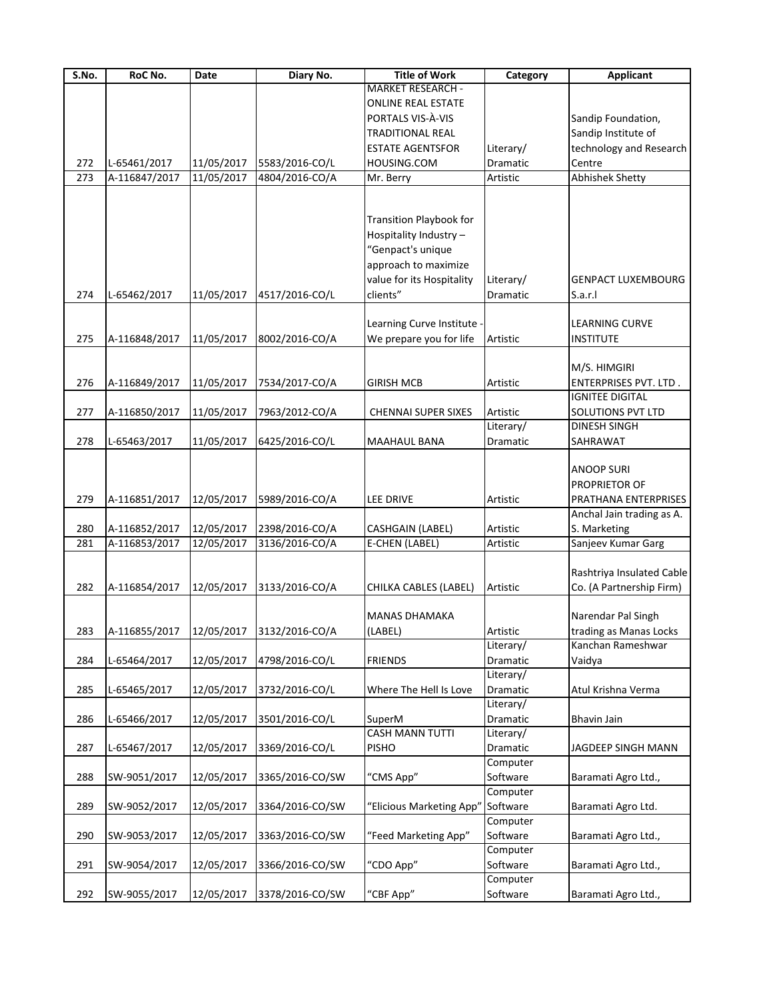| S.No. | RoC No.       | Date       | Diary No.                 | <b>Title of Work</b>           | Category  | <b>Applicant</b>          |
|-------|---------------|------------|---------------------------|--------------------------------|-----------|---------------------------|
|       |               |            |                           | <b>MARKET RESEARCH -</b>       |           |                           |
|       |               |            |                           | <b>ONLINE REAL ESTATE</b>      |           |                           |
|       |               |            |                           | PORTALS VIS-À-VIS              |           | Sandip Foundation,        |
|       |               |            |                           | <b>TRADITIONAL REAL</b>        |           | Sandip Institute of       |
|       |               |            |                           | <b>ESTATE AGENTSFOR</b>        | Literary/ | technology and Research   |
| 272   | L-65461/2017  | 11/05/2017 | 5583/2016-CO/L            | HOUSING.COM                    | Dramatic  | Centre                    |
| 273   | A-116847/2017 | 11/05/2017 | 4804/2016-CO/A            | Mr. Berry                      | Artistic  | Abhishek Shetty           |
|       |               |            |                           |                                |           |                           |
|       |               |            |                           |                                |           |                           |
|       |               |            |                           | <b>Transition Playbook for</b> |           |                           |
|       |               |            |                           | Hospitality Industry -         |           |                           |
|       |               |            |                           | "Genpact's unique              |           |                           |
|       |               |            |                           | approach to maximize           |           |                           |
|       |               |            |                           | value for its Hospitality      | Literary/ | <b>GENPACT LUXEMBOURG</b> |
| 274   | L-65462/2017  | 11/05/2017 | 4517/2016-CO/L            | clients"                       | Dramatic  | S.a.r.                    |
|       |               |            |                           |                                |           |                           |
|       |               |            |                           | Learning Curve Institute -     |           | <b>LEARNING CURVE</b>     |
| 275   | A-116848/2017 | 11/05/2017 | 8002/2016-CO/A            | We prepare you for life        | Artistic  | <b>INSTITUTE</b>          |
|       |               |            |                           |                                |           |                           |
|       |               |            |                           |                                |           |                           |
|       |               |            |                           |                                |           | M/S. HIMGIRI              |
| 276   | A-116849/2017 | 11/05/2017 | 7534/2017-CO/A            | <b>GIRISH MCB</b>              | Artistic  | ENTERPRISES PVT. LTD.     |
|       |               |            |                           |                                |           | <b>IGNITEE DIGITAL</b>    |
| 277   | A-116850/2017 | 11/05/2017 | 7963/2012-CO/A            | <b>CHENNAI SUPER SIXES</b>     | Artistic  | SOLUTIONS PVT LTD         |
|       |               |            |                           |                                | Literary/ | <b>DINESH SINGH</b>       |
| 278   | L-65463/2017  | 11/05/2017 | 6425/2016-CO/L            | MAAHAUL BANA                   | Dramatic  | SAHRAWAT                  |
|       |               |            |                           |                                |           |                           |
|       |               |            |                           |                                |           | <b>ANOOP SURI</b>         |
|       |               |            |                           |                                |           | PROPRIETOR OF             |
| 279   | A-116851/2017 | 12/05/2017 | 5989/2016-CO/A            | <b>LEE DRIVE</b>               | Artistic  | PRATHANA ENTERPRISES      |
|       |               |            |                           |                                |           | Anchal Jain trading as A. |
| 280   | A-116852/2017 | 12/05/2017 | 2398/2016-CO/A            | CASHGAIN (LABEL)               | Artistic  | S. Marketing              |
| 281   | A-116853/2017 | 12/05/2017 | 3136/2016-CO/A            | E-CHEN (LABEL)                 | Artistic  | Sanjeev Kumar Garg        |
|       |               |            |                           |                                |           |                           |
|       |               |            |                           |                                |           | Rashtriya Insulated Cable |
| 282   | A-116854/2017 | 12/05/2017 | 3133/2016-CO/A            | CHILKA CABLES (LABEL)          | Artistic  | Co. (A Partnership Firm)  |
|       |               |            |                           |                                |           |                           |
|       |               |            |                           | <b>MANAS DHAMAKA</b>           |           | Narendar Pal Singh        |
| 283   | A-116855/2017 |            | 12/05/2017 3132/2016-CO/A | (LABEL)                        | Artistic  | trading as Manas Locks    |
|       |               |            |                           |                                | Literary/ | Kanchan Rameshwar         |
| 284   | L-65464/2017  | 12/05/2017 | 4798/2016-CO/L            | <b>FRIENDS</b>                 | Dramatic  | Vaidya                    |
|       |               |            |                           |                                | Literary/ |                           |
| 285   | L-65465/2017  | 12/05/2017 | 3732/2016-CO/L            | Where The Hell Is Love         | Dramatic  | Atul Krishna Verma        |
|       |               |            |                           |                                | Literary/ |                           |
| 286   | L-65466/2017  | 12/05/2017 | 3501/2016-CO/L            | SuperM                         | Dramatic  | <b>Bhavin Jain</b>        |
|       |               |            |                           | <b>CASH MANN TUTTI</b>         | Literary/ |                           |
| 287   | L-65467/2017  | 12/05/2017 | 3369/2016-CO/L            | <b>PISHO</b>                   | Dramatic  | JAGDEEP SINGH MANN        |
|       |               |            |                           |                                | Computer  |                           |
| 288   | SW-9051/2017  | 12/05/2017 |                           | "CMS App"                      | Software  |                           |
|       |               |            | 3365/2016-CO/SW           |                                |           | Baramati Agro Ltd.,       |
|       |               |            |                           |                                | Computer  |                           |
| 289   | SW-9052/2017  | 12/05/2017 | 3364/2016-CO/SW           | "Elicious Marketing App"       | Software  | Baramati Agro Ltd.        |
|       |               |            |                           |                                | Computer  |                           |
| 290   | SW-9053/2017  | 12/05/2017 | 3363/2016-CO/SW           | "Feed Marketing App"           | Software  | Baramati Agro Ltd.,       |
|       |               |            |                           |                                | Computer  |                           |
| 291   | SW-9054/2017  | 12/05/2017 | 3366/2016-CO/SW           | "CDO App"                      | Software  | Baramati Agro Ltd.,       |
|       |               |            |                           |                                | Computer  |                           |
| 292   | SW-9055/2017  | 12/05/2017 | 3378/2016-CO/SW           | "CBF App"                      | Software  | Baramati Agro Ltd.,       |
|       |               |            |                           |                                |           |                           |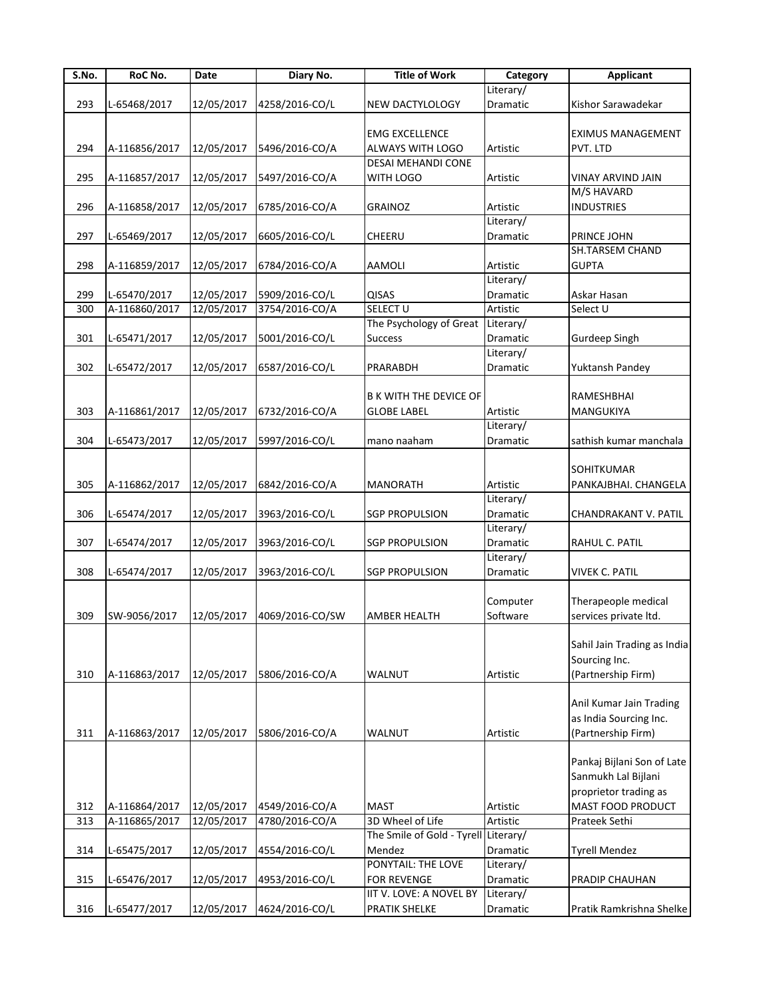| S.No. | RoC No.       | Date       | Diary No.       | <b>Title of Work</b>                 | Category  | <b>Applicant</b>            |
|-------|---------------|------------|-----------------|--------------------------------------|-----------|-----------------------------|
|       |               |            |                 |                                      | Literary/ |                             |
| 293   | L-65468/2017  | 12/05/2017 | 4258/2016-CO/L  | <b>NEW DACTYLOLOGY</b>               | Dramatic  | Kishor Sarawadekar          |
|       |               |            |                 |                                      |           |                             |
|       |               |            |                 | <b>EMG EXCELLENCE</b>                |           | <b>EXIMUS MANAGEMENT</b>    |
| 294   | A-116856/2017 | 12/05/2017 | 5496/2016-CO/A  | <b>ALWAYS WITH LOGO</b>              | Artistic  | PVT. LTD                    |
|       |               |            |                 | <b>DESAI MEHANDI CONE</b>            |           |                             |
| 295   | A-116857/2017 | 12/05/2017 | 5497/2016-CO/A  | WITH LOGO                            | Artistic  | VINAY ARVIND JAIN           |
|       |               |            |                 |                                      |           | M/S HAVARD                  |
| 296   | A-116858/2017 | 12/05/2017 | 6785/2016-CO/A  | <b>GRAINOZ</b>                       | Artistic  | <b>INDUSTRIES</b>           |
|       |               |            |                 |                                      | Literary/ |                             |
| 297   | L-65469/2017  | 12/05/2017 | 6605/2016-CO/L  | <b>CHEERU</b>                        | Dramatic  | PRINCE JOHN                 |
|       |               |            |                 |                                      |           | <b>SH.TARSEM CHAND</b>      |
| 298   |               |            |                 | <b>AAMOLI</b>                        | Artistic  | <b>GUPTA</b>                |
|       | A-116859/2017 | 12/05/2017 | 6784/2016-CO/A  |                                      |           |                             |
|       |               |            |                 |                                      | Literary/ |                             |
| 299   | L-65470/2017  | 12/05/2017 | 5909/2016-CO/L  | <b>QISAS</b>                         | Dramatic  | Askar Hasan                 |
| 300   | A-116860/2017 | 12/05/2017 | 3754/2016-CO/A  | SELECT U                             | Artistic  | Select U                    |
|       |               |            |                 | The Psychology of Great              | Literary/ |                             |
| 301   | L-65471/2017  | 12/05/2017 | 5001/2016-CO/L  | <b>Success</b>                       | Dramatic  | Gurdeep Singh               |
|       |               |            |                 |                                      | Literary/ |                             |
| 302   | L-65472/2017  | 12/05/2017 | 6587/2016-CO/L  | PRARABDH                             | Dramatic  | Yuktansh Pandey             |
|       |               |            |                 |                                      |           |                             |
|       |               |            |                 | <b>B K WITH THE DEVICE OF</b>        |           | <b>RAMESHBHAI</b>           |
| 303   | A-116861/2017 | 12/05/2017 | 6732/2016-CO/A  | <b>GLOBE LABEL</b>                   | Artistic  | MANGUKIYA                   |
|       |               |            |                 |                                      | Literary/ |                             |
| 304   | L-65473/2017  | 12/05/2017 | 5997/2016-CO/L  | mano naaham                          | Dramatic  | sathish kumar manchala      |
|       |               |            |                 |                                      |           |                             |
|       |               |            |                 |                                      |           | <b>SOHITKUMAR</b>           |
| 305   | A-116862/2017 | 12/05/2017 | 6842/2016-CO/A  | <b>MANORATH</b>                      | Artistic  | PANKAJBHAI. CHANGELA        |
|       |               |            |                 |                                      | Literary/ |                             |
| 306   |               |            |                 |                                      |           |                             |
|       | L-65474/2017  | 12/05/2017 | 3963/2016-CO/L  | <b>SGP PROPULSION</b>                | Dramatic  | CHANDRAKANT V. PATIL        |
|       |               |            |                 |                                      | Literary/ |                             |
| 307   | L-65474/2017  | 12/05/2017 | 3963/2016-CO/L  | <b>SGP PROPULSION</b>                | Dramatic  | RAHUL C. PATIL              |
|       |               |            |                 |                                      | Literary/ |                             |
| 308   | L-65474/2017  | 12/05/2017 | 3963/2016-CO/L  | <b>SGP PROPULSION</b>                | Dramatic  | <b>VIVEK C. PATIL</b>       |
|       |               |            |                 |                                      |           |                             |
|       |               |            |                 |                                      | Computer  | Therapeople medical         |
| 309   | SW-9056/2017  | 12/05/2017 | 4069/2016-CO/SW | <b>AMBER HEALTH</b>                  | Software  | services private ltd.       |
|       |               |            |                 |                                      |           |                             |
|       |               |            |                 |                                      |           | Sahil Jain Trading as India |
|       |               |            |                 |                                      |           | Sourcing Inc.               |
| 310   | A-116863/2017 | 12/05/2017 | 5806/2016-CO/A  | WALNUT                               | Artistic  | (Partnership Firm)          |
|       |               |            |                 |                                      |           |                             |
|       |               |            |                 |                                      |           | Anil Kumar Jain Trading     |
|       |               |            |                 |                                      |           | as India Sourcing Inc.      |
| 311   | A-116863/2017 | 12/05/2017 | 5806/2016-CO/A  | WALNUT                               | Artistic  | (Partnership Firm)          |
|       |               |            |                 |                                      |           |                             |
|       |               |            |                 |                                      |           | Pankaj Bijlani Son of Late  |
|       |               |            |                 |                                      |           | Sanmukh Lal Bijlani         |
|       |               |            |                 |                                      |           | proprietor trading as       |
|       |               |            |                 |                                      |           |                             |
| 312   | A-116864/2017 | 12/05/2017 | 4549/2016-CO/A  | <b>MAST</b>                          | Artistic  | MAST FOOD PRODUCT           |
| 313   | A-116865/2017 | 12/05/2017 | 4780/2016-CO/A  | 3D Wheel of Life                     | Artistic  | Prateek Sethi               |
|       |               |            |                 | The Smile of Gold - Tyrell Literary/ |           |                             |
| 314   | L-65475/2017  | 12/05/2017 | 4554/2016-CO/L  | Mendez                               | Dramatic  | <b>Tyrell Mendez</b>        |
|       |               |            |                 | PONYTAIL: THE LOVE                   | Literary/ |                             |
| 315   | L-65476/2017  | 12/05/2017 | 4953/2016-CO/L  | <b>FOR REVENGE</b>                   | Dramatic  | PRADIP CHAUHAN              |
|       |               |            |                 | IIT V. LOVE: A NOVEL BY              | Literary/ |                             |
| 316   | L-65477/2017  | 12/05/2017 | 4624/2016-CO/L  | PRATIK SHELKE                        | Dramatic  | Pratik Ramkrishna Shelke    |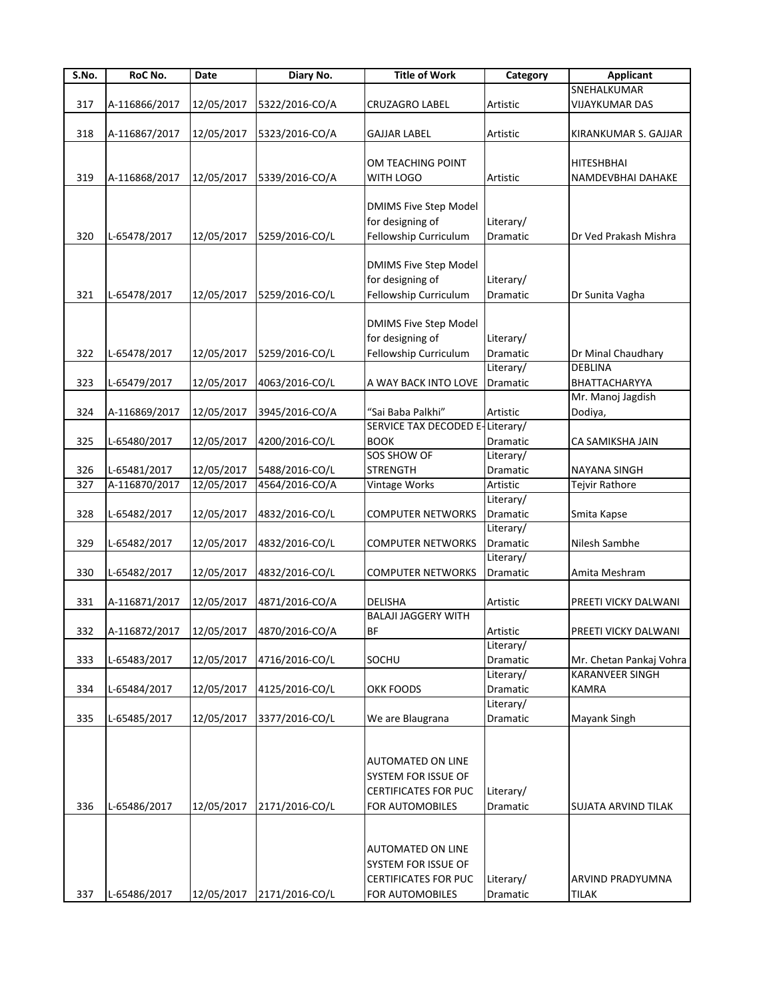| S.No. | RoC No.       | Date       | Diary No.                 | <b>Title of Work</b>         | Category        | <b>Applicant</b>        |
|-------|---------------|------------|---------------------------|------------------------------|-----------------|-------------------------|
|       |               |            |                           |                              |                 | SNEHALKUMAR             |
| 317   | A-116866/2017 | 12/05/2017 | 5322/2016-CO/A            | <b>CRUZAGRO LABEL</b>        | <b>Artistic</b> | <b>VIJAYKUMAR DAS</b>   |
|       |               |            |                           |                              |                 |                         |
| 318   | A-116867/2017 | 12/05/2017 | 5323/2016-CO/A            | <b>GAJJAR LABEL</b>          | Artistic        | KIRANKUMAR S. GAJJAR    |
|       |               |            |                           |                              |                 |                         |
|       |               |            |                           | OM TEACHING POINT            |                 | <b>HITESHBHAI</b>       |
| 319   | A-116868/2017 | 12/05/2017 | 5339/2016-CO/A            | WITH LOGO                    | Artistic        | NAMDEVBHAI DAHAKE       |
|       |               |            |                           |                              |                 |                         |
|       |               |            |                           | <b>DMIMS Five Step Model</b> |                 |                         |
|       |               |            |                           | for designing of             | Literary/       |                         |
| 320   | L-65478/2017  | 12/05/2017 | 5259/2016-CO/L            | Fellowship Curriculum        | Dramatic        | Dr Ved Prakash Mishra   |
|       |               |            |                           |                              |                 |                         |
|       |               |            |                           | <b>DMIMS Five Step Model</b> |                 |                         |
|       |               |            |                           | for designing of             | Literary/       |                         |
| 321   | L-65478/2017  | 12/05/2017 | 5259/2016-CO/L            | Fellowship Curriculum        | Dramatic        | Dr Sunita Vagha         |
|       |               |            |                           |                              |                 |                         |
|       |               |            |                           |                              |                 |                         |
|       |               |            |                           | <b>DMIMS Five Step Model</b> |                 |                         |
|       |               |            |                           | for designing of             | Literary/       |                         |
| 322   | L-65478/2017  | 12/05/2017 | 5259/2016-CO/L            | Fellowship Curriculum        | Dramatic        | Dr Minal Chaudhary      |
|       |               |            |                           |                              | Literary/       | <b>DEBLINA</b>          |
| 323   | L-65479/2017  | 12/05/2017 | 4063/2016-CO/L            | A WAY BACK INTO LOVE         | Dramatic        | BHATTACHARYYA           |
|       |               |            |                           |                              |                 | Mr. Manoj Jagdish       |
| 324   | A-116869/2017 | 12/05/2017 | 3945/2016-CO/A            | "Sai Baba Palkhi"            | Artistic        | Dodiya,                 |
|       |               |            |                           | SERVICE TAX DECODED E        | Literary/       |                         |
| 325   | L-65480/2017  | 12/05/2017 | 4200/2016-CO/L            | <b>BOOK</b>                  | Dramatic        | CA SAMIKSHA JAIN        |
|       |               |            |                           | SOS SHOW OF                  | Literary/       |                         |
| 326   | L-65481/2017  | 12/05/2017 | 5488/2016-CO/L            | <b>STRENGTH</b>              | Dramatic        | NAYANA SINGH            |
| 327   | A-116870/2017 | 12/05/2017 | 4564/2016-CO/A            | Vintage Works                | Artistic        | Tejvir Rathore          |
|       |               |            |                           |                              | Literary/       |                         |
| 328   | L-65482/2017  | 12/05/2017 | 4832/2016-CO/L            | <b>COMPUTER NETWORKS</b>     | Dramatic        | Smita Kapse             |
|       |               |            |                           |                              | Literary/       |                         |
| 329   | L-65482/2017  | 12/05/2017 | 4832/2016-CO/L            | COMPUTER NETWORKS            | Dramatic        | Nilesh Sambhe           |
|       |               |            |                           |                              | Literary/       |                         |
| 330   | L-65482/2017  | 12/05/2017 | 4832/2016-CO/L            | <b>COMPUTER NETWORKS</b>     | Dramatic        | Amita Meshram           |
|       |               |            |                           |                              |                 |                         |
|       |               |            |                           |                              |                 |                         |
| 331   | A-116871/2017 | 12/05/2017 | 4871/2016-CO/A            | <b>DELISHA</b>               | Artistic        | PREETI VICKY DALWANI    |
|       |               |            |                           | <b>BALAJI JAGGERY WITH</b>   |                 |                         |
| 332   | A-116872/2017 |            | 12/05/2017 4870/2016-CO/A | <b>BF</b>                    | Artistic        | PREETI VICKY DALWANI    |
|       |               |            |                           |                              | Literary/       |                         |
| 333   | L-65483/2017  | 12/05/2017 | 4716/2016-CO/L            | SOCHU                        | Dramatic        | Mr. Chetan Pankaj Vohra |
|       |               |            |                           |                              | Literary/       | <b>KARANVEER SINGH</b>  |
| 334   | L-65484/2017  | 12/05/2017 | 4125/2016-CO/L            | OKK FOODS                    | Dramatic        | <b>KAMRA</b>            |
|       |               |            |                           |                              | Literary/       |                         |
| 335   | L-65485/2017  | 12/05/2017 | 3377/2016-CO/L            | We are Blaugrana             | Dramatic        | Mayank Singh            |
|       |               |            |                           |                              |                 |                         |
|       |               |            |                           |                              |                 |                         |
|       |               |            |                           | <b>AUTOMATED ON LINE</b>     |                 |                         |
|       |               |            |                           | SYSTEM FOR ISSUE OF          |                 |                         |
|       |               |            |                           | <b>CERTIFICATES FOR PUC</b>  | Literary/       |                         |
| 336   | L-65486/2017  | 12/05/2017 | 2171/2016-CO/L            | FOR AUTOMOBILES              | Dramatic        | SUJATA ARVIND TILAK     |
|       |               |            |                           |                              |                 |                         |
|       |               |            |                           |                              |                 |                         |
|       |               |            |                           | <b>AUTOMATED ON LINE</b>     |                 |                         |
|       |               |            |                           | SYSTEM FOR ISSUE OF          |                 |                         |
|       |               |            |                           |                              |                 |                         |
|       |               |            |                           | <b>CERTIFICATES FOR PUC</b>  | Literary/       | ARVIND PRADYUMNA        |
| 337   | L-65486/2017  | 12/05/2017 | 2171/2016-CO/L            | FOR AUTOMOBILES              | Dramatic        | <b>TILAK</b>            |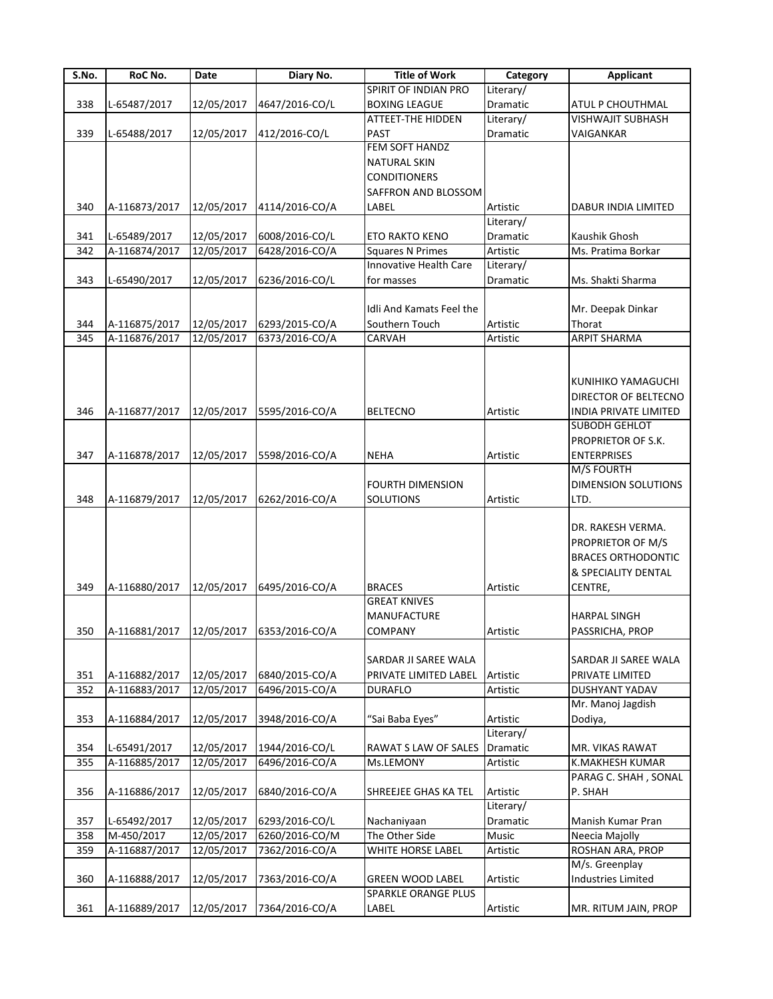| S.No. | RoC No.       | Date       | Diary No.                               | <b>Title of Work</b>       | Category  | <b>Applicant</b>          |
|-------|---------------|------------|-----------------------------------------|----------------------------|-----------|---------------------------|
|       |               |            |                                         | SPIRIT OF INDIAN PRO       | Literary/ |                           |
| 338   | L-65487/2017  | 12/05/2017 | 4647/2016-CO/L                          | <b>BOXING LEAGUE</b>       | Dramatic  | ATUL P CHOUTHMAL          |
|       |               |            |                                         | ATTEET-THE HIDDEN          | Literary/ | VISHWAJIT SUBHASH         |
| 339   | L-65488/2017  | 12/05/2017 | 412/2016-CO/L                           | <b>PAST</b>                | Dramatic  | VAIGANKAR                 |
|       |               |            |                                         | <b>FEM SOFT HANDZ</b>      |           |                           |
|       |               |            |                                         | <b>NATURAL SKIN</b>        |           |                           |
|       |               |            |                                         | <b>CONDITIONERS</b>        |           |                           |
|       |               |            |                                         |                            |           |                           |
|       |               |            |                                         | SAFFRON AND BLOSSOM        |           |                           |
| 340   | A-116873/2017 | 12/05/2017 | 4114/2016-CO/A                          | LABEL                      | Artistic  | DABUR INDIA LIMITED       |
|       |               |            |                                         |                            | Literary/ |                           |
| 341   | L-65489/2017  | 12/05/2017 | 6008/2016-CO/L                          | ETO RAKTO KENO             | Dramatic  | Kaushik Ghosh             |
| 342   | A-116874/2017 | 12/05/2017 | 6428/2016-CO/A                          | <b>Squares N Primes</b>    | Artistic  | Ms. Pratima Borkar        |
|       |               |            |                                         | Innovative Health Care     | Literary/ |                           |
| 343   | L-65490/2017  | 12/05/2017 | 6236/2016-CO/L                          | for masses                 | Dramatic  | Ms. Shakti Sharma         |
|       |               |            |                                         |                            |           |                           |
|       |               |            |                                         |                            |           |                           |
|       |               |            |                                         | Idli And Kamats Feel the   |           | Mr. Deepak Dinkar         |
| 344   | A-116875/2017 | 12/05/2017 | 6293/2015-CO/A                          | Southern Touch             | Artistic  | Thorat                    |
| 345   | A-116876/2017 | 12/05/2017 | 6373/2016-CO/A                          | CARVAH                     | Artistic  | <b>ARPIT SHARMA</b>       |
|       |               |            |                                         |                            |           |                           |
|       |               |            |                                         |                            |           |                           |
|       |               |            |                                         |                            |           | KUNIHIKO YAMAGUCHI        |
|       |               |            |                                         |                            |           | DIRECTOR OF BELTECNO      |
| 346   | A-116877/2017 | 12/05/2017 | 5595/2016-CO/A                          | <b>BELTECNO</b>            | Artistic  | INDIA PRIVATE LIMITED     |
|       |               |            |                                         |                            |           | SUBODH GEHLOT             |
|       |               |            |                                         |                            |           |                           |
|       |               |            |                                         |                            |           | PROPRIETOR OF S.K.        |
| 347   | A-116878/2017 | 12/05/2017 | 5598/2016-CO/A                          | <b>NEHA</b>                | Artistic  | <b>ENTERPRISES</b>        |
|       |               |            |                                         |                            |           | <b>M/S FOURTH</b>         |
|       |               |            |                                         | <b>FOURTH DIMENSION</b>    |           | DIMENSION SOLUTIONS       |
| 348   | A-116879/2017 | 12/05/2017 | 6262/2016-CO/A                          | <b>SOLUTIONS</b>           | Artistic  | LTD.                      |
|       |               |            |                                         |                            |           |                           |
|       |               |            |                                         |                            |           | DR. RAKESH VERMA.         |
|       |               |            |                                         |                            |           |                           |
|       |               |            |                                         |                            |           | PROPRIETOR OF M/S         |
|       |               |            |                                         |                            |           | <b>BRACES ORTHODONTIC</b> |
|       |               |            |                                         |                            |           | & SPECIALITY DENTAL       |
| 349   | A-116880/2017 | 12/05/2017 | 6495/2016-CO/A                          | <b>BRACES</b>              | Artistic  | CENTRE,                   |
|       |               |            |                                         | <b>GREAT KNIVES</b>        |           |                           |
|       |               |            |                                         | <b>MANUFACTURE</b>         |           | <b>HARPAL SINGH</b>       |
| 350   |               |            | A-116881/2017 12/05/2017 6353/2016-CO/A | <b>COMPANY</b>             | Artistic  | PASSRICHA, PROP           |
|       |               |            |                                         |                            |           |                           |
|       |               |            |                                         |                            |           |                           |
|       |               |            |                                         | SARDAR JI SAREE WALA       |           | SARDAR JI SAREE WALA      |
| 351   | A-116882/2017 | 12/05/2017 | 6840/2015-CO/A                          | PRIVATE LIMITED LABEL      | Artistic  | PRIVATE LIMITED           |
| 352   | A-116883/2017 | 12/05/2017 | 6496/2015-CO/A                          | <b>DURAFLO</b>             | Artistic  | DUSHYANT YADAV            |
|       |               |            |                                         |                            |           | Mr. Manoj Jagdish         |
| 353   | A-116884/2017 | 12/05/2017 | 3948/2016-CO/A                          | "Sai Baba Eyes"            | Artistic  | Dodiya,                   |
|       |               |            |                                         |                            | Literary/ |                           |
| 354   | L-65491/2017  | 12/05/2017 | 1944/2016-CO/L                          | RAWAT S LAW OF SALES       | Dramatic  | MR. VIKAS RAWAT           |
| 355   | A-116885/2017 |            | 6496/2016-CO/A                          |                            |           |                           |
|       |               | 12/05/2017 |                                         | Ms.LEMONY                  | Artistic  | K.MAKHESH KUMAR           |
|       |               |            |                                         |                            |           | PARAG C. SHAH, SONAL      |
| 356   | A-116886/2017 | 12/05/2017 | 6840/2016-CO/A                          | SHREEJEE GHAS KA TEL       | Artistic  | P. SHAH                   |
|       |               |            |                                         |                            | Literary/ |                           |
| 357   | L-65492/2017  | 12/05/2017 | 6293/2016-CO/L                          | Nachaniyaan                | Dramatic  | Manish Kumar Pran         |
| 358   | M-450/2017    | 12/05/2017 | 6260/2016-CO/M                          | The Other Side             | Music     | Neecia Majolly            |
| 359   | A-116887/2017 | 12/05/2017 | 7362/2016-CO/A                          | WHITE HORSE LABEL          | Artistic  | ROSHAN ARA, PROP          |
|       |               |            |                                         |                            |           | M/s. Greenplay            |
|       |               |            |                                         |                            |           |                           |
| 360   | A-116888/2017 | 12/05/2017 | 7363/2016-CO/A                          | <b>GREEN WOOD LABEL</b>    | Artistic  | <b>Industries Limited</b> |
|       |               |            |                                         | <b>SPARKLE ORANGE PLUS</b> |           |                           |
| 361   | A-116889/2017 | 12/05/2017 | 7364/2016-CO/A                          | LABEL                      | Artistic  | MR. RITUM JAIN, PROP      |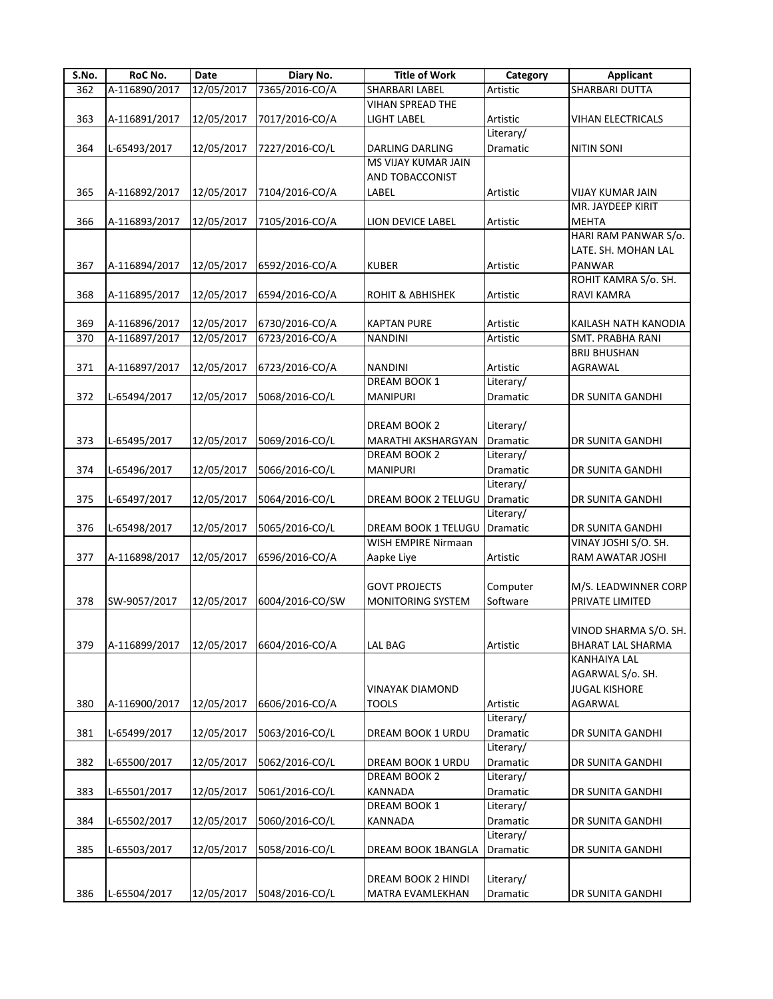| S.No. | RoC No.       | Date       | Diary No.       | <b>Title of Work</b>         | Category  | <b>Applicant</b>         |
|-------|---------------|------------|-----------------|------------------------------|-----------|--------------------------|
| 362   | A-116890/2017 | 12/05/2017 | 7365/2016-CO/A  | SHARBARI LABEL               | Artistic  | SHARBARI DUTTA           |
|       |               |            |                 | <b>VIHAN SPREAD THE</b>      |           |                          |
| 363   | A-116891/2017 | 12/05/2017 | 7017/2016-CO/A  | <b>LIGHT LABEL</b>           | Artistic  | <b>VIHAN ELECTRICALS</b> |
|       |               |            |                 |                              | Literary/ |                          |
| 364   | L-65493/2017  | 12/05/2017 | 7227/2016-CO/L  | DARLING DARLING              | Dramatic  | <b>NITIN SONI</b>        |
|       |               |            |                 | MS VIJAY KUMAR JAIN          |           |                          |
|       |               |            |                 | AND TOBACCONIST              |           |                          |
| 365   | A-116892/2017 | 12/05/2017 | 7104/2016-CO/A  | LABEL                        | Artistic  | <b>VIJAY KUMAR JAIN</b>  |
|       |               |            |                 |                              |           | MR. JAYDEEP KIRIT        |
| 366   | A-116893/2017 | 12/05/2017 | 7105/2016-CO/A  | LION DEVICE LABEL            | Artistic  | <b>MEHTA</b>             |
|       |               |            |                 |                              |           | HARI RAM PANWAR S/o.     |
|       |               |            |                 |                              |           | LATE. SH. MOHAN LAL      |
| 367   | A-116894/2017 | 12/05/2017 | 6592/2016-CO/A  | <b>KUBER</b>                 | Artistic  | PANWAR                   |
|       |               |            |                 |                              |           | ROHIT KAMRA S/o. SH.     |
| 368   | A-116895/2017 | 12/05/2017 | 6594/2016-CO/A  | <b>ROHIT &amp; ABHISHEK</b>  | Artistic  | RAVI KAMRA               |
|       |               |            |                 |                              |           |                          |
| 369   | A-116896/2017 | 12/05/2017 | 6730/2016-CO/A  | <b>KAPTAN PURE</b>           | Artistic  | KAILASH NATH KANODIA     |
| 370   | A-116897/2017 | 12/05/2017 | 6723/2016-CO/A  | <b>NANDINI</b>               | Artistic  | SMT. PRABHA RANI         |
|       |               |            |                 |                              |           | <b>BRIJ BHUSHAN</b>      |
| 371   | A-116897/2017 | 12/05/2017 | 6723/2016-CO/A  | <b>NANDINI</b>               | Artistic  | AGRAWAL                  |
|       |               |            |                 | <b>DREAM BOOK 1</b>          | Literary/ |                          |
|       | L-65494/2017  |            |                 |                              |           |                          |
| 372   |               | 12/05/2017 | 5068/2016-CO/L  | <b>MANIPURI</b>              | Dramatic  | DR SUNITA GANDHI         |
|       |               |            |                 |                              |           |                          |
|       |               |            |                 | DREAM BOOK 2                 | Literary/ |                          |
| 373   | L-65495/2017  | 12/05/2017 | 5069/2016-CO/L  | MARATHI AKSHARGYAN           | Dramatic  | DR SUNITA GANDHI         |
|       |               |            |                 | DREAM BOOK 2                 | Literary/ |                          |
| 374   | L-65496/2017  | 12/05/2017 | 5066/2016-CO/L  | <b>MANIPURI</b>              | Dramatic  | DR SUNITA GANDHI         |
|       |               |            |                 |                              | Literary/ |                          |
| 375   | L-65497/2017  | 12/05/2017 | 5064/2016-CO/L  | DREAM BOOK 2 TELUGU Dramatic |           | DR SUNITA GANDHI         |
|       |               |            |                 |                              | Literary/ |                          |
| 376   | L-65498/2017  | 12/05/2017 | 5065/2016-CO/L  | DREAM BOOK 1 TELUGU          | Dramatic  | DR SUNITA GANDHI         |
|       |               |            |                 | WISH EMPIRE Nirmaan          |           | VINAY JOSHI S/O. SH.     |
| 377   | A-116898/2017 | 12/05/2017 | 6596/2016-CO/A  | Aapke Liye                   | Artistic  | RAM AWATAR JOSHI         |
|       |               |            |                 |                              |           |                          |
|       |               |            |                 | <b>GOVT PROJECTS</b>         | Computer  | M/S. LEADWINNER CORP     |
| 378   | SW-9057/2017  | 12/05/2017 | 6004/2016-CO/SW | <b>MONITORING SYSTEM</b>     | Software  | PRIVATE LIMITED          |
|       |               |            |                 |                              |           |                          |
|       |               |            |                 |                              |           | VINOD SHARMA S/O. SH.    |
| 379   | A-116899/2017 | 12/05/2017 | 6604/2016-CO/A  | <b>LAL BAG</b>               | Artistic  | <b>BHARAT LAL SHARMA</b> |
|       |               |            |                 |                              |           | KANHAIYA LAL             |
|       |               |            |                 |                              |           | AGARWAL S/o. SH.         |
|       |               |            |                 | VINAYAK DIAMOND              |           | <b>JUGAL KISHORE</b>     |
|       |               |            |                 | <b>TOOLS</b>                 |           |                          |
| 380   | A-116900/2017 | 12/05/2017 | 6606/2016-CO/A  |                              | Artistic  | AGARWAL                  |
|       |               |            |                 |                              | Literary/ |                          |
| 381   | L-65499/2017  | 12/05/2017 | 5063/2016-CO/L  | DREAM BOOK 1 URDU            | Dramatic  | DR SUNITA GANDHI         |
|       |               |            |                 |                              | Literary/ |                          |
| 382   | L-65500/2017  | 12/05/2017 | 5062/2016-CO/L  | DREAM BOOK 1 URDU            | Dramatic  | DR SUNITA GANDHI         |
|       |               |            |                 | DREAM BOOK 2                 | Literary/ |                          |
| 383   | L-65501/2017  | 12/05/2017 | 5061/2016-CO/L  | <b>KANNADA</b>               | Dramatic  | DR SUNITA GANDHI         |
|       |               |            |                 | DREAM BOOK 1                 | Literary/ |                          |
| 384   | L-65502/2017  | 12/05/2017 | 5060/2016-CO/L  | KANNADA                      | Dramatic  | DR SUNITA GANDHI         |
|       |               |            |                 |                              | Literary/ |                          |
| 385   | L-65503/2017  | 12/05/2017 | 5058/2016-CO/L  | DREAM BOOK 1BANGLA           | Dramatic  | DR SUNITA GANDHI         |
|       |               |            |                 |                              |           |                          |
|       |               |            |                 | DREAM BOOK 2 HINDI           | Literary/ |                          |
| 386   | L-65504/2017  | 12/05/2017 | 5048/2016-CO/L  | MATRA EVAMLEKHAN             | Dramatic  | DR SUNITA GANDHI         |
|       |               |            |                 |                              |           |                          |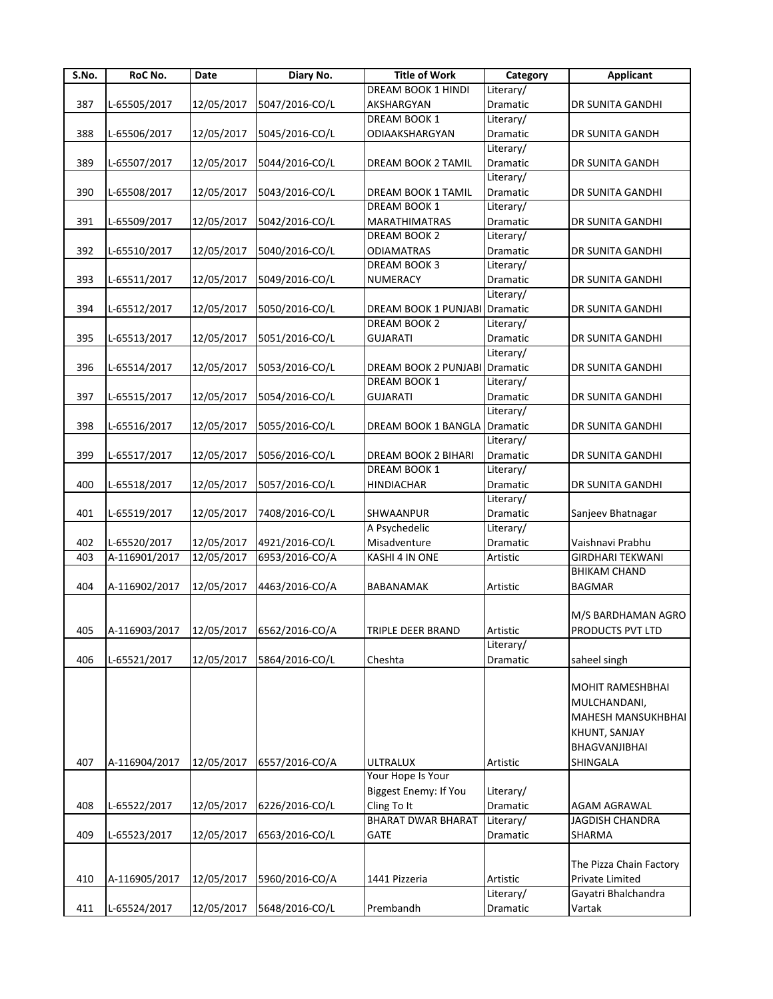| S.No. | RoC No.       | Date       | Diary No.                               | <b>Title of Work</b>      | Category  | <b>Applicant</b>        |
|-------|---------------|------------|-----------------------------------------|---------------------------|-----------|-------------------------|
|       |               |            |                                         | DREAM BOOK 1 HINDI        | Literary/ |                         |
| 387   | L-65505/2017  | 12/05/2017 | 5047/2016-CO/L                          | AKSHARGYAN                | Dramatic  | DR SUNITA GANDHI        |
|       |               |            |                                         | DREAM BOOK 1              | Literary/ |                         |
| 388   | L-65506/2017  | 12/05/2017 | 5045/2016-CO/L                          | ODIAAKSHARGYAN            | Dramatic  | DR SUNITA GANDH         |
|       |               |            |                                         |                           | Literary/ |                         |
| 389   | L-65507/2017  | 12/05/2017 | 5044/2016-CO/L                          | DREAM BOOK 2 TAMIL        | Dramatic  | DR SUNITA GANDH         |
|       |               |            |                                         |                           | Literary/ |                         |
| 390   | L-65508/2017  | 12/05/2017 | 5043/2016-CO/L                          | DREAM BOOK 1 TAMIL        | Dramatic  | DR SUNITA GANDHI        |
|       |               |            |                                         | DREAM BOOK 1              | Literary/ |                         |
| 391   | L-65509/2017  | 12/05/2017 | 5042/2016-CO/L                          | MARATHIMATRAS             | Dramatic  | DR SUNITA GANDHI        |
|       |               |            |                                         | DREAM BOOK 2              | Literary/ |                         |
| 392   | L-65510/2017  | 12/05/2017 | 5040/2016-CO/L                          | <b>ODIAMATRAS</b>         | Dramatic  | DR SUNITA GANDHI        |
|       |               |            |                                         | DREAM BOOK 3              | Literary/ |                         |
| 393   | L-65511/2017  | 12/05/2017 | 5049/2016-CO/L                          | NUMERACY                  | Dramatic  | DR SUNITA GANDHI        |
|       |               |            |                                         |                           | Literary/ |                         |
| 394   | L-65512/2017  | 12/05/2017 | 5050/2016-CO/L                          | DREAM BOOK 1 PUNJABI      | Dramatic  | DR SUNITA GANDHI        |
|       |               |            |                                         | DREAM BOOK 2              | Literary/ |                         |
| 395   | L-65513/2017  | 12/05/2017 | 5051/2016-CO/L                          | <b>GUJARATI</b>           | Dramatic  | DR SUNITA GANDHI        |
|       |               |            |                                         |                           | Literary/ |                         |
| 396   | L-65514/2017  | 12/05/2017 | 5053/2016-CO/L                          | DREAM BOOK 2 PUNJABI      | Dramatic  | DR SUNITA GANDHI        |
|       |               |            |                                         | DREAM BOOK 1              | Literary/ |                         |
| 397   | L-65515/2017  | 12/05/2017 | 5054/2016-CO/L                          | <b>GUJARATI</b>           | Dramatic  | DR SUNITA GANDHI        |
|       |               |            |                                         |                           | Literary/ |                         |
| 398   | L-65516/2017  | 12/05/2017 | 5055/2016-CO/L                          | DREAM BOOK 1 BANGLA       | Dramatic  | DR SUNITA GANDHI        |
|       |               |            |                                         |                           | Literary/ |                         |
| 399   | L-65517/2017  | 12/05/2017 | 5056/2016-CO/L                          | DREAM BOOK 2 BIHARI       | Dramatic  | DR SUNITA GANDHI        |
|       |               |            |                                         | DREAM BOOK 1              | Literary/ |                         |
| 400   | L-65518/2017  | 12/05/2017 | 5057/2016-CO/L                          | <b>HINDIACHAR</b>         | Dramatic  | DR SUNITA GANDHI        |
|       |               |            |                                         |                           | Literary/ |                         |
| 401   | L-65519/2017  | 12/05/2017 | 7408/2016-CO/L                          | SHWAANPUR                 | Dramatic  | Sanjeev Bhatnagar       |
|       |               |            |                                         | A Psychedelic             | Literary/ |                         |
| 402   | L-65520/2017  | 12/05/2017 | 4921/2016-CO/L                          | Misadventure              | Dramatic  | Vaishnavi Prabhu        |
| 403   | A-116901/2017 | 12/05/2017 | 6953/2016-CO/A                          | KASHI 4 IN ONE            | Artistic  | <b>GIRDHARI TEKWANI</b> |
|       |               |            |                                         |                           |           | <b>BHIKAM CHAND</b>     |
| 404   | A-116902/2017 | 12/05/2017 | 4463/2016-CO/A                          | BABANAMAK                 | Artistic  | <b>BAGMAR</b>           |
|       |               |            |                                         |                           |           |                         |
|       |               |            |                                         |                           |           | M/S BARDHAMAN AGRO      |
| 405   |               |            | A-116903/2017 12/05/2017 6562/2016-CO/A | TRIPLE DEER BRAND         | Artistic  | PRODUCTS PVT LTD        |
|       |               |            |                                         |                           | Literary/ |                         |
| 406   | L-65521/2017  |            | 5864/2016-CO/L                          | Cheshta                   | Dramatic  | saheel singh            |
|       |               | 12/05/2017 |                                         |                           |           |                         |
|       |               |            |                                         |                           |           | <b>MOHIT RAMESHBHAI</b> |
|       |               |            |                                         |                           |           | MULCHANDANI,            |
|       |               |            |                                         |                           |           | MAHESH MANSUKHBHAI      |
|       |               |            |                                         |                           |           | KHUNT, SANJAY           |
|       |               |            |                                         |                           |           |                         |
|       |               |            |                                         |                           |           | BHAGVANJIBHAI           |
| 407   | A-116904/2017 | 12/05/2017 | 6557/2016-CO/A                          | <b>ULTRALUX</b>           | Artistic  | SHINGALA                |
|       |               |            |                                         | Your Hope Is Your         |           |                         |
|       |               |            |                                         | Biggest Enemy: If You     | Literary/ |                         |
| 408   | L-65522/2017  | 12/05/2017 | 6226/2016-CO/L                          | Cling To It               | Dramatic  | AGAM AGRAWAL            |
|       |               |            |                                         | <b>BHARAT DWAR BHARAT</b> | Literary/ | <b>JAGDISH CHANDRA</b>  |
| 409   | L-65523/2017  | 12/05/2017 | 6563/2016-CO/L                          | <b>GATE</b>               | Dramatic  | SHARMA                  |
|       |               |            |                                         |                           |           |                         |
|       |               |            |                                         |                           |           | The Pizza Chain Factory |
| 410   | A-116905/2017 | 12/05/2017 | 5960/2016-CO/A                          | 1441 Pizzeria             | Artistic  | Private Limited         |
|       |               |            |                                         |                           | Literary/ | Gayatri Bhalchandra     |
| 411   | L-65524/2017  | 12/05/2017 | 5648/2016-CO/L                          | Prembandh                 | Dramatic  | Vartak                  |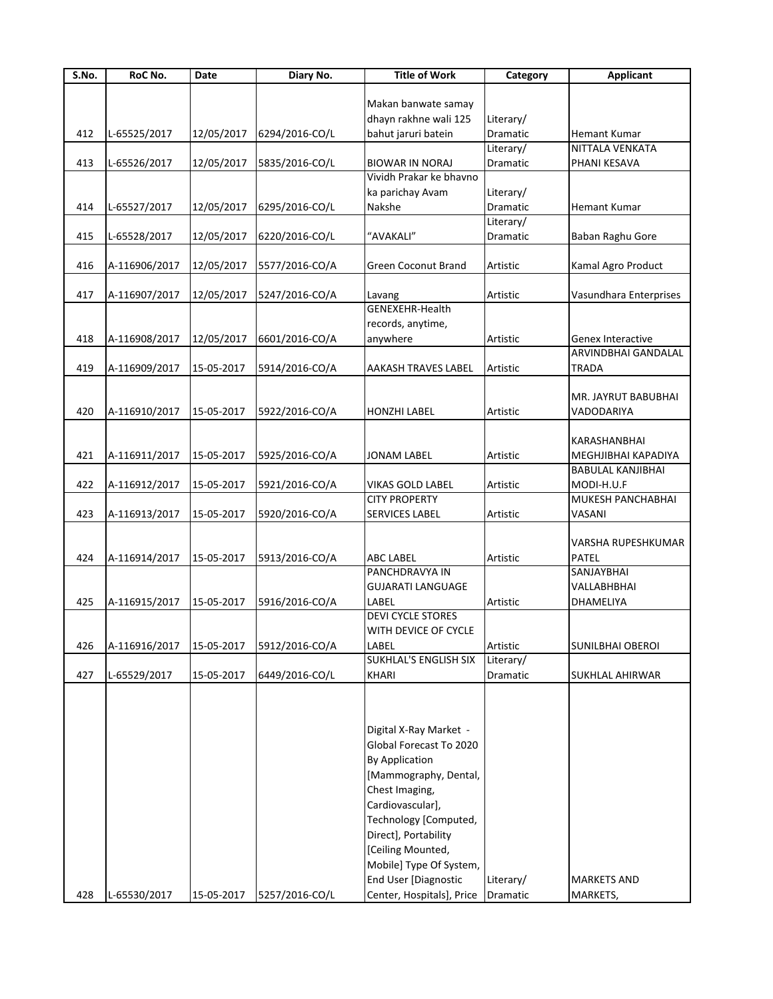| S.No. | RoC No.       | <b>Date</b> | Diary No.      | <b>Title of Work</b>         | Category  | <b>Applicant</b>       |
|-------|---------------|-------------|----------------|------------------------------|-----------|------------------------|
|       |               |             |                |                              |           |                        |
|       |               |             |                | Makan banwate samay          |           |                        |
|       |               |             |                | dhayn rakhne wali 125        | Literary/ |                        |
| 412   | L-65525/2017  | 12/05/2017  | 6294/2016-CO/L | bahut jaruri batein          | Dramatic  | <b>Hemant Kumar</b>    |
|       |               |             |                |                              | Literary/ | NITTALA VENKATA        |
| 413   | L-65526/2017  | 12/05/2017  | 5835/2016-CO/L | <b>BIOWAR IN NORAJ</b>       | Dramatic  | PHANI KESAVA           |
|       |               |             |                | Vividh Prakar ke bhavno      |           |                        |
|       |               |             |                | ka parichay Avam             | Literary/ |                        |
| 414   | L-65527/2017  | 12/05/2017  | 6295/2016-CO/L | Nakshe                       | Dramatic  | Hemant Kumar           |
|       |               |             |                |                              | Literary/ |                        |
| 415   | L-65528/2017  | 12/05/2017  | 6220/2016-CO/L | "AVAKALI"                    | Dramatic  | Baban Raghu Gore       |
|       |               |             |                |                              |           |                        |
| 416   | A-116906/2017 | 12/05/2017  | 5577/2016-CO/A | <b>Green Coconut Brand</b>   | Artistic  | Kamal Agro Product     |
|       |               |             |                |                              |           |                        |
|       |               |             |                |                              |           |                        |
| 417   | A-116907/2017 | 12/05/2017  | 5247/2016-CO/A | Lavang                       | Artistic  | Vasundhara Enterprises |
|       |               |             |                | <b>GENEXEHR-Health</b>       |           |                        |
|       |               |             |                | records, anytime,            |           |                        |
| 418   | A-116908/2017 | 12/05/2017  | 6601/2016-CO/A | anywhere                     | Artistic  | Genex Interactive      |
|       |               |             |                |                              |           | ARVINDBHAI GANDALAL    |
| 419   | A-116909/2017 | 15-05-2017  | 5914/2016-CO/A | <b>AAKASH TRAVES LABEL</b>   | Artistic  | <b>TRADA</b>           |
|       |               |             |                |                              |           |                        |
|       |               |             |                |                              |           | MR. JAYRUT BABUBHAI    |
| 420   | A-116910/2017 | 15-05-2017  | 5922/2016-CO/A | <b>HONZHI LABEL</b>          | Artistic  | VADODARIYA             |
|       |               |             |                |                              |           |                        |
|       |               |             |                |                              |           | KARASHANBHAI           |
|       |               |             |                |                              |           |                        |
| 421   | A-116911/2017 | 15-05-2017  | 5925/2016-CO/A | <b>JONAM LABEL</b>           | Artistic  | MEGHJIBHAI KAPADIYA    |
|       |               |             |                |                              |           | BABULAL KANJIBHAI      |
| 422   | A-116912/2017 | 15-05-2017  | 5921/2016-CO/A | <b>VIKAS GOLD LABEL</b>      | Artistic  | MODI-H.U.F             |
|       |               |             |                | <b>CITY PROPERTY</b>         |           | MUKESH PANCHABHAI      |
| 423   | A-116913/2017 | 15-05-2017  | 5920/2016-CO/A | <b>SERVICES LABEL</b>        | Artistic  | VASANI                 |
|       |               |             |                |                              |           |                        |
|       |               |             |                |                              |           | VARSHA RUPESHKUMAR     |
| 424   | A-116914/2017 | 15-05-2017  | 5913/2016-CO/A | <b>ABC LABEL</b>             | Artistic  | <b>PATEL</b>           |
|       |               |             |                | PANCHDRAVYA IN               |           | SANJAYBHAI             |
|       |               |             |                | <b>GUJARATI LANGUAGE</b>     |           | VALLABHBHAI            |
| 425   | A-116915/2017 | 15-05-2017  | 5916/2016-CO/A | LABEL                        | Artistic  | DHAMELIYA              |
|       |               |             |                | <b>DEVI CYCLE STORES</b>     |           |                        |
|       |               |             |                | <b>WITH DEVICE OF CYCLE</b>  |           |                        |
| 426   | A-116916/2017 | 15-05-2017  | 5912/2016-CO/A | LABEL                        | Artistic  | SUNILBHAI OBEROI       |
|       |               |             |                | <b>SUKHLAL'S ENGLISH SIX</b> | Literary/ |                        |
|       |               |             |                |                              |           |                        |
| 427   | L-65529/2017  | 15-05-2017  | 6449/2016-CO/L | <b>KHARI</b>                 | Dramatic  | SUKHLAL AHIRWAR        |
|       |               |             |                |                              |           |                        |
|       |               |             |                |                              |           |                        |
|       |               |             |                |                              |           |                        |
|       |               |             |                | Digital X-Ray Market -       |           |                        |
|       |               |             |                | Global Forecast To 2020      |           |                        |
|       |               |             |                | <b>By Application</b>        |           |                        |
|       |               |             |                | [Mammography, Dental,        |           |                        |
|       |               |             |                | Chest Imaging,               |           |                        |
|       |               |             |                | Cardiovascular],             |           |                        |
|       |               |             |                | Technology [Computed,        |           |                        |
|       |               |             |                |                              |           |                        |
|       |               |             |                | Direct], Portability         |           |                        |
|       |               |             |                | [Ceiling Mounted,            |           |                        |
|       |               |             |                | Mobile] Type Of System,      |           |                        |
|       |               |             |                | End User [Diagnostic         | Literary/ | <b>MARKETS AND</b>     |
| 428   | L-65530/2017  | 15-05-2017  | 5257/2016-CO/L | Center, Hospitals], Price    | Dramatic  | MARKETS,               |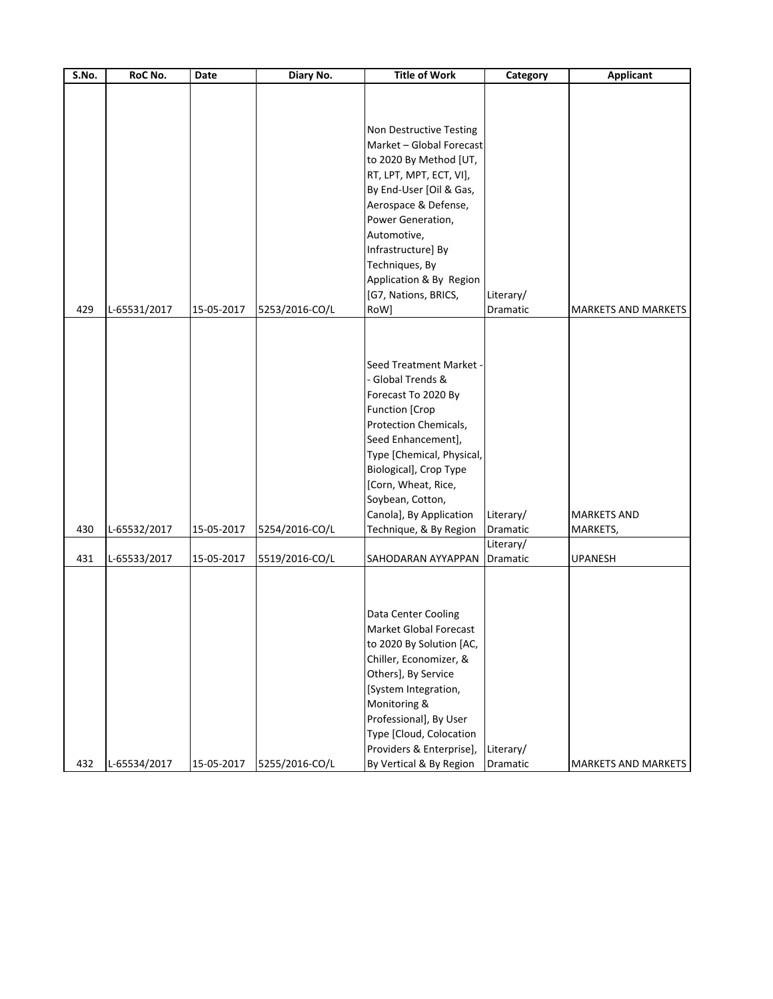| S.No. | RoC No.      | Date       | Diary No.      | <b>Title of Work</b>                                                                                                                                                                                                                                                                               | Category              | <b>Applicant</b>               |
|-------|--------------|------------|----------------|----------------------------------------------------------------------------------------------------------------------------------------------------------------------------------------------------------------------------------------------------------------------------------------------------|-----------------------|--------------------------------|
|       |              |            |                | Non Destructive Testing<br>Market - Global Forecast<br>to 2020 By Method [UT,<br>RT, LPT, MPT, ECT, VI],<br>By End-User [Oil & Gas,<br>Aerospace & Defense,<br>Power Generation,<br>Automotive,<br>Infrastructure] By<br>Techniques, By<br>Application & By Region<br>[G7, Nations, BRICS,         | Literary/             |                                |
| 429   | L-65531/2017 | 15-05-2017 | 5253/2016-CO/L | RoW]                                                                                                                                                                                                                                                                                               | Dramatic              | <b>MARKETS AND MARKETS</b>     |
| 430   | L-65532/2017 | 15-05-2017 | 5254/2016-CO/L | Seed Treatment Market -<br>- Global Trends &<br>Forecast To 2020 By<br><b>Function [Crop</b><br>Protection Chemicals,<br>Seed Enhancement],<br>Type [Chemical, Physical,<br>Biological], Crop Type<br>[Corn, Wheat, Rice,<br>Soybean, Cotton,<br>Canola], By Application<br>Technique, & By Region | Literary/<br>Dramatic | <b>MARKETS AND</b><br>MARKETS, |
| 431   | L-65533/2017 | 15-05-2017 | 5519/2016-CO/L | SAHODARAN AYYAPPAN                                                                                                                                                                                                                                                                                 | Literary/<br>Dramatic | <b>UPANESH</b>                 |
| 432   | L-65534/2017 | 15-05-2017 | 5255/2016-CO/L | Data Center Cooling<br>Market Global Forecast<br>to 2020 By Solution [AC,<br>Chiller, Economizer, &<br>Others], By Service<br>[System Integration,<br>Monitoring &<br>Professional], By User<br>Type [Cloud, Colocation<br>Providers & Enterprise],<br>By Vertical & By Region                     | Literary/<br>Dramatic | MARKETS AND MARKETS            |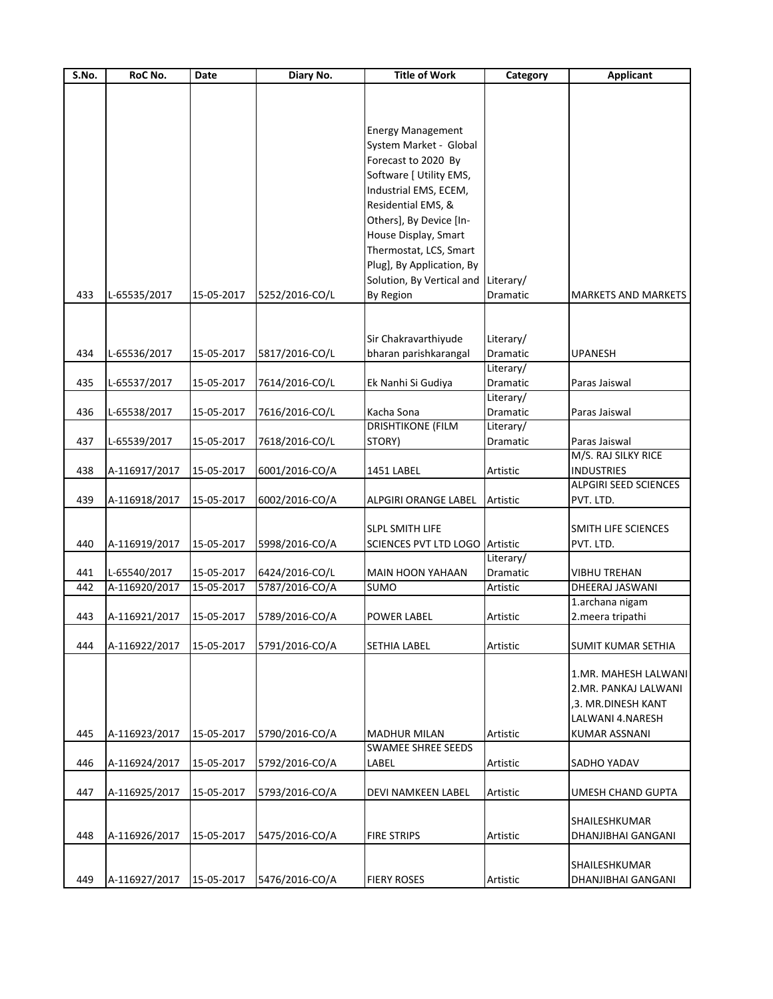| $\overline{\mathsf{S}}$ . No. | RoC No.       | Date       | Diary No.      | <b>Title of Work</b>      | Category        | <b>Applicant</b>             |
|-------------------------------|---------------|------------|----------------|---------------------------|-----------------|------------------------------|
|                               |               |            |                |                           |                 |                              |
|                               |               |            |                |                           |                 |                              |
|                               |               |            |                |                           |                 |                              |
|                               |               |            |                | <b>Energy Management</b>  |                 |                              |
|                               |               |            |                | System Market - Global    |                 |                              |
|                               |               |            |                | Forecast to 2020 By       |                 |                              |
|                               |               |            |                | Software [ Utility EMS,   |                 |                              |
|                               |               |            |                | Industrial EMS, ECEM,     |                 |                              |
|                               |               |            |                | Residential EMS, &        |                 |                              |
|                               |               |            |                | Others], By Device [In-   |                 |                              |
|                               |               |            |                | House Display, Smart      |                 |                              |
|                               |               |            |                | Thermostat, LCS, Smart    |                 |                              |
|                               |               |            |                | Plug], By Application, By |                 |                              |
|                               |               |            |                | Solution, By Vertical and | Literary/       |                              |
| 433                           | L-65535/2017  | 15-05-2017 | 5252/2016-CO/L | By Region                 | Dramatic        | <b>MARKETS AND MARKETS</b>   |
|                               |               |            |                |                           |                 |                              |
|                               |               |            |                |                           |                 |                              |
|                               |               |            |                | Sir Chakravarthiyude      | Literary/       |                              |
| 434                           | L-65536/2017  | 15-05-2017 | 5817/2016-CO/L | bharan parishkarangal     | <b>Dramatic</b> | <b>UPANESH</b>               |
|                               |               |            |                |                           | Literary/       |                              |
| 435                           | L-65537/2017  | 15-05-2017 | 7614/2016-CO/L | Ek Nanhi Si Gudiya        | Dramatic        | Paras Jaiswal                |
|                               |               |            |                |                           | Literary/       |                              |
| 436                           | L-65538/2017  | 15-05-2017 | 7616/2016-CO/L | Kacha Sona                | Dramatic        | Paras Jaiswal                |
|                               |               |            |                | <b>DRISHTIKONE (FILM</b>  | Literary/       |                              |
| 437                           | L-65539/2017  | 15-05-2017 | 7618/2016-CO/L | STORY)                    | Dramatic        | Paras Jaiswal                |
|                               |               |            |                |                           |                 | M/S. RAJ SILKY RICE          |
| 438                           | A-116917/2017 | 15-05-2017 | 6001/2016-CO/A | 1451 LABEL                | Artistic        | <b>INDUSTRIES</b>            |
|                               |               |            |                |                           |                 | <b>ALPGIRI SEED SCIENCES</b> |
| 439                           | A-116918/2017 | 15-05-2017 | 6002/2016-CO/A | ALPGIRI ORANGE LABEL      | Artistic        | PVT. LTD.                    |
|                               |               |            |                |                           |                 |                              |
|                               |               |            |                | <b>SLPL SMITH LIFE</b>    |                 | SMITH LIFE SCIENCES          |
| 440                           | A-116919/2017 | 15-05-2017 | 5998/2016-CO/A | SCIENCES PVT LTD LOGO     | Artistic        | PVT. LTD.                    |
|                               |               |            |                |                           | Literary/       |                              |
| 441                           | L-65540/2017  | 15-05-2017 | 6424/2016-CO/L | <b>MAIN HOON YAHAAN</b>   | Dramatic        | <b>VIBHU TREHAN</b>          |
| 442                           | A-116920/2017 | 15-05-2017 | 5787/2016-CO/A | <b>SUMO</b>               | Artistic        | DHEERAJ JASWANI              |
|                               |               |            |                |                           |                 | 1.archana nigam              |
| 443                           | A-116921/2017 | 15-05-2017 | 5789/2016-CO/A | <b>POWER LABEL</b>        | Artistic        | 2. meera tripathi            |
|                               |               |            |                |                           |                 |                              |
| 444                           | A-116922/2017 | 15-05-2017 | 5791/2016-CO/A | <b>SETHIA LABEL</b>       | Artistic        | <b>SUMIT KUMAR SETHIA</b>    |
|                               |               |            |                |                           |                 |                              |
|                               |               |            |                |                           |                 | 1.MR. MAHESH LALWANI         |
|                               |               |            |                |                           |                 | 2.MR. PANKAJ LALWANI         |
|                               |               |            |                |                           |                 | ,3. MR.DINESH KANT           |
|                               |               |            |                |                           |                 | LALWANI 4.NARESH             |
| 445                           | A-116923/2017 | 15-05-2017 | 5790/2016-CO/A | <b>MADHUR MILAN</b>       | Artistic        | <b>KUMAR ASSNANI</b>         |
|                               |               |            |                | <b>SWAMEE SHREE SEEDS</b> |                 |                              |
| 446                           | A-116924/2017 | 15-05-2017 | 5792/2016-CO/A | LABEL                     | Artistic        | SADHO YADAV                  |
|                               |               |            |                |                           |                 |                              |
| 447                           | A-116925/2017 | 15-05-2017 | 5793/2016-CO/A | DEVI NAMKEEN LABEL        | Artistic        | UMESH CHAND GUPTA            |
|                               |               |            |                |                           |                 |                              |
|                               |               |            |                |                           |                 | SHAILESHKUMAR                |
| 448                           | A-116926/2017 | 15-05-2017 | 5475/2016-CO/A | <b>FIRE STRIPS</b>        | Artistic        | DHANJIBHAI GANGANI           |
|                               |               |            |                |                           |                 |                              |
|                               |               |            |                |                           |                 | SHAILESHKUMAR                |
| 449                           | A-116927/2017 | 15-05-2017 | 5476/2016-CO/A | <b>FIERY ROSES</b>        | Artistic        | DHANJIBHAI GANGANI           |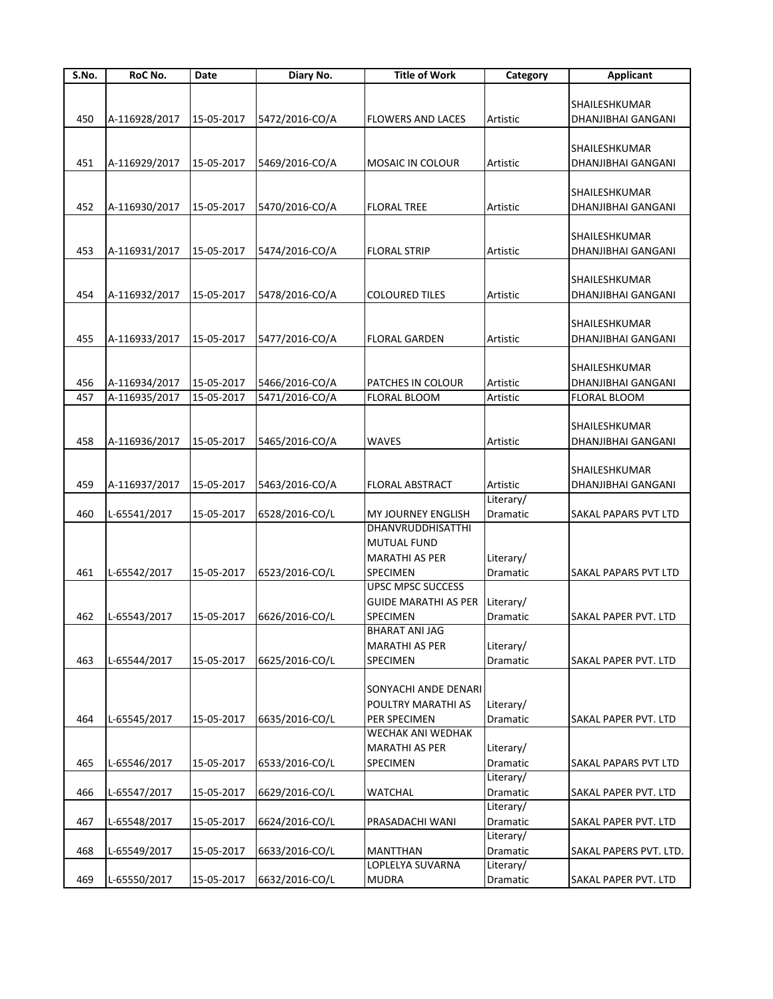| S.No. | RoC No.       | Date       | Diary No.      | <b>Title of Work</b>        | Category  | <b>Applicant</b>            |
|-------|---------------|------------|----------------|-----------------------------|-----------|-----------------------------|
|       |               |            |                |                             |           |                             |
|       |               |            |                |                             |           | SHAILESHKUMAR               |
| 450   | A-116928/2017 | 15-05-2017 | 5472/2016-CO/A | <b>FLOWERS AND LACES</b>    | Artistic  | <b>DHANJIBHAI GANGANI</b>   |
|       |               |            |                |                             |           |                             |
|       |               |            |                |                             |           | SHAILESHKUMAR               |
|       |               |            |                |                             |           |                             |
| 451   | A-116929/2017 | 15-05-2017 | 5469/2016-CO/A | MOSAIC IN COLOUR            | Artistic  | DHANJIBHAI GANGANI          |
|       |               |            |                |                             |           |                             |
|       |               |            |                |                             |           | SHAILESHKUMAR               |
| 452   | A-116930/2017 | 15-05-2017 | 5470/2016-CO/A | <b>FLORAL TREE</b>          | Artistic  | DHANJIBHAI GANGANI          |
|       |               |            |                |                             |           |                             |
|       |               |            |                |                             |           | SHAILESHKUMAR               |
|       |               |            |                |                             |           |                             |
| 453   | A-116931/2017 | 15-05-2017 | 5474/2016-CO/A | <b>FLORAL STRIP</b>         | Artistic  | DHANJIBHAI GANGANI          |
|       |               |            |                |                             |           |                             |
|       |               |            |                |                             |           | SHAILESHKUMAR               |
| 454   | A-116932/2017 | 15-05-2017 | 5478/2016-CO/A | <b>COLOURED TILES</b>       | Artistic  | DHANJIBHAI GANGANI          |
|       |               |            |                |                             |           |                             |
|       |               |            |                |                             |           | SHAILESHKUMAR               |
| 455   | A-116933/2017 | 15-05-2017 | 5477/2016-CO/A | <b>FLORAL GARDEN</b>        | Artistic  | DHANJIBHAI GANGANI          |
|       |               |            |                |                             |           |                             |
|       |               |            |                |                             |           |                             |
|       |               |            |                |                             |           | SHAILESHKUMAR               |
| 456   | A-116934/2017 | 15-05-2017 | 5466/2016-CO/A | PATCHES IN COLOUR           | Artistic  | DHANJIBHAI GANGANI          |
| 457   | A-116935/2017 | 15-05-2017 | 5471/2016-CO/A | FLORAL BLOOM                | Artistic  | <b>FLORAL BLOOM</b>         |
|       |               |            |                |                             |           |                             |
|       |               |            |                |                             |           | SHAILESHKUMAR               |
| 458   | A-116936/2017 | 15-05-2017 | 5465/2016-CO/A | <b>WAVES</b>                | Artistic  | DHANJIBHAI GANGANI          |
|       |               |            |                |                             |           |                             |
|       |               |            |                |                             |           |                             |
|       |               |            |                |                             |           | SHAILESHKUMAR               |
| 459   | A-116937/2017 | 15-05-2017 | 5463/2016-CO/A | <b>FLORAL ABSTRACT</b>      | Artistic  | DHANJIBHAI GANGANI          |
|       |               |            |                |                             | Literary/ |                             |
| 460   | L-65541/2017  | 15-05-2017 | 6528/2016-CO/L | MY JOURNEY ENGLISH          | Dramatic  | SAKAL PAPARS PVT LTD        |
|       |               |            |                | DHANVRUDDHISATTHI           |           |                             |
|       |               |            |                | MUTUAL FUND                 |           |                             |
|       |               |            |                |                             |           |                             |
|       |               |            |                | <b>MARATHI AS PER</b>       | Literary/ |                             |
| 461   | L-65542/2017  | 15-05-2017 | 6523/2016-CO/L | SPECIMEN                    | Dramatic  | SAKAL PAPARS PVT LTD        |
|       |               |            |                | <b>UPSC MPSC SUCCESS</b>    |           |                             |
|       |               |            |                | <b>GUIDE MARATHI AS PER</b> | Literary/ |                             |
| 462   | L-65543/2017  | 15-05-2017 | 6626/2016-CO/L | SPECIMEN                    | Dramatic  | SAKAL PAPER PVT. LTD        |
|       |               |            |                | <b>BHARAT ANI JAG</b>       |           |                             |
|       |               |            |                | <b>MARATHI AS PER</b>       | Literary/ |                             |
|       |               |            |                |                             |           |                             |
| 463   | L-65544/2017  | 15-05-2017 | 6625/2016-CO/L | SPECIMEN                    | Dramatic  | SAKAL PAPER PVT. LTD        |
|       |               |            |                |                             |           |                             |
|       |               |            |                | SONYACHI ANDE DENARI        |           |                             |
|       |               |            |                | POULTRY MARATHI AS          | Literary/ |                             |
| 464   | L-65545/2017  | 15-05-2017 | 6635/2016-CO/L | PER SPECIMEN                | Dramatic  | SAKAL PAPER PVT. LTD        |
|       |               |            |                | WECHAK ANI WEDHAK           |           |                             |
|       |               |            |                |                             |           |                             |
|       |               |            |                | <b>MARATHI AS PER</b>       | Literary/ |                             |
| 465   | L-65546/2017  | 15-05-2017 | 6533/2016-CO/L | <b>SPECIMEN</b>             | Dramatic  | <b>SAKAL PAPARS PVT LTD</b> |
|       |               |            |                |                             | Literary/ |                             |
| 466   | L-65547/2017  | 15-05-2017 | 6629/2016-CO/L | WATCHAL                     | Dramatic  | SAKAL PAPER PVT. LTD        |
|       |               |            |                |                             | Literary/ |                             |
| 467   | L-65548/2017  | 15-05-2017 | 6624/2016-CO/L | PRASADACHI WANI             | Dramatic  | <b>SAKAL PAPER PVT. LTD</b> |
|       |               |            |                |                             |           |                             |
|       |               |            |                |                             | Literary/ |                             |
| 468   | L-65549/2017  | 15-05-2017 | 6633/2016-CO/L | <b>MANTTHAN</b>             | Dramatic  | SAKAL PAPERS PVT. LTD.      |
|       |               |            |                | LOPLELYA SUVARNA            | Literary/ |                             |
| 469   | L-65550/2017  | 15-05-2017 | 6632/2016-CO/L | MUDRA                       | Dramatic  | SAKAL PAPER PVT. LTD        |
|       |               |            |                |                             |           |                             |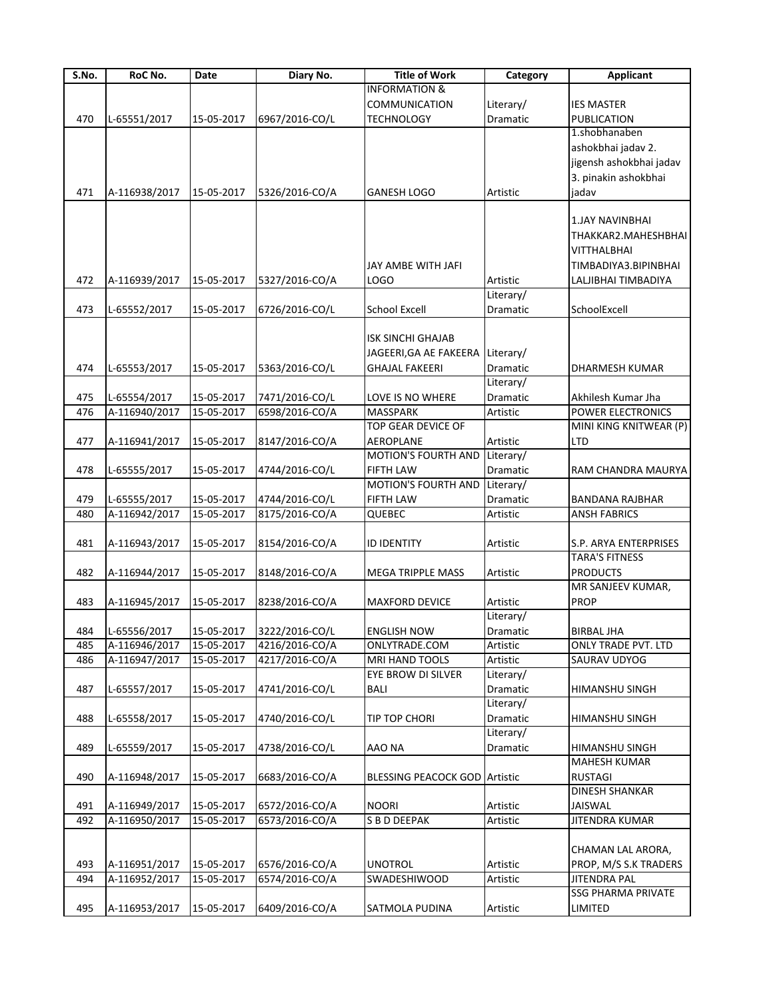| S.No. | RoC No.       | Date       | Diary No.      | <b>Title of Work</b>                 | Category        | <b>Applicant</b>          |
|-------|---------------|------------|----------------|--------------------------------------|-----------------|---------------------------|
|       |               |            |                | <b>INFORMATION &amp;</b>             |                 |                           |
|       |               |            |                | COMMUNICATION                        | Literary/       | <b>IES MASTER</b>         |
| 470   | L-65551/2017  | 15-05-2017 | 6967/2016-CO/L | <b>TECHNOLOGY</b>                    | Dramatic        | PUBLICATION               |
|       |               |            |                |                                      |                 | 1.shobhanaben             |
|       |               |            |                |                                      |                 | ashokbhai jadav 2.        |
|       |               |            |                |                                      |                 | jigensh ashokbhai jadav   |
|       |               |            |                |                                      |                 | 3. pinakin ashokbhai      |
|       |               |            |                |                                      |                 |                           |
| 471   | A-116938/2017 | 15-05-2017 | 5326/2016-CO/A | <b>GANESH LOGO</b>                   | Artistic        | jadav                     |
|       |               |            |                |                                      |                 |                           |
|       |               |            |                |                                      |                 | <b>1.JAY NAVINBHAI</b>    |
|       |               |            |                |                                      |                 | THAKKAR2.MAHESHBHAI       |
|       |               |            |                |                                      |                 | VITTHALBHAI               |
|       |               |            |                | JAY AMBE WITH JAFI                   |                 | TIMBADIYA3.BIPINBHAI      |
| 472   | A-116939/2017 | 15-05-2017 | 5327/2016-CO/A | LOGO                                 | Artistic        | LALJIBHAI TIMBADIYA       |
|       |               |            |                |                                      | Literary/       |                           |
| 473   | L-65552/2017  | 15-05-2017 | 6726/2016-CO/L | <b>School Excell</b>                 | Dramatic        | SchoolExcell              |
|       |               |            |                |                                      |                 |                           |
|       |               |            |                |                                      |                 |                           |
|       |               |            |                | ISK SINCHI GHAJAB                    |                 |                           |
|       |               |            |                | JAGEERI, GA AE FAKEERA Literary/     |                 |                           |
| 474   | L-65553/2017  | 15-05-2017 | 5363/2016-CO/L | <b>GHAJAL FAKEERI</b>                | <b>Dramatic</b> | DHARMESH KUMAR            |
|       |               |            |                |                                      | Literary/       |                           |
| 475   | L-65554/2017  | 15-05-2017 | 7471/2016-CO/L | LOVE IS NO WHERE                     | Dramatic        | Akhilesh Kumar Jha        |
| 476   | A-116940/2017 | 15-05-2017 | 6598/2016-CO/A | <b>MASSPARK</b>                      | Artistic        | POWER ELECTRONICS         |
|       |               |            |                | <b>TOP GEAR DEVICE OF</b>            |                 | MINI KING KNITWEAR (P)    |
| 477   | A-116941/2017 | 15-05-2017 | 8147/2016-CO/A | <b>AEROPLANE</b>                     | Artistic        | LTD                       |
|       |               |            |                | <b>MOTION'S FOURTH AND</b>           | Literary/       |                           |
| 478   | L-65555/2017  | 15-05-2017 | 4744/2016-CO/L | <b>FIFTH LAW</b>                     | Dramatic        | RAM CHANDRA MAURYA        |
|       |               |            |                | <b>MOTION'S FOURTH AND</b>           | Literary/       |                           |
|       |               |            |                |                                      |                 |                           |
| 479   | L-65555/2017  | 15-05-2017 | 4744/2016-CO/L | <b>FIFTH LAW</b>                     | Dramatic        | <b>BANDANA RAJBHAR</b>    |
| 480   | A-116942/2017 | 15-05-2017 | 8175/2016-CO/A | QUEBEC                               | Artistic        | <b>ANSH FABRICS</b>       |
|       |               |            |                |                                      |                 |                           |
| 481   | A-116943/2017 | 15-05-2017 | 8154/2016-CO/A | <b>ID IDENTITY</b>                   | Artistic        | S.P. ARYA ENTERPRISES     |
|       |               |            |                |                                      |                 | <b>TARA'S FITNESS</b>     |
| 482   | A-116944/2017 | 15-05-2017 | 8148/2016-CO/A | <b>MEGA TRIPPLE MASS</b>             | Artistic        | <b>PRODUCTS</b>           |
|       |               |            |                |                                      |                 | MR SANJEEV KUMAR,         |
| 483   | A-116945/2017 | 15-05-2017 | 8238/2016-CO/A | <b>MAXFORD DEVICE</b>                | Artistic        | <b>PROP</b>               |
|       |               |            |                |                                      | Literary/       |                           |
| 484   |               | 15-05-2017 | 3222/2016-CO/L | <b>ENGLISH NOW</b>                   | Dramatic        | <b>BIRBAL JHA</b>         |
|       | L-65556/2017  |            |                |                                      |                 |                           |
| 485   | A-116946/2017 | 15-05-2017 | 4216/2016-CO/A | ONLYTRADE.COM                        | Artistic        | ONLY TRADE PVT. LTD       |
| 486   | A-116947/2017 | 15-05-2017 | 4217/2016-CO/A | MRI HAND TOOLS                       | Artistic        | SAURAV UDYOG              |
|       |               |            |                | EYE BROW DI SILVER                   | Literary/       |                           |
| 487   | L-65557/2017  | 15-05-2017 | 4741/2016-CO/L | <b>BALI</b>                          | Dramatic        | HIMANSHU SINGH            |
|       |               |            |                |                                      | Literary/       |                           |
| 488   | L-65558/2017  | 15-05-2017 | 4740/2016-CO/L | TIP TOP CHORI                        | Dramatic        | HIMANSHU SINGH            |
|       |               |            |                |                                      | Literary/       |                           |
| 489   | L-65559/2017  | 15-05-2017 | 4738/2016-CO/L | AAO NA                               | Dramatic        | HIMANSHU SINGH            |
|       |               |            |                |                                      |                 | <b>MAHESH KUMAR</b>       |
| 490   | A-116948/2017 | 15-05-2017 | 6683/2016-CO/A | <b>BLESSING PEACOCK GOD Artistic</b> |                 | <b>RUSTAGI</b>            |
|       |               |            |                |                                      |                 | <b>DINESH SHANKAR</b>     |
|       |               |            |                |                                      |                 |                           |
| 491   | A-116949/2017 | 15-05-2017 | 6572/2016-CO/A | <b>NOORI</b>                         | Artistic        | JAISWAL                   |
| 492   | A-116950/2017 | 15-05-2017 | 6573/2016-CO/A | <b>S B D DEEPAK</b>                  | Artistic        | <b>JITENDRA KUMAR</b>     |
|       |               |            |                |                                      |                 |                           |
|       |               |            |                |                                      |                 | CHAMAN LAL ARORA,         |
| 493   | A-116951/2017 | 15-05-2017 | 6576/2016-CO/A | <b>UNOTROL</b>                       | Artistic        | PROP, M/S S.K TRADERS     |
| 494   | A-116952/2017 | 15-05-2017 | 6574/2016-CO/A | SWADESHIWOOD                         | Artistic        | JITENDRA PAL              |
|       |               |            |                |                                      |                 | <b>SSG PHARMA PRIVATE</b> |
| 495   | A-116953/2017 | 15-05-2017 | 6409/2016-CO/A | <b>SATMOLA PUDINA</b>                | Artistic        | LIMITED                   |
|       |               |            |                |                                      |                 |                           |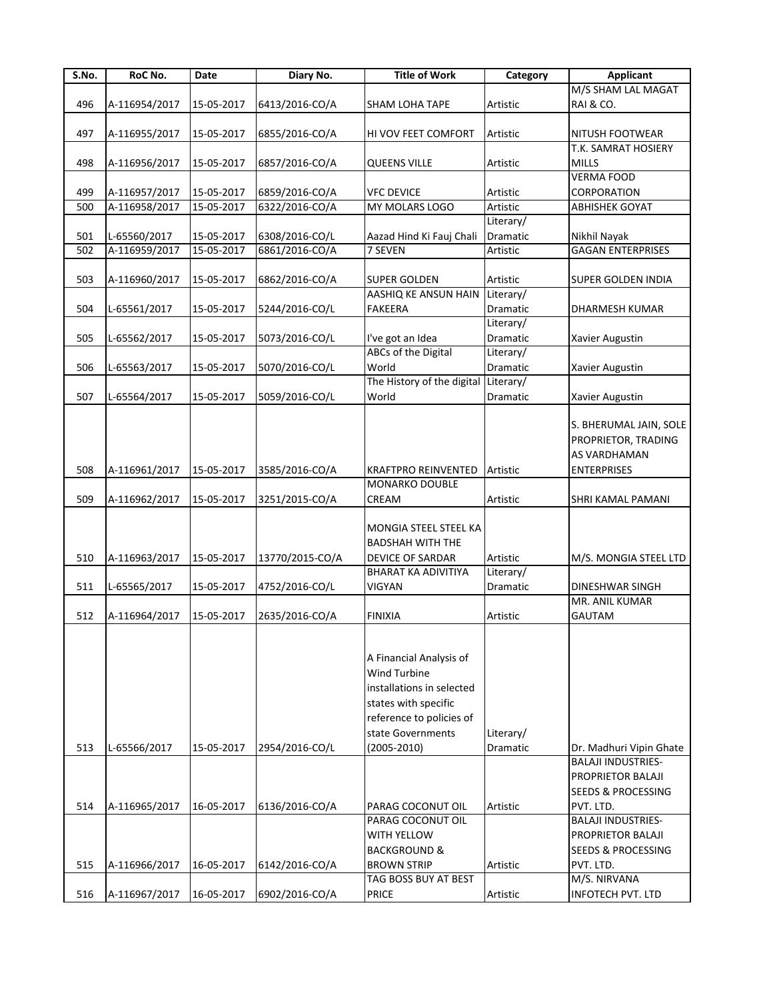| S.No. | RoC No.       | Date       | Diary No.       | <b>Title of Work</b>                                                                                                                                             | Category              | <b>Applicant</b>                                                                    |
|-------|---------------|------------|-----------------|------------------------------------------------------------------------------------------------------------------------------------------------------------------|-----------------------|-------------------------------------------------------------------------------------|
|       |               |            |                 |                                                                                                                                                                  |                       | M/S SHAM LAL MAGAT                                                                  |
| 496   | A-116954/2017 | 15-05-2017 | 6413/2016-CO/A  | <b>SHAM LOHA TAPE</b>                                                                                                                                            | Artistic              | RAI & CO.                                                                           |
|       |               |            |                 |                                                                                                                                                                  |                       |                                                                                     |
| 497   | A-116955/2017 | 15-05-2017 | 6855/2016-CO/A  | HI VOV FEET COMFORT                                                                                                                                              | Artistic              | NITUSH FOOTWEAR                                                                     |
|       |               |            |                 |                                                                                                                                                                  |                       | T.K. SAMRAT HOSIERY                                                                 |
| 498   | A-116956/2017 | 15-05-2017 | 6857/2016-CO/A  | <b>QUEENS VILLE</b>                                                                                                                                              | Artistic              | <b>MILLS</b>                                                                        |
|       |               |            |                 |                                                                                                                                                                  |                       | <b>VERMA FOOD</b>                                                                   |
| 499   | A-116957/2017 | 15-05-2017 | 6859/2016-CO/A  | <b>VFC DEVICE</b>                                                                                                                                                | Artistic              | CORPORATION                                                                         |
| 500   | A-116958/2017 | 15-05-2017 | 6322/2016-CO/A  | MY MOLARS LOGO                                                                                                                                                   | Artistic              | <b>ABHISHEK GOYAT</b>                                                               |
|       |               |            |                 |                                                                                                                                                                  | Literary/             |                                                                                     |
| 501   | L-65560/2017  | 15-05-2017 | 6308/2016-CO/L  |                                                                                                                                                                  | Dramatic              |                                                                                     |
|       |               |            |                 | Aazad Hind Ki Fauj Chali                                                                                                                                         | Artistic              | Nikhil Nayak                                                                        |
| 502   | A-116959/2017 | 15-05-2017 | 6861/2016-CO/A  | 7 SEVEN                                                                                                                                                          |                       | <b>GAGAN ENTERPRISES</b>                                                            |
|       |               |            |                 |                                                                                                                                                                  |                       |                                                                                     |
| 503   | A-116960/2017 | 15-05-2017 | 6862/2016-CO/A  | <b>SUPER GOLDEN</b>                                                                                                                                              | Artistic              | <b>SUPER GOLDEN INDIA</b>                                                           |
|       |               |            |                 | AASHIQ KE ANSUN HAIN                                                                                                                                             | Literary/             |                                                                                     |
| 504   | L-65561/2017  | 15-05-2017 | 5244/2016-CO/L  | <b>FAKEERA</b>                                                                                                                                                   | Dramatic              | DHARMESH KUMAR                                                                      |
|       |               |            |                 |                                                                                                                                                                  | Literary/             |                                                                                     |
| 505   | L-65562/2017  | 15-05-2017 | 5073/2016-CO/L  | I've got an Idea                                                                                                                                                 | <b>Dramatic</b>       | Xavier Augustin                                                                     |
|       |               |            |                 | <b>ABCs of the Digital</b>                                                                                                                                       | Literary/             |                                                                                     |
| 506   | L-65563/2017  | 15-05-2017 | 5070/2016-CO/L  | World                                                                                                                                                            | Dramatic              | <b>Xavier Augustin</b>                                                              |
|       |               |            |                 | The History of the digital                                                                                                                                       | Literary/             |                                                                                     |
| 507   | L-65564/2017  | 15-05-2017 | 5059/2016-CO/L  | World                                                                                                                                                            | Dramatic              | Xavier Augustin                                                                     |
| 508   | A-116961/2017 | 15-05-2017 | 3585/2016-CO/A  | <b>KRAFTPRO REINVENTED</b>                                                                                                                                       | Artistic              | S. BHERUMAL JAIN, SOLE<br>PROPRIETOR, TRADING<br>AS VARDHAMAN<br><b>ENTERPRISES</b> |
|       |               |            |                 | MONARKO DOUBLE                                                                                                                                                   |                       |                                                                                     |
| 509   | A-116962/2017 | 15-05-2017 | 3251/2015-CO/A  | CREAM                                                                                                                                                            | Artistic              | SHRI KAMAL PAMANI                                                                   |
| 510   | A-116963/2017 | 15-05-2017 | 13770/2015-CO/A | MONGIA STEEL STEEL KA<br><b>BADSHAH WITH THE</b><br><b>DEVICE OF SARDAR</b><br><b>BHARAT KA ADIVITIYA</b>                                                        | Artistic<br>Literary/ | M/S. MONGIA STEEL LTD                                                               |
| 511   | L-65565/2017  | 15-05-2017 | 4752/2016-CO/L  | <b>VIGYAN</b>                                                                                                                                                    | Dramatic              | <b>DINESHWAR SINGH</b>                                                              |
|       |               |            |                 |                                                                                                                                                                  |                       | MR. ANIL KUMAR                                                                      |
| 512   | A-116964/2017 | 15-05-2017 | 2635/2016-CO/A  | <b>FINIXIA</b>                                                                                                                                                   | Artistic              | <b>GAUTAM</b>                                                                       |
| 513   | L-65566/2017  | 15-05-2017 | 2954/2016-CO/L  | A Financial Analysis of<br>Wind Turbine<br>installations in selected<br>states with specific<br>reference to policies of<br>state Governments<br>$(2005 - 2010)$ | Literary/<br>Dramatic | Dr. Madhuri Vipin Ghate                                                             |
|       |               |            |                 |                                                                                                                                                                  |                       | <b>BALAJI INDUSTRIES-</b>                                                           |
|       |               |            |                 |                                                                                                                                                                  |                       | PROPRIETOR BALAJI                                                                   |
|       |               |            |                 |                                                                                                                                                                  |                       | <b>SEEDS &amp; PROCESSING</b>                                                       |
| 514   | A-116965/2017 | 16-05-2017 | 6136/2016-CO/A  | PARAG COCONUT OIL                                                                                                                                                | Artistic              | PVT. LTD.                                                                           |
|       |               |            |                 | PARAG COCONUT OIL                                                                                                                                                |                       | <b>BALAJI INDUSTRIES-</b>                                                           |
|       |               |            |                 | WITH YELLOW                                                                                                                                                      |                       | PROPRIETOR BALAJI                                                                   |
|       |               |            |                 | <b>BACKGROUND &amp;</b>                                                                                                                                          |                       | <b>SEEDS &amp; PROCESSING</b>                                                       |
|       |               |            |                 |                                                                                                                                                                  |                       |                                                                                     |
| 515   | A-116966/2017 | 16-05-2017 | 6142/2016-CO/A  | <b>BROWN STRIP</b>                                                                                                                                               | Artistic              | PVT. LTD.                                                                           |
|       |               |            |                 | TAG BOSS BUY AT BEST                                                                                                                                             |                       | M/S. NIRVANA                                                                        |
| 516   | A-116967/2017 | 16-05-2017 | 6902/2016-CO/A  | <b>PRICE</b>                                                                                                                                                     | Artistic              | INFOTECH PVT. LTD                                                                   |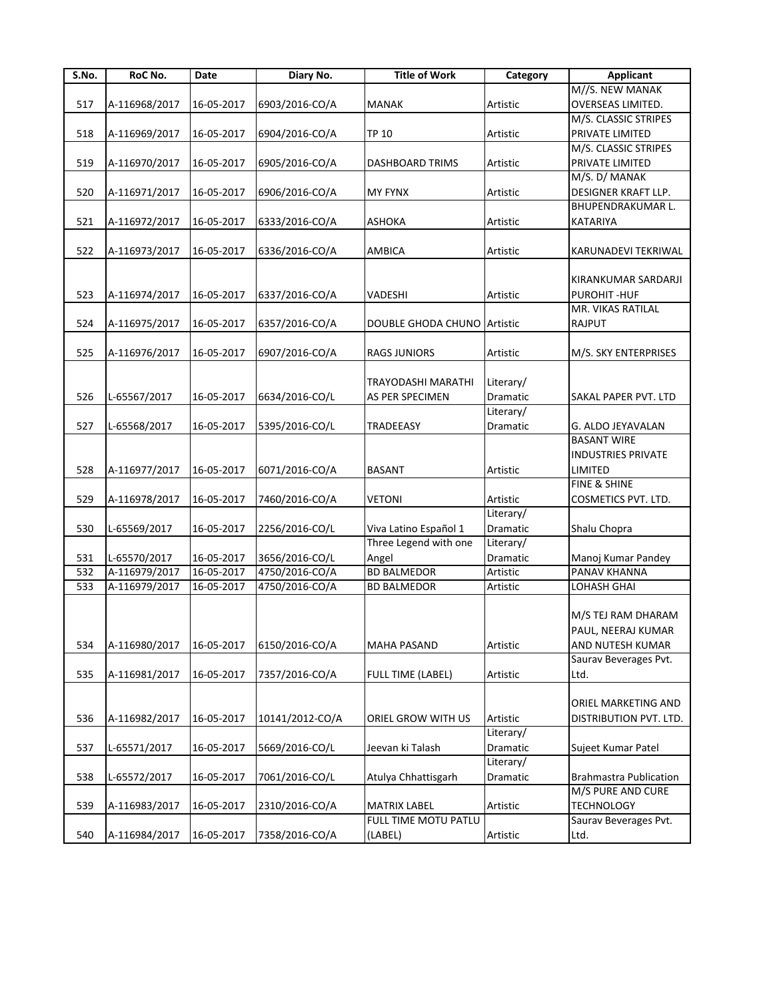| S.No. | RoC No.       | <b>Date</b> | Diary No.       | <b>Title of Work</b>               | Category        | <b>Applicant</b>              |
|-------|---------------|-------------|-----------------|------------------------------------|-----------------|-------------------------------|
|       |               |             |                 |                                    |                 | M//S. NEW MANAK               |
| 517   | A-116968/2017 | 16-05-2017  | 6903/2016-CO/A  | <b>MANAK</b>                       | Artistic        | OVERSEAS LIMITED.             |
|       |               |             |                 |                                    |                 | M/S. CLASSIC STRIPES          |
| 518   | A-116969/2017 | 16-05-2017  | 6904/2016-CO/A  | <b>TP 10</b>                       | Artistic        | PRIVATE LIMITED               |
|       |               |             |                 |                                    |                 | M/S. CLASSIC STRIPES          |
| 519   | A-116970/2017 | 16-05-2017  | 6905/2016-CO/A  | <b>DASHBOARD TRIMS</b>             | Artistic        | PRIVATE LIMITED               |
|       |               |             |                 |                                    |                 | M/S. D/ MANAK                 |
| 520   | A-116971/2017 | 16-05-2017  | 6906/2016-CO/A  | <b>MY FYNX</b>                     | Artistic        | DESIGNER KRAFT LLP.           |
|       |               |             |                 |                                    |                 |                               |
|       |               |             |                 |                                    |                 | BHUPENDRAKUMAR L.             |
| 521   | A-116972/2017 | 16-05-2017  | 6333/2016-CO/A  | <b>ASHOKA</b>                      | Artistic        | KATARIYA                      |
|       |               |             |                 |                                    |                 |                               |
| 522   | A-116973/2017 | 16-05-2017  | 6336/2016-CO/A  | <b>AMBICA</b>                      | Artistic        | KARUNADEVI TEKRIWAL           |
|       |               |             |                 |                                    |                 |                               |
|       |               |             |                 |                                    |                 | KIRANKUMAR SARDARJI           |
| 523   | A-116974/2017 | 16-05-2017  | 6337/2016-CO/A  | VADESHI                            | Artistic        | PUROHIT-HUF                   |
|       |               |             |                 |                                    |                 | MR. VIKAS RATILAL             |
| 524   | A-116975/2017 | 16-05-2017  | 6357/2016-CO/A  | <b>DOUBLE GHODA CHUNO Artistic</b> |                 | <b>RAJPUT</b>                 |
|       |               |             |                 |                                    |                 |                               |
| 525   | A-116976/2017 | 16-05-2017  | 6907/2016-CO/A  | <b>RAGS JUNIORS</b>                | Artistic        | M/S. SKY ENTERPRISES          |
|       |               |             |                 |                                    |                 |                               |
|       |               |             |                 | <b>TRAYODASHI MARATHI</b>          | Literary/       |                               |
| 526   | L-65567/2017  | 16-05-2017  | 6634/2016-CO/L  | AS PER SPECIMEN                    | <b>Dramatic</b> | SAKAL PAPER PVT. LTD          |
|       |               |             |                 |                                    | Literary/       |                               |
| 527   | L-65568/2017  | 16-05-2017  | 5395/2016-CO/L  | <b>TRADEEASY</b>                   | Dramatic        | G. ALDO JEYAVALAN             |
|       |               |             |                 |                                    |                 | <b>BASANT WIRE</b>            |
|       |               |             |                 |                                    |                 |                               |
|       |               |             |                 |                                    |                 | <b>INDUSTRIES PRIVATE</b>     |
| 528   | A-116977/2017 | 16-05-2017  | 6071/2016-CO/A  | <b>BASANT</b>                      | Artistic        | LIMITED                       |
|       |               |             |                 |                                    |                 | <b>FINE &amp; SHINE</b>       |
| 529   | A-116978/2017 | 16-05-2017  | 7460/2016-CO/A  | <b>VETONI</b>                      | Artistic        | COSMETICS PVT. LTD.           |
|       |               |             |                 |                                    | Literary/       |                               |
| 530   | L-65569/2017  | 16-05-2017  | 2256/2016-CO/L  | Viva Latino Español 1              | Dramatic        | Shalu Chopra                  |
|       |               |             |                 | Three Legend with one              | Literary/       |                               |
| 531   | L-65570/2017  | 16-05-2017  | 3656/2016-CO/L  | Angel                              | Dramatic        | Manoj Kumar Pandey            |
| 532   | A-116979/2017 | 16-05-2017  | 4750/2016-CO/A  | <b>BD BALMEDOR</b>                 | Artistic        | <b>PANAV KHANNA</b>           |
| 533   | A-116979/2017 | 16-05-2017  | 4750/2016-CO/A  | <b>BD BALMEDOR</b>                 | Artistic        | LOHASH GHAI                   |
|       |               |             |                 |                                    |                 |                               |
|       |               |             |                 |                                    |                 | M/S TEJ RAM DHARAM            |
|       |               |             |                 |                                    |                 | PAUL, NEERAJ KUMAR            |
| 534   | A-116980/2017 | 16-05-2017  | 6150/2016-CO/A  | <b>MAHA PASAND</b>                 | Artistic        | AND NUTESH KUMAR              |
|       |               |             |                 |                                    |                 | Saurav Beverages Pvt.         |
|       |               |             |                 |                                    |                 |                               |
| 535   | A-116981/2017 | 16-05-2017  | 7357/2016-CO/A  | <b>FULL TIME (LABEL)</b>           | Artistic        | Ltd.                          |
|       |               |             |                 |                                    |                 |                               |
|       |               |             |                 |                                    |                 | ORIEL MARKETING AND           |
| 536   | A-116982/2017 | 16-05-2017  | 10141/2012-CO/A | ORIEL GROW WITH US                 | Artistic        | DISTRIBUTION PVT. LTD.        |
|       |               |             |                 |                                    | Literary/       |                               |
| 537   | L-65571/2017  | 16-05-2017  | 5669/2016-CO/L  | Jeevan ki Talash                   | Dramatic        | Sujeet Kumar Patel            |
|       |               |             |                 |                                    | Literary/       |                               |
| 538   | L-65572/2017  | 16-05-2017  | 7061/2016-CO/L  | Atulya Chhattisgarh                | Dramatic        | <b>Brahmastra Publication</b> |
|       |               |             |                 |                                    |                 | M/S PURE AND CURE             |
| 539   | A-116983/2017 | 16-05-2017  | 2310/2016-CO/A  | <b>MATRIX LABEL</b>                | Artistic        | <b>TECHNOLOGY</b>             |
|       |               |             |                 | FULL TIME MOTU PATLU               |                 | Saurav Beverages Pvt.         |
| 540   | A-116984/2017 | 16-05-2017  | 7358/2016-CO/A  | (LABEL)                            | Artistic        | Ltd.                          |
|       |               |             |                 |                                    |                 |                               |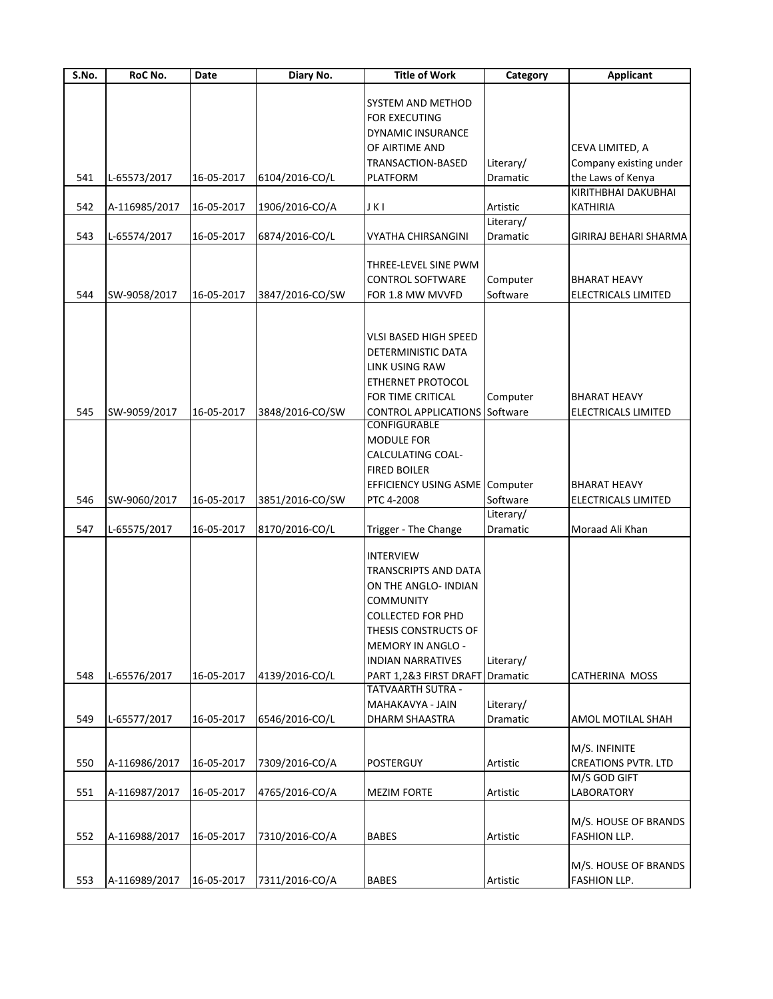| S.No. | RoC No.       | Date       | Diary No.       | <b>Title of Work</b>                  | Category  | <b>Applicant</b>                     |
|-------|---------------|------------|-----------------|---------------------------------------|-----------|--------------------------------------|
|       |               |            |                 |                                       |           |                                      |
|       |               |            |                 | SYSTEM AND METHOD                     |           |                                      |
|       |               |            |                 | FOR EXECUTING                         |           |                                      |
|       |               |            |                 | DYNAMIC INSURANCE                     |           |                                      |
|       |               |            |                 | OF AIRTIME AND                        |           | CEVA LIMITED, A                      |
|       |               |            |                 | TRANSACTION-BASED                     | Literary/ | Company existing under               |
| 541   | L-65573/2017  | 16-05-2017 | 6104/2016-CO/L  | <b>PLATFORM</b>                       | Dramatic  | the Laws of Kenya                    |
|       |               |            |                 |                                       |           | KIRITHBHAI DAKUBHAI                  |
| 542   | A-116985/2017 | 16-05-2017 | 1906/2016-CO/A  | JKI                                   | Artistic  | <b>KATHIRIA</b>                      |
|       |               |            |                 |                                       | Literary/ |                                      |
| 543   | L-65574/2017  | 16-05-2017 | 6874/2016-CO/L  | <b>VYATHA CHIRSANGINI</b>             | Dramatic  | GIRIRAJ BEHARI SHARMA                |
|       |               |            |                 |                                       |           |                                      |
|       |               |            |                 | THREE-LEVEL SINE PWM                  |           |                                      |
|       |               |            |                 |                                       |           |                                      |
|       |               |            |                 | <b>CONTROL SOFTWARE</b>               | Computer  | BHARAT HEAVY                         |
| 544   | SW-9058/2017  | 16-05-2017 | 3847/2016-CO/SW | FOR 1.8 MW MVVFD                      | Software  | ELECTRICALS LIMITED                  |
|       |               |            |                 |                                       |           |                                      |
|       |               |            |                 |                                       |           |                                      |
|       |               |            |                 | <b>VLSI BASED HIGH SPEED</b>          |           |                                      |
|       |               |            |                 | <b>DETERMINISTIC DATA</b>             |           |                                      |
|       |               |            |                 | LINK USING RAW                        |           |                                      |
|       |               |            |                 | ETHERNET PROTOCOL                     |           |                                      |
|       |               |            |                 | FOR TIME CRITICAL                     | Computer  | BHARAT HEAVY                         |
| 545   | SW-9059/2017  | 16-05-2017 | 3848/2016-CO/SW | <b>CONTROL APPLICATIONS Software</b>  |           | <b>ELECTRICALS LIMITED</b>           |
|       |               |            |                 | CONFIGURABLE                          |           |                                      |
|       |               |            |                 | MODULE FOR                            |           |                                      |
|       |               |            |                 | CALCULATING COAL-                     |           |                                      |
|       |               |            |                 |                                       |           |                                      |
|       |               |            |                 | <b>FIRED BOILER</b>                   |           |                                      |
|       |               |            |                 | <b>EFFICIENCY USING ASME Computer</b> |           | BHARAT HEAVY                         |
| 546   | SW-9060/2017  | 16-05-2017 | 3851/2016-CO/SW | PTC 4-2008                            | Software  | ELECTRICALS LIMITED                  |
|       |               |            |                 |                                       | Literary/ |                                      |
| 547   | L-65575/2017  | 16-05-2017 | 8170/2016-CO/L  | Trigger - The Change                  | Dramatic  | Moraad Ali Khan                      |
|       |               |            |                 |                                       |           |                                      |
|       |               |            |                 | <b>INTERVIEW</b>                      |           |                                      |
|       |               |            |                 | <b>TRANSCRIPTS AND DATA</b>           |           |                                      |
|       |               |            |                 | ON THE ANGLO- INDIAN                  |           |                                      |
|       |               |            |                 | <b>COMMUNITY</b>                      |           |                                      |
|       |               |            |                 | <b>COLLECTED FOR PHD</b>              |           |                                      |
|       |               |            |                 | THESIS CONSTRUCTS OF                  |           |                                      |
|       |               |            |                 |                                       |           |                                      |
|       |               |            |                 | MEMORY IN ANGLO -                     |           |                                      |
|       |               |            |                 | <b>INDIAN NARRATIVES</b>              | Literary/ |                                      |
| 548   | L-65576/2017  | 16-05-2017 | 4139/2016-CO/L  | PART 1,2&3 FIRST DRAFT Dramatic       |           | CATHERINA MOSS                       |
|       |               |            |                 | <b>TATVAARTH SUTRA -</b>              |           |                                      |
|       |               |            |                 | MAHAKAVYA - JAIN                      | Literary/ |                                      |
| 549   | L-65577/2017  | 16-05-2017 | 6546/2016-CO/L  | DHARM SHAASTRA                        | Dramatic  | AMOL MOTILAL SHAH                    |
|       |               |            |                 |                                       |           |                                      |
|       |               |            |                 |                                       |           | M/S. INFINITE                        |
| 550   | A-116986/2017 | 16-05-2017 | 7309/2016-CO/A  | POSTERGUY                             | Artistic  | <b>CREATIONS PVTR. LTD</b>           |
|       |               |            |                 |                                       |           | M/S GOD GIFT                         |
| 551   | A-116987/2017 | 16-05-2017 | 4765/2016-CO/A  | <b>MEZIM FORTE</b>                    | Artistic  | LABORATORY                           |
|       |               |            |                 |                                       |           |                                      |
|       |               |            |                 |                                       |           |                                      |
|       |               |            |                 |                                       |           | M/S. HOUSE OF BRANDS                 |
| 552   | A-116988/2017 | 16-05-2017 | 7310/2016-CO/A  | <b>BABES</b>                          | Artistic  | FASHION LLP.                         |
|       |               |            |                 |                                       |           |                                      |
|       |               |            |                 |                                       |           |                                      |
| 553   | A-116989/2017 | 16-05-2017 | 7311/2016-CO/A  | <b>BABES</b>                          | Artistic  | M/S. HOUSE OF BRANDS<br>FASHION LLP. |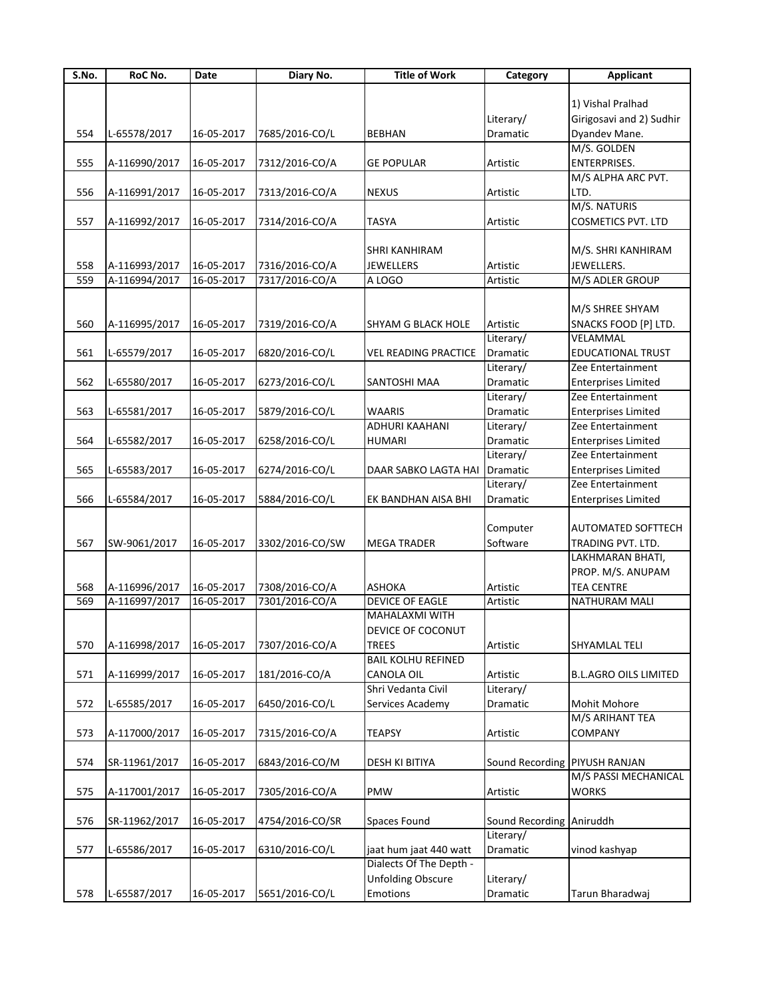| S.No. | RoC No.       | Date       | Diary No.       | <b>Title of Work</b>        | Category                 | <b>Applicant</b>                                |
|-------|---------------|------------|-----------------|-----------------------------|--------------------------|-------------------------------------------------|
|       |               |            |                 |                             |                          |                                                 |
|       |               |            |                 |                             |                          | 1) Vishal Pralhad                               |
|       |               |            |                 |                             | Literary/                | Girigosavi and 2) Sudhir                        |
| 554   | L-65578/2017  | 16-05-2017 | 7685/2016-CO/L  | <b>BEBHAN</b>               | Dramatic                 | Dyandev Mane.                                   |
|       |               |            |                 |                             |                          | M/S. GOLDEN                                     |
| 555   | A-116990/2017 | 16-05-2017 | 7312/2016-CO/A  | <b>GE POPULAR</b>           | Artistic                 | <b>ENTERPRISES.</b>                             |
|       |               |            |                 |                             |                          | M/S ALPHA ARC PVT.                              |
| 556   | A-116991/2017 | 16-05-2017 | 7313/2016-CO/A  | <b>NEXUS</b>                | Artistic                 | LTD.                                            |
|       |               |            |                 |                             |                          | M/S. NATURIS                                    |
|       |               |            |                 |                             |                          |                                                 |
| 557   | A-116992/2017 | 16-05-2017 | 7314/2016-CO/A  | <b>TASYA</b>                | Artistic                 | <b>COSMETICS PVT. LTD</b>                       |
|       |               |            |                 |                             |                          |                                                 |
|       |               |            |                 | SHRI KANHIRAM               |                          | M/S. SHRI KANHIRAM                              |
| 558   | A-116993/2017 | 16-05-2017 | 7316/2016-CO/A  | JEWELLERS                   | Artistic                 | JEWELLERS.                                      |
| 559   | A-116994/2017 | 16-05-2017 | 7317/2016-CO/A  | A LOGO                      | Artistic                 | M/S ADLER GROUP                                 |
|       |               |            |                 |                             |                          |                                                 |
|       |               |            |                 |                             |                          | M/S SHREE SHYAM                                 |
| 560   | A-116995/2017 | 16-05-2017 | 7319/2016-CO/A  | <b>SHYAM G BLACK HOLE</b>   | Artistic                 | SNACKS FOOD [P] LTD.                            |
|       |               |            |                 |                             | Literary/                | VELAMMAL                                        |
| 561   | L-65579/2017  | 16-05-2017 | 6820/2016-CO/L  | <b>VEL READING PRACTICE</b> | <b>Dramatic</b>          | EDUCATIONAL TRUST                               |
|       |               |            |                 |                             | Literary/                | Zee Entertainment                               |
|       |               |            |                 |                             | Dramatic                 |                                                 |
| 562   | L-65580/2017  | 16-05-2017 | 6273/2016-CO/L  | SANTOSHI MAA                |                          | <b>Enterprises Limited</b><br>Zee Entertainment |
|       |               |            |                 |                             | Literary/                |                                                 |
| 563   | L-65581/2017  | 16-05-2017 | 5879/2016-CO/L  | WAARIS                      | Dramatic                 | <b>Enterprises Limited</b>                      |
|       |               |            |                 | ADHURI KAAHANI              | Literary/                | Zee Entertainment                               |
| 564   | L-65582/2017  | 16-05-2017 | 6258/2016-CO/L  | <b>HUMARI</b>               | Dramatic                 | <b>Enterprises Limited</b>                      |
|       |               |            |                 |                             | Literary/                | Zee Entertainment                               |
| 565   | L-65583/2017  | 16-05-2017 | 6274/2016-CO/L  | DAAR SABKO LAGTA HAI        | Dramatic                 | <b>Enterprises Limited</b>                      |
|       |               |            |                 |                             | Literary/                | Zee Entertainment                               |
| 566   | L-65584/2017  | 16-05-2017 | 5884/2016-CO/L  | EK BANDHAN AISA BHI         | Dramatic                 | <b>Enterprises Limited</b>                      |
|       |               |            |                 |                             |                          |                                                 |
|       |               |            |                 |                             | Computer                 | AUTOMATED SOFTTECH                              |
|       |               |            |                 |                             |                          |                                                 |
| 567   | SW-9061/2017  | 16-05-2017 | 3302/2016-CO/SW | <b>MEGA TRADER</b>          | Software                 | TRADING PVT. LTD.                               |
|       |               |            |                 |                             |                          | LAKHMARAN BHATI,                                |
|       |               |            |                 |                             |                          | PROP. M/S. ANUPAM                               |
| 568   | A-116996/2017 | 16-05-2017 | 7308/2016-CO/A  | <b>ASHOKA</b>               | Artistic                 | <b>TEA CENTRE</b>                               |
| 569   | A-116997/2017 | 16-05-2017 | 7301/2016-CO/A  | <b>DEVICE OF EAGLE</b>      | Artistic                 | NATHURAM MALI                                   |
|       |               |            |                 | MAHALAXMI WITH              |                          |                                                 |
|       |               |            |                 | DEVICE OF COCONUT           |                          |                                                 |
| 570   | A-116998/2017 | 16-05-2017 | 7307/2016-CO/A  | <b>TREES</b>                | Artistic                 | SHYAMLAL TELI                                   |
|       |               |            |                 | <b>BAIL KOLHU REFINED</b>   |                          |                                                 |
| 571   | A-116999/2017 | 16-05-2017 | 181/2016-CO/A   | CANOLA OIL                  | Artistic                 | <b>B.L.AGRO OILS LIMITED</b>                    |
|       |               |            |                 | Shri Vedanta Civil          | Literary/                |                                                 |
| 572   | L-65585/2017  | 16-05-2017 | 6450/2016-CO/L  | Services Academy            | Dramatic                 | Mohit Mohore                                    |
|       |               |            |                 |                             |                          | M/S ARIHANT TEA                                 |
|       |               |            |                 |                             |                          |                                                 |
| 573   | A-117000/2017 | 16-05-2017 | 7315/2016-CO/A  | <b>TEAPSY</b>               | Artistic                 | <b>COMPANY</b>                                  |
|       |               |            |                 |                             |                          |                                                 |
| 574   | SR-11961/2017 | 16-05-2017 | 6843/2016-CO/M  | DESH KI BITIYA              | Sound Recording          | PIYUSH RANJAN                                   |
|       |               |            |                 |                             |                          | M/S PASSI MECHANICAL                            |
| 575   | A-117001/2017 | 16-05-2017 | 7305/2016-CO/A  | PMW                         | Artistic                 | <b>WORKS</b>                                    |
|       |               |            |                 |                             |                          |                                                 |
| 576   | SR-11962/2017 | 16-05-2017 | 4754/2016-CO/SR | Spaces Found                | Sound Recording Aniruddh |                                                 |
|       |               |            |                 |                             | Literary/                |                                                 |
| 577   | L-65586/2017  | 16-05-2017 | 6310/2016-CO/L  | jaat hum jaat 440 watt      | Dramatic                 | vinod kashyap                                   |
|       |               |            |                 | Dialects Of The Depth -     |                          |                                                 |
|       |               |            |                 |                             |                          |                                                 |
|       |               |            |                 | <b>Unfolding Obscure</b>    | Literary/                |                                                 |
| 578   | L-65587/2017  | 16-05-2017 | 5651/2016-CO/L  | Emotions                    | Dramatic                 | Tarun Bharadwaj                                 |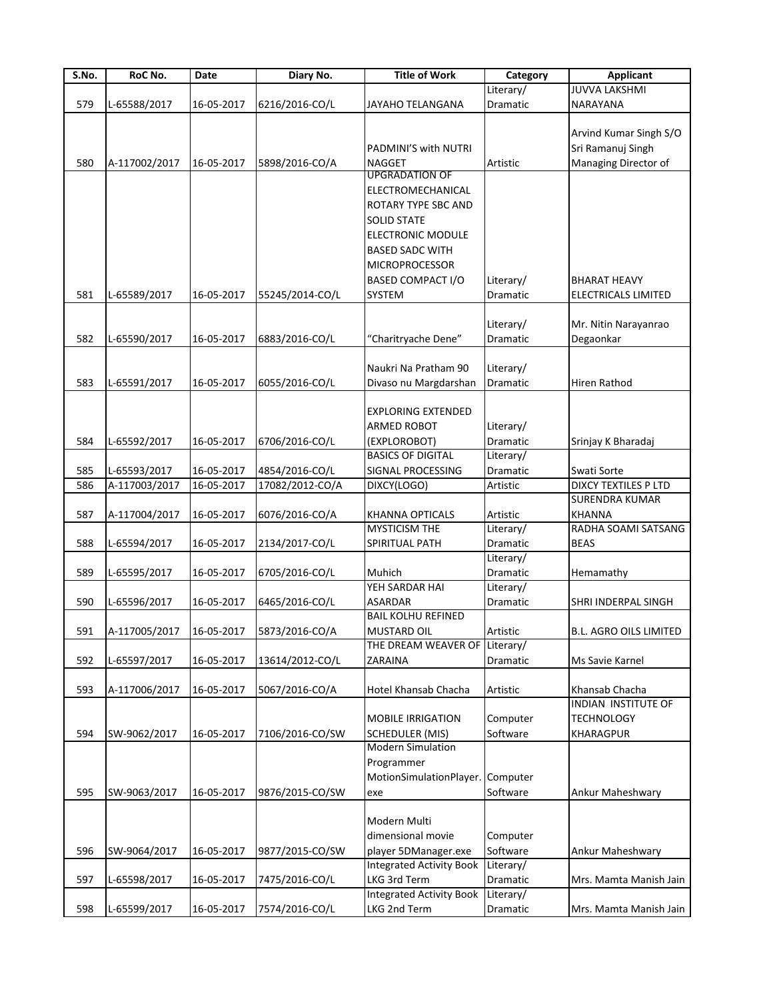| S.No. | RoC No.                  | Date       | Diary No.       | <b>Title of Work</b>             | Category        | <b>Applicant</b>                             |
|-------|--------------------------|------------|-----------------|----------------------------------|-----------------|----------------------------------------------|
|       |                          |            |                 |                                  | Literary/       | <b>JUVVA LAKSHMI</b>                         |
| 579   | L-65588/2017             | 16-05-2017 | 6216/2016-CO/L  | JAYAHO TELANGANA                 | Dramatic        | NARAYANA                                     |
|       |                          |            |                 |                                  |                 |                                              |
|       |                          |            |                 |                                  |                 | Arvind Kumar Singh S/O                       |
|       |                          |            |                 | PADMINI'S with NUTRI             |                 | Sri Ramanuj Singh                            |
| 580   | A-117002/2017            | 16-05-2017 | 5898/2016-CO/A  | <b>NAGGET</b>                    | Artistic        | Managing Director of                         |
|       |                          |            |                 | <b>UPGRADATION OF</b>            |                 |                                              |
|       |                          |            |                 | ELECTROMECHANICAL                |                 |                                              |
|       |                          |            |                 | ROTARY TYPE SBC AND              |                 |                                              |
|       |                          |            |                 | <b>SOLID STATE</b>               |                 |                                              |
|       |                          |            |                 | ELECTRONIC MODULE                |                 |                                              |
|       |                          |            |                 | <b>BASED SADC WITH</b>           |                 |                                              |
|       |                          |            |                 | <b>MICROPROCESSOR</b>            |                 |                                              |
|       |                          |            |                 |                                  |                 |                                              |
|       |                          |            |                 | <b>BASED COMPACT I/O</b>         | Literary/       | <b>BHARAT HEAVY</b>                          |
| 581   | L-65589/2017             | 16-05-2017 | 55245/2014-CO/L | SYSTEM                           | Dramatic        | ELECTRICALS LIMITED                          |
|       |                          |            |                 |                                  |                 |                                              |
|       |                          |            |                 |                                  | Literary/       | Mr. Nitin Narayanrao                         |
| 582   | L-65590/2017             | 16-05-2017 | 6883/2016-CO/L  | "Charitryache Dene"              | Dramatic        | Degaonkar                                    |
|       |                          |            |                 |                                  |                 |                                              |
|       |                          |            |                 | Naukri Na Pratham 90             | Literary/       |                                              |
| 583   | L-65591/2017             | 16-05-2017 | 6055/2016-CO/L  | Divaso nu Margdarshan            | <b>Dramatic</b> | Hiren Rathod                                 |
|       |                          |            |                 |                                  |                 |                                              |
|       |                          |            |                 | <b>EXPLORING EXTENDED</b>        |                 |                                              |
|       |                          |            |                 | ARMED ROBOT                      | Literary/       |                                              |
| 584   | L-65592/2017             | 16-05-2017 | 6706/2016-CO/L  | (EXPLOROBOT)                     | Dramatic        | Srinjay K Bharadaj                           |
|       |                          |            |                 | <b>BASICS OF DIGITAL</b>         | Literary/       |                                              |
| 585   | L-65593/2017             | 16-05-2017 | 4854/2016-CO/L  | SIGNAL PROCESSING                | Dramatic        | Swati Sorte                                  |
| 586   | A-117003/2017            | 16-05-2017 | 17082/2012-CO/A | DIXCY(LOGO)                      | Artistic        | DIXCY TEXTILES P LTD                         |
|       |                          |            |                 |                                  |                 | <b>SURENDRA KUMAR</b>                        |
| 587   | A-117004/2017            | 16-05-2017 | 6076/2016-CO/A  | <b>KHANNA OPTICALS</b>           | Artistic        | <b>KHANNA</b>                                |
|       |                          |            |                 | MYSTICISM THE                    | Literary/       | RADHA SOAMI SATSANG                          |
| 588   | L-65594/2017             | 16-05-2017 | 2134/2017-CO/L  | SPIRITUAL PATH                   | Dramatic        | <b>BEAS</b>                                  |
|       |                          |            |                 |                                  | Literary/       |                                              |
| 589   | L-65595/2017             | 16-05-2017 | 6705/2016-CO/L  | Muhich                           | Dramatic        | Hemamathy                                    |
|       |                          |            |                 | YEH SARDAR HAI                   | Literary/       |                                              |
| 590   | L-65596/2017             | 16-05-2017 | 6465/2016-CO/L  | ASARDAR                          | Dramatic        | SHRI INDERPAL SINGH                          |
|       |                          |            |                 | <b>BAIL KOLHU REFINED</b>        |                 |                                              |
| 591   | A-117005/2017 16-05-2017 |            | 5873/2016-CO/A  | <b>MUSTARD OIL</b>               | Artistic        | <b>B.L. AGRO OILS LIMITED</b>                |
|       |                          |            |                 |                                  |                 |                                              |
|       |                          |            |                 | THE DREAM WEAVER OF Literary/    |                 |                                              |
| 592   | L-65597/2017             | 16-05-2017 | 13614/2012-CO/L | ZARAINA                          | Dramatic        | Ms Savie Karnel                              |
|       |                          |            |                 |                                  |                 |                                              |
| 593   | A-117006/2017            | 16-05-2017 | 5067/2016-CO/A  | Hotel Khansab Chacha             | Artistic        | Khansab Chacha<br><b>INDIAN INSTITUTE OF</b> |
|       |                          |            |                 |                                  |                 |                                              |
|       |                          |            |                 | <b>MOBILE IRRIGATION</b>         | Computer        | <b>TECHNOLOGY</b>                            |
| 594   | SW-9062/2017             | 16-05-2017 | 7106/2016-CO/SW | <b>SCHEDULER (MIS)</b>           | Software        | <b>KHARAGPUR</b>                             |
|       |                          |            |                 | <b>Modern Simulation</b>         |                 |                                              |
|       |                          |            |                 | Programmer                       |                 |                                              |
|       |                          |            |                 | MotionSimulationPlayer. Computer |                 |                                              |
| 595   | SW-9063/2017             | 16-05-2017 | 9876/2015-CO/SW | exe                              | Software        | Ankur Maheshwary                             |
|       |                          |            |                 |                                  |                 |                                              |
|       |                          |            |                 | Modern Multi                     |                 |                                              |
|       |                          |            |                 | dimensional movie                | Computer        |                                              |
| 596   | SW-9064/2017             | 16-05-2017 | 9877/2015-CO/SW | player 5DManager.exe             | Software        | Ankur Maheshwary                             |
|       |                          |            |                 | <b>Integrated Activity Book</b>  | Literary/       |                                              |
| 597   | L-65598/2017             | 16-05-2017 | 7475/2016-CO/L  | LKG 3rd Term                     | Dramatic        | Mrs. Mamta Manish Jain                       |
|       |                          |            |                 | <b>Integrated Activity Book</b>  | Literary/       |                                              |
| 598   | L-65599/2017             | 16-05-2017 | 7574/2016-CO/L  | LKG 2nd Term                     | Dramatic        | Mrs. Mamta Manish Jain                       |
|       |                          |            |                 |                                  |                 |                                              |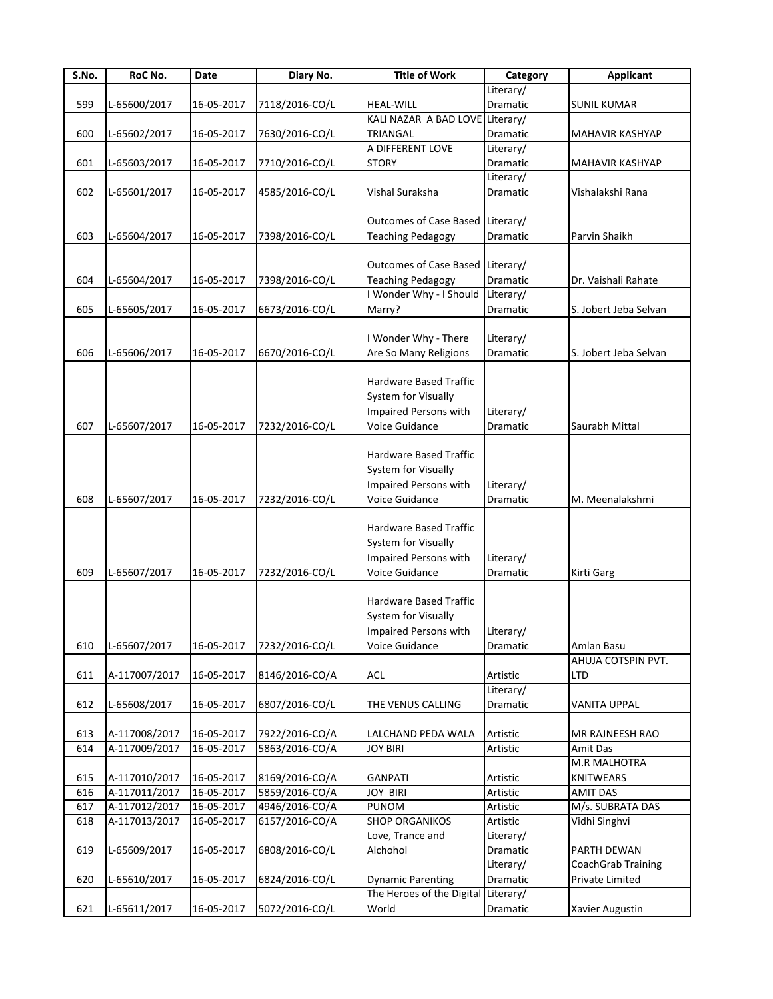| S.No. | RoC No.       | Date       | Diary No.      | <b>Title of Work</b>            | Category  | Applicant             |
|-------|---------------|------------|----------------|---------------------------------|-----------|-----------------------|
|       |               |            |                |                                 | Literary/ |                       |
| 599   | L-65600/2017  | 16-05-2017 | 7118/2016-CO/L | <b>HEAL-WILL</b>                | Dramatic  | <b>SUNIL KUMAR</b>    |
|       |               |            |                | KALI NAZAR A BAD LOVE Literary/ |           |                       |
| 600   | L-65602/2017  | 16-05-2017 | 7630/2016-CO/L | <b>TRIANGAL</b>                 | Dramatic  | MAHAVIR KASHYAP       |
|       |               |            |                | A DIFFERENT LOVE                | Literary/ |                       |
| 601   | L-65603/2017  | 16-05-2017 | 7710/2016-CO/L | <b>STORY</b>                    | Dramatic  | MAHAVIR KASHYAP       |
|       |               |            |                |                                 | Literary/ |                       |
| 602   | L-65601/2017  | 16-05-2017 | 4585/2016-CO/L | Vishal Suraksha                 | Dramatic  | Vishalakshi Rana      |
|       |               |            |                |                                 |           |                       |
|       |               |            |                | <b>Outcomes of Case Based</b>   | Literary/ |                       |
| 603   | L-65604/2017  | 16-05-2017 | 7398/2016-CO/L | <b>Teaching Pedagogy</b>        | Dramatic  | Parvin Shaikh         |
|       |               |            |                |                                 |           |                       |
|       |               |            |                | <b>Outcomes of Case Based</b>   | Literary/ |                       |
| 604   | L-65604/2017  | 16-05-2017 | 7398/2016-CO/L | <b>Teaching Pedagogy</b>        | Dramatic  | Dr. Vaishali Rahate   |
|       |               |            |                | I Wonder Why - I Should         | Literary/ |                       |
| 605   | L-65605/2017  | 16-05-2017 | 6673/2016-CO/L | Marry?                          | Dramatic  | S. Jobert Jeba Selvan |
|       |               |            |                |                                 |           |                       |
|       |               |            |                | I Wonder Why - There            | Literary/ |                       |
| 606   | L-65606/2017  | 16-05-2017 | 6670/2016-CO/L | Are So Many Religions           | Dramatic  | S. Jobert Jeba Selvan |
|       |               |            |                |                                 |           |                       |
|       |               |            |                | Hardware Based Traffic          |           |                       |
|       |               |            |                | <b>System for Visually</b>      |           |                       |
|       |               |            |                |                                 |           |                       |
|       |               |            |                | Impaired Persons with           | Literary/ |                       |
| 607   | L-65607/2017  | 16-05-2017 | 7232/2016-CO/L | Voice Guidance                  | Dramatic  | Saurabh Mittal        |
|       |               |            |                |                                 |           |                       |
|       |               |            |                | Hardware Based Traffic          |           |                       |
|       |               |            |                | System for Visually             |           |                       |
|       |               |            |                | Impaired Persons with           | Literary/ |                       |
| 608   | L-65607/2017  | 16-05-2017 | 7232/2016-CO/L | Voice Guidance                  | Dramatic  | M. Meenalakshmi       |
|       |               |            |                |                                 |           |                       |
|       |               |            |                | Hardware Based Traffic          |           |                       |
|       |               |            |                | System for Visually             |           |                       |
|       |               |            |                | Impaired Persons with           | Literary/ |                       |
| 609   | L-65607/2017  | 16-05-2017 | 7232/2016-CO/L | Voice Guidance                  | Dramatic  | Kirti Garg            |
|       |               |            |                |                                 |           |                       |
|       |               |            |                | Hardware Based Traffic          |           |                       |
|       |               |            |                | <b>System for Visually</b>      |           |                       |
|       |               |            |                | Impaired Persons with           | Literary/ |                       |
| 610   | L-65607/2017  | 16-05-2017 | 7232/2016-CO/L | Voice Guidance                  |           | Amlan Basu            |
|       |               |            |                |                                 | Dramatic  |                       |
|       |               |            |                |                                 |           | AHUJA COTSPIN PVT.    |
| 611   | A-117007/2017 | 16-05-2017 | 8146/2016-CO/A | ACL                             | Artistic  | LTD                   |
|       |               |            |                |                                 | Literary/ |                       |
| 612   | L-65608/2017  | 16-05-2017 | 6807/2016-CO/L | THE VENUS CALLING               | Dramatic  | <b>VANITA UPPAL</b>   |
|       |               |            |                |                                 |           |                       |
| 613   | A-117008/2017 | 16-05-2017 | 7922/2016-CO/A | LALCHAND PEDA WALA              | Artistic  | MR RAJNEESH RAO       |
| 614   | A-117009/2017 | 16-05-2017 | 5863/2016-CO/A | <b>JOY BIRI</b>                 | Artistic  | Amit Das              |
|       |               |            |                |                                 |           | <b>M.R MALHOTRA</b>   |
| 615   | A-117010/2017 | 16-05-2017 | 8169/2016-CO/A | <b>GANPATI</b>                  | Artistic  | <b>KNITWEARS</b>      |
| 616   | A-117011/2017 | 16-05-2017 | 5859/2016-CO/A | <b>JOY BIRI</b>                 | Artistic  | <b>AMIT DAS</b>       |
| 617   | A-117012/2017 | 16-05-2017 | 4946/2016-CO/A | PUNOM                           | Artistic  | M/s. SUBRATA DAS      |
| 618   | A-117013/2017 | 16-05-2017 | 6157/2016-CO/A | <b>SHOP ORGANIKOS</b>           | Artistic  | Vidhi Singhvi         |
|       |               |            |                | Love, Trance and                | Literary/ |                       |
| 619   | L-65609/2017  | 16-05-2017 | 6808/2016-CO/L | Alchohol                        | Dramatic  | PARTH DEWAN           |
|       |               |            |                |                                 | Literary/ | CoachGrab Training    |
| 620   | L-65610/2017  | 16-05-2017 | 6824/2016-CO/L | <b>Dynamic Parenting</b>        | Dramatic  | Private Limited       |
|       |               |            |                | The Heroes of the Digital       | Literary/ |                       |
| 621   | L-65611/2017  | 16-05-2017 | 5072/2016-CO/L | World                           | Dramatic  | Xavier Augustin       |
|       |               |            |                |                                 |           |                       |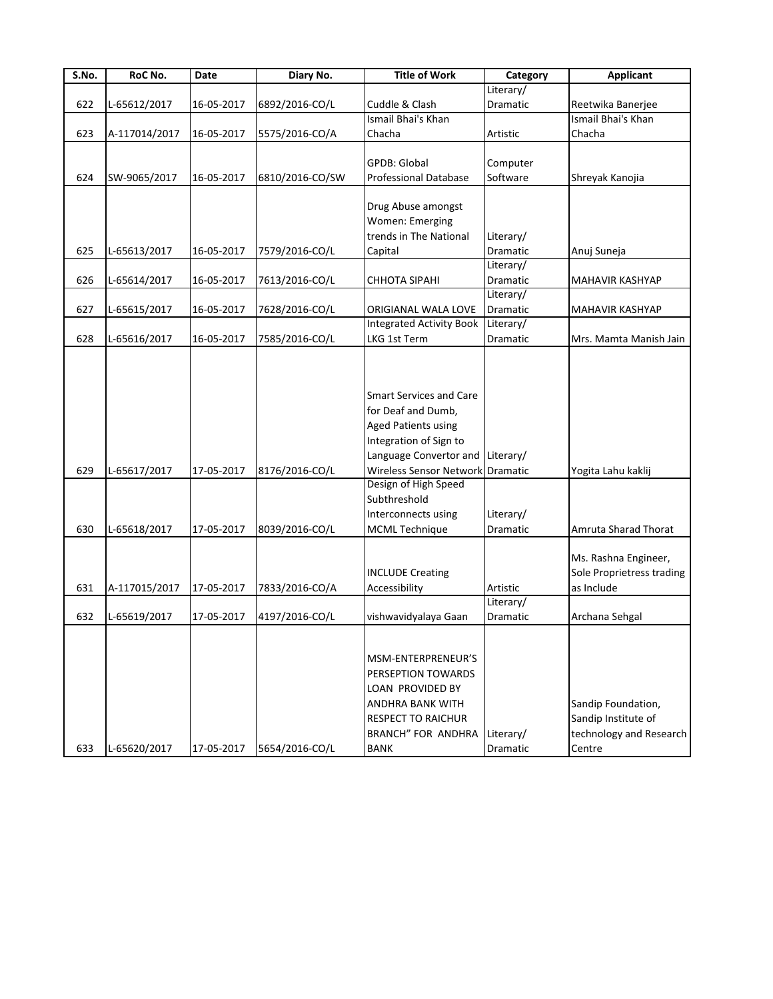| Reetwika Banerjee<br>Ismail Bhai's Khan<br>Chacha<br>Shreyak Kanojia<br>Anuj Suneja<br><b>MAHAVIR KASHYAP</b><br>MAHAVIR KASHYAP<br>Mrs. Mamta Manish Jain |
|------------------------------------------------------------------------------------------------------------------------------------------------------------|
|                                                                                                                                                            |
|                                                                                                                                                            |
|                                                                                                                                                            |
|                                                                                                                                                            |
|                                                                                                                                                            |
|                                                                                                                                                            |
|                                                                                                                                                            |
|                                                                                                                                                            |
|                                                                                                                                                            |
|                                                                                                                                                            |
|                                                                                                                                                            |
|                                                                                                                                                            |
|                                                                                                                                                            |
|                                                                                                                                                            |
|                                                                                                                                                            |
|                                                                                                                                                            |
|                                                                                                                                                            |
|                                                                                                                                                            |
|                                                                                                                                                            |
|                                                                                                                                                            |
| Yogita Lahu kaklij                                                                                                                                         |
|                                                                                                                                                            |
| Amruta Sharad Thorat                                                                                                                                       |
| Ms. Rashna Engineer,<br>Sole Proprietress trading<br>as Include                                                                                            |
|                                                                                                                                                            |
| Archana Sehgal                                                                                                                                             |
| Sandip Foundation,<br>Sandip Institute of                                                                                                                  |
|                                                                                                                                                            |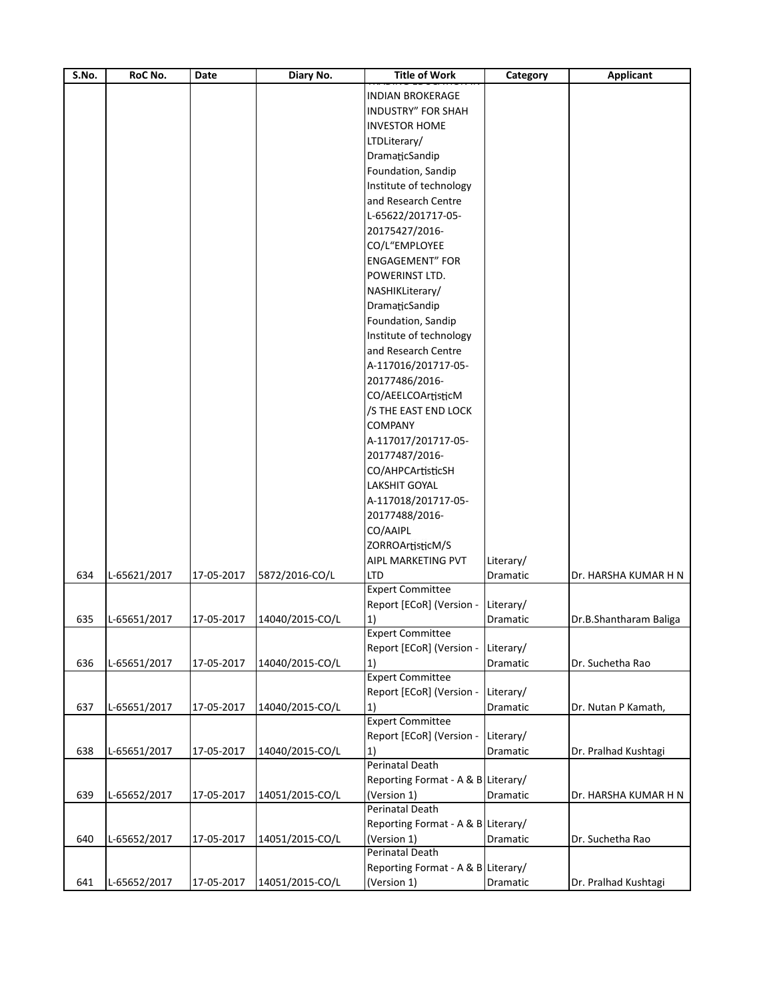| $\overline{\mathsf{S}.\mathsf{No}}$ . | RoC No.      | Date       | Diary No.       | <b>Title of Work</b>               | Category  | <b>Applicant</b>       |
|---------------------------------------|--------------|------------|-----------------|------------------------------------|-----------|------------------------|
|                                       |              |            |                 | <b>INDIAN BROKERAGE</b>            |           |                        |
|                                       |              |            |                 | <b>INDUSTRY" FOR SHAH</b>          |           |                        |
|                                       |              |            |                 | <b>INVESTOR HOME</b>               |           |                        |
|                                       |              |            |                 | LTDLiterary/                       |           |                        |
|                                       |              |            |                 | DramaticSandip                     |           |                        |
|                                       |              |            |                 | Foundation, Sandip                 |           |                        |
|                                       |              |            |                 | Institute of technology            |           |                        |
|                                       |              |            |                 | and Research Centre                |           |                        |
|                                       |              |            |                 | L-65622/201717-05-                 |           |                        |
|                                       |              |            |                 | 20175427/2016-                     |           |                        |
|                                       |              |            |                 | CO/L"EMPLOYEE                      |           |                        |
|                                       |              |            |                 | <b>ENGAGEMENT" FOR</b>             |           |                        |
|                                       |              |            |                 |                                    |           |                        |
|                                       |              |            |                 | POWERINST LTD.                     |           |                        |
|                                       |              |            |                 | NASHIKLiterary/                    |           |                        |
|                                       |              |            |                 | DramaticSandip                     |           |                        |
|                                       |              |            |                 | Foundation, Sandip                 |           |                        |
|                                       |              |            |                 | Institute of technology            |           |                        |
|                                       |              |            |                 | and Research Centre                |           |                        |
|                                       |              |            |                 | A-117016/201717-05-                |           |                        |
|                                       |              |            |                 | 20177486/2016-                     |           |                        |
|                                       |              |            |                 | CO/AEELCOArtisticM                 |           |                        |
|                                       |              |            |                 | /S THE EAST END LOCK               |           |                        |
|                                       |              |            |                 | <b>COMPANY</b>                     |           |                        |
|                                       |              |            |                 | A-117017/201717-05-                |           |                        |
|                                       |              |            |                 | 20177487/2016-                     |           |                        |
|                                       |              |            |                 | CO/AHPCArtisticSH                  |           |                        |
|                                       |              |            |                 | LAKSHIT GOYAL                      |           |                        |
|                                       |              |            |                 | A-117018/201717-05-                |           |                        |
|                                       |              |            |                 | 20177488/2016-                     |           |                        |
|                                       |              |            |                 | CO/AAIPL                           |           |                        |
|                                       |              |            |                 | ZORROArtisticM/S                   |           |                        |
|                                       |              |            |                 | <b>AIPL MARKETING PVT</b>          | Literary/ |                        |
| 634                                   | L-65621/2017 | 17-05-2017 | 5872/2016-CO/L  | LTD                                | Dramatic  | Dr. HARSHA KUMAR H N   |
|                                       |              |            |                 | <b>Expert Committee</b>            |           |                        |
|                                       |              |            |                 | Report [ECoR] (Version -           | Literary/ |                        |
| 635                                   | L-65651/2017 | 17-05-2017 | 14040/2015-CO/L | $\vert 1)$                         | Dramatic  | Dr.B.Shantharam Baliga |
|                                       |              |            |                 | <b>Expert Committee</b>            |           |                        |
|                                       |              |            |                 | Report [ECoR] (Version -           | Literary/ |                        |
| 636                                   | L-65651/2017 | 17-05-2017 | 14040/2015-CO/L | $\vert 1 \rangle$                  | Dramatic  | Dr. Suchetha Rao       |
|                                       |              |            |                 | <b>Expert Committee</b>            |           |                        |
|                                       |              |            |                 | Report [ECoR] (Version -           | Literary/ |                        |
| 637                                   | L-65651/2017 | 17-05-2017 | 14040/2015-CO/L | $\vert 1 \rangle$                  | Dramatic  | Dr. Nutan P Kamath,    |
|                                       |              |            |                 | <b>Expert Committee</b>            |           |                        |
|                                       |              |            |                 | Report [ECoR] (Version -           | Literary/ |                        |
| 638                                   | L-65651/2017 | 17-05-2017 | 14040/2015-CO/L | $\left( \frac{1}{2} \right)$       | Dramatic  | Dr. Pralhad Kushtagi   |
|                                       |              |            |                 | Perinatal Death                    |           |                        |
|                                       |              |            |                 | Reporting Format - A & B Literary/ |           |                        |
| 639                                   | L-65652/2017 | 17-05-2017 | 14051/2015-CO/L | (Version 1)                        | Dramatic  | Dr. HARSHA KUMAR H N   |
|                                       |              |            |                 | Perinatal Death                    |           |                        |
|                                       |              |            |                 | Reporting Format - A & B Literary/ |           |                        |
| 640                                   | L-65652/2017 | 17-05-2017 | 14051/2015-CO/L | (Version 1)                        | Dramatic  | Dr. Suchetha Rao       |
|                                       |              |            |                 | Perinatal Death                    |           |                        |
|                                       |              |            |                 | Reporting Format - A & B Literary/ |           |                        |
| 641                                   | L-65652/2017 | 17-05-2017 | 14051/2015-CO/L | (Version 1)                        | Dramatic  | Dr. Pralhad Kushtagi   |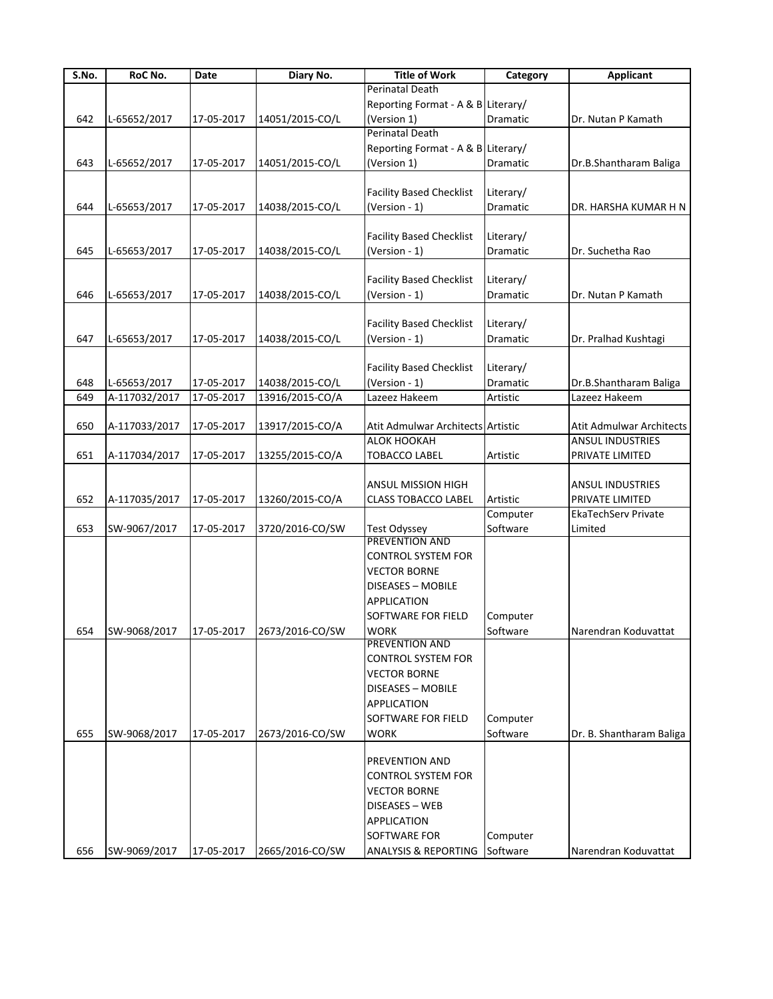| S.No. | RoC No.       | Date       | Diary No.                               | <b>Title of Work</b>               | Category  | <b>Applicant</b>           |
|-------|---------------|------------|-----------------------------------------|------------------------------------|-----------|----------------------------|
|       |               |            |                                         | Perinatal Death                    |           |                            |
|       |               |            |                                         | Reporting Format - A & B Literary/ |           |                            |
| 642   | L-65652/2017  | 17-05-2017 | 14051/2015-CO/L                         | (Version 1)                        | Dramatic  | Dr. Nutan P Kamath         |
|       |               |            |                                         | <b>Perinatal Death</b>             |           |                            |
|       |               |            |                                         | Reporting Format - A & B Literary/ |           |                            |
| 643   | L-65652/2017  | 17-05-2017 | 14051/2015-CO/L                         | (Version 1)                        | Dramatic  | Dr.B.Shantharam Baliga     |
|       |               |            |                                         |                                    |           |                            |
|       |               |            |                                         | <b>Facility Based Checklist</b>    | Literary/ |                            |
| 644   | L-65653/2017  | 17-05-2017 | 14038/2015-CO/L                         | (Version - 1)                      | Dramatic  | DR. HARSHA KUMAR H N       |
|       |               |            |                                         |                                    |           |                            |
|       |               |            |                                         | <b>Facility Based Checklist</b>    | Literary/ |                            |
| 645   | L-65653/2017  | 17-05-2017 | 14038/2015-CO/L                         | (Version - 1)                      | Dramatic  | Dr. Suchetha Rao           |
|       |               |            |                                         |                                    |           |                            |
|       |               |            |                                         |                                    |           |                            |
|       |               |            |                                         | <b>Facility Based Checklist</b>    | Literary/ |                            |
| 646   | L-65653/2017  | 17-05-2017 | 14038/2015-CO/L                         | (Version - 1)                      | Dramatic  | Dr. Nutan P Kamath         |
|       |               |            |                                         |                                    |           |                            |
|       |               |            |                                         | <b>Facility Based Checklist</b>    | Literary/ |                            |
| 647   | L-65653/2017  | 17-05-2017 | 14038/2015-CO/L                         | (Version - 1)                      | Dramatic  | Dr. Pralhad Kushtagi       |
|       |               |            |                                         |                                    |           |                            |
|       |               |            |                                         | <b>Facility Based Checklist</b>    | Literary/ |                            |
| 648   | L-65653/2017  | 17-05-2017 | 14038/2015-CO/L                         | (Version - 1)                      | Dramatic  | Dr.B.Shantharam Baliga     |
| 649   | A-117032/2017 | 17-05-2017 | 13916/2015-CO/A                         | Lazeez Hakeem                      | Artistic  | Lazeez Hakeem              |
|       |               |            |                                         |                                    |           |                            |
| 650   | A-117033/2017 | 17-05-2017 | 13917/2015-CO/A                         | Atit Admulwar Architects Artistic  |           | Atit Admulwar Architects   |
|       |               |            |                                         | ALOK HOOKAH                        |           | <b>ANSUL INDUSTRIES</b>    |
| 651   | A-117034/2017 | 17-05-2017 | 13255/2015-CO/A                         | <b>TOBACCO LABEL</b>               | Artistic  | PRIVATE LIMITED            |
|       |               |            |                                         |                                    |           |                            |
|       |               |            |                                         | ANSUL MISSION HIGH                 |           | <b>ANSUL INDUSTRIES</b>    |
| 652   | A-117035/2017 | 17-05-2017 | 13260/2015-CO/A                         | <b>CLASS TOBACCO LABEL</b>         | Artistic  | PRIVATE LIMITED            |
|       |               |            |                                         |                                    | Computer  | <b>EkaTechServ Private</b> |
| 653   | SW-9067/2017  | 17-05-2017 | 3720/2016-CO/SW                         | <b>Test Odyssey</b>                | Software  | Limited                    |
|       |               |            |                                         | <b>PREVENTION AND</b>              |           |                            |
|       |               |            |                                         | <b>CONTROL SYSTEM FOR</b>          |           |                            |
|       |               |            |                                         | <b>VECTOR BORNE</b>                |           |                            |
|       |               |            |                                         |                                    |           |                            |
|       |               |            |                                         | DISEASES - MOBILE                  |           |                            |
|       |               |            |                                         | <b>APPLICATION</b>                 |           |                            |
|       |               |            |                                         | SOFTWARE FOR FIELD                 | Computer  |                            |
| 654   |               |            | SW-9068/2017 17-05-2017 2673/2016-CO/SW | WORK                               | Software  | Narendran Koduvattat       |
|       |               |            |                                         | PREVENTION AND                     |           |                            |
|       |               |            |                                         | <b>CONTROL SYSTEM FOR</b>          |           |                            |
|       |               |            |                                         | <b>VECTOR BORNE</b>                |           |                            |
|       |               |            |                                         | DISEASES - MOBILE                  |           |                            |
|       |               |            |                                         | APPLICATION                        |           |                            |
|       |               |            |                                         | SOFTWARE FOR FIELD                 | Computer  |                            |
| 655   | SW-9068/2017  | 17-05-2017 | 2673/2016-CO/SW                         | <b>WORK</b>                        | Software  | Dr. B. Shantharam Baliga   |
|       |               |            |                                         |                                    |           |                            |
|       |               |            |                                         | PREVENTION AND                     |           |                            |
|       |               |            |                                         | <b>CONTROL SYSTEM FOR</b>          |           |                            |
|       |               |            |                                         | <b>VECTOR BORNE</b>                |           |                            |
|       |               |            |                                         | DISEASES - WEB                     |           |                            |
|       |               |            |                                         | <b>APPLICATION</b>                 |           |                            |
|       |               |            |                                         |                                    |           |                            |
|       |               |            |                                         | SOFTWARE FOR                       | Computer  |                            |
| 656   | SW-9069/2017  | 17-05-2017 | 2665/2016-CO/SW                         | ANALYSIS & REPORTING               | Software  | Narendran Koduvattat       |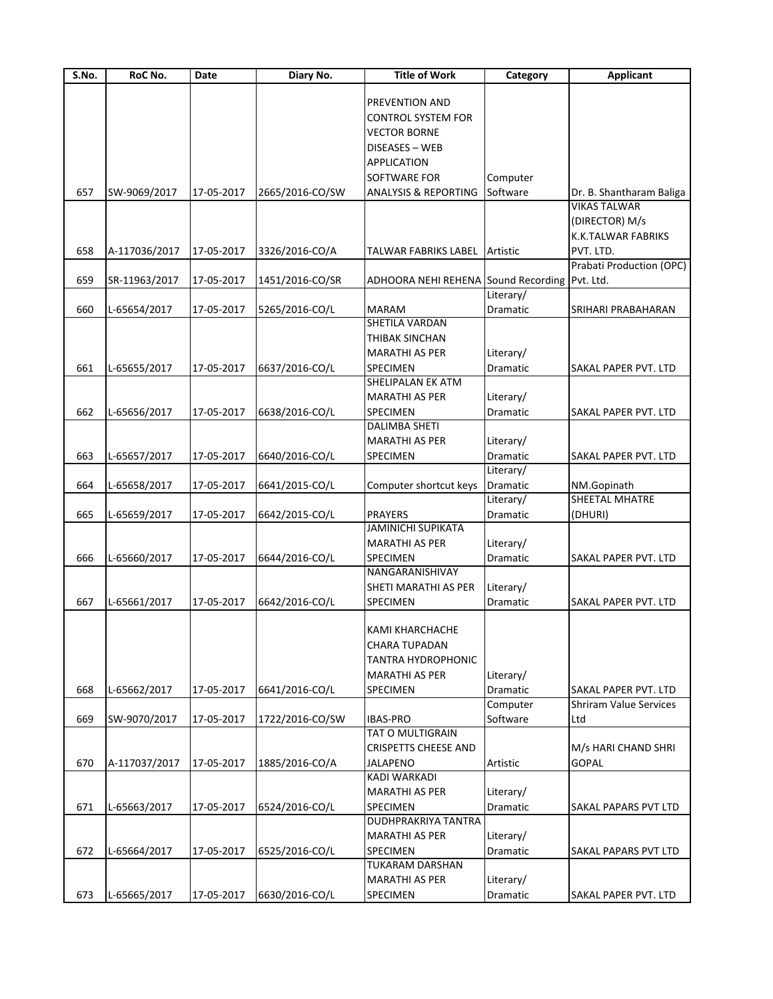| S.No. | RoC No.       | Date       | Diary No.       | <b>Title of Work</b>                          | Category        | <b>Applicant</b>              |
|-------|---------------|------------|-----------------|-----------------------------------------------|-----------------|-------------------------------|
|       |               |            |                 |                                               |                 |                               |
|       |               |            |                 | <b>PREVENTION AND</b>                         |                 |                               |
|       |               |            |                 | <b>CONTROL SYSTEM FOR</b>                     |                 |                               |
|       |               |            |                 | <b>VECTOR BORNE</b>                           |                 |                               |
|       |               |            |                 | DISEASES - WEB                                |                 |                               |
|       |               |            |                 | <b>APPLICATION</b>                            |                 |                               |
|       |               |            |                 | <b>SOFTWARE FOR</b>                           | Computer        |                               |
| 657   | SW-9069/2017  | 17-05-2017 | 2665/2016-CO/SW | <b>ANALYSIS &amp; REPORTING</b>               | Software        | Dr. B. Shantharam Baliga      |
|       |               |            |                 |                                               |                 | <b>VIKAS TALWAR</b>           |
|       |               |            |                 |                                               |                 | (DIRECTOR) M/s                |
|       |               |            |                 |                                               |                 | K.K.TALWAR FABRIKS            |
| 658   | A-117036/2017 | 17-05-2017 | 3326/2016-CO/A  | TALWAR FABRIKS LABEL                          | Artistic        | PVT. LTD.                     |
|       |               |            |                 |                                               |                 | Prabati Production (OPC)      |
| 659   | SR-11963/2017 | 17-05-2017 | 1451/2016-CO/SR | ADHOORA NEHI REHENA Sound Recording Pvt. Ltd. |                 |                               |
|       |               |            |                 |                                               | Literary/       |                               |
| 660   | L-65654/2017  | 17-05-2017 | 5265/2016-CO/L  | <b>MARAM</b>                                  | Dramatic        | SRIHARI PRABAHARAN            |
|       |               |            |                 | SHETILA VARDAN                                |                 |                               |
|       |               |            |                 | THIBAK SINCHAN                                |                 |                               |
|       |               |            |                 | <b>MARATHI AS PER</b>                         | Literary/       |                               |
|       |               |            |                 |                                               |                 |                               |
| 661   | L-65655/2017  | 17-05-2017 | 6637/2016-CO/L  | SPECIMEN                                      | <b>Dramatic</b> | SAKAL PAPER PVT. LTD          |
|       |               |            |                 | SHELIPALAN EK ATM                             |                 |                               |
|       |               |            |                 | <b>MARATHI AS PER</b>                         | Literary/       |                               |
| 662   | L-65656/2017  | 17-05-2017 | 6638/2016-CO/L  | SPECIMEN                                      | Dramatic        | SAKAL PAPER PVT. LTD          |
|       |               |            |                 | <b>DALIMBA SHETI</b>                          |                 |                               |
|       |               |            |                 | <b>MARATHI AS PER</b>                         | Literary/       |                               |
| 663   | L-65657/2017  | 17-05-2017 | 6640/2016-CO/L  | SPECIMEN                                      | Dramatic        | SAKAL PAPER PVT. LTD          |
|       |               |            |                 |                                               | Literary/       |                               |
| 664   | L-65658/2017  | 17-05-2017 | 6641/2015-CO/L  | Computer shortcut keys                        | Dramatic        | NM.Gopinath                   |
|       |               |            |                 |                                               | Literary/       | SHEETAL MHATRE                |
| 665   | L-65659/2017  | 17-05-2017 | 6642/2015-CO/L  | <b>PRAYERS</b>                                | Dramatic        | (DHURI)                       |
|       |               |            |                 | <b>JAMINICHI SUPIKATA</b>                     |                 |                               |
|       |               |            |                 | <b>MARATHI AS PER</b>                         | Literary/       |                               |
| 666   | L-65660/2017  | 17-05-2017 | 6644/2016-CO/L  | SPECIMEN                                      | Dramatic        | <b>SAKAL PAPER PVT. LTD</b>   |
|       |               |            |                 | NANGARANISHIVAY                               |                 |                               |
|       |               |            |                 | SHETI MARATHI AS PER                          | Literary/       |                               |
| 667   | L-65661/2017  | 17-05-2017 | 6642/2016-CO/L  | SPECIMEN                                      | Dramatic        | SAKAL PAPER PVT. LTD          |
|       |               |            |                 |                                               |                 |                               |
|       |               |            |                 | <b>KAMI KHARCHACHE</b>                        |                 |                               |
|       |               |            |                 | CHARA TUPADAN                                 |                 |                               |
|       |               |            |                 | TANTRA HYDROPHONIC                            |                 |                               |
|       |               |            |                 | MARATHI AS PER                                | Literary/       |                               |
| 668   | L-65662/2017  | 17-05-2017 | 6641/2016-CO/L  | SPECIMEN                                      | Dramatic        | <b>SAKAL PAPER PVT. LTD</b>   |
|       |               |            |                 |                                               | Computer        | <b>Shriram Value Services</b> |
| 669   | SW-9070/2017  | 17-05-2017 | 1722/2016-CO/SW | <b>IBAS-PRO</b>                               | Software        | Ltd                           |
|       |               |            |                 | <b>TAT O MULTIGRAIN</b>                       |                 |                               |
|       |               |            |                 | <b>CRISPETTS CHEESE AND</b>                   |                 | M/s HARI CHAND SHRI           |
| 670   | A-117037/2017 | 17-05-2017 | 1885/2016-CO/A  | <b>JALAPENO</b>                               | Artistic        | <b>GOPAL</b>                  |
|       |               |            |                 | <b>KADI WARKADI</b>                           |                 |                               |
|       |               |            |                 |                                               |                 |                               |
|       |               |            |                 | <b>MARATHI AS PER</b>                         | Literary/       |                               |
| 671   | L-65663/2017  | 17-05-2017 | 6524/2016-CO/L  | <b>SPECIMEN</b>                               | Dramatic        | SAKAL PAPARS PVT LTD          |
|       |               |            |                 | <b>DUDHPRAKRIYA TANTRA</b>                    |                 |                               |
|       |               |            |                 | <b>MARATHI AS PER</b>                         | Literary/       |                               |
| 672   | L-65664/2017  | 17-05-2017 | 6525/2016-CO/L  | <b>SPECIMEN</b>                               | Dramatic        | SAKAL PAPARS PVT LTD          |
|       |               |            |                 | <b>TUKARAM DARSHAN</b>                        |                 |                               |
|       |               |            |                 | <b>MARATHI AS PER</b>                         | Literary/       |                               |
| 673   | L-65665/2017  | 17-05-2017 | 6630/2016-CO/L  | SPECIMEN                                      | Dramatic        | <b>SAKAL PAPER PVT. LTD</b>   |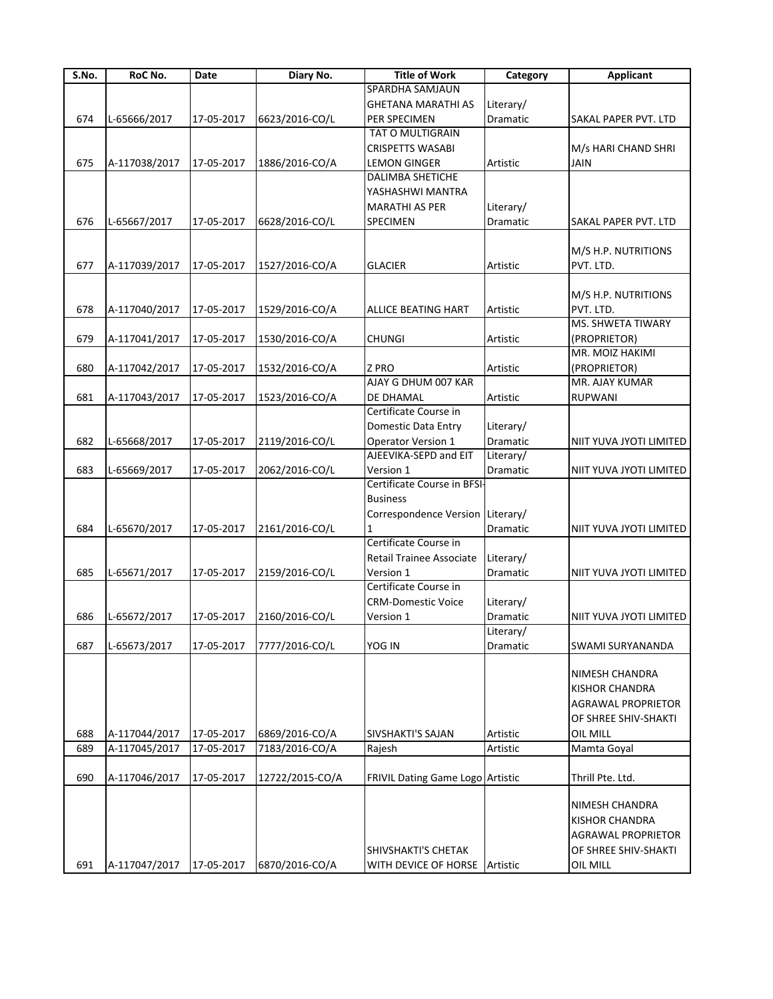| S.No. | RoC No.       | Date       | Diary No.       | <b>Title of Work</b>             | Category  | <b>Applicant</b>          |
|-------|---------------|------------|-----------------|----------------------------------|-----------|---------------------------|
|       |               |            |                 | SPARDHA SAMJAUN                  |           |                           |
|       |               |            |                 | <b>GHETANA MARATHI AS</b>        | Literary/ |                           |
| 674   | L-65666/2017  | 17-05-2017 | 6623/2016-CO/L  | PER SPECIMEN                     | Dramatic  | SAKAL PAPER PVT. LTD      |
|       |               |            |                 | TAT O MULTIGRAIN                 |           |                           |
|       |               |            |                 | CRISPETTS WASABI                 |           | M/s HARI CHAND SHRI       |
| 675   | A-117038/2017 | 17-05-2017 | 1886/2016-CO/A  | <b>LEMON GINGER</b>              | Artistic  | <b>JAIN</b>               |
|       |               |            |                 | <b>DALIMBA SHETICHE</b>          |           |                           |
|       |               |            |                 | YASHASHWI MANTRA                 |           |                           |
|       |               |            |                 | <b>MARATHI AS PER</b>            | Literary/ |                           |
| 676   | L-65667/2017  | 17-05-2017 | 6628/2016-CO/L  | SPECIMEN                         | Dramatic  | SAKAL PAPER PVT. LTD      |
|       |               |            |                 |                                  |           |                           |
|       |               |            |                 |                                  |           | M/S H.P. NUTRITIONS       |
| 677   | A-117039/2017 | 17-05-2017 | 1527/2016-CO/A  | <b>GLACIER</b>                   | Artistic  | PVT. LTD.                 |
|       |               |            |                 |                                  |           |                           |
|       |               |            |                 |                                  |           | M/S H.P. NUTRITIONS       |
| 678   | A-117040/2017 | 17-05-2017 | 1529/2016-CO/A  | ALLICE BEATING HART              | Artistic  | PVT. LTD.                 |
|       |               |            |                 |                                  |           | MS. SHWETA TIWARY         |
| 679   | A-117041/2017 | 17-05-2017 | 1530/2016-CO/A  | <b>CHUNGI</b>                    | Artistic  | (PROPRIETOR)              |
|       |               |            |                 |                                  |           | MR. MOIZ HAKIMI           |
|       |               |            |                 |                                  |           |                           |
| 680   | A-117042/2017 | 17-05-2017 | 1532/2016-CO/A  | Z PRO<br>AJAY G DHUM 007 KAR     | Artistic  | (PROPRIETOR)              |
|       |               |            |                 |                                  |           | MR. AJAY KUMAR            |
| 681   | A-117043/2017 | 17-05-2017 | 1523/2016-CO/A  | DE DHAMAL                        | Artistic  | RUPWANI                   |
|       |               |            |                 | Certificate Course in            |           |                           |
|       |               |            |                 | Domestic Data Entry              | Literary/ |                           |
| 682   | L-65668/2017  | 17-05-2017 | 2119/2016-CO/L  | <b>Operator Version 1</b>        | Dramatic  | NIIT YUVA JYOTI LIMITED   |
|       |               |            |                 | AJEEVIKA-SEPD and EIT            | Literary/ |                           |
| 683   | L-65669/2017  | 17-05-2017 | 2062/2016-CO/L  | Version 1                        | Dramatic  | NIIT YUVA JYOTI LIMITED   |
|       |               |            |                 | Certificate Course in BFSI-      |           |                           |
|       |               |            |                 | <b>Business</b>                  |           |                           |
|       |               |            |                 | Correspondence Version Literary/ |           |                           |
| 684   | L-65670/2017  | 17-05-2017 | 2161/2016-CO/L  |                                  | Dramatic  | NIIT YUVA JYOTI LIMITED   |
|       |               |            |                 | Certificate Course in            |           |                           |
|       |               |            |                 | Retail Trainee Associate         | Literary/ |                           |
| 685   | L-65671/2017  | 17-05-2017 | 2159/2016-CO/L  | Version 1                        | Dramatic  | NIIT YUVA JYOTI LIMITED   |
|       |               |            |                 | Certificate Course in            |           |                           |
|       |               |            |                 | <b>CRM-Domestic Voice</b>        | Literary/ |                           |
| 686   | L-65672/2017  | 17-05-2017 | 2160/2016-CO/L  | Version 1                        | Dramatic  | NIIT YUVA JYOTI LIMITED   |
|       |               |            |                 |                                  | Literary/ |                           |
| 687   | L-65673/2017  | 17-05-2017 | 7777/2016-CO/L  | YOG IN                           | Dramatic  | SWAMI SURYANANDA          |
|       |               |            |                 |                                  |           |                           |
|       |               |            |                 |                                  |           | <b>NIMESH CHANDRA</b>     |
|       |               |            |                 |                                  |           | <b>KISHOR CHANDRA</b>     |
|       |               |            |                 |                                  |           | <b>AGRAWAL PROPRIETOR</b> |
|       |               |            |                 |                                  |           | OF SHREE SHIV-SHAKTI      |
| 688   | A-117044/2017 | 17-05-2017 | 6869/2016-CO/A  | SIVSHAKTI'S SAJAN                | Artistic  | OIL MILL                  |
| 689   | A-117045/2017 | 17-05-2017 | 7183/2016-CO/A  | Rajesh                           | Artistic  | Mamta Goyal               |
|       |               |            |                 |                                  |           |                           |
| 690   | A-117046/2017 | 17-05-2017 | 12722/2015-CO/A | FRIVIL Dating Game Logo Artistic |           | Thrill Pte. Ltd.          |
|       |               |            |                 |                                  |           |                           |
|       |               |            |                 |                                  |           | NIMESH CHANDRA            |
|       |               |            |                 |                                  |           | <b>KISHOR CHANDRA</b>     |
|       |               |            |                 |                                  |           | <b>AGRAWAL PROPRIETOR</b> |
|       |               |            |                 | SHIVSHAKTI'S CHETAK              |           | OF SHREE SHIV-SHAKTI      |
| 691   | A-117047/2017 | 17-05-2017 | 6870/2016-CO/A  | WITH DEVICE OF HORSE             | Artistic  | OIL MILL                  |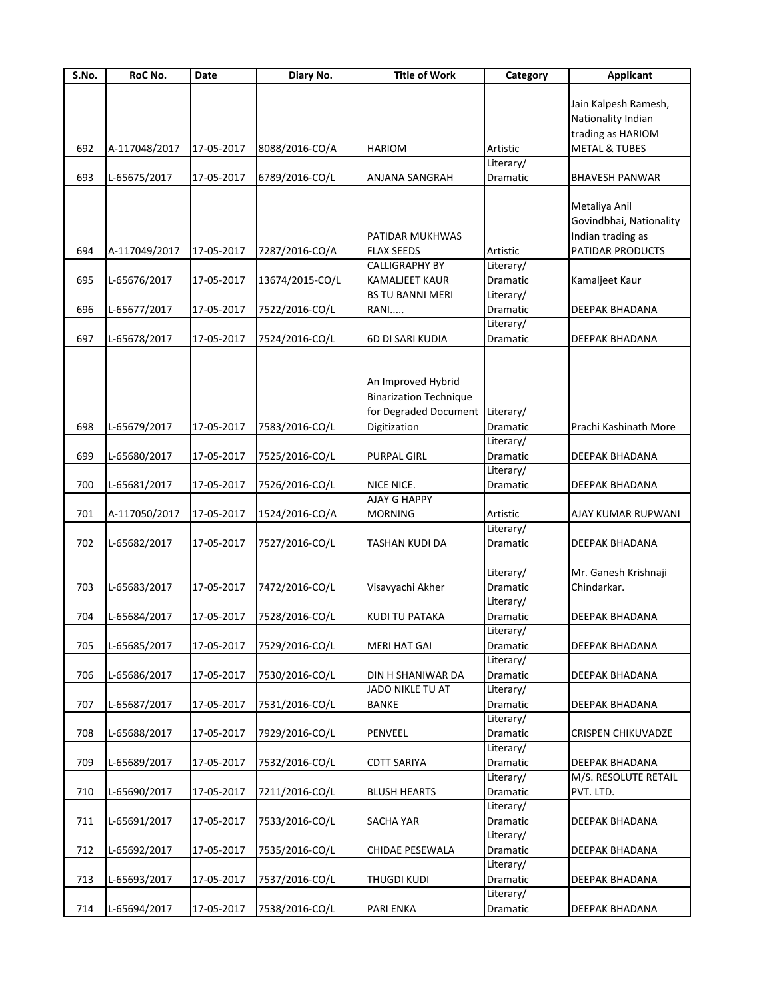| S.No. | RoC No.       | Date       | Diary No.       | <b>Title of Work</b>          | Category  | <b>Applicant</b>          |
|-------|---------------|------------|-----------------|-------------------------------|-----------|---------------------------|
|       |               |            |                 |                               |           |                           |
|       |               |            |                 |                               |           | Jain Kalpesh Ramesh,      |
|       |               |            |                 |                               |           | Nationality Indian        |
|       |               |            |                 |                               |           | trading as HARIOM         |
| 692   | A-117048/2017 | 17-05-2017 | 8088/2016-CO/A  | <b>HARIOM</b>                 | Artistic  | <b>METAL &amp; TUBES</b>  |
|       |               |            |                 |                               | Literary/ |                           |
| 693   | L-65675/2017  | 17-05-2017 | 6789/2016-CO/L  | <b>ANJANA SANGRAH</b>         | Dramatic  | <b>BHAVESH PANWAR</b>     |
|       |               |            |                 |                               |           |                           |
|       |               |            |                 |                               |           | Metaliya Anil             |
|       |               |            |                 |                               |           | Govindbhai, Nationality   |
|       |               |            |                 | PATIDAR MUKHWAS               |           | Indian trading as         |
| 694   | A-117049/2017 | 17-05-2017 | 7287/2016-CO/A  | <b>FLAX SEEDS</b>             | Artistic  | PATIDAR PRODUCTS          |
|       |               |            |                 | <b>CALLIGRAPHY BY</b>         | Literary/ |                           |
| 695   | L-65676/2017  | 17-05-2017 | 13674/2015-CO/L | KAMALJEET KAUR                | Dramatic  | Kamaljeet Kaur            |
|       |               |            |                 | <b>BS TU BANNI MERI</b>       | Literary/ |                           |
| 696   | L-65677/2017  | 17-05-2017 | 7522/2016-CO/L  | RANI                          | Dramatic  | DEEPAK BHADANA            |
|       |               |            |                 |                               | Literary/ |                           |
| 697   | L-65678/2017  | 17-05-2017 | 7524/2016-CO/L  | 6D DI SARI KUDIA              | Dramatic  | DEEPAK BHADANA            |
|       |               |            |                 |                               |           |                           |
|       |               |            |                 |                               |           |                           |
|       |               |            |                 | An Improved Hybrid            |           |                           |
|       |               |            |                 | <b>Binarization Technique</b> |           |                           |
|       |               |            |                 | for Degraded Document         | Literary/ |                           |
| 698   | L-65679/2017  | 17-05-2017 | 7583/2016-CO/L  | Digitization                  | Dramatic  | Prachi Kashinath More     |
|       |               |            |                 |                               | Literary/ |                           |
|       |               |            |                 |                               |           |                           |
| 699   | L-65680/2017  | 17-05-2017 | 7525/2016-CO/L  | PURPAL GIRL                   | Dramatic  | DEEPAK BHADANA            |
|       |               |            |                 |                               | Literary/ |                           |
| 700   | L-65681/2017  | 17-05-2017 | 7526/2016-CO/L  | NICE NICE.                    | Dramatic  | DEEPAK BHADANA            |
|       |               |            |                 | <b>AJAY G HAPPY</b>           |           |                           |
| 701   | A-117050/2017 | 17-05-2017 | 1524/2016-CO/A  | <b>MORNING</b>                | Artistic  | AJAY KUMAR RUPWANI        |
|       |               |            |                 |                               | Literary/ |                           |
| 702   | L-65682/2017  | 17-05-2017 | 7527/2016-CO/L  | <b>TASHAN KUDI DA</b>         | Dramatic  | DEEPAK BHADANA            |
|       |               |            |                 |                               |           |                           |
|       |               |            |                 |                               | Literary/ | Mr. Ganesh Krishnaji      |
| 703   | L-65683/2017  | 17-05-2017 | 7472/2016-CO/L  | Visavyachi Akher              | Dramatic  | Chindarkar.               |
|       |               |            |                 |                               | Literary/ |                           |
| 704   | L-65684/2017  | 17-05-2017 | 7528/2016-CO/L  | KUDI TU PATAKA                | Dramatic  | DEEPAK BHADANA            |
|       |               |            |                 |                               | Literary/ |                           |
| 705   | L-65685/2017  | 17-05-2017 | 7529/2016-CO/L  | <b>MERI HAT GAI</b>           | Dramatic  | DEEPAK BHADANA            |
|       |               |            |                 |                               | Literary/ |                           |
| 706   | L-65686/2017  | 17-05-2017 | 7530/2016-CO/L  | DIN H SHANIWAR DA             | Dramatic  | DEEPAK BHADANA            |
|       |               |            |                 | JADO NIKLE TU AT              | Literary/ |                           |
| 707   | L-65687/2017  | 17-05-2017 | 7531/2016-CO/L  | <b>BANKE</b>                  | Dramatic  | DEEPAK BHADANA            |
|       |               |            |                 |                               | Literary/ |                           |
| 708   | L-65688/2017  | 17-05-2017 | 7929/2016-CO/L  | PENVEEL                       | Dramatic  | <b>CRISPEN CHIKUVADZE</b> |
|       |               |            |                 |                               | Literary/ |                           |
| 709   | L-65689/2017  | 17-05-2017 | 7532/2016-CO/L  | <b>CDTT SARIYA</b>            | Dramatic  | DEEPAK BHADANA            |
|       |               |            |                 |                               | Literary/ | M/S. RESOLUTE RETAIL      |
| 710   | L-65690/2017  | 17-05-2017 | 7211/2016-CO/L  | <b>BLUSH HEARTS</b>           | Dramatic  | PVT. LTD.                 |
|       |               |            |                 |                               | Literary/ |                           |
| 711   | L-65691/2017  | 17-05-2017 | 7533/2016-CO/L  | SACHA YAR                     | Dramatic  | DEEPAK BHADANA            |
|       |               |            |                 |                               | Literary/ |                           |
| 712   | L-65692/2017  | 17-05-2017 | 7535/2016-CO/L  | CHIDAE PESEWALA               | Dramatic  | DEEPAK BHADANA            |
|       |               |            |                 |                               | Literary/ |                           |
| 713   | L-65693/2017  | 17-05-2017 | 7537/2016-CO/L  | <b>THUGDI KUDI</b>            | Dramatic  | DEEPAK BHADANA            |
|       |               |            |                 |                               | Literary/ |                           |
| 714   | L-65694/2017  | 17-05-2017 | 7538/2016-CO/L  | PARI ENKA                     | Dramatic  | DEEPAK BHADANA            |
|       |               |            |                 |                               |           |                           |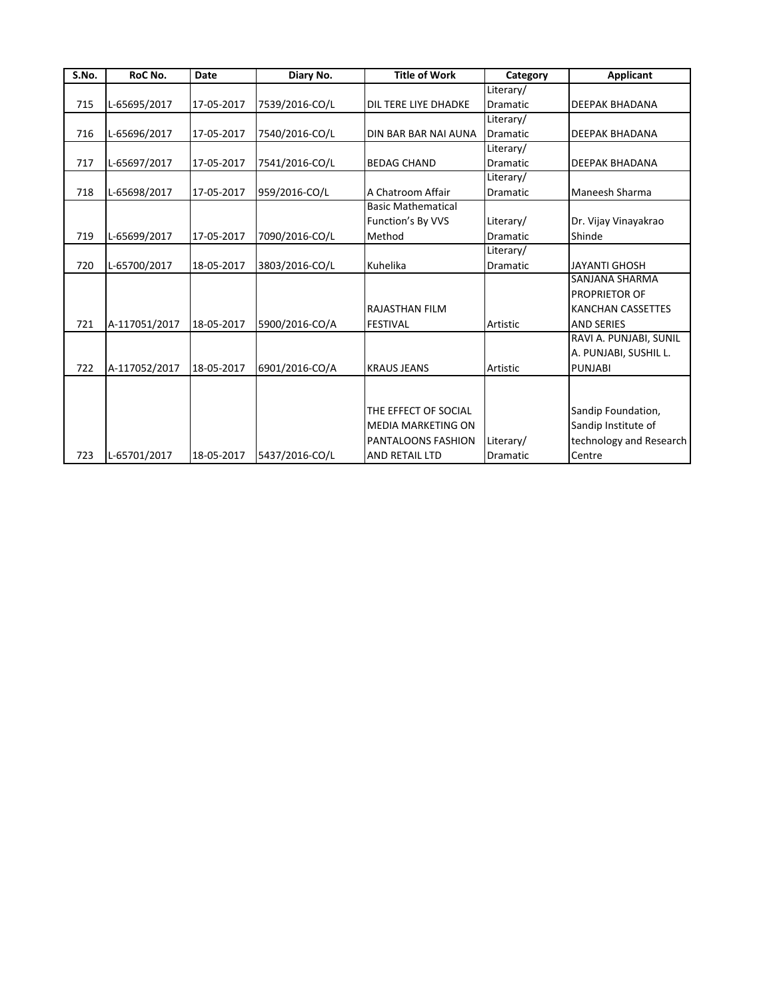| S.No. | RoC No.       | <b>Date</b> | Diary No.      | <b>Title of Work</b>      | Category        | <b>Applicant</b>         |
|-------|---------------|-------------|----------------|---------------------------|-----------------|--------------------------|
|       |               |             |                |                           | Literary/       |                          |
| 715   | L-65695/2017  | 17-05-2017  | 7539/2016-CO/L | DIL TERE LIYE DHADKE      | <b>Dramatic</b> | <b>DEEPAK BHADANA</b>    |
|       |               |             |                |                           | Literary/       |                          |
| 716   | L-65696/2017  | 17-05-2017  | 7540/2016-CO/L | DIN BAR BAR NAI AUNA      | <b>Dramatic</b> | <b>DEEPAK BHADANA</b>    |
|       |               |             |                |                           | Literary/       |                          |
| 717   | L-65697/2017  | 17-05-2017  | 7541/2016-CO/L | <b>BEDAG CHAND</b>        | <b>Dramatic</b> | <b>DEEPAK BHADANA</b>    |
|       |               |             |                |                           | Literary/       |                          |
| 718   | L-65698/2017  | 17-05-2017  | 959/2016-CO/L  | A Chatroom Affair         | <b>Dramatic</b> | Maneesh Sharma           |
|       |               |             |                | <b>Basic Mathematical</b> |                 |                          |
|       |               |             |                | Function's By VVS         | Literary/       | Dr. Vijay Vinayakrao     |
| 719   | L-65699/2017  | 17-05-2017  | 7090/2016-CO/L | Method                    | <b>Dramatic</b> | Shinde                   |
|       |               |             |                |                           | Literary/       |                          |
| 720   | L-65700/2017  | 18-05-2017  | 3803/2016-CO/L | Kuhelika                  | <b>Dramatic</b> | <b>JAYANTI GHOSH</b>     |
|       |               |             |                |                           |                 | SANJANA SHARMA           |
|       |               |             |                |                           |                 | <b>PROPRIETOR OF</b>     |
|       |               |             |                | RAJASTHAN FILM            |                 | <b>KANCHAN CASSETTES</b> |
| 721   | A-117051/2017 | 18-05-2017  | 5900/2016-CO/A | <b>FESTIVAL</b>           | Artistic        | <b>AND SERIES</b>        |
|       |               |             |                |                           |                 | RAVI A. PUNJABI, SUNIL   |
|       |               |             |                |                           |                 | A. PUNJABI, SUSHIL L.    |
| 722   | A-117052/2017 | 18-05-2017  | 6901/2016-CO/A | <b>KRAUS JEANS</b>        | Artistic        | <b>PUNJABI</b>           |
|       |               |             |                |                           |                 |                          |
|       |               |             |                |                           |                 |                          |
|       |               |             |                | THE EFFECT OF SOCIAL      |                 | Sandip Foundation,       |
|       |               |             |                | <b>MEDIA MARKETING ON</b> |                 | Sandip Institute of      |
|       |               |             |                | PANTALOONS FASHION        | Literary/       | technology and Research  |
| 723   | L-65701/2017  | 18-05-2017  | 5437/2016-CO/L | <b>AND RETAIL LTD</b>     | <b>Dramatic</b> | Centre                   |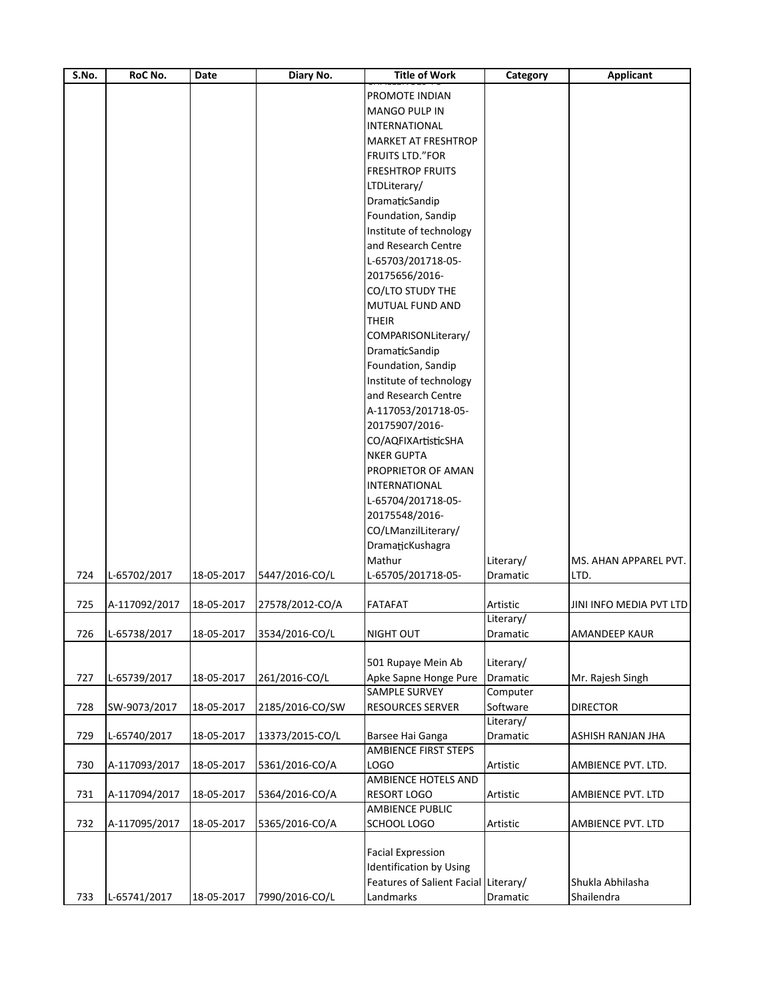| PROMOTE INDIAN<br><b>MANGO PULP IN</b><br><b>INTERNATIONAL</b><br><b>MARKET AT FRESHTROP</b><br><b>FRUITS LTD."FOR</b><br><b>FRESHTROP FRUITS</b><br>LTDLiterary/<br>DramaticSandip<br>Foundation, Sandip<br>Institute of technology<br>and Research Centre<br>L-65703/201718-05-<br>20175656/2016-<br>CO/LTO STUDY THE<br>MUTUAL FUND AND<br><b>THEIR</b><br>COMPARISONLiterary/<br>DramaticSandip<br>Foundation, Sandip<br>Institute of technology<br>and Research Centre<br>A-117053/201718-05-<br>20175907/2016-<br>CO/AQFIXArtisticSHA<br><b>NKER GUPTA</b><br>PROPRIETOR OF AMAN<br><b>INTERNATIONAL</b><br>L-65704/201718-05-<br>20175548/2016-<br>CO/LManzilLiterary/<br>DramaticKushagra<br>Mathur<br>Literary/<br>MS. AHAN APPAREL PVT.<br>L-65702/2017<br>5447/2016-CO/L<br>L-65705/201718-05-<br>18-05-2017<br>Dramatic<br>LTD.<br>A-117092/2017<br>18-05-2017<br>27578/2012-CO/A<br><b>FATAFAT</b><br>Artistic<br>JINI INFO MEDIA PVT LTD<br>Literary/<br>L-65738/2017<br>18-05-2017<br>3534/2016-CO/L<br>NIGHT OUT<br>AMANDEEP KAUR<br>Dramatic<br>501 Rupaye Mein Ab<br>Literary/<br>727<br>261/2016-CO/L<br>Apke Sapne Honge Pure<br>Dramatic<br>L-65739/2017<br>18-05-2017<br>Mr. Rajesh Singh<br><b>SAMPLE SURVEY</b><br>Computer<br>Software<br><b>RESOURCES SERVER</b><br>728<br>SW-9073/2017<br>18-05-2017<br>2185/2016-CO/SW<br><b>DIRECTOR</b><br>Literary/<br>729<br>Dramatic<br>L-65740/2017<br>18-05-2017<br>13373/2015-CO/L<br>Barsee Hai Ganga<br>ASHISH RANJAN JHA<br><b>AMBIENCE FIRST STEPS</b><br>LOGO<br>A-117093/2017<br>18-05-2017<br>5361/2016-CO/A<br>Artistic<br>AMBIENCE PVT. LTD.<br>AMBIENCE HOTELS AND<br>A-117094/2017<br><b>RESORT LOGO</b><br>18-05-2017<br>5364/2016-CO/A<br>Artistic<br>AMBIENCE PVT. LTD<br>AMBIENCE PUBLIC<br>SCHOOL LOGO<br>A-117095/2017<br>18-05-2017<br>5365/2016-CO/A<br>Artistic<br>AMBIENCE PVT. LTD<br><b>Facial Expression</b><br><b>Identification by Using</b> | S.No. | RoC No. | Date | Diary No. | <b>Title of Work</b>                 | Category | <b>Applicant</b> |
|--------------------------------------------------------------------------------------------------------------------------------------------------------------------------------------------------------------------------------------------------------------------------------------------------------------------------------------------------------------------------------------------------------------------------------------------------------------------------------------------------------------------------------------------------------------------------------------------------------------------------------------------------------------------------------------------------------------------------------------------------------------------------------------------------------------------------------------------------------------------------------------------------------------------------------------------------------------------------------------------------------------------------------------------------------------------------------------------------------------------------------------------------------------------------------------------------------------------------------------------------------------------------------------------------------------------------------------------------------------------------------------------------------------------------------------------------------------------------------------------------------------------------------------------------------------------------------------------------------------------------------------------------------------------------------------------------------------------------------------------------------------------------------------------------------------------------------------------------------------------------------------------------------------------------------------------|-------|---------|------|-----------|--------------------------------------|----------|------------------|
|                                                                                                                                                                                                                                                                                                                                                                                                                                                                                                                                                                                                                                                                                                                                                                                                                                                                                                                                                                                                                                                                                                                                                                                                                                                                                                                                                                                                                                                                                                                                                                                                                                                                                                                                                                                                                                                                                                                                            |       |         |      |           |                                      |          |                  |
|                                                                                                                                                                                                                                                                                                                                                                                                                                                                                                                                                                                                                                                                                                                                                                                                                                                                                                                                                                                                                                                                                                                                                                                                                                                                                                                                                                                                                                                                                                                                                                                                                                                                                                                                                                                                                                                                                                                                            |       |         |      |           |                                      |          |                  |
|                                                                                                                                                                                                                                                                                                                                                                                                                                                                                                                                                                                                                                                                                                                                                                                                                                                                                                                                                                                                                                                                                                                                                                                                                                                                                                                                                                                                                                                                                                                                                                                                                                                                                                                                                                                                                                                                                                                                            |       |         |      |           |                                      |          |                  |
|                                                                                                                                                                                                                                                                                                                                                                                                                                                                                                                                                                                                                                                                                                                                                                                                                                                                                                                                                                                                                                                                                                                                                                                                                                                                                                                                                                                                                                                                                                                                                                                                                                                                                                                                                                                                                                                                                                                                            |       |         |      |           |                                      |          |                  |
|                                                                                                                                                                                                                                                                                                                                                                                                                                                                                                                                                                                                                                                                                                                                                                                                                                                                                                                                                                                                                                                                                                                                                                                                                                                                                                                                                                                                                                                                                                                                                                                                                                                                                                                                                                                                                                                                                                                                            |       |         |      |           |                                      |          |                  |
|                                                                                                                                                                                                                                                                                                                                                                                                                                                                                                                                                                                                                                                                                                                                                                                                                                                                                                                                                                                                                                                                                                                                                                                                                                                                                                                                                                                                                                                                                                                                                                                                                                                                                                                                                                                                                                                                                                                                            |       |         |      |           |                                      |          |                  |
|                                                                                                                                                                                                                                                                                                                                                                                                                                                                                                                                                                                                                                                                                                                                                                                                                                                                                                                                                                                                                                                                                                                                                                                                                                                                                                                                                                                                                                                                                                                                                                                                                                                                                                                                                                                                                                                                                                                                            |       |         |      |           |                                      |          |                  |
|                                                                                                                                                                                                                                                                                                                                                                                                                                                                                                                                                                                                                                                                                                                                                                                                                                                                                                                                                                                                                                                                                                                                                                                                                                                                                                                                                                                                                                                                                                                                                                                                                                                                                                                                                                                                                                                                                                                                            |       |         |      |           |                                      |          |                  |
|                                                                                                                                                                                                                                                                                                                                                                                                                                                                                                                                                                                                                                                                                                                                                                                                                                                                                                                                                                                                                                                                                                                                                                                                                                                                                                                                                                                                                                                                                                                                                                                                                                                                                                                                                                                                                                                                                                                                            |       |         |      |           |                                      |          |                  |
|                                                                                                                                                                                                                                                                                                                                                                                                                                                                                                                                                                                                                                                                                                                                                                                                                                                                                                                                                                                                                                                                                                                                                                                                                                                                                                                                                                                                                                                                                                                                                                                                                                                                                                                                                                                                                                                                                                                                            |       |         |      |           |                                      |          |                  |
|                                                                                                                                                                                                                                                                                                                                                                                                                                                                                                                                                                                                                                                                                                                                                                                                                                                                                                                                                                                                                                                                                                                                                                                                                                                                                                                                                                                                                                                                                                                                                                                                                                                                                                                                                                                                                                                                                                                                            |       |         |      |           |                                      |          |                  |
|                                                                                                                                                                                                                                                                                                                                                                                                                                                                                                                                                                                                                                                                                                                                                                                                                                                                                                                                                                                                                                                                                                                                                                                                                                                                                                                                                                                                                                                                                                                                                                                                                                                                                                                                                                                                                                                                                                                                            |       |         |      |           |                                      |          |                  |
|                                                                                                                                                                                                                                                                                                                                                                                                                                                                                                                                                                                                                                                                                                                                                                                                                                                                                                                                                                                                                                                                                                                                                                                                                                                                                                                                                                                                                                                                                                                                                                                                                                                                                                                                                                                                                                                                                                                                            |       |         |      |           |                                      |          |                  |
|                                                                                                                                                                                                                                                                                                                                                                                                                                                                                                                                                                                                                                                                                                                                                                                                                                                                                                                                                                                                                                                                                                                                                                                                                                                                                                                                                                                                                                                                                                                                                                                                                                                                                                                                                                                                                                                                                                                                            |       |         |      |           |                                      |          |                  |
|                                                                                                                                                                                                                                                                                                                                                                                                                                                                                                                                                                                                                                                                                                                                                                                                                                                                                                                                                                                                                                                                                                                                                                                                                                                                                                                                                                                                                                                                                                                                                                                                                                                                                                                                                                                                                                                                                                                                            |       |         |      |           |                                      |          |                  |
|                                                                                                                                                                                                                                                                                                                                                                                                                                                                                                                                                                                                                                                                                                                                                                                                                                                                                                                                                                                                                                                                                                                                                                                                                                                                                                                                                                                                                                                                                                                                                                                                                                                                                                                                                                                                                                                                                                                                            |       |         |      |           |                                      |          |                  |
|                                                                                                                                                                                                                                                                                                                                                                                                                                                                                                                                                                                                                                                                                                                                                                                                                                                                                                                                                                                                                                                                                                                                                                                                                                                                                                                                                                                                                                                                                                                                                                                                                                                                                                                                                                                                                                                                                                                                            |       |         |      |           |                                      |          |                  |
|                                                                                                                                                                                                                                                                                                                                                                                                                                                                                                                                                                                                                                                                                                                                                                                                                                                                                                                                                                                                                                                                                                                                                                                                                                                                                                                                                                                                                                                                                                                                                                                                                                                                                                                                                                                                                                                                                                                                            |       |         |      |           |                                      |          |                  |
|                                                                                                                                                                                                                                                                                                                                                                                                                                                                                                                                                                                                                                                                                                                                                                                                                                                                                                                                                                                                                                                                                                                                                                                                                                                                                                                                                                                                                                                                                                                                                                                                                                                                                                                                                                                                                                                                                                                                            |       |         |      |           |                                      |          |                  |
|                                                                                                                                                                                                                                                                                                                                                                                                                                                                                                                                                                                                                                                                                                                                                                                                                                                                                                                                                                                                                                                                                                                                                                                                                                                                                                                                                                                                                                                                                                                                                                                                                                                                                                                                                                                                                                                                                                                                            |       |         |      |           |                                      |          |                  |
|                                                                                                                                                                                                                                                                                                                                                                                                                                                                                                                                                                                                                                                                                                                                                                                                                                                                                                                                                                                                                                                                                                                                                                                                                                                                                                                                                                                                                                                                                                                                                                                                                                                                                                                                                                                                                                                                                                                                            |       |         |      |           |                                      |          |                  |
|                                                                                                                                                                                                                                                                                                                                                                                                                                                                                                                                                                                                                                                                                                                                                                                                                                                                                                                                                                                                                                                                                                                                                                                                                                                                                                                                                                                                                                                                                                                                                                                                                                                                                                                                                                                                                                                                                                                                            |       |         |      |           |                                      |          |                  |
|                                                                                                                                                                                                                                                                                                                                                                                                                                                                                                                                                                                                                                                                                                                                                                                                                                                                                                                                                                                                                                                                                                                                                                                                                                                                                                                                                                                                                                                                                                                                                                                                                                                                                                                                                                                                                                                                                                                                            |       |         |      |           |                                      |          |                  |
|                                                                                                                                                                                                                                                                                                                                                                                                                                                                                                                                                                                                                                                                                                                                                                                                                                                                                                                                                                                                                                                                                                                                                                                                                                                                                                                                                                                                                                                                                                                                                                                                                                                                                                                                                                                                                                                                                                                                            |       |         |      |           |                                      |          |                  |
|                                                                                                                                                                                                                                                                                                                                                                                                                                                                                                                                                                                                                                                                                                                                                                                                                                                                                                                                                                                                                                                                                                                                                                                                                                                                                                                                                                                                                                                                                                                                                                                                                                                                                                                                                                                                                                                                                                                                            |       |         |      |           |                                      |          |                  |
|                                                                                                                                                                                                                                                                                                                                                                                                                                                                                                                                                                                                                                                                                                                                                                                                                                                                                                                                                                                                                                                                                                                                                                                                                                                                                                                                                                                                                                                                                                                                                                                                                                                                                                                                                                                                                                                                                                                                            |       |         |      |           |                                      |          |                  |
|                                                                                                                                                                                                                                                                                                                                                                                                                                                                                                                                                                                                                                                                                                                                                                                                                                                                                                                                                                                                                                                                                                                                                                                                                                                                                                                                                                                                                                                                                                                                                                                                                                                                                                                                                                                                                                                                                                                                            |       |         |      |           |                                      |          |                  |
|                                                                                                                                                                                                                                                                                                                                                                                                                                                                                                                                                                                                                                                                                                                                                                                                                                                                                                                                                                                                                                                                                                                                                                                                                                                                                                                                                                                                                                                                                                                                                                                                                                                                                                                                                                                                                                                                                                                                            |       |         |      |           |                                      |          |                  |
|                                                                                                                                                                                                                                                                                                                                                                                                                                                                                                                                                                                                                                                                                                                                                                                                                                                                                                                                                                                                                                                                                                                                                                                                                                                                                                                                                                                                                                                                                                                                                                                                                                                                                                                                                                                                                                                                                                                                            |       |         |      |           |                                      |          |                  |
|                                                                                                                                                                                                                                                                                                                                                                                                                                                                                                                                                                                                                                                                                                                                                                                                                                                                                                                                                                                                                                                                                                                                                                                                                                                                                                                                                                                                                                                                                                                                                                                                                                                                                                                                                                                                                                                                                                                                            |       |         |      |           |                                      |          |                  |
|                                                                                                                                                                                                                                                                                                                                                                                                                                                                                                                                                                                                                                                                                                                                                                                                                                                                                                                                                                                                                                                                                                                                                                                                                                                                                                                                                                                                                                                                                                                                                                                                                                                                                                                                                                                                                                                                                                                                            |       |         |      |           |                                      |          |                  |
|                                                                                                                                                                                                                                                                                                                                                                                                                                                                                                                                                                                                                                                                                                                                                                                                                                                                                                                                                                                                                                                                                                                                                                                                                                                                                                                                                                                                                                                                                                                                                                                                                                                                                                                                                                                                                                                                                                                                            |       |         |      |           |                                      |          |                  |
|                                                                                                                                                                                                                                                                                                                                                                                                                                                                                                                                                                                                                                                                                                                                                                                                                                                                                                                                                                                                                                                                                                                                                                                                                                                                                                                                                                                                                                                                                                                                                                                                                                                                                                                                                                                                                                                                                                                                            |       |         |      |           |                                      |          |                  |
|                                                                                                                                                                                                                                                                                                                                                                                                                                                                                                                                                                                                                                                                                                                                                                                                                                                                                                                                                                                                                                                                                                                                                                                                                                                                                                                                                                                                                                                                                                                                                                                                                                                                                                                                                                                                                                                                                                                                            |       |         |      |           |                                      |          |                  |
|                                                                                                                                                                                                                                                                                                                                                                                                                                                                                                                                                                                                                                                                                                                                                                                                                                                                                                                                                                                                                                                                                                                                                                                                                                                                                                                                                                                                                                                                                                                                                                                                                                                                                                                                                                                                                                                                                                                                            | 724   |         |      |           |                                      |          |                  |
|                                                                                                                                                                                                                                                                                                                                                                                                                                                                                                                                                                                                                                                                                                                                                                                                                                                                                                                                                                                                                                                                                                                                                                                                                                                                                                                                                                                                                                                                                                                                                                                                                                                                                                                                                                                                                                                                                                                                            |       |         |      |           |                                      |          |                  |
|                                                                                                                                                                                                                                                                                                                                                                                                                                                                                                                                                                                                                                                                                                                                                                                                                                                                                                                                                                                                                                                                                                                                                                                                                                                                                                                                                                                                                                                                                                                                                                                                                                                                                                                                                                                                                                                                                                                                            | 725   |         |      |           |                                      |          |                  |
|                                                                                                                                                                                                                                                                                                                                                                                                                                                                                                                                                                                                                                                                                                                                                                                                                                                                                                                                                                                                                                                                                                                                                                                                                                                                                                                                                                                                                                                                                                                                                                                                                                                                                                                                                                                                                                                                                                                                            |       |         |      |           |                                      |          |                  |
|                                                                                                                                                                                                                                                                                                                                                                                                                                                                                                                                                                                                                                                                                                                                                                                                                                                                                                                                                                                                                                                                                                                                                                                                                                                                                                                                                                                                                                                                                                                                                                                                                                                                                                                                                                                                                                                                                                                                            | 726   |         |      |           |                                      |          |                  |
|                                                                                                                                                                                                                                                                                                                                                                                                                                                                                                                                                                                                                                                                                                                                                                                                                                                                                                                                                                                                                                                                                                                                                                                                                                                                                                                                                                                                                                                                                                                                                                                                                                                                                                                                                                                                                                                                                                                                            |       |         |      |           |                                      |          |                  |
|                                                                                                                                                                                                                                                                                                                                                                                                                                                                                                                                                                                                                                                                                                                                                                                                                                                                                                                                                                                                                                                                                                                                                                                                                                                                                                                                                                                                                                                                                                                                                                                                                                                                                                                                                                                                                                                                                                                                            |       |         |      |           |                                      |          |                  |
|                                                                                                                                                                                                                                                                                                                                                                                                                                                                                                                                                                                                                                                                                                                                                                                                                                                                                                                                                                                                                                                                                                                                                                                                                                                                                                                                                                                                                                                                                                                                                                                                                                                                                                                                                                                                                                                                                                                                            |       |         |      |           |                                      |          |                  |
|                                                                                                                                                                                                                                                                                                                                                                                                                                                                                                                                                                                                                                                                                                                                                                                                                                                                                                                                                                                                                                                                                                                                                                                                                                                                                                                                                                                                                                                                                                                                                                                                                                                                                                                                                                                                                                                                                                                                            |       |         |      |           |                                      |          |                  |
|                                                                                                                                                                                                                                                                                                                                                                                                                                                                                                                                                                                                                                                                                                                                                                                                                                                                                                                                                                                                                                                                                                                                                                                                                                                                                                                                                                                                                                                                                                                                                                                                                                                                                                                                                                                                                                                                                                                                            |       |         |      |           |                                      |          |                  |
|                                                                                                                                                                                                                                                                                                                                                                                                                                                                                                                                                                                                                                                                                                                                                                                                                                                                                                                                                                                                                                                                                                                                                                                                                                                                                                                                                                                                                                                                                                                                                                                                                                                                                                                                                                                                                                                                                                                                            |       |         |      |           |                                      |          |                  |
|                                                                                                                                                                                                                                                                                                                                                                                                                                                                                                                                                                                                                                                                                                                                                                                                                                                                                                                                                                                                                                                                                                                                                                                                                                                                                                                                                                                                                                                                                                                                                                                                                                                                                                                                                                                                                                                                                                                                            |       |         |      |           |                                      |          |                  |
|                                                                                                                                                                                                                                                                                                                                                                                                                                                                                                                                                                                                                                                                                                                                                                                                                                                                                                                                                                                                                                                                                                                                                                                                                                                                                                                                                                                                                                                                                                                                                                                                                                                                                                                                                                                                                                                                                                                                            |       |         |      |           |                                      |          |                  |
|                                                                                                                                                                                                                                                                                                                                                                                                                                                                                                                                                                                                                                                                                                                                                                                                                                                                                                                                                                                                                                                                                                                                                                                                                                                                                                                                                                                                                                                                                                                                                                                                                                                                                                                                                                                                                                                                                                                                            |       |         |      |           |                                      |          |                  |
|                                                                                                                                                                                                                                                                                                                                                                                                                                                                                                                                                                                                                                                                                                                                                                                                                                                                                                                                                                                                                                                                                                                                                                                                                                                                                                                                                                                                                                                                                                                                                                                                                                                                                                                                                                                                                                                                                                                                            | 730   |         |      |           |                                      |          |                  |
|                                                                                                                                                                                                                                                                                                                                                                                                                                                                                                                                                                                                                                                                                                                                                                                                                                                                                                                                                                                                                                                                                                                                                                                                                                                                                                                                                                                                                                                                                                                                                                                                                                                                                                                                                                                                                                                                                                                                            |       |         |      |           |                                      |          |                  |
|                                                                                                                                                                                                                                                                                                                                                                                                                                                                                                                                                                                                                                                                                                                                                                                                                                                                                                                                                                                                                                                                                                                                                                                                                                                                                                                                                                                                                                                                                                                                                                                                                                                                                                                                                                                                                                                                                                                                            | 731   |         |      |           |                                      |          |                  |
|                                                                                                                                                                                                                                                                                                                                                                                                                                                                                                                                                                                                                                                                                                                                                                                                                                                                                                                                                                                                                                                                                                                                                                                                                                                                                                                                                                                                                                                                                                                                                                                                                                                                                                                                                                                                                                                                                                                                            |       |         |      |           |                                      |          |                  |
|                                                                                                                                                                                                                                                                                                                                                                                                                                                                                                                                                                                                                                                                                                                                                                                                                                                                                                                                                                                                                                                                                                                                                                                                                                                                                                                                                                                                                                                                                                                                                                                                                                                                                                                                                                                                                                                                                                                                            | 732   |         |      |           |                                      |          |                  |
|                                                                                                                                                                                                                                                                                                                                                                                                                                                                                                                                                                                                                                                                                                                                                                                                                                                                                                                                                                                                                                                                                                                                                                                                                                                                                                                                                                                                                                                                                                                                                                                                                                                                                                                                                                                                                                                                                                                                            |       |         |      |           |                                      |          |                  |
|                                                                                                                                                                                                                                                                                                                                                                                                                                                                                                                                                                                                                                                                                                                                                                                                                                                                                                                                                                                                                                                                                                                                                                                                                                                                                                                                                                                                                                                                                                                                                                                                                                                                                                                                                                                                                                                                                                                                            |       |         |      |           |                                      |          |                  |
|                                                                                                                                                                                                                                                                                                                                                                                                                                                                                                                                                                                                                                                                                                                                                                                                                                                                                                                                                                                                                                                                                                                                                                                                                                                                                                                                                                                                                                                                                                                                                                                                                                                                                                                                                                                                                                                                                                                                            |       |         |      |           |                                      |          |                  |
|                                                                                                                                                                                                                                                                                                                                                                                                                                                                                                                                                                                                                                                                                                                                                                                                                                                                                                                                                                                                                                                                                                                                                                                                                                                                                                                                                                                                                                                                                                                                                                                                                                                                                                                                                                                                                                                                                                                                            |       |         |      |           | Features of Salient Facial Literary/ |          | Shukla Abhilasha |
| L-65741/2017<br>18-05-2017<br>7990/2016-CO/L<br>Landmarks<br>Dramatic<br>Shailendra                                                                                                                                                                                                                                                                                                                                                                                                                                                                                                                                                                                                                                                                                                                                                                                                                                                                                                                                                                                                                                                                                                                                                                                                                                                                                                                                                                                                                                                                                                                                                                                                                                                                                                                                                                                                                                                        | 733   |         |      |           |                                      |          |                  |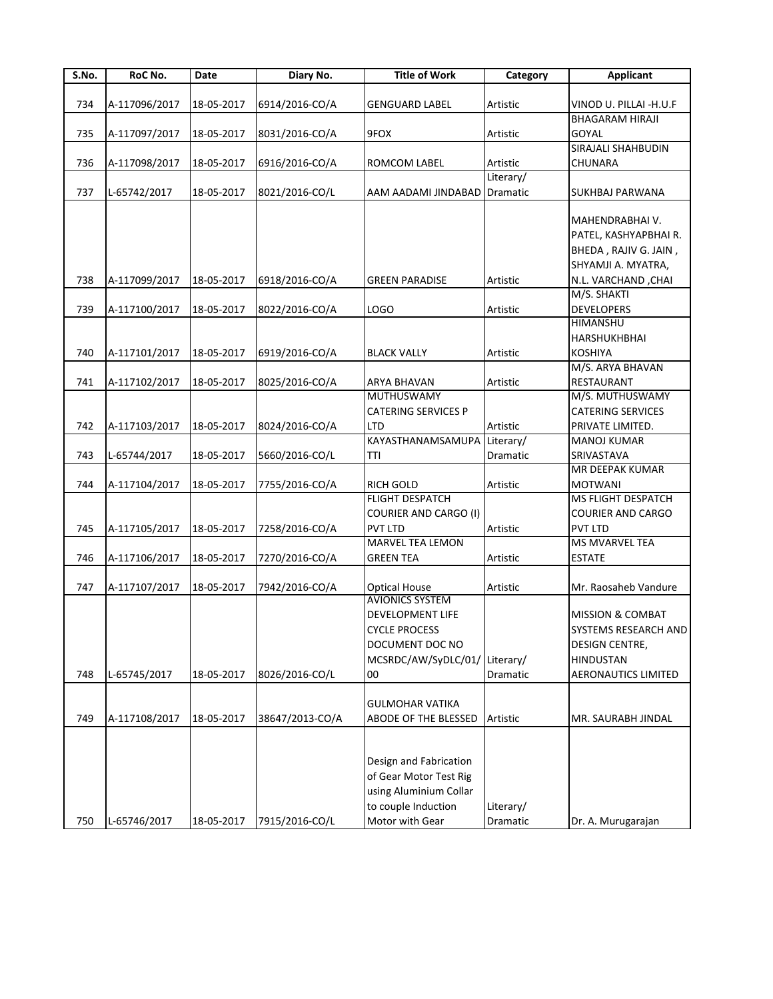| S.No. | RoC No.       | Date       | Diary No.       | <b>Title of Work</b>         | Category        | <b>Applicant</b>            |
|-------|---------------|------------|-----------------|------------------------------|-----------------|-----------------------------|
|       |               |            |                 |                              |                 |                             |
| 734   | A-117096/2017 | 18-05-2017 | 6914/2016-CO/A  | <b>GENGUARD LABEL</b>        | Artistic        | VINOD U. PILLAI - H.U.F     |
|       |               |            |                 |                              |                 | <b>BHAGARAM HIRAJI</b>      |
| 735   | A-117097/2017 | 18-05-2017 | 8031/2016-CO/A  | 9FOX                         | Artistic        | GOYAL                       |
|       |               |            |                 |                              |                 | SIRAJALI SHAHBUDIN          |
| 736   | A-117098/2017 | 18-05-2017 | 6916/2016-CO/A  | ROMCOM LABEL                 | Artistic        | CHUNARA                     |
|       |               |            |                 |                              | Literary/       |                             |
| 737   | L-65742/2017  | 18-05-2017 | 8021/2016-CO/L  | AAM AADAMI JINDABAD          | Dramatic        | SUKHBAJ PARWANA             |
|       |               |            |                 |                              |                 |                             |
|       |               |            |                 |                              |                 | MAHENDRABHAI V.             |
|       |               |            |                 |                              |                 | PATEL, KASHYAPBHAI R.       |
|       |               |            |                 |                              |                 | BHEDA, RAJIV G. JAIN,       |
|       |               |            |                 |                              |                 | SHYAMJI A. MYATRA,          |
| 738   | A-117099/2017 | 18-05-2017 | 6918/2016-CO/A  | GREEN PARADISE               | Artistic        | N.L. VARCHAND, CHAI         |
|       |               |            |                 |                              |                 | M/S. SHAKTI                 |
| 739   | A-117100/2017 | 18-05-2017 | 8022/2016-CO/A  | LOGO                         | Artistic        | DEVELOPERS                  |
|       |               |            |                 |                              |                 | HIMANSHU                    |
|       |               |            |                 |                              |                 | HARSHUKHBHAI                |
| 740   | A-117101/2017 | 18-05-2017 | 6919/2016-CO/A  |                              | Artistic        | <b>KOSHIYA</b>              |
|       |               |            |                 | <b>BLACK VALLY</b>           |                 |                             |
|       |               |            |                 |                              |                 | M/S. ARYA BHAVAN            |
| 741   | A-117102/2017 | 18-05-2017 | 8025/2016-CO/A  | <b>ARYA BHAVAN</b>           | Artistic        | RESTAURANT                  |
|       |               |            |                 | MUTHUSWAMY                   |                 | M/S. MUTHUSWAMY             |
|       |               |            |                 | <b>CATERING SERVICES P</b>   |                 | <b>CATERING SERVICES</b>    |
| 742   | A-117103/2017 | 18-05-2017 | 8024/2016-CO/A  | <b>LTD</b>                   | Artistic        | PRIVATE LIMITED.            |
|       |               |            |                 | KAYASTHANAMSAMUPA            | Literary/       | <b>MANOJ KUMAR</b>          |
| 743   | L-65744/2017  | 18-05-2017 | 5660/2016-CO/L  | TTI                          | Dramatic        | SRIVASTAVA                  |
|       |               |            |                 |                              |                 | MR DEEPAK KUMAR             |
| 744   | A-117104/2017 | 18-05-2017 | 7755/2016-CO/A  | RICH GOLD                    | Artistic        | <b>MOTWANI</b>              |
|       |               |            |                 | <b>FLIGHT DESPATCH</b>       |                 | <b>MS FLIGHT DESPATCH</b>   |
|       |               |            |                 | <b>COURIER AND CARGO (I)</b> |                 | <b>COURIER AND CARGO</b>    |
| 745   | A-117105/2017 | 18-05-2017 | 7258/2016-CO/A  | <b>PVT LTD</b>               | Artistic        | pvt ltd                     |
|       |               |            |                 | <b>MARVEL TEA LEMON</b>      |                 | MS MVARVEL TEA              |
| 746   | A-117106/2017 | 18-05-2017 | 7270/2016-CO/A  | <b>GREEN TEA</b>             | Artistic        | <b>ESTATE</b>               |
|       |               |            |                 |                              |                 |                             |
| 747   | A-117107/2017 | 18-05-2017 | 7942/2016-CO/A  | <b>Optical House</b>         | Artistic        | Mr. Raosaheb Vandure        |
|       |               |            |                 | <b>AVIONICS SYSTEM</b>       |                 |                             |
|       |               |            |                 | <b>DEVELOPMENT LIFE</b>      |                 | <b>MISSION &amp; COMBAT</b> |
|       |               |            |                 | <b>CYCLE PROCESS</b>         |                 | SYSTEMS RESEARCH AND        |
|       |               |            |                 | DOCUMENT DOC NO              |                 | DESIGN CENTRE,              |
|       |               |            |                 | MCSRDC/AW/SyDLC/01/          | Literary/       | <b>HINDUSTAN</b>            |
| 748   | L-65745/2017  | 18-05-2017 | 8026/2016-CO/L  | 00                           | <b>Dramatic</b> | <b>AERONAUTICS LIMITED</b>  |
|       |               |            |                 |                              |                 |                             |
|       |               |            |                 | <b>GULMOHAR VATIKA</b>       |                 |                             |
| 749   | A-117108/2017 | 18-05-2017 | 38647/2013-CO/A | ABODE OF THE BLESSED         | Artistic        | MR. SAURABH JINDAL          |
|       |               |            |                 | Design and Fabrication       |                 |                             |
|       |               |            |                 | of Gear Motor Test Rig       |                 |                             |
|       |               |            |                 | using Aluminium Collar       |                 |                             |
|       |               |            |                 | to couple Induction          | Literary/       |                             |
|       |               |            |                 |                              |                 |                             |
| 750   | L-65746/2017  | 18-05-2017 | 7915/2016-CO/L  | Motor with Gear              | Dramatic        | Dr. A. Murugarajan          |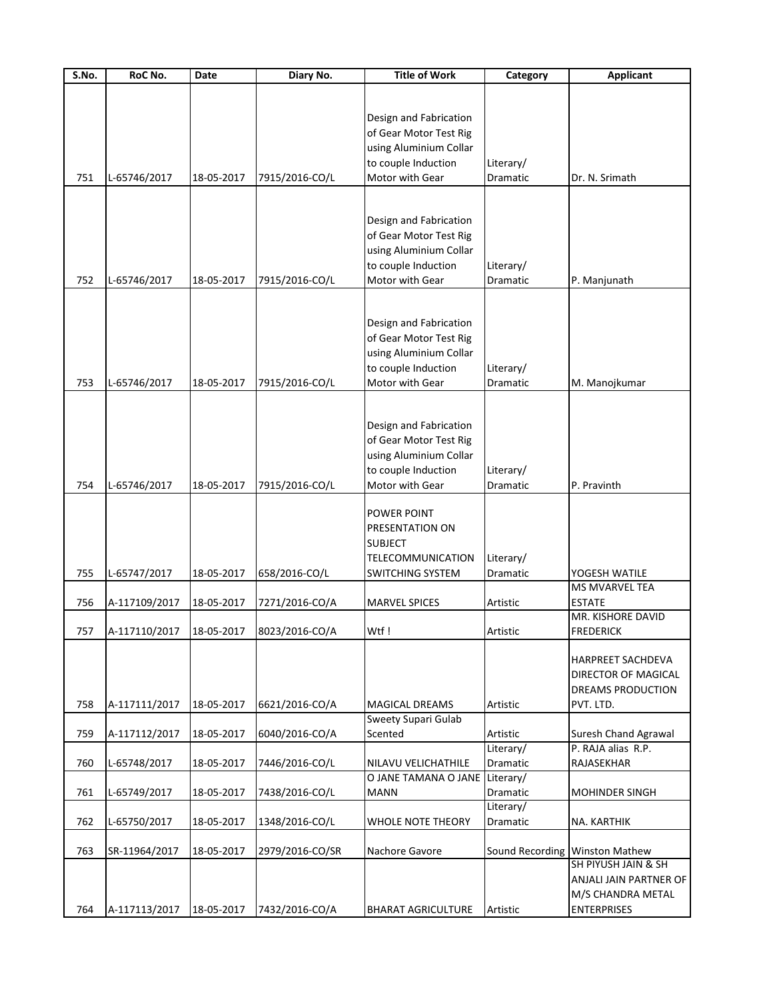| S.No. | RoC No.                  | Date       | Diary No.       | <b>Title of Work</b>           | Category  | <b>Applicant</b>               |
|-------|--------------------------|------------|-----------------|--------------------------------|-----------|--------------------------------|
|       |                          |            |                 |                                |           |                                |
|       |                          |            |                 |                                |           |                                |
|       |                          |            |                 | Design and Fabrication         |           |                                |
|       |                          |            |                 | of Gear Motor Test Rig         |           |                                |
|       |                          |            |                 | using Aluminium Collar         |           |                                |
|       |                          |            |                 | to couple Induction            | Literary/ |                                |
| 751   | L-65746/2017             | 18-05-2017 | 7915/2016-CO/L  | Motor with Gear                | Dramatic  | Dr. N. Srimath                 |
|       |                          |            |                 |                                |           |                                |
|       |                          |            |                 |                                |           |                                |
|       |                          |            |                 | Design and Fabrication         |           |                                |
|       |                          |            |                 | of Gear Motor Test Rig         |           |                                |
|       |                          |            |                 | using Aluminium Collar         |           |                                |
|       |                          |            |                 | to couple Induction            | Literary/ |                                |
| 752   | L-65746/2017             | 18-05-2017 | 7915/2016-CO/L  | Motor with Gear                | Dramatic  | P. Manjunath                   |
|       |                          |            |                 |                                |           |                                |
|       |                          |            |                 |                                |           |                                |
|       |                          |            |                 | Design and Fabrication         |           |                                |
|       |                          |            |                 | of Gear Motor Test Rig         |           |                                |
|       |                          |            |                 | using Aluminium Collar         |           |                                |
|       |                          |            |                 | to couple Induction            | Literary/ |                                |
| 753   | L-65746/2017             | 18-05-2017 | 7915/2016-CO/L  | Motor with Gear                | Dramatic  | M. Manojkumar                  |
|       |                          |            |                 |                                |           |                                |
|       |                          |            |                 |                                |           |                                |
|       |                          |            |                 | Design and Fabrication         |           |                                |
|       |                          |            |                 | of Gear Motor Test Rig         |           |                                |
|       |                          |            |                 | using Aluminium Collar         |           |                                |
|       |                          |            |                 | to couple Induction            | Literary/ |                                |
| 754   | L-65746/2017             | 18-05-2017 | 7915/2016-CO/L  | Motor with Gear                | Dramatic  | P. Pravinth                    |
|       |                          |            |                 |                                |           |                                |
|       |                          |            |                 | POWER POINT                    |           |                                |
|       |                          |            |                 | PRESENTATION ON                |           |                                |
|       |                          |            |                 | <b>SUBJECT</b>                 |           |                                |
|       |                          |            |                 | TELECOMMUNICATION              | Literary/ |                                |
| 755   | L-65747/2017             | 18-05-2017 | 658/2016-CO/L   | SWITCHING SYSTEM               | Dramatic  | YOGESH WATILE                  |
|       |                          |            |                 |                                |           | <b>MS MVARVEL TEA</b>          |
| 756   | A-117109/2017            | 18-05-2017 | 7271/2016-CO/A  | <b>MARVEL SPICES</b>           | Artistic  | <b>ESTATE</b>                  |
|       |                          |            |                 |                                |           | MR. KISHORE DAVID              |
|       |                          |            |                 |                                |           |                                |
| 757   | A-117110/2017 18-05-2017 |            | 8023/2016-CO/A  | Wtf!                           | Artistic  | <b>FREDERICK</b>               |
|       |                          |            |                 |                                |           |                                |
|       |                          |            |                 |                                |           | <b>HARPREET SACHDEVA</b>       |
|       |                          |            |                 |                                |           | DIRECTOR OF MAGICAL            |
|       |                          |            |                 |                                |           | DREAMS PRODUCTION              |
| 758   | A-117111/2017            | 18-05-2017 | 6621/2016-CO/A  | <b>MAGICAL DREAMS</b>          | Artistic  | PVT. LTD.                      |
|       |                          |            |                 | Sweety Supari Gulab            |           |                                |
| 759   | A-117112/2017            | 18-05-2017 | 6040/2016-CO/A  | Scented                        | Artistic  | Suresh Chand Agrawal           |
|       |                          |            |                 |                                | Literary/ | P. RAJA alias R.P.             |
| 760   | L-65748/2017             | 18-05-2017 | 7446/2016-CO/L  | NILAVU VELICHATHILE            | Dramatic  | RAJASEKHAR                     |
|       |                          |            |                 | O JANE TAMANA O JANE Literary/ |           |                                |
| 761   | L-65749/2017             | 18-05-2017 | 7438/2016-CO/L  | <b>MANN</b>                    | Dramatic  | <b>MOHINDER SINGH</b>          |
|       |                          |            |                 |                                | Literary/ |                                |
| 762   | L-65750/2017             | 18-05-2017 | 1348/2016-CO/L  | <b>WHOLE NOTE THEORY</b>       | Dramatic  | NA. KARTHIK                    |
|       |                          |            |                 |                                |           |                                |
| 763   | SR-11964/2017            | 18-05-2017 | 2979/2016-CO/SR | Nachore Gavore                 |           | Sound Recording Winston Mathew |
|       |                          |            |                 |                                |           | SH PIYUSH JAIN & SH            |
|       |                          |            |                 |                                |           | ANJALI JAIN PARTNER OF         |
|       |                          |            |                 |                                |           | M/S CHANDRA METAL              |
| 764   | A-117113/2017            | 18-05-2017 | 7432/2016-CO/A  | <b>BHARAT AGRICULTURE</b>      | Artistic  | <b>ENTERPRISES</b>             |
|       |                          |            |                 |                                |           |                                |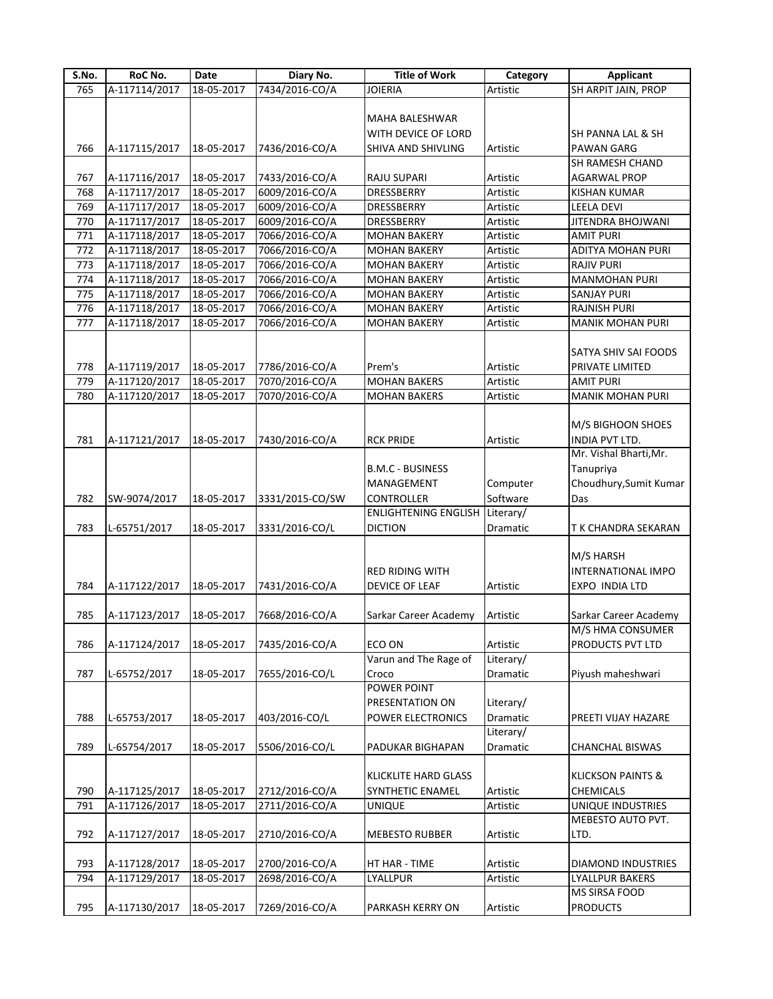| S.No. | RoC No.       | Date             | Diary No.       | <b>Title of Work</b>                  | Category  | <b>Applicant</b>             |
|-------|---------------|------------------|-----------------|---------------------------------------|-----------|------------------------------|
| 765   | A-117114/2017 | $18 - 05 - 2017$ | 7434/2016-CO/A  | <b>JOIERIA</b>                        | Artistic  | <b>SH ARPIT JAIN, PROP</b>   |
|       |               |                  |                 |                                       |           |                              |
|       |               |                  |                 | MAHA BALESHWAR                        |           |                              |
|       |               |                  |                 | WITH DEVICE OF LORD                   |           | SH PANNA LAL & SH            |
| 766   | A-117115/2017 | 18-05-2017       | 7436/2016-CO/A  | SHIVA AND SHIVLING                    | Artistic  | <b>PAWAN GARG</b>            |
|       |               |                  |                 |                                       |           | <b>SH RAMESH CHAND</b>       |
| 767   | A-117116/2017 | 18-05-2017       | 7433/2016-CO/A  | RAJU SUPARI                           | Artistic  | <b>AGARWAL PROP</b>          |
| 768   | A-117117/2017 | 18-05-2017       | 6009/2016-CO/A  | DRESSBERRY                            | Artistic  | <b>KISHAN KUMAR</b>          |
|       |               |                  |                 |                                       |           |                              |
| 769   | A-117117/2017 | 18-05-2017       | 6009/2016-CO/A  | DRESSBERRY                            | Artistic  | LEELA DEVI                   |
| 770   | A-117117/2017 | 18-05-2017       | 6009/2016-CO/A  | <b>DRESSBERRY</b>                     | Artistic  | JITENDRA BHOJWANI            |
| 771   | A-117118/2017 | 18-05-2017       | 7066/2016-CO/A  | <b>MOHAN BAKERY</b>                   | Artistic  | <b>AMIT PURI</b>             |
| 772   | A-117118/2017 | 18-05-2017       | 7066/2016-CO/A  | <b>MOHAN BAKERY</b>                   | Artistic  | ADITYA MOHAN PURI            |
| 773   | A-117118/2017 | 18-05-2017       | 7066/2016-CO/A  | <b>MOHAN BAKERY</b>                   | Artistic  | <b>RAJIV PURI</b>            |
| 774   | A-117118/2017 | 18-05-2017       | 7066/2016-CO/A  | <b>MOHAN BAKERY</b>                   | Artistic  | <b>MANMOHAN PURI</b>         |
| 775   | A-117118/2017 | 18-05-2017       | 7066/2016-CO/A  | <b>MOHAN BAKERY</b>                   | Artistic  | <b>SANJAY PURI</b>           |
| 776   | A-117118/2017 | 18-05-2017       | 7066/2016-CO/A  | <b>MOHAN BAKERY</b>                   | Artistic  | <b>RAJNISH PURI</b>          |
| 777   | A-117118/2017 | 18-05-2017       | 7066/2016-CO/A  | <b>MOHAN BAKERY</b>                   | Artistic  | <b>MANIK MOHAN PURI</b>      |
|       |               |                  |                 |                                       |           |                              |
|       |               |                  |                 |                                       |           | SATYA SHIV SAI FOODS         |
| 778   | A-117119/2017 | 18-05-2017       | 7786/2016-CO/A  | Prem's                                | Artistic  | PRIVATE LIMITED              |
| 779   | A-117120/2017 | 18-05-2017       | 7070/2016-CO/A  | <b>MOHAN BAKERS</b>                   | Artistic  | <b>AMIT PURI</b>             |
| 780   | A-117120/2017 | 18-05-2017       | 7070/2016-CO/A  | <b>MOHAN BAKERS</b>                   | Artistic  | <b>MANIK MOHAN PURI</b>      |
|       |               |                  |                 |                                       |           |                              |
|       |               |                  |                 |                                       |           | M/S BIGHOON SHOES            |
| 781   | A-117121/2017 | 18-05-2017       | 7430/2016-CO/A  | <b>RCK PRIDE</b>                      | Artistic  | INDIA PVT LTD.               |
|       |               |                  |                 |                                       |           | Mr. Vishal Bharti, Mr.       |
|       |               |                  |                 | <b>B.M.C - BUSINESS</b>               |           | Tanupriya                    |
|       |               |                  |                 |                                       |           |                              |
|       |               |                  |                 | <b>MANAGEMENT</b>                     | Computer  | Choudhury, Sumit Kumar       |
| 782   | SW-9074/2017  | 18-05-2017       | 3331/2015-CO/SW | <b>CONTROLLER</b>                     | Software  | Das                          |
|       |               |                  |                 | <b>ENLIGHTENING ENGLISH Literary/</b> |           |                              |
| 783   | L-65751/2017  | 18-05-2017       | 3331/2016-CO/L  | <b>DICTION</b>                        | Dramatic  | T K CHANDRA SEKARAN          |
|       |               |                  |                 |                                       |           |                              |
|       |               |                  |                 |                                       |           | M/S HARSH                    |
|       |               |                  |                 | <b>RED RIDING WITH</b>                |           | <b>INTERNATIONAL IMPO</b>    |
| 784   | A-117122/2017 | 18-05-2017       | 7431/2016-CO/A  | DEVICE OF LEAF                        | Artistic  | <b>EXPO INDIA LTD</b>        |
|       |               |                  |                 |                                       |           |                              |
| 785   | A-117123/2017 | 18-05-2017       | 7668/2016-CO/A  | Sarkar Career Academy                 | Artistic  | Sarkar Career Academy        |
|       |               |                  |                 |                                       |           | M/S HMA CONSUMER             |
| 786   | A-117124/2017 | 18-05-2017       | 7435/2016-CO/A  | ECO ON                                | Artistic  | PRODUCTS PVT LTD             |
|       |               |                  |                 | Varun and The Rage of                 | Literary/ |                              |
| 787   | L-65752/2017  | 18-05-2017       | 7655/2016-CO/L  | Croco                                 | Dramatic  | Piyush maheshwari            |
|       |               |                  |                 | <b>POWER POINT</b>                    |           |                              |
|       |               |                  |                 | <b>PRESENTATION ON</b>                | Literary/ |                              |
| 788   | L-65753/2017  | 18-05-2017       | 403/2016-CO/L   | POWER ELECTRONICS                     | Dramatic  | PREETI VIJAY HAZARE          |
|       |               |                  |                 |                                       | Literary/ |                              |
| 789   | L-65754/2017  | 18-05-2017       | 5506/2016-CO/L  | PADUKAR BIGHAPAN                      | Dramatic  | <b>CHANCHAL BISWAS</b>       |
|       |               |                  |                 |                                       |           |                              |
|       |               |                  |                 |                                       |           | <b>KLICKSON PAINTS &amp;</b> |
|       |               |                  |                 | <b>KLICKLITE HARD GLASS</b>           |           |                              |
| 790   | A-117125/2017 | 18-05-2017       | 2712/2016-CO/A  | <b>SYNTHETIC ENAMEL</b>               | Artistic  | CHEMICALS                    |
| 791   | A-117126/2017 | 18-05-2017       | 2711/2016-CO/A  | <b>UNIQUE</b>                         | Artistic  | UNIQUE INDUSTRIES            |
|       |               |                  |                 |                                       |           | MEBESTO AUTO PVT.            |
| 792   | A-117127/2017 | 18-05-2017       | 2710/2016-CO/A  | <b>MEBESTO RUBBER</b>                 | Artistic  | LTD.                         |
|       |               |                  |                 |                                       |           |                              |
| 793   | A-117128/2017 | 18-05-2017       | 2700/2016-CO/A  | HT HAR - TIME                         | Artistic  | <b>DIAMOND INDUSTRIES</b>    |
| 794   | A-117129/2017 | 18-05-2017       | 2698/2016-CO/A  | LYALLPUR                              | Artistic  | <b>LYALLPUR BAKERS</b>       |
|       |               |                  |                 |                                       |           | MS SIRSA FOOD                |
| 795   | A-117130/2017 | 18-05-2017       | 7269/2016-CO/A  | PARKASH KERRY ON                      | Artistic  | <b>PRODUCTS</b>              |
|       |               |                  |                 |                                       |           |                              |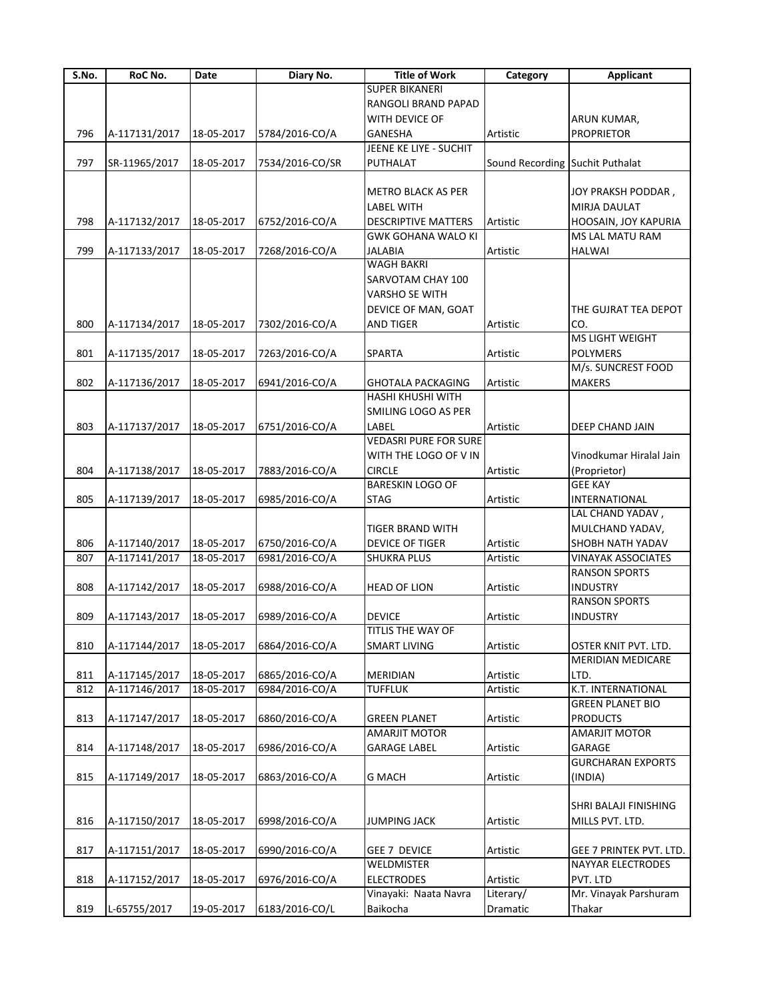| S.No. | RoC No.       | Date       | Diary No.       | <b>Title of Work</b>         | Category                        | <b>Applicant</b>          |
|-------|---------------|------------|-----------------|------------------------------|---------------------------------|---------------------------|
|       |               |            |                 | <b>SUPER BIKANERI</b>        |                                 |                           |
|       |               |            |                 | RANGOLI BRAND PAPAD          |                                 |                           |
|       |               |            |                 | WITH DEVICE OF               |                                 | ARUN KUMAR,               |
| 796   | A-117131/2017 | 18-05-2017 | 5784/2016-CO/A  | <b>GANESHA</b>               | Artistic                        | <b>PROPRIETOR</b>         |
|       |               |            |                 | JEENE KE LIYE - SUCHIT       |                                 |                           |
| 797   | SR-11965/2017 | 18-05-2017 | 7534/2016-CO/SR | PUTHALAT                     | Sound Recording Suchit Puthalat |                           |
|       |               |            |                 |                              |                                 |                           |
|       |               |            |                 | <b>METRO BLACK AS PER</b>    |                                 | JOY PRAKSH PODDAR,        |
|       |               |            |                 |                              |                                 |                           |
|       |               |            |                 | <b>LABEL WITH</b>            |                                 | MIRJA DAULAT              |
| 798   | A-117132/2017 | 18-05-2017 | 6752/2016-CO/A  | <b>DESCRIPTIVE MATTERS</b>   | Artistic                        | HOOSAIN, JOY KAPURIA      |
|       |               |            |                 | <b>GWK GOHANA WALO KI</b>    |                                 | MS LAL MATU RAM           |
| 799   | A-117133/2017 | 18-05-2017 | 7268/2016-CO/A  | <b>JALABIA</b>               | <b>Artistic</b>                 | <b>HALWAI</b>             |
|       |               |            |                 | <b>WAGH BAKRI</b>            |                                 |                           |
|       |               |            |                 | SARVOTAM CHAY 100            |                                 |                           |
|       |               |            |                 | <b>VARSHO SE WITH</b>        |                                 |                           |
|       |               |            |                 | DEVICE OF MAN, GOAT          |                                 | THE GUJRAT TEA DEPOT      |
| 800   | A-117134/2017 | 18-05-2017 | 7302/2016-CO/A  | <b>AND TIGER</b>             | Artistic                        | CO.                       |
|       |               |            |                 |                              |                                 | MS LIGHT WEIGHT           |
| 801   | A-117135/2017 | 18-05-2017 | 7263/2016-CO/A  | SPARTA                       | Artistic                        | POLYMERS                  |
|       |               |            |                 |                              |                                 | M/s. SUNCREST FOOD        |
| 802   | A-117136/2017 | 18-05-2017 | 6941/2016-CO/A  | <b>GHOTALA PACKAGING</b>     | Artistic                        | <b>MAKERS</b>             |
|       |               |            |                 | <b>HASHI KHUSHI WITH</b>     |                                 |                           |
|       |               |            |                 | SMILING LOGO AS PER          |                                 |                           |
|       |               |            |                 |                              |                                 |                           |
| 803   | A-117137/2017 | 18-05-2017 | 6751/2016-CO/A  | LABEL                        | Artistic                        | DEEP CHAND JAIN           |
|       |               |            |                 | <b>VEDASRI PURE FOR SURE</b> |                                 |                           |
|       |               |            |                 | WITH THE LOGO OF V IN        |                                 | Vinodkumar Hiralal Jain   |
| 804   | A-117138/2017 | 18-05-2017 | 7883/2016-CO/A  | <b>CIRCLE</b>                | Artistic                        | (Proprietor)              |
|       |               |            |                 | <b>BARESKIN LOGO OF</b>      |                                 | <b>GEE KAY</b>            |
| 805   | A-117139/2017 | 18-05-2017 | 6985/2016-CO/A  | <b>STAG</b>                  | Artistic                        | <b>INTERNATIONAL</b>      |
|       |               |            |                 |                              |                                 | LAL CHAND YADAV,          |
|       |               |            |                 | TIGER BRAND WITH             |                                 | MULCHAND YADAV,           |
| 806   | A-117140/2017 | 18-05-2017 | 6750/2016-CO/A  | DEVICE OF TIGER              | Artistic                        | SHOBH NATH YADAV          |
| 807   | A-117141/2017 | 18-05-2017 | 6981/2016-CO/A  | <b>SHUKRA PLUS</b>           | Artistic                        | <b>VINAYAK ASSOCIATES</b> |
|       |               |            |                 |                              |                                 | <b>RANSON SPORTS</b>      |
| 808   | A-117142/2017 | 18-05-2017 | 6988/2016-CO/A  | <b>HEAD OF LION</b>          | Artistic                        | <b>INDUSTRY</b>           |
|       |               |            |                 |                              |                                 | <b>RANSON SPORTS</b>      |
|       |               |            |                 |                              |                                 |                           |
| 809   | A-117143/2017 | 18-05-2017 | 6989/2016-CO/A  | <b>DEVICE</b>                | Artistic                        | <b>INDUSTRY</b>           |
|       |               |            |                 | TITLIS THE WAY OF            |                                 |                           |
| 810   | A-117144/2017 | 18-05-2017 | 6864/2016-CO/A  | <b>SMART LIVING</b>          | Artistic                        | OSTER KNIT PVT. LTD.      |
|       |               |            |                 |                              |                                 | <b>MERIDIAN MEDICARE</b>  |
| 811   | A-117145/2017 | 18-05-2017 | 6865/2016-CO/A  | MERIDIAN                     | Artistic                        | LTD.                      |
| 812   | A-117146/2017 | 18-05-2017 | 6984/2016-CO/A  | <b>TUFFLUK</b>               | Artistic                        | K.T. INTERNATIONAL        |
|       |               |            |                 |                              |                                 | <b>GREEN PLANET BIO</b>   |
| 813   | A-117147/2017 | 18-05-2017 | 6860/2016-CO/A  | <b>GREEN PLANET</b>          | Artistic                        | <b>PRODUCTS</b>           |
|       |               |            |                 | <b>AMARJIT MOTOR</b>         |                                 | AMARJIT MOTOR             |
| 814   | A-117148/2017 | 18-05-2017 | 6986/2016-CO/A  | <b>GARAGE LABEL</b>          | Artistic                        | GARAGE                    |
|       |               |            |                 |                              |                                 | <b>GURCHARAN EXPORTS</b>  |
| 815   | A-117149/2017 | 18-05-2017 | 6863/2016-CO/A  | <b>G MACH</b>                | Artistic                        | (INDIA)                   |
|       |               |            |                 |                              |                                 |                           |
|       |               |            |                 |                              |                                 | SHRI BALAJI FINISHING     |
|       |               |            |                 |                              |                                 |                           |
| 816   | A-117150/2017 | 18-05-2017 | 6998/2016-CO/A  | <b>JUMPING JACK</b>          | Artistic                        | MILLS PVT. LTD.           |
|       |               |            |                 |                              |                                 |                           |
| 817   | A-117151/2017 | 18-05-2017 | 6990/2016-CO/A  | <b>GEE 7 DEVICE</b>          | Artistic                        | GEE 7 PRINTEK PVT. LTD.   |
|       |               |            |                 | WELDMISTER                   |                                 | NAYYAR ELECTRODES         |
| 818   | A-117152/2017 | 18-05-2017 | 6976/2016-CO/A  | <b>ELECTRODES</b>            | Artistic                        | PVT. LTD                  |
|       |               |            |                 | Vinayaki: Naata Navra        | Literary/                       | Mr. Vinayak Parshuram     |
| 819   | L-65755/2017  | 19-05-2017 | 6183/2016-CO/L  | Baikocha                     | Dramatic                        | Thakar                    |
|       |               |            |                 |                              |                                 |                           |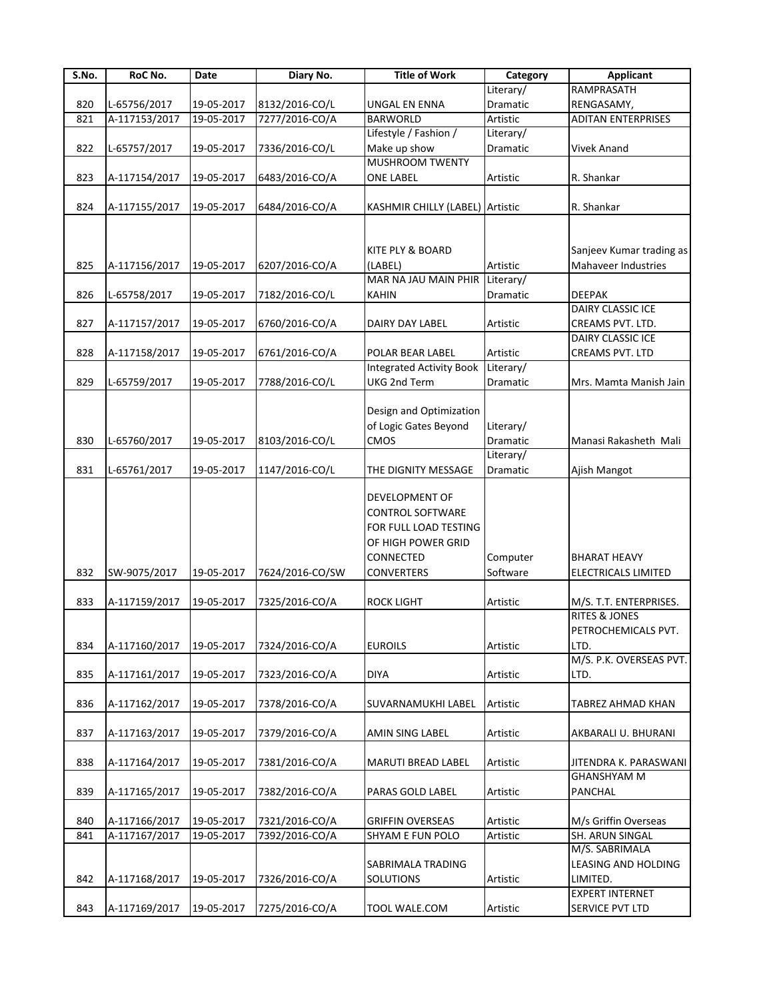| S.No. | RoC No.       | Date       | Diary No.       | <b>Title of Work</b>            | Category  | <b>Applicant</b>          |
|-------|---------------|------------|-----------------|---------------------------------|-----------|---------------------------|
|       |               |            |                 |                                 | Literary/ | RAMPRASATH                |
| 820   | L-65756/2017  | 19-05-2017 | 8132/2016-CO/L  | UNGAL EN ENNA                   | Dramatic  | RENGASAMY,                |
| 821   | A-117153/2017 | 19-05-2017 | 7277/2016-CO/A  | <b>BARWORLD</b>                 | Artistic  | <b>ADITAN ENTERPRISES</b> |
|       |               |            |                 | Lifestyle / Fashion /           | Literary/ |                           |
| 822   | L-65757/2017  | 19-05-2017 | 7336/2016-CO/L  | Make up show                    | Dramatic  | <b>Vivek Anand</b>        |
|       |               |            |                 | <b>MUSHROOM TWENTY</b>          |           |                           |
| 823   | A-117154/2017 | 19-05-2017 | 6483/2016-CO/A  | <b>ONE LABEL</b>                | Artistic  | R. Shankar                |
|       |               |            |                 |                                 |           |                           |
| 824   | A-117155/2017 | 19-05-2017 | 6484/2016-CO/A  | KASHMIR CHILLY (LABEL) Artistic |           | R. Shankar                |
|       |               |            |                 |                                 |           |                           |
|       |               |            |                 |                                 |           |                           |
|       |               |            |                 | KITE PLY & BOARD                |           | Sanjeev Kumar trading as  |
| 825   | A-117156/2017 | 19-05-2017 | 6207/2016-CO/A  | (LABEL)                         | Artistic  | Mahaveer Industries       |
|       |               |            |                 | MAR NA JAU MAIN PHIR Literary/  |           |                           |
|       |               |            |                 |                                 |           |                           |
| 826   | L-65758/2017  | 19-05-2017 | 7182/2016-CO/L  | KAHIN                           | Dramatic  | <b>DEEPAK</b>             |
|       |               |            |                 |                                 |           | DAIRY CLASSIC ICE         |
| 827   | A-117157/2017 | 19-05-2017 | 6760/2016-CO/A  | DAIRY DAY LABEL                 | Artistic  | CREAMS PVT. LTD.          |
|       |               |            |                 |                                 |           | DAIRY CLASSIC ICE         |
| 828   | A-117158/2017 | 19-05-2017 | 6761/2016-CO/A  | POLAR BEAR LABEL                | Artistic  | CREAMS PVT. LTD           |
|       |               |            |                 | <b>Integrated Activity Book</b> | Literary/ |                           |
| 829   | L-65759/2017  | 19-05-2017 | 7788/2016-CO/L  | UKG 2nd Term                    | Dramatic  | Mrs. Mamta Manish Jain    |
|       |               |            |                 |                                 |           |                           |
|       |               |            |                 | Design and Optimization         |           |                           |
|       |               |            |                 | of Logic Gates Beyond           | Literary/ |                           |
| 830   | L-65760/2017  | 19-05-2017 | 8103/2016-CO/L  | CMOS                            | Dramatic  | Manasi Rakasheth Mali     |
|       |               |            |                 |                                 | Literary/ |                           |
| 831   | L-65761/2017  | 19-05-2017 | 1147/2016-CO/L  | THE DIGNITY MESSAGE             | Dramatic  | Ajish Mangot              |
|       |               |            |                 |                                 |           |                           |
|       |               |            |                 | <b>DEVELOPMENT OF</b>           |           |                           |
|       |               |            |                 | <b>CONTROL SOFTWARE</b>         |           |                           |
|       |               |            |                 | FOR FULL LOAD TESTING           |           |                           |
|       |               |            |                 | OF HIGH POWER GRID              |           |                           |
|       |               |            |                 | <b>CONNECTED</b>                | Computer  | <b>BHARAT HEAVY</b>       |
| 832   |               |            |                 |                                 | Software  |                           |
|       | SW-9075/2017  | 19-05-2017 | 7624/2016-CO/SW | <b>CONVERTERS</b>               |           | ELECTRICALS LIMITED       |
|       |               |            |                 |                                 |           |                           |
| 833   | A-117159/2017 | 19-05-2017 | 7325/2016-CO/A  | <b>ROCK LIGHT</b>               | Artistic  | M/S. T.T. ENTERPRISES.    |
|       |               |            |                 |                                 |           | <b>RITES &amp; JONES</b>  |
|       |               |            |                 |                                 |           | PETROCHEMICALS PVT.       |
| 834   | A-117160/2017 | 19-05-2017 | 7324/2016-CO/A  | <b>EUROILS</b>                  | Artistic  | LTD.                      |
|       |               |            |                 |                                 |           | M/S. P.K. OVERSEAS PVT.   |
| 835   | A-117161/2017 | 19-05-2017 | 7323/2016-CO/A  | <b>DIYA</b>                     | Artistic  | LTD.                      |
|       |               |            |                 |                                 |           |                           |
| 836   | A-117162/2017 | 19-05-2017 | 7378/2016-CO/A  | SUVARNAMUKHI LABEL              | Artistic  | TABREZ AHMAD KHAN         |
|       |               |            |                 |                                 |           |                           |
| 837   | A-117163/2017 | 19-05-2017 | 7379/2016-CO/A  | AMIN SING LABEL                 | Artistic  | AKBARALI U. BHURANI       |
|       |               |            |                 |                                 |           |                           |
| 838   | A-117164/2017 | 19-05-2017 | 7381/2016-CO/A  | <b>MARUTI BREAD LABEL</b>       | Artistic  | JITENDRA K. PARASWANI     |
|       |               |            |                 |                                 |           | <b>GHANSHYAM M</b>        |
| 839   | A-117165/2017 | 19-05-2017 | 7382/2016-CO/A  | PARAS GOLD LABEL                | Artistic  | PANCHAL                   |
|       |               |            |                 |                                 |           |                           |
| 840   | A-117166/2017 | 19-05-2017 | 7321/2016-CO/A  | <b>GRIFFIN OVERSEAS</b>         | Artistic  | M/s Griffin Overseas      |
| 841   | A-117167/2017 | 19-05-2017 | 7392/2016-CO/A  | <b>SHYAM E FUN POLO</b>         | Artistic  | SH. ARUN SINGAL           |
|       |               |            |                 |                                 |           | M/S. SABRIMALA            |
|       |               |            |                 | SABRIMALA TRADING               |           | LEASING AND HOLDING       |
| 842   | A-117168/2017 | 19-05-2017 | 7326/2016-CO/A  | SOLUTIONS                       | Artistic  | LIMITED.                  |
|       |               |            |                 |                                 |           | EXPERT INTERNET           |
| 843   | A-117169/2017 | 19-05-2017 | 7275/2016-CO/A  | TOOL WALE.COM                   | Artistic  | SERVICE PVT LTD           |
|       |               |            |                 |                                 |           |                           |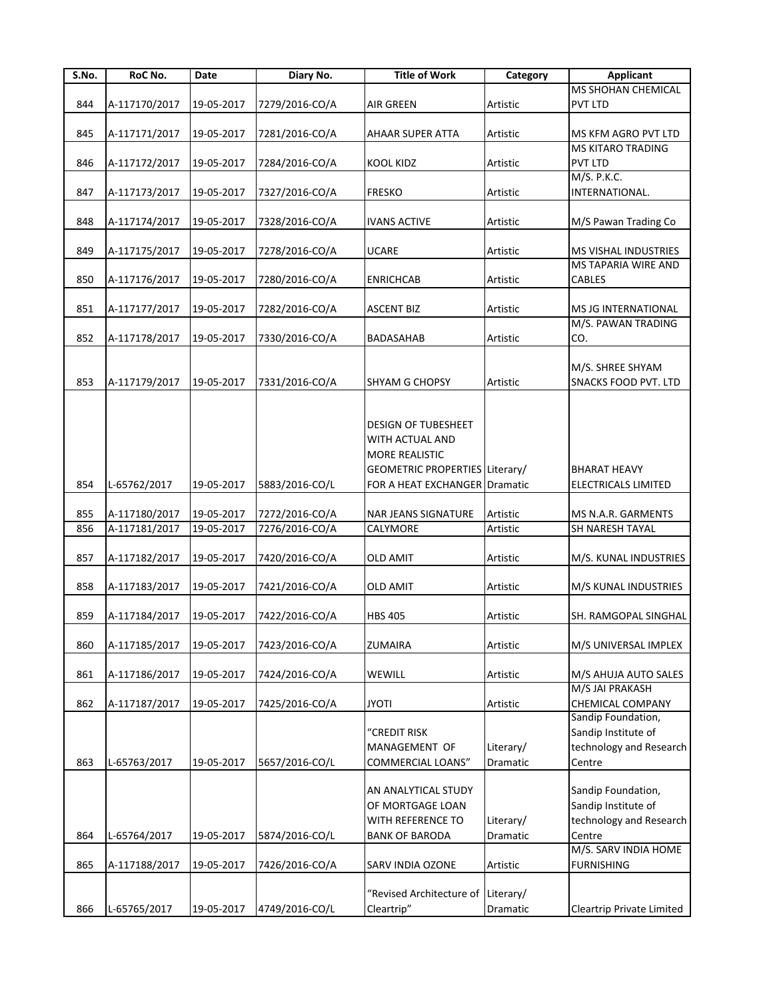| S.No. | RoC No.       | Date       | Diary No.      | <b>Title of Work</b>               | Category  | <b>Applicant</b>            |
|-------|---------------|------------|----------------|------------------------------------|-----------|-----------------------------|
|       |               |            |                |                                    |           | MS SHOHAN CHEMICAL          |
| 844   | A-117170/2017 | 19-05-2017 | 7279/2016-CO/A | <b>AIR GREEN</b>                   | Artistic  | PVT LTD                     |
|       |               |            |                |                                    |           |                             |
| 845   | A-117171/2017 | 19-05-2017 | 7281/2016-CO/A | <b>AHAAR SUPER ATTA</b>            | Artistic  | MS KFM AGRO PVT LTD         |
|       |               |            |                |                                    |           | <b>MS KITARO TRADING</b>    |
| 846   | A-117172/2017 | 19-05-2017 | 7284/2016-CO/A | <b>KOOL KIDZ</b>                   | Artistic  | PVT LTD                     |
|       |               |            |                |                                    |           | M/S. P.K.C.                 |
| 847   | A-117173/2017 | 19-05-2017 | 7327/2016-CO/A | <b>FRESKO</b>                      | Artistic  | INTERNATIONAL.              |
|       |               |            |                |                                    |           |                             |
| 848   | A-117174/2017 | 19-05-2017 | 7328/2016-CO/A | <b>IVANS ACTIVE</b>                | Artistic  | M/S Pawan Trading Co        |
|       |               |            |                |                                    |           |                             |
| 849   | A-117175/2017 | 19-05-2017 | 7278/2016-CO/A | UCARE                              | Artistic  | <b>MS VISHAL INDUSTRIES</b> |
|       |               |            |                |                                    |           | MS TAPARIA WIRE AND         |
| 850   | A-117176/2017 | 19-05-2017 | 7280/2016-CO/A | <b>ENRICHCAB</b>                   | Artistic  | CABLES                      |
|       |               |            |                |                                    |           |                             |
| 851   | A-117177/2017 | 19-05-2017 | 7282/2016-CO/A | <b>ASCENT BIZ</b>                  | Artistic  | MS JG INTERNATIONAL         |
|       |               |            |                |                                    |           | M/S. PAWAN TRADING          |
| 852   | A-117178/2017 | 19-05-2017 | 7330/2016-CO/A | <b>BADASAHAB</b>                   | Artistic  | CO.                         |
|       |               |            |                |                                    |           |                             |
|       |               |            |                |                                    |           | M/S. SHREE SHYAM            |
| 853   | A-117179/2017 | 19-05-2017 | 7331/2016-CO/A | <b>SHYAM G CHOPSY</b>              | Artistic  | SNACKS FOOD PVT. LTD        |
|       |               |            |                |                                    |           |                             |
|       |               |            |                |                                    |           |                             |
|       |               |            |                | DESIGN OF TUBESHEET                |           |                             |
|       |               |            |                | WITH ACTUAL AND                    |           |                             |
|       |               |            |                | MORE REALISTIC                     |           |                             |
|       |               |            |                | GEOMETRIC PROPERTIES Literary/     |           | <b>BHARAT HEAVY</b>         |
| 854   | L-65762/2017  | 19-05-2017 | 5883/2016-CO/L | FOR A HEAT EXCHANGER Dramatic      |           | ELECTRICALS LIMITED         |
|       |               |            |                |                                    |           |                             |
| 855   | A-117180/2017 | 19-05-2017 | 7272/2016-CO/A | <b>NAR JEANS SIGNATURE</b>         | Artistic  | MS N.A.R. GARMENTS          |
| 856   | A-117181/2017 | 19-05-2017 | 7276/2016-CO/A | CALYMORE                           | Artistic  | SH NARESH TAYAL             |
|       |               |            |                |                                    |           |                             |
| 857   | A-117182/2017 | 19-05-2017 | 7420/2016-CO/A | <b>OLD AMIT</b>                    | Artistic  | M/S. KUNAL INDUSTRIES       |
|       |               |            |                |                                    |           |                             |
| 858   | A-117183/2017 | 19-05-2017 | 7421/2016-CO/A | <b>OLD AMIT</b>                    | Artistic  | M/S KUNAL INDUSTRIES        |
|       |               |            |                |                                    |           |                             |
| 859   | A-117184/2017 | 19-05-2017 | 7422/2016-CO/A | <b>HBS 405</b>                     | Artistic  | SH. RAMGOPAL SINGHAL        |
|       |               |            |                |                                    |           |                             |
| 860   | A-117185/2017 | 19-05-2017 | 7423/2016-CO/A | ZUMAIRA                            | Artistic  | M/S UNIVERSAL IMPLEX        |
|       |               |            |                |                                    |           |                             |
| 861   | A-117186/2017 | 19-05-2017 | 7424/2016-CO/A | WEWILL                             | Artistic  | M/S AHUJA AUTO SALES        |
|       |               |            |                |                                    |           | M/S JAI PRAKASH             |
| 862   | A-117187/2017 | 19-05-2017 | 7425/2016-CO/A | <b>JYOTI</b>                       | Artistic  | CHEMICAL COMPANY            |
|       |               |            |                |                                    |           | Sandip Foundation,          |
|       |               |            |                | "CREDIT RISK                       |           | Sandip Institute of         |
|       |               |            |                | MANAGEMENT OF                      | Literary/ | technology and Research     |
| 863   | L-65763/2017  | 19-05-2017 | 5657/2016-CO/L | <b>COMMERCIAL LOANS"</b>           | Dramatic  | Centre                      |
|       |               |            |                |                                    |           |                             |
|       |               |            |                | AN ANALYTICAL STUDY                |           | Sandip Foundation,          |
|       |               |            |                | OF MORTGAGE LOAN                   |           | Sandip Institute of         |
|       |               |            |                | WITH REFERENCE TO                  | Literary/ | technology and Research     |
| 864   | L-65764/2017  | 19-05-2017 | 5874/2016-CO/L | <b>BANK OF BARODA</b>              | Dramatic  | Centre                      |
|       |               |            |                |                                    |           | M/S. SARV INDIA HOME        |
| 865   | A-117188/2017 | 19-05-2017 | 7426/2016-CO/A | <b>SARV INDIA OZONE</b>            | Artistic  | <b>FURNISHING</b>           |
|       |               |            |                |                                    |           |                             |
|       |               |            |                | "Revised Architecture of Literary/ |           |                             |
| 866   | L-65765/2017  | 19-05-2017 | 4749/2016-CO/L | Cleartrip"                         | Dramatic  | Cleartrip Private Limited   |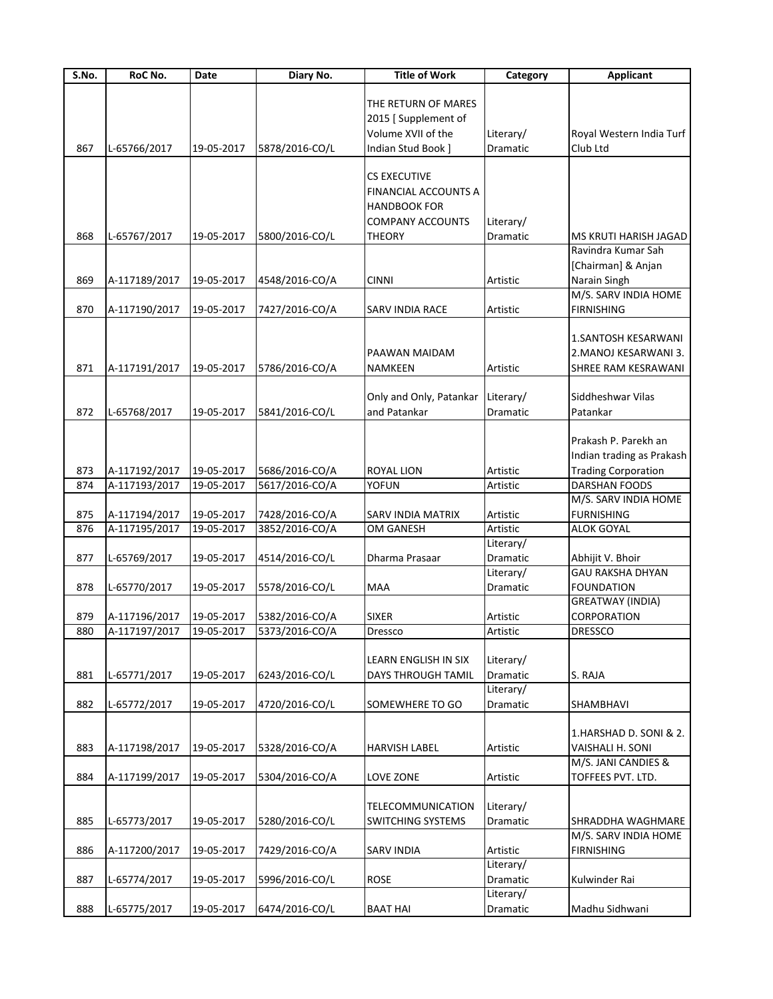| S.No. | RoC No.       | Date       | Diary No.      | <b>Title of Work</b>     | Category        | <b>Applicant</b>           |
|-------|---------------|------------|----------------|--------------------------|-----------------|----------------------------|
|       |               |            |                |                          |                 |                            |
|       |               |            |                | THE RETURN OF MARES      |                 |                            |
|       |               |            |                | 2015 [Supplement of      |                 |                            |
|       |               |            |                | Volume XVII of the       | Literary/       | Royal Western India Turf   |
| 867   | L-65766/2017  | 19-05-2017 | 5878/2016-CO/L | Indian Stud Book]        | <b>Dramatic</b> | Club Ltd                   |
|       |               |            |                |                          |                 |                            |
|       |               |            |                | <b>CS EXECUTIVE</b>      |                 |                            |
|       |               |            |                | FINANCIAL ACCOUNTS A     |                 |                            |
|       |               |            |                | <b>HANDBOOK FOR</b>      |                 |                            |
|       |               |            |                | COMPANY ACCOUNTS         | Literary/       |                            |
| 868   | L-65767/2017  | 19-05-2017 | 5800/2016-CO/L | <b>THEORY</b>            | Dramatic        | MS KRUTI HARISH JAGAD      |
|       |               |            |                |                          |                 | Ravindra Kumar Sah         |
|       |               |            |                |                          |                 | [Chairman] & Anjan         |
| 869   | A-117189/2017 | 19-05-2017 | 4548/2016-CO/A | <b>CINNI</b>             | Artistic        | Narain Singh               |
|       |               |            |                |                          |                 | M/S. SARV INDIA HOME       |
| 870   | A-117190/2017 | 19-05-2017 | 7427/2016-CO/A | SARV INDIA RACE          | Artistic        | <b>FIRNISHING</b>          |
|       |               |            |                |                          |                 |                            |
|       |               |            |                |                          |                 | 1.SANTOSH KESARWANI        |
|       |               |            |                | PAAWAN MAIDAM            |                 | 2. MANOJ KESARWANI 3.      |
| 871   | A-117191/2017 | 19-05-2017 | 5786/2016-CO/A | NAMKEEN                  | Artistic        | SHREE RAM KESRAWANI        |
|       |               |            |                |                          |                 |                            |
|       |               |            |                | Only and Only, Patankar  | Literary/       | Siddheshwar Vilas          |
| 872   | L-65768/2017  | 19-05-2017 | 5841/2016-CO/L | and Patankar             | Dramatic        | Patankar                   |
|       |               |            |                |                          |                 |                            |
|       |               |            |                |                          |                 | Prakash P. Parekh an       |
|       |               |            |                |                          |                 | Indian trading as Prakash  |
| 873   | A-117192/2017 | 19-05-2017 | 5686/2016-CO/A | <b>ROYAL LION</b>        | Artistic        | <b>Trading Corporation</b> |
| 874   | A-117193/2017 | 19-05-2017 | 5617/2016-CO/A | YOFUN                    | Artistic        | DARSHAN FOODS              |
|       |               |            |                |                          |                 | M/S. SARV INDIA HOME       |
| 875   | A-117194/2017 | 19-05-2017 | 7428/2016-CO/A | SARV INDIA MATRIX        | Artistic        | <b>FURNISHING</b>          |
| 876   | A-117195/2017 | 19-05-2017 | 3852/2016-CO/A | OM GANESH                | Artistic        | <b>ALOK GOYAL</b>          |
|       |               |            |                |                          | Literary/       |                            |
| 877   | L-65769/2017  | 19-05-2017 | 4514/2016-CO/L | Dharma Prasaar           | Dramatic        | Abhijit V. Bhoir           |
|       |               |            |                |                          | Literary/       | <b>GAU RAKSHA DHYAN</b>    |
| 878   | L-65770/2017  | 19-05-2017 | 5578/2016-CO/L | MAA                      | Dramatic        | <b>FOUNDATION</b>          |
|       |               |            |                |                          |                 | <b>GREATWAY (INDIA)</b>    |
| 879   | A-117196/2017 | 19-05-2017 | 5382/2016-CO/A | <b>SIXER</b>             | Artistic        | CORPORATION                |
| 880   | A-117197/2017 | 19-05-2017 | 5373/2016-CO/A | <b>Dressco</b>           | Artistic        | <b>DRESSCO</b>             |
|       |               |            |                |                          |                 |                            |
|       |               |            |                | LEARN ENGLISH IN SIX     | Literary/       |                            |
| 881   | L-65771/2017  | 19-05-2017 | 6243/2016-CO/L | DAYS THROUGH TAMIL       | Dramatic        | S. RAJA                    |
|       |               |            |                |                          | Literary/       |                            |
| 882   | L-65772/2017  | 19-05-2017 | 4720/2016-CO/L | SOMEWHERE TO GO          | Dramatic        | SHAMBHAVI                  |
|       |               |            |                |                          |                 |                            |
|       |               |            |                |                          |                 | 1.HARSHAD D. SONI & 2.     |
| 883   | A-117198/2017 | 19-05-2017 | 5328/2016-CO/A | HARVISH LABEL            | Artistic        | VAISHALI H. SONI           |
|       |               |            |                |                          |                 | M/S. JANI CANDIES &        |
| 884   | A-117199/2017 | 19-05-2017 | 5304/2016-CO/A | LOVE ZONE                | Artistic        | TOFFEES PVT. LTD.          |
|       |               |            |                |                          |                 |                            |
|       |               |            |                | TELECOMMUNICATION        | Literary/       |                            |
| 885   | L-65773/2017  | 19-05-2017 | 5280/2016-CO/L | <b>SWITCHING SYSTEMS</b> | Dramatic        | SHRADDHA WAGHMARE          |
|       |               |            |                |                          |                 | M/S. SARV INDIA HOME       |
| 886   | A-117200/2017 | 19-05-2017 | 7429/2016-CO/A | <b>SARV INDIA</b>        | Artistic        | <b>FIRNISHING</b>          |
|       |               |            |                |                          | Literary/       |                            |
| 887   | L-65774/2017  | 19-05-2017 | 5996/2016-CO/L | <b>ROSE</b>              | Dramatic        | Kulwinder Rai              |
|       |               |            |                |                          | Literary/       |                            |
| 888   | L-65775/2017  | 19-05-2017 | 6474/2016-CO/L | <b>BAAT HAI</b>          | Dramatic        | Madhu Sidhwani             |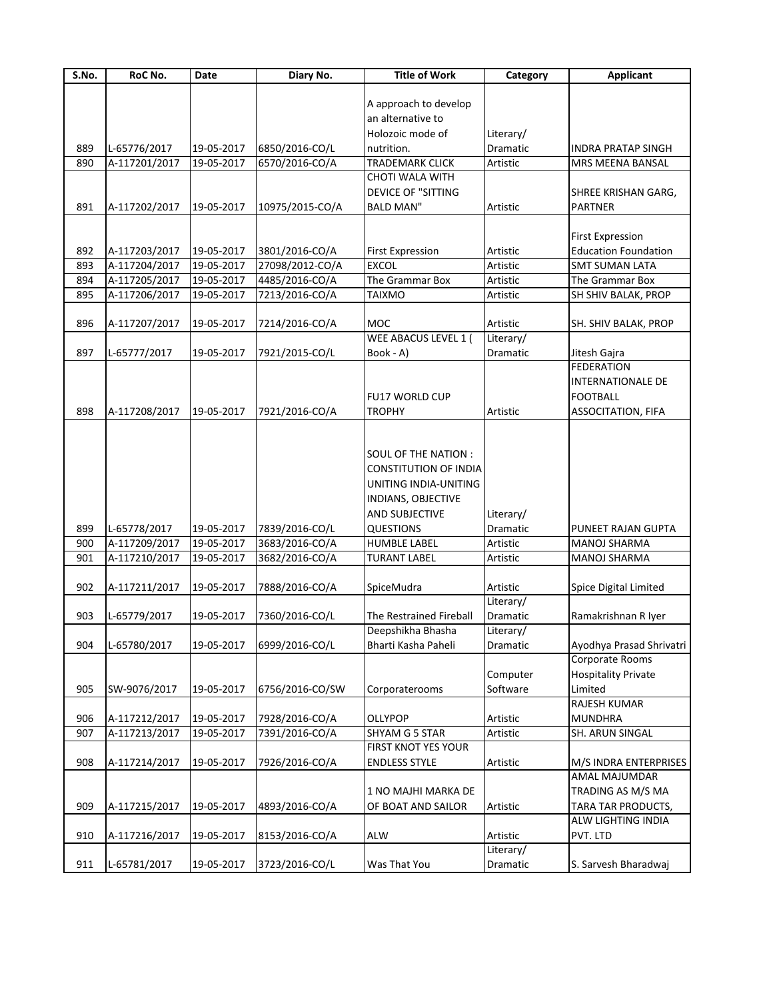| S.No. | RoC No.       | Date       | Diary No.       | <b>Title of Work</b>      | Category              | <b>Applicant</b>            |
|-------|---------------|------------|-----------------|---------------------------|-----------------------|-----------------------------|
|       |               |            |                 |                           |                       |                             |
|       |               |            |                 | A approach to develop     |                       |                             |
|       |               |            |                 | an alternative to         |                       |                             |
|       |               |            |                 | Holozoic mode of          | Literary/             |                             |
| 889   | L-65776/2017  | 19-05-2017 | 6850/2016-CO/L  | nutrition.                | <b>Dramatic</b>       | <b>INDRA PRATAP SINGH</b>   |
| 890   | A-117201/2017 | 19-05-2017 | 6570/2016-CO/A  | <b>TRADEMARK CLICK</b>    | Artistic              | MRS MEENA BANSAL            |
|       |               |            |                 | CHOTI WALA WITH           |                       |                             |
|       |               |            |                 | <b>DEVICE OF "SITTING</b> |                       | SHREE KRISHAN GARG,         |
| 891   | A-117202/2017 | 19-05-2017 | 10975/2015-CO/A | <b>BALD MAN"</b>          | Artistic              | <b>PARTNER</b>              |
|       |               |            |                 |                           |                       |                             |
|       |               |            |                 |                           |                       | <b>First Expression</b>     |
| 892   | A-117203/2017 | 19-05-2017 | 3801/2016-CO/A  | <b>First Expression</b>   | Artistic              | <b>Education Foundation</b> |
| 893   | A-117204/2017 | 19-05-2017 | 27098/2012-CO/A | <b>EXCOL</b>              | Artistic              | <b>SMT SUMAN LATA</b>       |
| 894   | A-117205/2017 | 19-05-2017 | 4485/2016-CO/A  | The Grammar Box           | Artistic              | The Grammar Box             |
| 895   | A-117206/2017 | 19-05-2017 | 7213/2016-CO/A  | <b>TAIXMO</b>             | Artistic              | SH SHIV BALAK, PROP         |
|       |               |            |                 | <b>MOC</b>                |                       |                             |
| 896   | A-117207/2017 | 19-05-2017 | 7214/2016-CO/A  | WEE ABACUS LEVEL 1 (      | Artistic<br>Literary/ | SH. SHIV BALAK, PROP        |
| 897   | L-65777/2017  | 19-05-2017 | 7921/2015-CO/L  | Book - A)                 | Dramatic              | Jitesh Gajra                |
|       |               |            |                 |                           |                       | <b>FEDERATION</b>           |
|       |               |            |                 |                           |                       | INTERNATIONALE DE           |
|       |               |            |                 | <b>FU17 WORLD CUP</b>     |                       | <b>FOOTBALL</b>             |
| 898   | A-117208/2017 | 19-05-2017 | 7921/2016-CO/A  | <b>TROPHY</b>             | Artistic              | ASSOCITATION, FIFA          |
|       |               |            |                 |                           |                       |                             |
|       |               |            |                 |                           |                       |                             |
|       |               |            |                 | SOUL OF THE NATION :      |                       |                             |
|       |               |            |                 | CONSTITUTION OF INDIA     |                       |                             |
|       |               |            |                 | UNITING INDIA-UNITING     |                       |                             |
|       |               |            |                 | INDIANS, OBJECTIVE        |                       |                             |
|       |               |            |                 | AND SUBJECTIVE            | Literary/             |                             |
| 899   | L-65778/2017  | 19-05-2017 | 7839/2016-CO/L  | <b>QUESTIONS</b>          | Dramatic              | PUNEET RAJAN GUPTA          |
| 900   | A-117209/2017 | 19-05-2017 | 3683/2016-CO/A  | <b>HUMBLE LABEL</b>       | Artistic              | <b>MANOJ SHARMA</b>         |
| 901   | A-117210/2017 | 19-05-2017 | 3682/2016-CO/A  | <b>TURANT LABEL</b>       | Artistic              | <b>MANOJ SHARMA</b>         |
|       |               |            |                 |                           |                       |                             |
| 902   | A-117211/2017 | 19-05-2017 | 7888/2016-CO/A  | SpiceMudra                | Artistic              | Spice Digital Limited       |
|       |               |            |                 |                           | Literary/             |                             |
| 903   | L-65779/2017  | 19-05-2017 | 7360/2016-CO/L  | The Restrained Fireball   | Dramatic              | Ramakrishnan R Iyer         |
|       |               |            |                 | Deepshikha Bhasha         | Literary/             |                             |
| 904   | L-65780/2017  | 19-05-2017 | 6999/2016-CO/L  | Bharti Kasha Paheli       | Dramatic              | Ayodhya Prasad Shrivatri    |
|       |               |            |                 |                           |                       | Corporate Rooms             |
|       |               |            |                 |                           | Computer              | <b>Hospitality Private</b>  |
| 905   | SW-9076/2017  | 19-05-2017 | 6756/2016-CO/SW | Corporaterooms            | Software              | Limited                     |
|       |               |            |                 |                           |                       | RAJESH KUMAR                |
| 906   | A-117212/2017 | 19-05-2017 | 7928/2016-CO/A  | OLLYPOP                   | Artistic              | <b>MUNDHRA</b>              |
| 907   | A-117213/2017 | 19-05-2017 | 7391/2016-CO/A  | SHYAM G 5 STAR            | Artistic              | SH. ARUN SINGAL             |
|       |               |            |                 | FIRST KNOT YES YOUR       |                       |                             |
| 908   | A-117214/2017 | 19-05-2017 | 7926/2016-CO/A  | <b>ENDLESS STYLE</b>      | Artistic              | M/S INDRA ENTERPRISES       |
|       |               |            |                 |                           |                       | AMAL MAJUMDAR               |
|       |               |            |                 | 1 NO MAJHI MARKA DE       |                       | TRADING AS M/S MA           |
| 909   | A-117215/2017 | 19-05-2017 | 4893/2016-CO/A  | OF BOAT AND SAILOR        | Artistic              | TARA TAR PRODUCTS,          |
|       |               |            |                 |                           |                       | ALW LIGHTING INDIA          |
| 910   | A-117216/2017 | 19-05-2017 | 8153/2016-CO/A  | <b>ALW</b>                | Artistic              | PVT. LTD                    |
|       |               |            |                 |                           | Literary/             |                             |
| 911   | L-65781/2017  | 19-05-2017 | 3723/2016-CO/L  | Was That You              | Dramatic              | S. Sarvesh Bharadwaj        |
|       |               |            |                 |                           |                       |                             |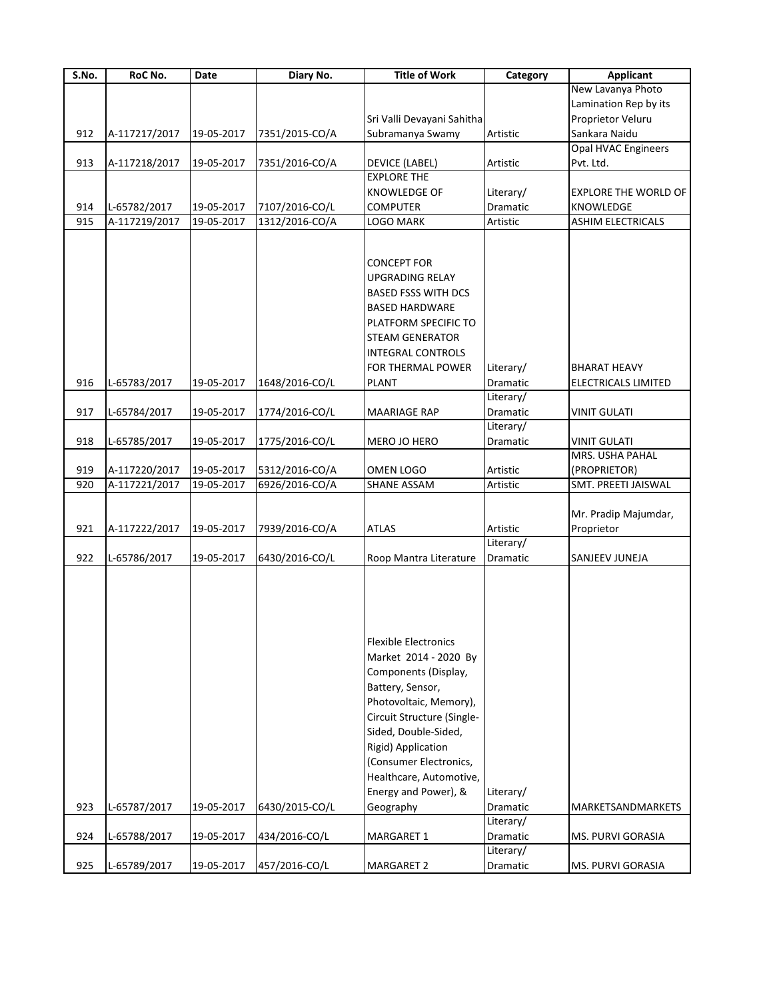| S.No. | RoC No.       | Date       | Diary No.      | <b>Title of Work</b>                                                                                                       | Category              | <b>Applicant</b>            |
|-------|---------------|------------|----------------|----------------------------------------------------------------------------------------------------------------------------|-----------------------|-----------------------------|
|       |               |            |                |                                                                                                                            |                       | New Lavanya Photo           |
|       |               |            |                |                                                                                                                            |                       | Lamination Rep by its       |
|       |               |            |                | Sri Valli Devayani Sahitha                                                                                                 |                       | Proprietor Veluru           |
| 912   | A-117217/2017 | 19-05-2017 | 7351/2015-CO/A | Subramanya Swamy                                                                                                           | Artistic              | Sankara Naidu               |
|       |               |            |                |                                                                                                                            |                       | Opal HVAC Engineers         |
| 913   | A-117218/2017 | 19-05-2017 | 7351/2016-CO/A | <b>DEVICE (LABEL)</b>                                                                                                      | Artistic              | Pvt. Ltd.                   |
|       |               |            |                | <b>EXPLORE THE</b>                                                                                                         |                       |                             |
|       |               |            |                | <b>KNOWLEDGE OF</b>                                                                                                        | Literary/             | <b>EXPLORE THE WORLD OF</b> |
| 914   | L-65782/2017  | 19-05-2017 | 7107/2016-CO/L | <b>COMPUTER</b>                                                                                                            | Dramatic              | <b>KNOWLEDGE</b>            |
| 915   | A-117219/2017 | 19-05-2017 | 1312/2016-CO/A | LOGO MARK                                                                                                                  | Artistic              | <b>ASHIM ELECTRICALS</b>    |
|       |               |            |                |                                                                                                                            |                       |                             |
|       |               |            |                | <b>CONCEPT FOR</b>                                                                                                         |                       |                             |
|       |               |            |                | <b>UPGRADING RELAY</b>                                                                                                     |                       |                             |
|       |               |            |                | <b>BASED FSSS WITH DCS</b>                                                                                                 |                       |                             |
|       |               |            |                | <b>BASED HARDWARE</b>                                                                                                      |                       |                             |
|       |               |            |                | PLATFORM SPECIFIC TO                                                                                                       |                       |                             |
|       |               |            |                |                                                                                                                            |                       |                             |
|       |               |            |                | <b>STEAM GENERATOR</b>                                                                                                     |                       |                             |
|       |               |            |                | <b>INTEGRAL CONTROLS</b>                                                                                                   |                       |                             |
|       |               |            |                | FOR THERMAL POWER                                                                                                          | Literary/             | <b>BHARAT HEAVY</b>         |
| 916   | L-65783/2017  | 19-05-2017 | 1648/2016-CO/L | <b>PLANT</b>                                                                                                               | Dramatic              | <b>ELECTRICALS LIMITED</b>  |
|       |               |            |                |                                                                                                                            | Literary/             |                             |
| 917   | L-65784/2017  | 19-05-2017 | 1774/2016-CO/L | MAARIAGE RAP                                                                                                               | Dramatic              | <b>VINIT GULATI</b>         |
|       |               |            |                |                                                                                                                            | Literary/             |                             |
| 918   | L-65785/2017  | 19-05-2017 | 1775/2016-CO/L | MERO JO HERO                                                                                                               | Dramatic              | VINIT GULATI                |
|       |               |            |                |                                                                                                                            |                       | MRS. USHA PAHAL             |
| 919   | A-117220/2017 | 19-05-2017 | 5312/2016-CO/A | OMEN LOGO                                                                                                                  | Artistic              | (PROPRIETOR)                |
| 920   | A-117221/2017 | 19-05-2017 | 6926/2016-CO/A | <b>SHANE ASSAM</b>                                                                                                         | Artistic              | SMT. PREETI JAISWAL         |
|       |               |            |                |                                                                                                                            |                       |                             |
|       |               |            |                |                                                                                                                            |                       | Mr. Pradip Majumdar,        |
| 921   | A-117222/2017 | 19-05-2017 | 7939/2016-CO/A | <b>ATLAS</b>                                                                                                               | Artistic              | Proprietor                  |
|       |               |            |                |                                                                                                                            | Literary/             |                             |
| 922   | L-65786/2017  | 19-05-2017 | 6430/2016-CO/L | Roop Mantra Literature                                                                                                     | <b>Dramatic</b>       | SANJEEV JUNEJA              |
|       |               |            |                |                                                                                                                            |                       |                             |
|       |               |            |                | <b>Flexible Electronics</b><br>Market 2014 - 2020 By<br>Components (Display,<br>Battery, Sensor,<br>Photovoltaic, Memory), |                       |                             |
|       |               |            |                | Circuit Structure (Single-<br>Sided, Double-Sided,                                                                         |                       |                             |
|       |               |            |                | Rigid) Application                                                                                                         |                       |                             |
|       |               |            |                | (Consumer Electronics,                                                                                                     |                       |                             |
|       |               |            |                |                                                                                                                            |                       |                             |
|       |               |            |                | Healthcare, Automotive,                                                                                                    |                       |                             |
|       |               |            |                | Energy and Power), &                                                                                                       | Literary/             |                             |
| 923   | L-65787/2017  | 19-05-2017 | 6430/2015-CO/L | Geography                                                                                                                  | Dramatic              | MARKETSANDMARKETS           |
| 924   | L-65788/2017  | 19-05-2017 | 434/2016-CO/L  | MARGARET 1                                                                                                                 | Literary/<br>Dramatic | MS. PURVI GORASIA           |
|       |               |            |                |                                                                                                                            | Literary/             |                             |
| 925   | L-65789/2017  | 19-05-2017 | 457/2016-CO/L  | MARGARET 2                                                                                                                 | Dramatic              | MS. PURVI GORASIA           |
|       |               |            |                |                                                                                                                            |                       |                             |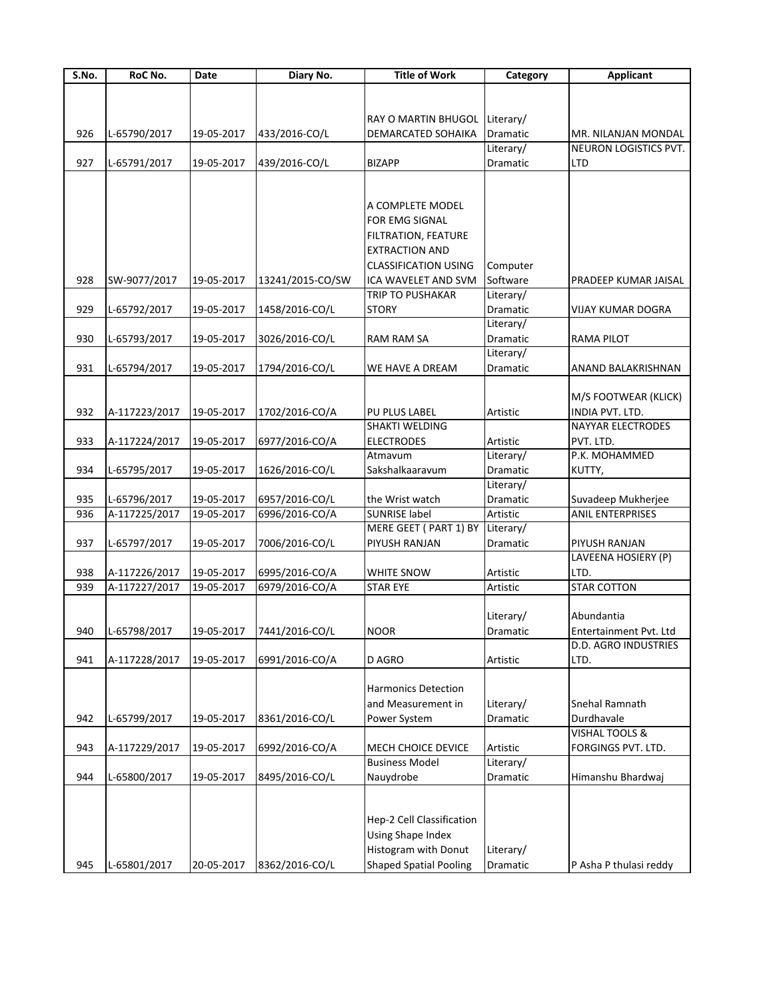| <b>Applicant</b>         |
|--------------------------|
|                          |
|                          |
|                          |
| MR. NILANJAN MONDAL      |
| NEURON LOGISTICS PVT.    |
|                          |
|                          |
|                          |
|                          |
|                          |
|                          |
|                          |
|                          |
| PRADEEP KUMAR JAISAL     |
|                          |
| <b>VIJAY KUMAR DOGRA</b> |
|                          |
|                          |
|                          |
|                          |
| ANAND BALAKRISHNAN       |
|                          |
| M/S FOOTWEAR (KLICK)     |
| INDIA PVT. LTD.          |
| <b>NAYYAR ELECTRODES</b> |
|                          |
| P.K. MOHAMMED            |
|                          |
|                          |
| Suvadeep Mukherjee       |
| <b>ANIL ENTERPRISES</b>  |
|                          |
| PIYUSH RANJAN            |
| LAVEENA HOSIERY (P)      |
|                          |
|                          |
|                          |
|                          |
| Entertainment Pvt. Ltd   |
| D.D. AGRO INDUSTRIES     |
|                          |
|                          |
|                          |
| Snehal Ramnath           |
|                          |
| VISHAL TOOLS &           |
| FORGINGS PVT. LTD.       |
|                          |
| Himanshu Bhardwaj        |
|                          |
|                          |
|                          |
|                          |
|                          |
|                          |
| <b>STAR COTTON</b>       |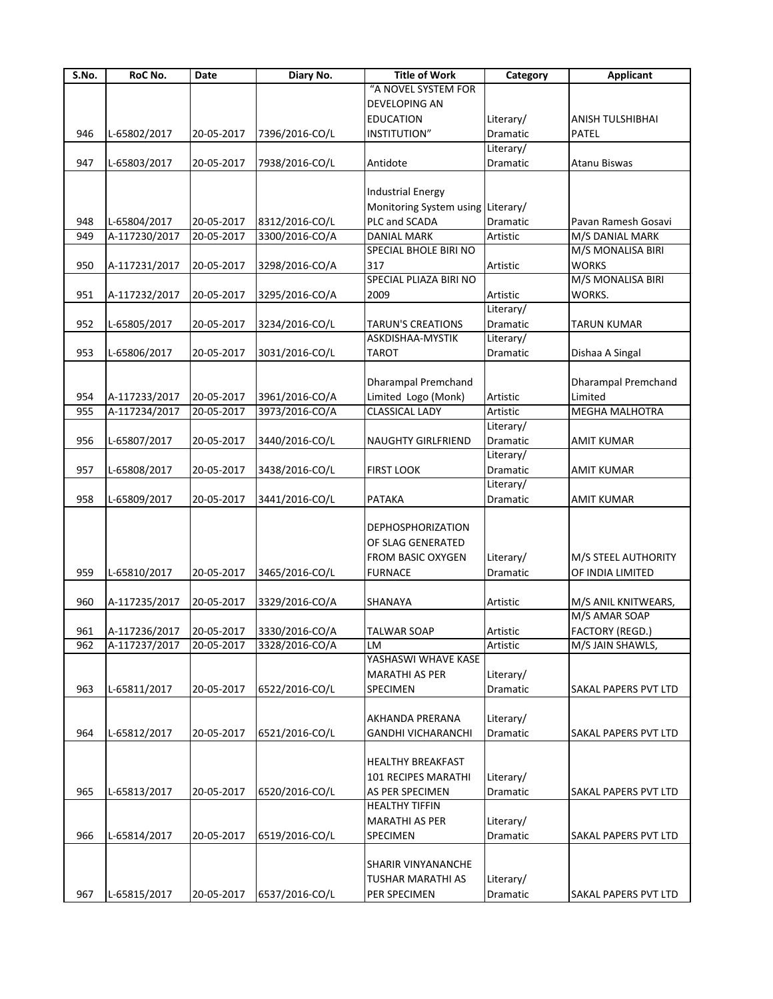| S.No. | RoC No.                  | Date       | Diary No.      | <b>Title of Work</b>                                                                        | Category              | <b>Applicant</b>                        |
|-------|--------------------------|------------|----------------|---------------------------------------------------------------------------------------------|-----------------------|-----------------------------------------|
|       |                          |            |                | "A NOVEL SYSTEM FOR                                                                         |                       |                                         |
|       |                          |            |                | <b>DEVELOPING AN</b>                                                                        |                       |                                         |
|       |                          |            |                | <b>EDUCATION</b>                                                                            | Literary/             | ANISH TULSHIBHAI                        |
| 946   | L-65802/2017             | 20-05-2017 | 7396/2016-CO/L | <b>INSTITUTION"</b>                                                                         | <b>Dramatic</b>       | <b>PATEL</b>                            |
|       |                          |            |                |                                                                                             | Literary/             |                                         |
| 947   | L-65803/2017             | 20-05-2017 | 7938/2016-CO/L | Antidote                                                                                    | Dramatic              | Atanu Biswas                            |
|       |                          |            |                |                                                                                             |                       |                                         |
|       |                          |            |                | <b>Industrial Energy</b>                                                                    |                       |                                         |
|       |                          |            |                | Monitoring System using Literary/                                                           |                       |                                         |
|       |                          |            |                |                                                                                             |                       |                                         |
| 948   | L-65804/2017             | 20-05-2017 | 8312/2016-CO/L | PLC and SCADA                                                                               | Dramatic              | Pavan Ramesh Gosavi                     |
| 949   | A-117230/2017            | 20-05-2017 | 3300/2016-CO/A | <b>DANIAL MARK</b>                                                                          | Artistic              | M/S DANIAL MARK                         |
|       |                          |            |                | SPECIAL BHOLE BIRI NO                                                                       |                       | M/S MONALISA BIRI                       |
| 950   | A-117231/2017            | 20-05-2017 | 3298/2016-CO/A | 317                                                                                         | Artistic              | <b>WORKS</b>                            |
|       |                          |            |                | SPECIAL PLIAZA BIRI NO                                                                      |                       | M/S MONALISA BIRI                       |
| 951   | A-117232/2017            | 20-05-2017 | 3295/2016-CO/A | 2009                                                                                        | Artistic              | WORKS.                                  |
|       |                          |            |                |                                                                                             | Literary/             |                                         |
| 952   | L-65805/2017             | 20-05-2017 | 3234/2016-CO/L | <b>TARUN'S CREATIONS</b>                                                                    | Dramatic              | TARUN KUMAR                             |
|       |                          |            |                | ASKDISHAA-MYSTIK                                                                            | Literary/             |                                         |
| 953   | L-65806/2017             | 20-05-2017 | 3031/2016-CO/L | <b>TAROT</b>                                                                                | Dramatic              | Dishaa A Singal                         |
|       |                          |            |                |                                                                                             |                       |                                         |
|       |                          |            |                | <b>Dharampal Premchand</b>                                                                  |                       |                                         |
|       |                          |            |                |                                                                                             |                       | <b>Dharampal Premchand</b>              |
| 954   | A-117233/2017            | 20-05-2017 | 3961/2016-CO/A | Limited Logo (Monk)                                                                         | Artistic              | Limited                                 |
| 955   | A-117234/2017            | 20-05-2017 | 3973/2016-CO/A | <b>CLASSICAL LADY</b>                                                                       | Artistic              | MEGHA MALHOTRA                          |
|       |                          |            |                |                                                                                             | Literary/             |                                         |
| 956   | L-65807/2017             | 20-05-2017 | 3440/2016-CO/L | <b>NAUGHTY GIRLFRIEND</b>                                                                   | Dramatic              | <b>AMIT KUMAR</b>                       |
|       |                          |            |                |                                                                                             | Literary/             |                                         |
| 957   | L-65808/2017             | 20-05-2017 | 3438/2016-CO/L | <b>FIRST LOOK</b>                                                                           | Dramatic              | AMIT KUMAR                              |
|       |                          |            |                |                                                                                             | Literary/             |                                         |
| 958   | L-65809/2017             | 20-05-2017 | 3441/2016-CO/L | <b>PATAKA</b>                                                                               | Dramatic              | AMIT KUMAR                              |
| 959   | L-65810/2017             | 20-05-2017 | 3465/2016-CO/L | <b>DEPHOSPHORIZATION</b><br>OF SLAG GENERATED<br><b>FROM BASIC OXYGEN</b><br><b>FURNACE</b> | Literary/<br>Dramatic | M/S STEEL AUTHORITY<br>OF INDIA LIMITED |
|       |                          |            |                |                                                                                             |                       |                                         |
| 960   | A-117235/2017            | 20-05-2017 | 3329/2016-CO/A | SHANAYA                                                                                     | Artistic              | M/S ANIL KNITWEARS,                     |
|       |                          |            |                |                                                                                             |                       | M/S AMAR SOAP                           |
| 961   | A-117236/2017 20-05-2017 |            | 3330/2016-CO/A | <b>TALWAR SOAP</b>                                                                          | Artistic              | FACTORY (REGD.)                         |
| 962   | A-117237/2017            | 20-05-2017 | 3328/2016-CO/A | LM                                                                                          | Artistic              | M/S JAIN SHAWLS,                        |
|       |                          |            |                | YASHASWI WHAVE KASE                                                                         |                       |                                         |
|       |                          |            |                | <b>MARATHI AS PER</b>                                                                       | Literary/             |                                         |
| 963   | L-65811/2017             | 20-05-2017 | 6522/2016-CO/L | SPECIMEN                                                                                    | Dramatic              | SAKAL PAPERS PVT LTD                    |
|       |                          |            |                |                                                                                             |                       |                                         |
|       |                          |            |                | AKHANDA PRERANA                                                                             | Literary/             |                                         |
|       | L-65812/2017             |            | 6521/2016-CO/L |                                                                                             | Dramatic              |                                         |
| 964   |                          | 20-05-2017 |                | <b>GANDHI VICHARANCHI</b>                                                                   |                       | <b>SAKAL PAPERS PVT LTD</b>             |
| 965   | L-65813/2017             | 20-05-2017 | 6520/2016-CO/L | <b>HEALTHY BREAKFAST</b><br>101 RECIPES MARATHI<br>AS PER SPECIMEN<br><b>HEALTHY TIFFIN</b> | Literary/<br>Dramatic | <b>SAKAL PAPERS PVT LTD</b>             |
|       |                          |            |                |                                                                                             |                       |                                         |
|       |                          |            |                | <b>MARATHI AS PER</b>                                                                       | Literary/             |                                         |
| 966   | L-65814/2017             | 20-05-2017 | 6519/2016-CO/L | SPECIMEN                                                                                    | Dramatic              | <b>SAKAL PAPERS PVT LTD</b>             |
|       |                          |            |                | <b>SHARIR VINYANANCHE</b><br><b>TUSHAR MARATHI AS</b>                                       | Literary/             |                                         |
| 967   | L-65815/2017             | 20-05-2017 | 6537/2016-CO/L | PER SPECIMEN                                                                                | Dramatic              | <b>SAKAL PAPERS PVT LTD</b>             |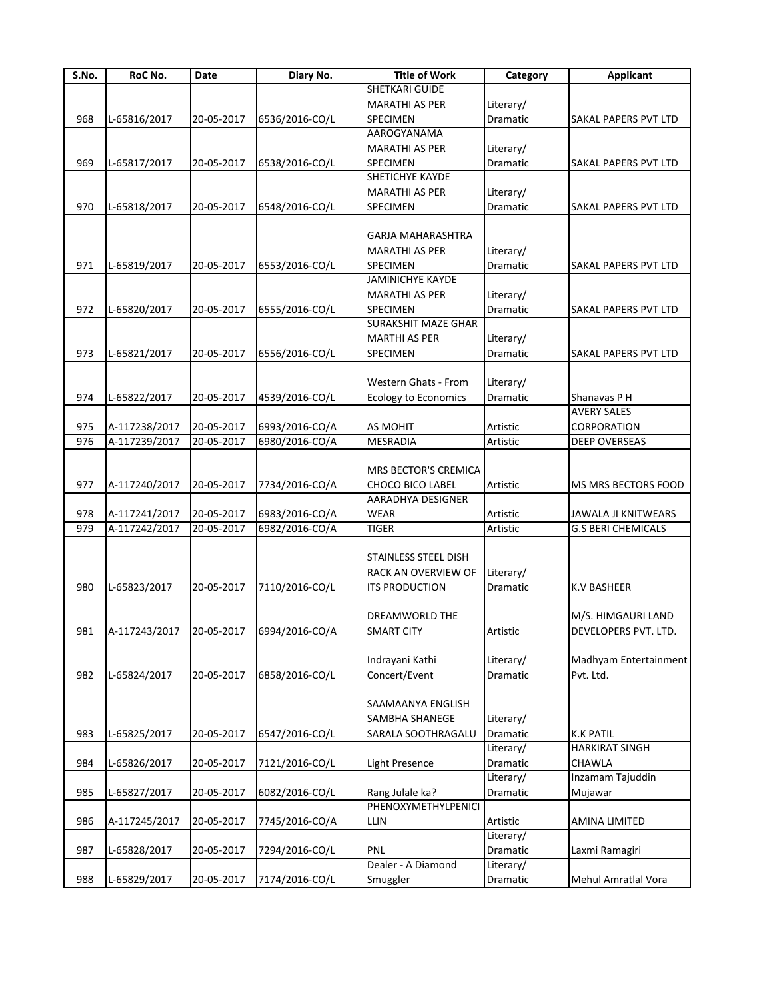| S.No. | RoC No.                  | Date       | Diary No.      | <b>Title of Work</b>                   | Category  | <b>Applicant</b>          |
|-------|--------------------------|------------|----------------|----------------------------------------|-----------|---------------------------|
|       |                          |            |                | <b>SHETKARI GUIDE</b>                  |           |                           |
|       |                          |            |                | <b>MARATHI AS PER</b>                  | Literary/ |                           |
| 968   | L-65816/2017             | 20-05-2017 | 6536/2016-CO/L | SPECIMEN                               | Dramatic  | SAKAL PAPERS PVT LTD      |
|       |                          |            |                | AAROGYANAMA                            |           |                           |
|       |                          |            |                | <b>MARATHI AS PER</b>                  | Literary/ |                           |
| 969   | L-65817/2017             | 20-05-2017 | 6538/2016-CO/L | SPECIMEN                               | Dramatic  | SAKAL PAPERS PVT LTD      |
|       |                          |            |                | SHETICHYE KAYDE                        |           |                           |
|       |                          |            |                | <b>MARATHI AS PER</b>                  | Literary/ |                           |
| 970   | L-65818/2017             | 20-05-2017 | 6548/2016-CO/L | SPECIMEN                               | Dramatic  | SAKAL PAPERS PVT LTD      |
|       |                          |            |                |                                        |           |                           |
|       |                          |            |                | <b>GARJA MAHARASHTRA</b>               |           |                           |
|       |                          |            |                | <b>MARATHI AS PER</b>                  | Literary/ |                           |
| 971   | L-65819/2017             | 20-05-2017 | 6553/2016-CO/L | <b>SPECIMEN</b>                        | Dramatic  | SAKAL PAPERS PVT LTD      |
|       |                          |            |                | JAMINICHYE KAYDE                       |           |                           |
|       |                          |            |                | <b>MARATHI AS PER</b>                  | Literary/ |                           |
| 972   | L-65820/2017             | 20-05-2017 | 6555/2016-CO/L | SPECIMEN                               | Dramatic  | SAKAL PAPERS PVT LTD      |
|       |                          |            |                | <b>SURAKSHIT MAZE GHAR</b>             |           |                           |
|       |                          |            |                | <b>MARTHI AS PER</b>                   | Literary/ |                           |
| 973   | L-65821/2017             | 20-05-2017 | 6556/2016-CO/L | SPECIMEN                               | Dramatic  | SAKAL PAPERS PVT LTD      |
|       |                          |            |                |                                        |           |                           |
|       |                          |            |                | Western Ghats - From                   | Literary/ |                           |
| 974   | L-65822/2017             | 20-05-2017 | 4539/2016-CO/L | <b>Ecology to Economics</b>            | Dramatic  | Shanavas P H              |
|       |                          |            |                |                                        |           | <b>AVERY SALES</b>        |
| 975   | A-117238/2017            | 20-05-2017 | 6993/2016-CO/A | AS MOHIT                               | Artistic  | CORPORATION               |
| 976   | A-117239/2017            | 20-05-2017 | 6980/2016-CO/A | <b>MESRADIA</b>                        | Artistic  | DEEP OVERSEAS             |
|       |                          |            |                |                                        |           |                           |
|       |                          |            |                | MRS BECTOR'S CREMICA                   |           |                           |
| 977   | A-117240/2017            | 20-05-2017 | 7734/2016-CO/A | <b>CHOCO BICO LABEL</b>                | Artistic  | MS MRS BECTORS FOOD       |
|       |                          |            |                | AARADHYA DESIGNER                      |           |                           |
| 978   | A-117241/2017            | 20-05-2017 | 6983/2016-CO/A | <b>WEAR</b>                            | Artistic  | JAWALA JI KNITWEARS       |
| 979   | A-117242/2017            | 20-05-2017 | 6982/2016-CO/A | <b>TIGER</b>                           | Artistic  | <b>G.S BERI CHEMICALS</b> |
|       |                          |            |                |                                        |           |                           |
|       |                          |            |                | STAINLESS STEEL DISH                   |           |                           |
|       |                          |            |                | RACK AN OVERVIEW OF                    | Literary/ |                           |
| 980   | L-65823/2017             | 20-05-2017 | 7110/2016-CO/L | <b>ITS PRODUCTION</b>                  | Dramatic  | <b>K.V BASHEER</b>        |
|       |                          |            |                |                                        |           |                           |
|       |                          |            |                | DREAMWORLD THE                         |           | M/S. HIMGAURI LAND        |
| 981   | A-117243/2017 20-05-2017 |            | 6994/2016-CO/A | SMART CITY                             | Artistic  | DEVELOPERS PVT. LTD.      |
|       |                          |            |                |                                        |           |                           |
|       |                          |            |                | Indrayani Kathi                        | Literary/ | Madhyam Entertainment     |
| 982   | L-65824/2017             | 20-05-2017 | 6858/2016-CO/L | Concert/Event                          | Dramatic  | Pvt. Ltd.                 |
|       |                          |            |                |                                        |           |                           |
|       |                          |            |                | SAAMAANYA ENGLISH                      |           |                           |
|       |                          |            |                | SAMBHA SHANEGE                         | Literary/ |                           |
| 983   | L-65825/2017             | 20-05-2017 | 6547/2016-CO/L | SARALA SOOTHRAGALU                     | Dramatic  | <b>K.K PATIL</b>          |
|       |                          |            |                |                                        | Literary/ | <b>HARKIRAT SINGH</b>     |
| 984   | L-65826/2017             |            | 7121/2016-CO/L | Light Presence                         | Dramatic  | CHAWLA                    |
|       |                          | 20-05-2017 |                |                                        | Literary/ | Inzamam Tajuddin          |
| 985   |                          |            | 6082/2016-CO/L |                                        |           |                           |
|       | L-65827/2017             | 20-05-2017 |                | Rang Julale ka?<br>PHENOXYMETHYLPENICI | Dramatic  | Mujawar                   |
|       |                          |            |                |                                        |           |                           |
| 986   | A-117245/2017            | 20-05-2017 | 7745/2016-CO/A | LLIN                                   | Artistic  | AMINA LIMITED             |
|       |                          |            |                |                                        | Literary/ |                           |
| 987   | L-65828/2017             | 20-05-2017 | 7294/2016-CO/L | PNL                                    | Dramatic  | Laxmi Ramagiri            |
|       |                          |            |                | Dealer - A Diamond                     | Literary/ |                           |
| 988   | L-65829/2017             | 20-05-2017 | 7174/2016-CO/L | Smuggler                               | Dramatic  | Mehul Amratlal Vora       |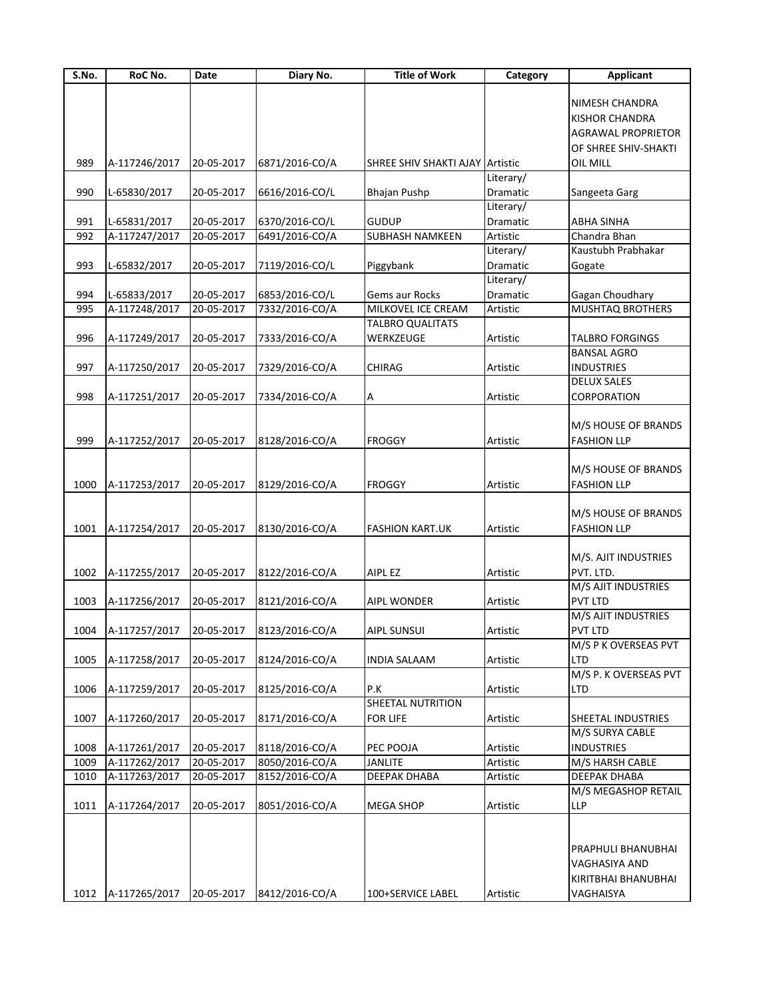| S.No. | RoC No.            | Date       | Diary No.      | <b>Title of Work</b>            | Category        | <b>Applicant</b>                |
|-------|--------------------|------------|----------------|---------------------------------|-----------------|---------------------------------|
|       |                    |            |                |                                 |                 |                                 |
|       |                    |            |                |                                 |                 | NIMESH CHANDRA                  |
|       |                    |            |                |                                 |                 | <b>KISHOR CHANDRA</b>           |
|       |                    |            |                |                                 |                 | <b>AGRAWAL PROPRIETOR</b>       |
|       |                    |            |                |                                 |                 | OF SHREE SHIV-SHAKTI            |
| 989   | A-117246/2017      | 20-05-2017 | 6871/2016-CO/A | SHREE SHIV SHAKTI AJAY Artistic |                 | OIL MILL                        |
|       |                    |            |                |                                 | Literary/       |                                 |
| 990   | L-65830/2017       | 20-05-2017 | 6616/2016-CO/L | <b>Bhajan Pushp</b>             | Dramatic        | Sangeeta Garg                   |
|       |                    |            |                |                                 | Literary/       |                                 |
| 991   | L-65831/2017       | 20-05-2017 | 6370/2016-CO/L | <b>GUDUP</b>                    | <b>Dramatic</b> | <b>ABHA SINHA</b>               |
| 992   | A-117247/2017      | 20-05-2017 | 6491/2016-CO/A | <b>SUBHASH NAMKEEN</b>          | Artistic        | Chandra Bhan                    |
|       |                    |            |                |                                 | Literary/       | Kaustubh Prabhakar              |
| 993   | L-65832/2017       | 20-05-2017 | 7119/2016-CO/L | Piggybank                       | Dramatic        | Gogate                          |
|       |                    |            |                |                                 | Literary/       |                                 |
| 994   | L-65833/2017       | 20-05-2017 | 6853/2016-CO/L | Gems aur Rocks                  | Dramatic        | Gagan Choudhary                 |
| 995   | A-117248/2017      | 20-05-2017 | 7332/2016-CO/A | MILKOVEL ICE CREAM              | Artistic        | MUSHTAQ BROTHERS                |
|       |                    |            |                | <b>TALBRO QUALITATS</b>         |                 |                                 |
| 996   | A-117249/2017      | 20-05-2017 | 7333/2016-CO/A | WERKZEUGE                       | Artistic        | <b>TALBRO FORGINGS</b>          |
|       |                    |            |                |                                 |                 | <b>BANSAL AGRO</b>              |
| 997   | A-117250/2017      | 20-05-2017 | 7329/2016-CO/A | <b>CHIRAG</b>                   | Artistic        | <b>INDUSTRIES</b>               |
|       |                    |            |                |                                 |                 | <b>DELUX SALES</b>              |
| 998   | A-117251/2017      | 20-05-2017 | 7334/2016-CO/A | A                               | Artistic        | CORPORATION                     |
|       |                    |            |                |                                 |                 |                                 |
|       |                    |            |                |                                 |                 | M/S HOUSE OF BRANDS             |
| 999   | A-117252/2017      | 20-05-2017 | 8128/2016-CO/A | <b>FROGGY</b>                   | Artistic        | <b>FASHION LLP</b>              |
|       |                    |            |                |                                 |                 |                                 |
|       |                    |            |                |                                 |                 | M/S HOUSE OF BRANDS             |
| 1000  | A-117253/2017      | 20-05-2017 | 8129/2016-CO/A | <b>FROGGY</b>                   | Artistic        | <b>FASHION LLP</b>              |
|       |                    |            |                |                                 |                 |                                 |
|       |                    |            |                |                                 |                 | M/S HOUSE OF BRANDS             |
| 1001  | A-117254/2017      | 20-05-2017 | 8130/2016-CO/A | <b>FASHION KART.UK</b>          | Artistic        | <b>FASHION LLP</b>              |
|       |                    |            |                |                                 |                 |                                 |
|       |                    |            |                |                                 |                 | M/S. AJIT INDUSTRIES            |
| 1002  | A-117255/2017      | 20-05-2017 | 8122/2016-CO/A | AIPL EZ                         | Artistic        | PVT. LTD.                       |
|       |                    |            |                |                                 |                 | M/S AJIT INDUSTRIES             |
| 1003  | A-117256/2017      | 20-05-2017 | 8121/2016-CO/A | <b>AIPL WONDER</b>              | Artistic        | PVT LTD                         |
|       |                    |            |                |                                 |                 | M/S AJIT INDUSTRIES             |
|       |                    |            |                |                                 |                 |                                 |
|       | 1004 A-117257/2017 | 20-05-2017 | 8123/2016-CO/A | <b>AIPL SUNSUI</b>              | Artistic        | PVT LTD<br>M/S P K OVERSEAS PVT |
|       | A-117258/2017      |            |                |                                 |                 |                                 |
| 1005  |                    | 20-05-2017 | 8124/2016-CO/A | <b>INDIA SALAAM</b>             | Artistic        | LTD<br>M/S P. K OVERSEAS PVT    |
|       |                    |            |                |                                 |                 |                                 |
| 1006  | A-117259/2017      | 20-05-2017 | 8125/2016-CO/A | P.K                             | Artistic        | LTD                             |
|       |                    |            |                | SHEETAL NUTRITION               |                 |                                 |
| 1007  | A-117260/2017      | 20-05-2017 | 8171/2016-CO/A | <b>FOR LIFE</b>                 | Artistic        | SHEETAL INDUSTRIES              |
|       |                    |            |                |                                 |                 | M/S SURYA CABLE                 |
| 1008  | A-117261/2017      | 20-05-2017 | 8118/2016-CO/A | PEC POOJA                       | Artistic        | <b>INDUSTRIES</b>               |
| 1009  | A-117262/2017      | 20-05-2017 | 8050/2016-CO/A | <b>JANLITE</b>                  | Artistic        | M/S HARSH CABLE                 |
| 1010  | A-117263/2017      | 20-05-2017 | 8152/2016-CO/A | DEEPAK DHABA                    | Artistic        | DEEPAK DHABA                    |
|       |                    |            |                |                                 |                 | M/S MEGASHOP RETAIL             |
| 1011  | A-117264/2017      | 20-05-2017 | 8051/2016-CO/A | <b>MEGA SHOP</b>                | Artistic        | <b>LLP</b>                      |
|       |                    |            |                |                                 |                 |                                 |
|       |                    |            |                |                                 |                 |                                 |
|       |                    |            |                |                                 |                 | PRAPHULI BHANUBHAI              |
|       |                    |            |                |                                 |                 | VAGHASIYA AND                   |
|       |                    |            |                |                                 |                 | KIRITBHAI BHANUBHAI             |
| 1012  | A-117265/2017      | 20-05-2017 | 8412/2016-CO/A | 100+SERVICE LABEL               | Artistic        | VAGHAISYA                       |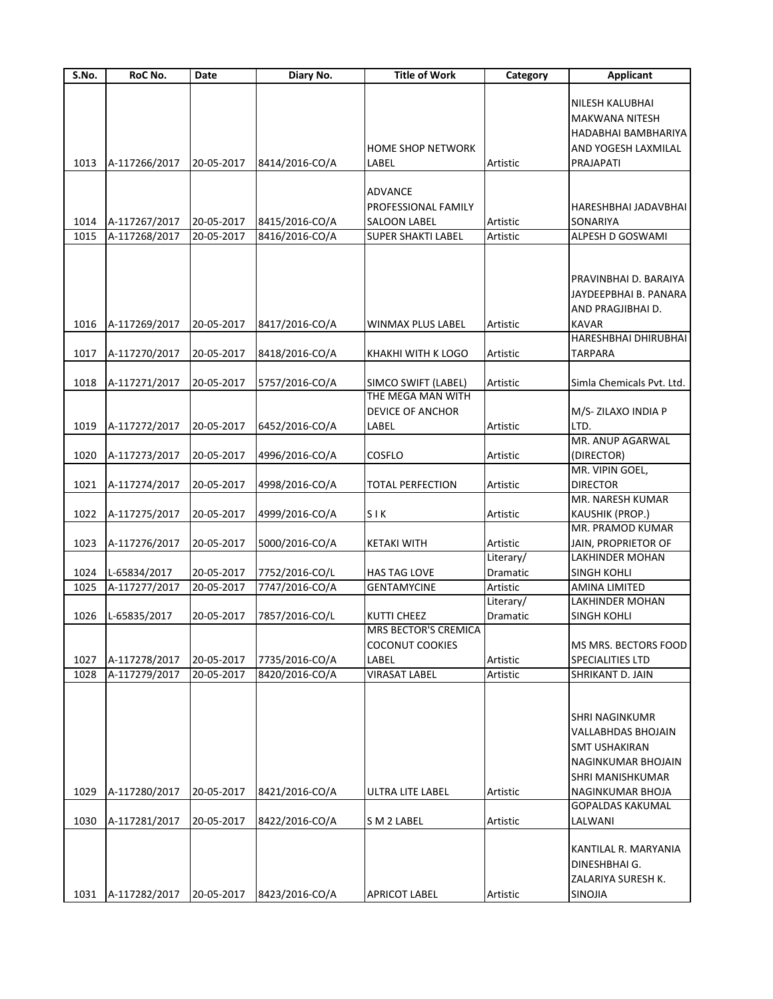| S.No. | RoC No.       | Date       | Diary No.      | <b>Title of Work</b>      | Category  | <b>Applicant</b>          |
|-------|---------------|------------|----------------|---------------------------|-----------|---------------------------|
|       |               |            |                |                           |           |                           |
|       |               |            |                |                           |           | NILESH KALUBHAI           |
|       |               |            |                |                           |           | <b>MAKWANA NITESH</b>     |
|       |               |            |                |                           |           | HADABHAI BAMBHARIYA       |
|       |               |            |                | <b>HOME SHOP NETWORK</b>  |           | AND YOGESH LAXMILAL       |
| 1013  | A-117266/2017 | 20-05-2017 | 8414/2016-CO/A | LABEL                     | Artistic  | PRAJAPATI                 |
|       |               |            |                |                           |           |                           |
|       |               |            |                | <b>ADVANCE</b>            |           |                           |
|       |               |            |                | PROFESSIONAL FAMILY       |           | HARESHBHAI JADAVBHAI      |
| 1014  | A-117267/2017 | 20-05-2017 | 8415/2016-CO/A | <b>SALOON LABEL</b>       | Artistic  | SONARIYA                  |
| 1015  | A-117268/2017 | 20-05-2017 | 8416/2016-CO/A | <b>SUPER SHAKTI LABEL</b> | Artistic  | ALPESH D GOSWAMI          |
|       |               |            |                |                           |           |                           |
|       |               |            |                |                           |           | PRAVINBHAI D. BARAIYA     |
|       |               |            |                |                           |           |                           |
|       |               |            |                |                           |           | JAYDEEPBHAI B. PANARA     |
|       |               |            |                |                           |           | AND PRAGJIBHAI D.         |
| 1016  | A-117269/2017 | 20-05-2017 | 8417/2016-CO/A | <b>WINMAX PLUS LABEL</b>  | Artistic  | <b>KAVAR</b>              |
|       |               |            |                |                           |           | HARESHBHAI DHIRUBHAI      |
| 1017  | A-117270/2017 | 20-05-2017 | 8418/2016-CO/A | KHAKHI WITH K LOGO        | Artistic  | TARPARA                   |
| 1018  | A-117271/2017 | 20-05-2017 | 5757/2016-CO/A | SIMCO SWIFT (LABEL)       | Artistic  | Simla Chemicals Pvt. Ltd. |
|       |               |            |                | THE MEGA MAN WITH         |           |                           |
|       |               |            |                | <b>DEVICE OF ANCHOR</b>   |           |                           |
|       |               |            |                |                           |           | M/S-ZILAXO INDIA P        |
| 1019  | A-117272/2017 | 20-05-2017 | 6452/2016-CO/A | LABEL                     | Artistic  | LTD.                      |
|       |               |            |                |                           |           | MR. ANUP AGARWAL          |
| 1020  | A-117273/2017 | 20-05-2017 | 4996/2016-CO/A | COSFLO                    | Artistic  | (DIRECTOR)                |
|       |               |            |                |                           |           | MR. VIPIN GOEL,           |
| 1021  | A-117274/2017 | 20-05-2017 | 4998/2016-CO/A | <b>TOTAL PERFECTION</b>   | Artistic  | <b>DIRECTOR</b>           |
|       |               |            |                |                           |           | MR. NARESH KUMAR          |
| 1022  | A-117275/2017 | 20-05-2017 | 4999/2016-CO/A | SIK                       | Artistic  | <b>KAUSHIK (PROP.)</b>    |
|       |               |            |                |                           |           | MR. PRAMOD KUMAR          |
| 1023  | A-117276/2017 | 20-05-2017 | 5000/2016-CO/A | <b>KETAKI WITH</b>        | Artistic  | JAIN, PROPRIETOR OF       |
|       |               |            |                |                           | Literary/ | <b>LAKHINDER MOHAN</b>    |
| 1024  | L-65834/2017  | 20-05-2017 | 7752/2016-CO/L | <b>HAS TAG LOVE</b>       | Dramatic  | <b>SINGH KOHLI</b>        |
| 1025  | A-117277/2017 | 20-05-2017 | 7747/2016-CO/A | <b>GENTAMYCINE</b>        | Artistic  | <b>AMINA LIMITED</b>      |
|       |               |            |                |                           | Literary/ | <b>LAKHINDER MOHAN</b>    |
| 1026  | L-65835/2017  | 20-05-2017 | 7857/2016-CO/L | <b>KUTTI CHEEZ</b>        | Dramatic  | <b>SINGH KOHLI</b>        |
|       |               |            |                | MRS BECTOR'S CREMICA      |           |                           |
|       |               |            |                | <b>COCONUT COOKIES</b>    |           | MS MRS. BECTORS FOOD      |
| 1027  | A-117278/2017 | 20-05-2017 | 7735/2016-CO/A | LABEL                     | Artistic  | SPECIALITIES LTD          |
| 1028  | A-117279/2017 | 20-05-2017 | 8420/2016-CO/A | VIRASAT LABEL             | Artistic  | SHRIKANT D. JAIN          |
|       |               |            |                |                           |           |                           |
|       |               |            |                |                           |           |                           |
|       |               |            |                |                           |           | SHRI NAGINKUMR            |
|       |               |            |                |                           |           | VALLABHDAS BHOJAIN        |
|       |               |            |                |                           |           | <b>SMT USHAKIRAN</b>      |
|       |               |            |                |                           |           | NAGINKUMAR BHOJAIN        |
|       |               |            |                |                           |           | SHRI MANISHKUMAR          |
| 1029  | A-117280/2017 | 20-05-2017 | 8421/2016-CO/A | <b>ULTRA LITE LABEL</b>   | Artistic  | NAGINKUMAR BHOJA          |
|       |               |            |                |                           |           | GOPALDAS KAKUMAL          |
| 1030  | A-117281/2017 | 20-05-2017 | 8422/2016-CO/A | S M 2 LABEL               | Artistic  | LALWANI                   |
|       |               |            |                |                           |           |                           |
|       |               |            |                |                           |           | KANTILAL R. MARYANIA      |
|       |               |            |                |                           |           | DINESHBHAI G.             |
|       |               |            |                |                           |           | ZALARIYA SURESH K.        |
| 1031  | A-117282/2017 | 20-05-2017 | 8423/2016-CO/A | <b>APRICOT LABEL</b>      | Artistic  | <b>SINOJIA</b>            |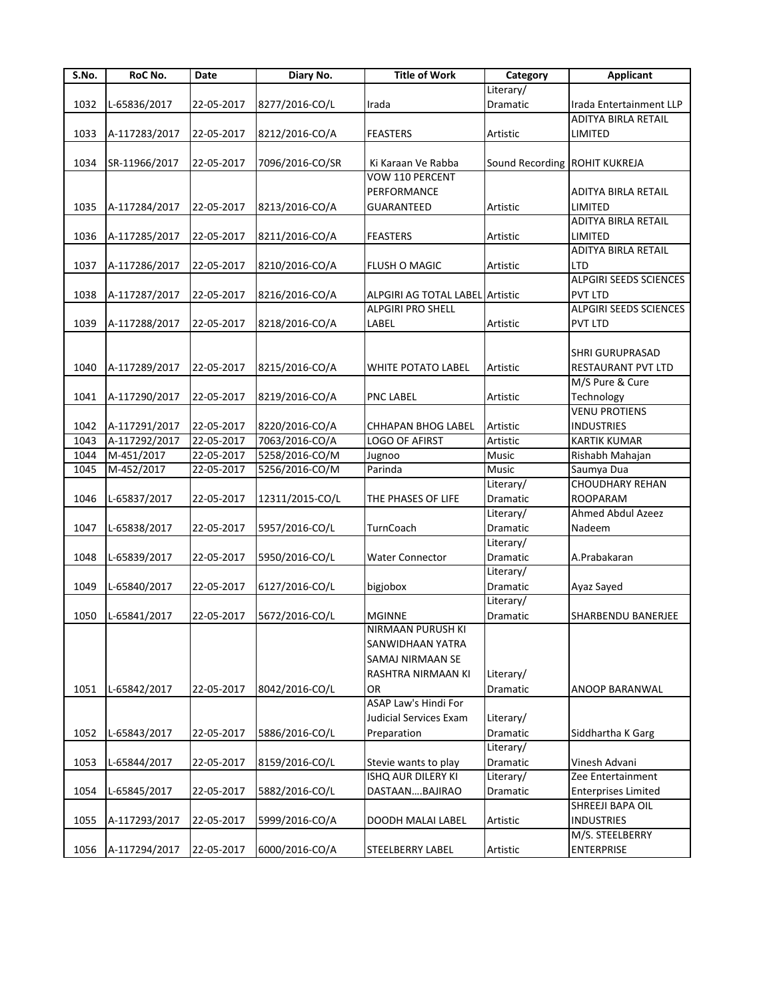| S.No. | RoC No.       | Date       | Diary No.       | <b>Title of Work</b>            | Category                      | <b>Applicant</b>              |
|-------|---------------|------------|-----------------|---------------------------------|-------------------------------|-------------------------------|
|       |               |            |                 |                                 | Literary/                     |                               |
| 1032  | L-65836/2017  | 22-05-2017 | 8277/2016-CO/L  | Irada                           | Dramatic                      | Irada Entertainment LLP       |
|       |               |            |                 |                                 |                               | ADITYA BIRLA RETAIL           |
| 1033  | A-117283/2017 | 22-05-2017 | 8212/2016-CO/A  | <b>FEASTERS</b>                 | Artistic                      | LIMITED                       |
|       |               |            |                 |                                 |                               |                               |
| 1034  | SR-11966/2017 | 22-05-2017 | 7096/2016-CO/SR | Ki Karaan Ve Rabba              | Sound Recording ROHIT KUKREJA |                               |
|       |               |            |                 | <b>VOW 110 PERCENT</b>          |                               |                               |
|       |               |            |                 | PERFORMANCE                     |                               | ADITYA BIRLA RETAIL           |
| 1035  | A-117284/2017 | 22-05-2017 | 8213/2016-CO/A  | <b>GUARANTEED</b>               | Artistic                      | LIMITED                       |
|       |               |            |                 |                                 |                               | ADITYA BIRLA RETAIL           |
| 1036  | A-117285/2017 | 22-05-2017 | 8211/2016-CO/A  | FEASTERS                        | Artistic                      | LIMITED                       |
|       |               |            |                 |                                 |                               | ADITYA BIRLA RETAIL           |
| 1037  |               | 22-05-2017 | 8210/2016-CO/A  | <b>FLUSH O MAGIC</b>            | Artistic                      | LTD                           |
|       | A-117286/2017 |            |                 |                                 |                               | <b>ALPGIRI SEEDS SCIENCES</b> |
|       |               |            |                 |                                 |                               |                               |
| 1038  | A-117287/2017 | 22-05-2017 | 8216/2016-CO/A  | ALPGIRI AG TOTAL LABEL Artistic |                               | <b>PVT LTD</b>                |
|       |               |            |                 | <b>ALPGIRI PRO SHELL</b>        |                               | ALPGIRI SEEDS SCIENCES        |
| 1039  | A-117288/2017 | 22-05-2017 | 8218/2016-CO/A  | LABEL                           | Artistic                      | <b>PVT LTD</b>                |
|       |               |            |                 |                                 |                               |                               |
|       |               |            |                 |                                 |                               | <b>SHRI GURUPRASAD</b>        |
| 1040  | A-117289/2017 | 22-05-2017 | 8215/2016-CO/A  | WHITE POTATO LABEL              | Artistic                      | RESTAURANT PVT LTD            |
|       |               |            |                 |                                 |                               | M/S Pure & Cure               |
| 1041  | A-117290/2017 | 22-05-2017 | 8219/2016-CO/A  | <b>PNC LABEL</b>                | Artistic                      | Technology                    |
|       |               |            |                 |                                 |                               | <b>VENU PROTIENS</b>          |
| 1042  | A-117291/2017 | 22-05-2017 | 8220/2016-CO/A  | <b>CHHAPAN BHOG LABEL</b>       | Artistic                      | <b>INDUSTRIES</b>             |
| 1043  | A-117292/2017 | 22-05-2017 | 7063/2016-CO/A  | <b>LOGO OF AFIRST</b>           | Artistic                      | <b>KARTIK KUMAR</b>           |
| 1044  | M-451/2017    | 22-05-2017 | 5258/2016-CO/M  | Jugnoo                          | Music                         | Rishabh Mahajan               |
| 1045  | M-452/2017    | 22-05-2017 | 5256/2016-CO/M  | Parinda                         | Music                         | Saumya Dua                    |
|       |               |            |                 |                                 | Literary/                     | <b>CHOUDHARY REHAN</b>        |
| 1046  | L-65837/2017  | 22-05-2017 | 12311/2015-CO/L | THE PHASES OF LIFE              | Dramatic                      | <b>ROOPARAM</b>               |
|       |               |            |                 |                                 | Literary/                     | Ahmed Abdul Azeez             |
| 1047  | L-65838/2017  | 22-05-2017 | 5957/2016-CO/L  | TurnCoach                       | Dramatic                      | Nadeem                        |
|       |               |            |                 |                                 | Literary/                     |                               |
| 1048  | L-65839/2017  | 22-05-2017 | 5950/2016-CO/L  | <b>Water Connector</b>          | Dramatic                      | A.Prabakaran                  |
|       |               |            |                 |                                 | Literary/                     |                               |
| 1049  | L-65840/2017  | 22-05-2017 | 6127/2016-CO/L  | bigjobox                        | Dramatic                      | Ayaz Sayed                    |
|       |               |            |                 |                                 | Literary/                     |                               |
|       |               |            |                 |                                 |                               |                               |
| 1050  | L-65841/2017  | 22-05-2017 | 5672/2016-CO/L  | <b>MGINNE</b>                   | Dramatic                      | SHARBENDU BANERJEE            |
|       |               |            |                 | NIRMAAN PURUSH KI               |                               |                               |
|       |               |            |                 | SANWIDHAAN YATRA                |                               |                               |
|       |               |            |                 | SAMAJ NIRMAAN SE                |                               |                               |
|       |               |            |                 | RASHTRA NIRMAAN KI              | Literary/                     |                               |
| 1051  | L-65842/2017  | 22-05-2017 | 8042/2016-CO/L  | OR                              | Dramatic                      | ANOOP BARANWAL                |
|       |               |            |                 | ASAP Law's Hindi For            |                               |                               |
|       |               |            |                 | Judicial Services Exam          | Literary/                     |                               |
| 1052  | L-65843/2017  | 22-05-2017 | 5886/2016-CO/L  | Preparation                     | Dramatic                      | Siddhartha K Garg             |
|       |               |            |                 |                                 | Literary/                     |                               |
| 1053  | L-65844/2017  | 22-05-2017 | 8159/2016-CO/L  | Stevie wants to play            | Dramatic                      | Vinesh Advani                 |
|       |               |            |                 | ISHQ AUR DILERY KI              | Literary/                     | Zee Entertainment             |
| 1054  | L-65845/2017  | 22-05-2017 | 5882/2016-CO/L  | DASTAANBAJIRAO                  | Dramatic                      | <b>Enterprises Limited</b>    |
|       |               |            |                 |                                 |                               | SHREEJI BAPA OIL              |
| 1055  | A-117293/2017 | 22-05-2017 | 5999/2016-CO/A  | DOODH MALAI LABEL               | Artistic                      | <b>INDUSTRIES</b>             |
|       |               |            |                 |                                 |                               | M/S. STEELBERRY               |
| 1056  | A-117294/2017 | 22-05-2017 | 6000/2016-CO/A  | STEELBERRY LABEL                | Artistic                      | <b>ENTERPRISE</b>             |
|       |               |            |                 |                                 |                               |                               |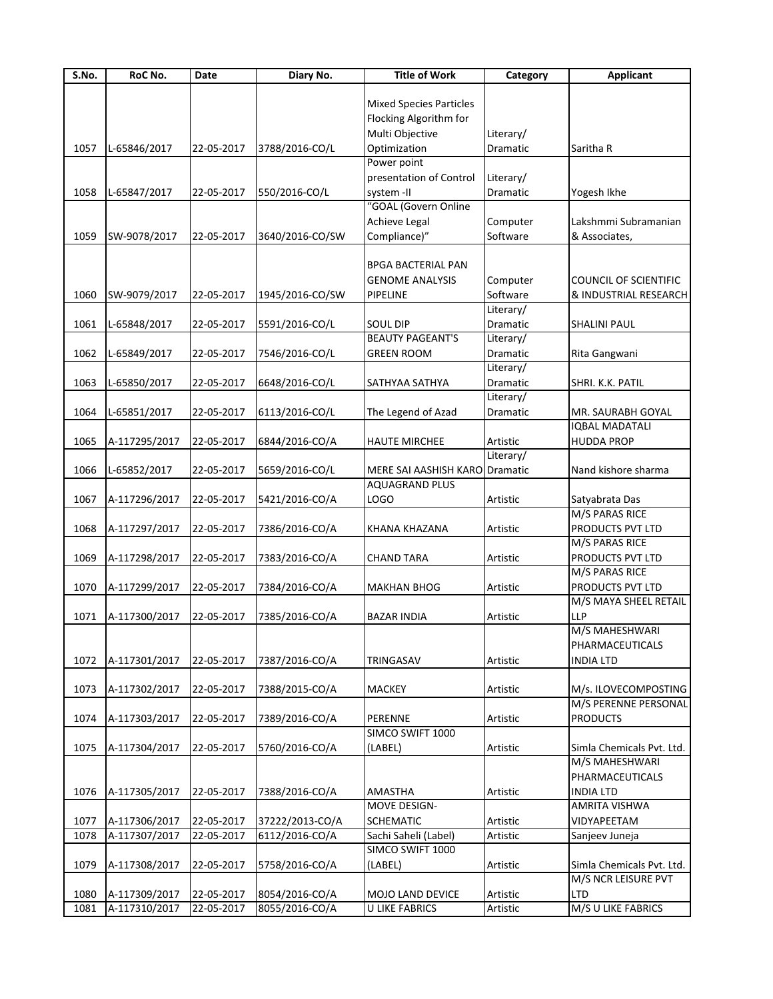| S.No. | RoC No.       | Date       | Diary No.       | <b>Title of Work</b>           | Category              | <b>Applicant</b>             |
|-------|---------------|------------|-----------------|--------------------------------|-----------------------|------------------------------|
|       |               |            |                 |                                |                       |                              |
|       |               |            |                 | <b>Mixed Species Particles</b> |                       |                              |
|       |               |            |                 | Flocking Algorithm for         |                       |                              |
|       |               |            |                 | Multi Objective                | Literary/             |                              |
| 1057  | L-65846/2017  | 22-05-2017 | 3788/2016-CO/L  | Optimization                   | Dramatic              | Saritha R                    |
|       |               |            |                 | Power point                    |                       |                              |
|       |               |            |                 | presentation of Control        | Literary/             |                              |
| 1058  | L-65847/2017  | 22-05-2017 | 550/2016-CO/L   | system -II                     | Dramatic              | Yogesh Ikhe                  |
|       |               |            |                 | "GOAL (Govern Online           |                       |                              |
|       |               |            |                 | <b>Achieve Legal</b>           | Computer              | Lakshmmi Subramanian         |
| 1059  | SW-9078/2017  | 22-05-2017 | 3640/2016-CO/SW | Compliance)"                   | Software              | & Associates,                |
|       |               |            |                 |                                |                       |                              |
|       |               |            |                 | <b>BPGA BACTERIAL PAN</b>      |                       |                              |
|       |               |            |                 | <b>GENOME ANALYSIS</b>         | Computer              | <b>COUNCIL OF SCIENTIFIC</b> |
| 1060  | SW-9079/2017  | 22-05-2017 | 1945/2016-CO/SW | PIPELINE                       | Software              | & INDUSTRIAL RESEARCH        |
|       |               |            |                 |                                | Literary/             |                              |
| 1061  | L-65848/2017  | 22-05-2017 | 5591/2016-CO/L  | <b>SOUL DIP</b>                | Dramatic              | <b>SHALINI PAUL</b>          |
|       |               |            |                 | <b>BEAUTY PAGEANT'S</b>        | Literary/             |                              |
|       |               |            |                 |                                |                       |                              |
| 1062  | L-65849/2017  | 22-05-2017 | 7546/2016-CO/L  | <b>GREEN ROOM</b>              | Dramatic<br>Literary/ | Rita Gangwani                |
|       |               |            |                 |                                |                       |                              |
| 1063  | L-65850/2017  | 22-05-2017 | 6648/2016-CO/L  | SATHYAA SATHYA                 | Dramatic              | SHRI. K.K. PATIL             |
|       |               |            |                 |                                | Literary/             |                              |
| 1064  | L-65851/2017  | 22-05-2017 | 6113/2016-CO/L  | The Legend of Azad             | Dramatic              | MR. SAURABH GOYAL            |
|       |               |            |                 |                                |                       | <b>IQBAL MADATALI</b>        |
| 1065  | A-117295/2017 | 22-05-2017 | 6844/2016-CO/A  | <b>HAUTE MIRCHEE</b>           | Artistic              | <b>HUDDA PROP</b>            |
|       |               |            |                 |                                | Literary/             |                              |
| 1066  | L-65852/2017  | 22-05-2017 | 5659/2016-CO/L  | MERE SAI AASHISH KARO          | Dramatic              | Nand kishore sharma          |
|       |               |            |                 | AQUAGRAND PLUS                 |                       |                              |
| 1067  | A-117296/2017 | 22-05-2017 | 5421/2016-CO/A  | LOGO                           | Artistic              | Satyabrata Das               |
|       |               |            |                 |                                |                       | M/S PARAS RICE               |
| 1068  | A-117297/2017 | 22-05-2017 | 7386/2016-CO/A  | KHANA KHAZANA                  | Artistic              | PRODUCTS PVT LTD             |
|       |               |            |                 |                                |                       | M/S PARAS RICE               |
| 1069  | A-117298/2017 | 22-05-2017 | 7383/2016-CO/A  | <b>CHAND TARA</b>              | Artistic              | PRODUCTS PVT LTD             |
|       |               |            |                 |                                |                       | M/S PARAS RICE               |
| 1070  | A-117299/2017 | 22-05-2017 | 7384/2016-CO/A  | <b>MAKHAN BHOG</b>             | Artistic              | PRODUCTS PVT LTD             |
|       |               |            |                 |                                |                       | M/S MAYA SHEEL RETAIL        |
| 1071  | A-117300/2017 | 22-05-2017 | 7385/2016-CO/A  | <b>BAZAR INDIA</b>             | Artistic              | LLP                          |
|       |               |            |                 |                                |                       | M/S MAHESHWARI               |
|       |               |            |                 |                                |                       | PHARMACEUTICALS              |
| 1072  | A-117301/2017 | 22-05-2017 | 7387/2016-CO/A  | TRINGASAV                      | Artistic              | <b>INDIA LTD</b>             |
|       |               |            |                 |                                |                       |                              |
|       |               |            |                 | <b>MACKEY</b>                  |                       | M/s. ILOVECOMPOSTING         |
| 1073  | A-117302/2017 | 22-05-2017 | 7388/2015-CO/A  |                                | Artistic              | M/S PERENNE PERSONAL         |
|       |               |            |                 |                                |                       |                              |
| 1074  | A-117303/2017 | 22-05-2017 | 7389/2016-CO/A  | PERENNE                        | Artistic              | <b>PRODUCTS</b>              |
|       |               |            |                 | SIMCO SWIFT 1000               |                       |                              |
| 1075  | A-117304/2017 | 22-05-2017 | 5760/2016-CO/A  | (LABEL)                        | Artistic              | Simla Chemicals Pvt. Ltd.    |
|       |               |            |                 |                                |                       | M/S MAHESHWARI               |
|       |               |            |                 |                                |                       | PHARMACEUTICALS              |
| 1076  | A-117305/2017 | 22-05-2017 | 7388/2016-CO/A  | <b>AMASTHA</b>                 | Artistic              | <b>INDIA LTD</b>             |
|       |               |            |                 | MOVE DESIGN-                   |                       | AMRITA VISHWA                |
| 1077  | A-117306/2017 | 22-05-2017 | 37222/2013-CO/A | <b>SCHEMATIC</b>               | Artistic              | VIDYAPEETAM                  |
| 1078  | A-117307/2017 | 22-05-2017 | 6112/2016-CO/A  | Sachi Saheli (Label)           | Artistic              | Sanjeev Juneja               |
|       |               |            |                 | SIMCO SWIFT 1000               |                       |                              |
| 1079  | A-117308/2017 | 22-05-2017 | 5758/2016-CO/A  | (LABEL)                        | Artistic              | Simla Chemicals Pvt. Ltd.    |
|       |               |            |                 |                                |                       | M/S NCR LEISURE PVT          |
| 1080  | A-117309/2017 | 22-05-2017 | 8054/2016-CO/A  | MOJO LAND DEVICE               | Artistic              | <b>LTD</b>                   |
| 1081  | A-117310/2017 | 22-05-2017 | 8055/2016-CO/A  | <b>U LIKE FABRICS</b>          | Artistic              | M/S U LIKE FABRICS           |
|       |               |            |                 |                                |                       |                              |